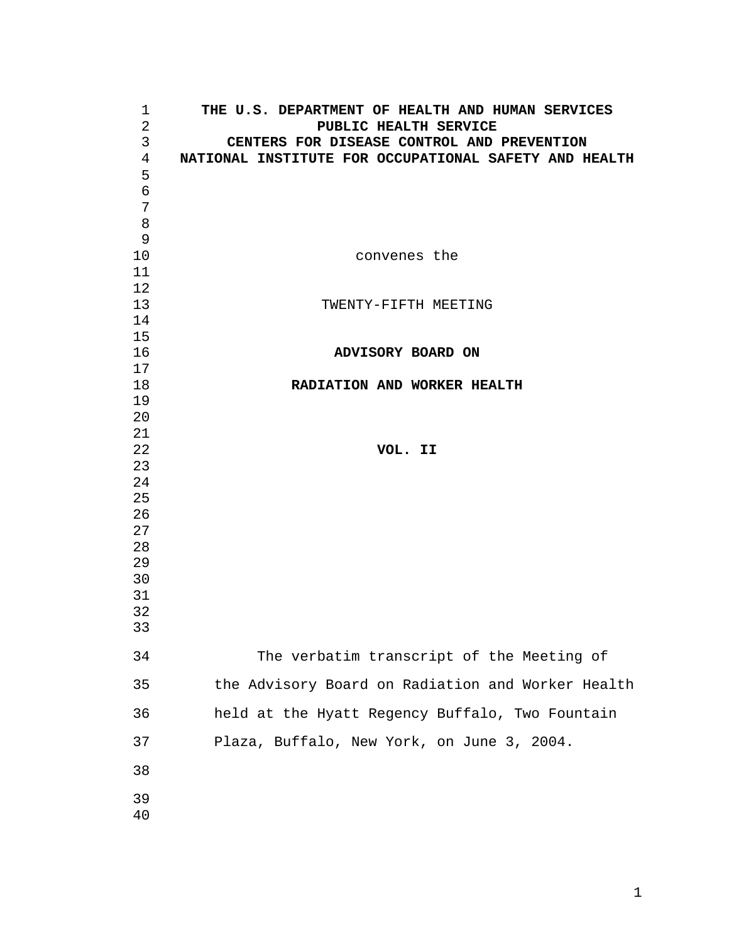| 1<br>2 | THE U.S. DEPARTMENT OF HEALTH AND HUMAN SERVICES<br>PUBLIC HEALTH SERVICE |
|--------|---------------------------------------------------------------------------|
| 3      | CENTERS FOR DISEASE CONTROL AND PREVENTION                                |
| 4      | NATIONAL INSTITUTE FOR OCCUPATIONAL SAFETY AND HEALTH                     |
| 5      |                                                                           |
| 6      |                                                                           |
| 7      |                                                                           |
| 8      |                                                                           |
| 9      |                                                                           |
| 10     | convenes the                                                              |
| 11     |                                                                           |
| 12     |                                                                           |
| 13     | TWENTY-FIFTH MEETING                                                      |
| 14     |                                                                           |
| 15     |                                                                           |
| 16     | ADVISORY BOARD ON                                                         |
| 17     |                                                                           |
| 18     | RADIATION AND WORKER HEALTH                                               |
| 19     |                                                                           |
| 20     |                                                                           |
| 21     |                                                                           |
| 22     | VOL. II                                                                   |
| 23     |                                                                           |
| 24     |                                                                           |
| 25     |                                                                           |
| 26     |                                                                           |
| 27     |                                                                           |
| 28     |                                                                           |
| 29     |                                                                           |
| 30     |                                                                           |
| 31     |                                                                           |
| 32     |                                                                           |
| 33     |                                                                           |
| 34     | The verbatim transcript of the Meeting of                                 |
| 35     | the Advisory Board on Radiation and Worker Health                         |
| 36     | held at the Hyatt Regency Buffalo, Two Fountain                           |
| 37     | Plaza, Buffalo, New York, on June 3, 2004.                                |
| 38     |                                                                           |
| 39     |                                                                           |
| 40     |                                                                           |
|        |                                                                           |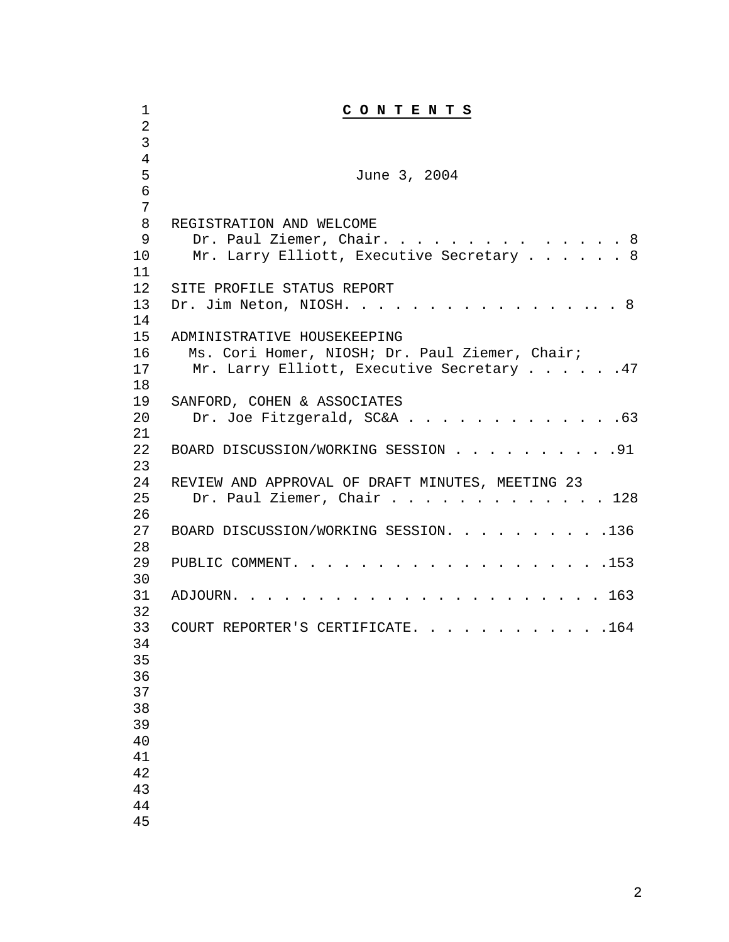| $\mathbf 1$    | CONTENTS                                         |
|----------------|--------------------------------------------------|
| $\overline{2}$ |                                                  |
| 3              |                                                  |
| $\overline{4}$ |                                                  |
| 5              | June 3, 2004                                     |
| 6              |                                                  |
| 7              |                                                  |
| 8              | REGISTRATION AND WELCOME                         |
| 9              | Dr. Paul Ziemer, Chair. 8                        |
| $10 \,$        | Mr. Larry Elliott, Executive Secretary 8         |
| 11             |                                                  |
| 12             | SITE PROFILE STATUS REPORT                       |
| 13             | Dr. Jim Neton, NIOSH. 8                          |
| 14             |                                                  |
| 15             | ADMINISTRATIVE HOUSEKEEPING                      |
| 16             | Ms. Cori Homer, NIOSH; Dr. Paul Ziemer, Chair;   |
| 17             | Mr. Larry Elliott, Executive Secretary 47        |
| 18             |                                                  |
| 19             | SANFORD, COHEN & ASSOCIATES                      |
| 20             | Dr. Joe Fitzgerald, SC&A 63                      |
| 21             |                                                  |
| 22             | BOARD DISCUSSION/WORKING SESSION 91              |
| 23             |                                                  |
| 24             | REVIEW AND APPROVAL OF DRAFT MINUTES, MEETING 23 |
| 25             | Dr. Paul Ziemer, Chair 128                       |
| 26             |                                                  |
| 27             | BOARD DISCUSSION/WORKING SESSION. 136            |
| 28             |                                                  |
| 29             | PUBLIC COMMENT. 153                              |
| 30             |                                                  |
| 31             | ADJOURN.<br>$\cdots$ 163                         |
| 32             |                                                  |
| 33             | COURT REPORTER'S CERTIFICATE.<br>164             |
| 34             |                                                  |
| 35             |                                                  |
| 36             |                                                  |
| 37             |                                                  |
| 38             |                                                  |
| 39             |                                                  |
| 40             |                                                  |
| 41<br>42       |                                                  |
| 43             |                                                  |
| 44             |                                                  |
| 45             |                                                  |
|                |                                                  |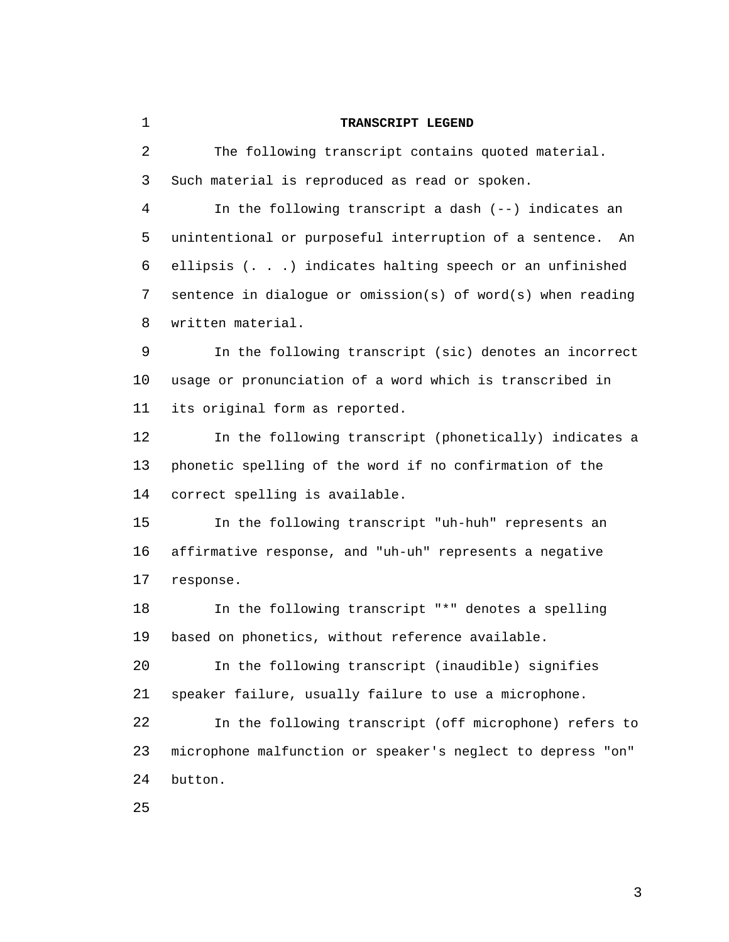2 3 4 5 6 7 8 9 10 11 12 13 14 15 16 17 18 19 20 21 22 23 24 25 The following transcript contains quoted material. Such material is reproduced as read or spoken. In the following transcript a dash (--) indicates an unintentional or purposeful interruption of a sentence. An ellipsis (. . .) indicates halting speech or an unfinished sentence in dialogue or omission(s) of word(s) when reading written material. In the following transcript (sic) denotes an incorrect usage or pronunciation of a word which is transcribed in its original form as reported. In the following transcript (phonetically) indicates a phonetic spelling of the word if no confirmation of the correct spelling is available. In the following transcript "uh-huh" represents an affirmative response, and "uh-uh" represents a negative response. In the following transcript "\*" denotes a spelling based on phonetics, without reference available. In the following transcript (inaudible) signifies speaker failure, usually failure to use a microphone. In the following transcript (off microphone) refers to microphone malfunction or speaker's neglect to depress "on" button.

**TRANSCRIPT LEGEND** 

1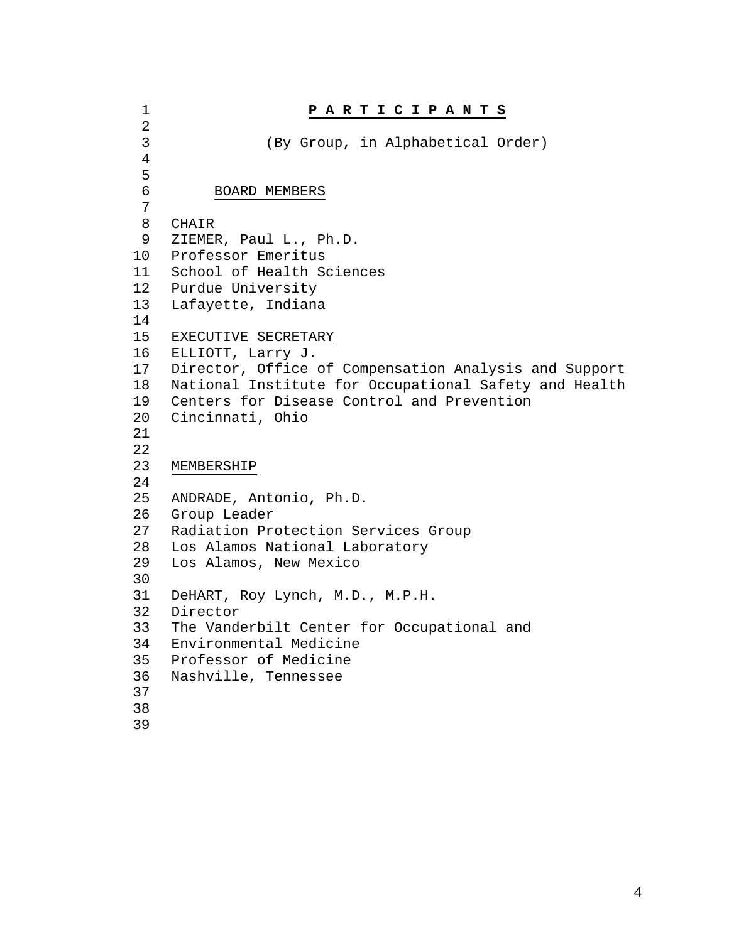```
1 
 2 
 3 
 4 
 5 
 6 
 7 
 8 
 9 
10 
11 
12 
13 
14 
15 
16 
17 
18 
19 
20 
21 
22 
23 
24 
25 
26 
27 
28 
29 
30 
31 
32 
33 
34 
Environmental Medicine 
35 
36 
37 
38 
39 
                      P A R T I C I P A N T S 
                 (By Group, in Alphabetical Order) 
           BOARD MEMBERS 
    CHAIR 
    ZIEMER, Paul L., Ph.D.
    Professor Emeritus 
    School of Health Sciences 
    Purdue University
   Lafayette, Indiana 
    EXECUTIVE SECRETARY 
    ELLIOTT, Larry J.
    Director, Office of Compensation Analysis and Support
    National Institute for Occupational Safety and Health
    Centers for Disease Control and Prevention 
    Cincinnati, Ohio 
    MEMBERSHIP 
   ANDRADE, Antonio, Ph.D.
    Group Leader
   Radiation Protection Services Group
    Los Alamos National Laboratory
    Los Alamos, New Mexico 
    DeHART, Roy Lynch, M.D., M.P.H.
   Director 
    The Vanderbilt Center for Occupational and
    Professor of Medicine 
   Nashville, Tennessee
```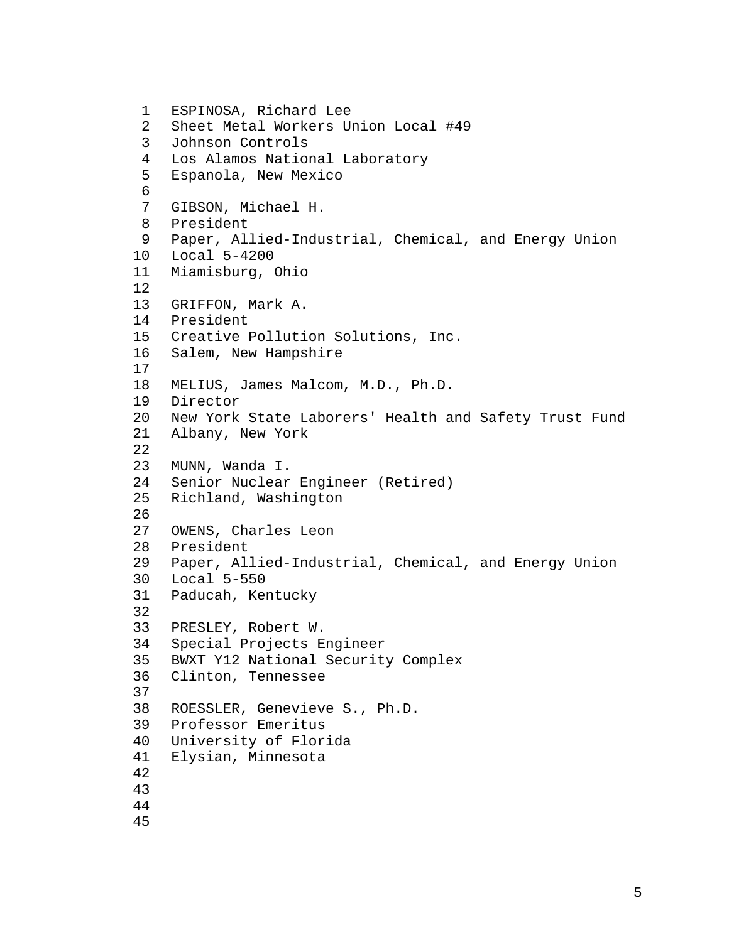```
1 
 2 
 3 
 4 
 5 
 6 
 7 
 8 
 9 
10 
11 
12 
13 
14 
15 
16 
17 
18 
19 
20 
21 
22 
23 
24 
25 
26 
27 
28 
29 
30 
31 
32 
33 
34 
35 
36 
37 
38 
39 
40 
41 
42 
43 
44 
45 
    ESPINOSA, Richard Lee
    Sheet Metal Workers Union Local #49 
    Johnson Controls 
    Los Alamos National Laboratory
    Espanola, New Mexico 
   GIBSON, Michael H.
   President 
    Paper, Allied-Industrial, Chemical, and Energy Union
    Local 5-4200 
    Miamisburg, Ohio 
    GRIFFON, Mark A.
    President 
   Creative Pollution Solutions, Inc.
    Salem, New Hampshire 
    MELIUS, James Malcom, M.D., Ph.D.
    Director 
    New York State Laborers' Health and Safety Trust Fund
    Albany, New York 
    MUNN, Wanda I.
    Senior Nuclear Engineer (Retired)
   Richland, Washington 
   OWENS, Charles Leon
    President 
   Paper, Allied-Industrial, Chemical, and Energy Union
    Local 5-550 
    Paducah, Kentucky 
    PRESLEY, Robert W.
    Special Projects Engineer
    BWXT Y12 National Security Complex
    Clinton, Tennessee 
    ROESSLER, Genevieve S., Ph.D.
   Professor Emeritus 
    University of Florida
    Elysian, Minnesota
```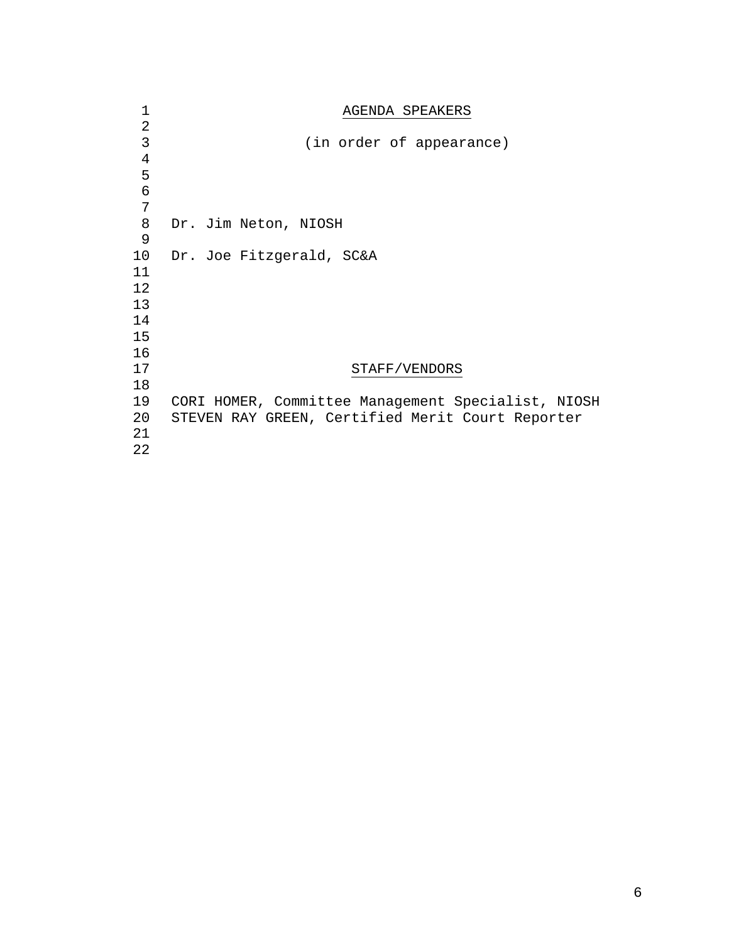| $\mathbf 1$    | AGENDA SPEAKERS                                    |
|----------------|----------------------------------------------------|
| 2              |                                                    |
| 3              | (in order of appearance)                           |
| $\overline{4}$ |                                                    |
| 5              |                                                    |
| 6              |                                                    |
| 7              |                                                    |
| 8              | Dr. Jim Neton, NIOSH                               |
| 9              |                                                    |
| 10             | Dr. Joe Fitzgerald, SC&A                           |
| 11             |                                                    |
| 12             |                                                    |
| 13             |                                                    |
| 14             |                                                    |
| 15             |                                                    |
| 16             |                                                    |
| 17             | STAFF/VENDORS                                      |
| 18             |                                                    |
| 19             | CORI HOMER, Committee Management Specialist, NIOSH |
| 20             | STEVEN RAY GREEN, Certified Merit Court Reporter   |
| 21             |                                                    |
| 22             |                                                    |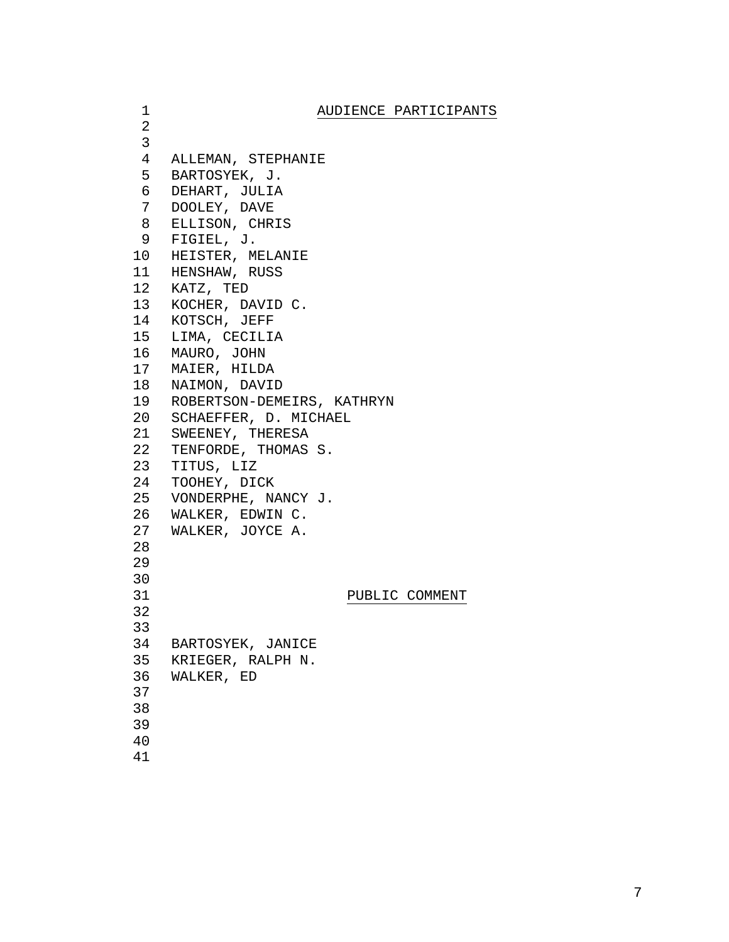## AUDIENCE PARTICIPANTS

 HEISTER, MELANIE HENSHAW, RUSS KOTSCH, JEFF LIMA, CECILIA MAIER, HILDA NAIMON, DAVID SCHAEFFER, D. MICHAEL VONDERPHE, NANCY J. BARTOSYEK, JANICE KRIEGER, RALPH N. ALLEMAN, STEPHANIE BARTOSYEK, J. DEHART, JULIA DOOLEY, DAVE ELLISON, CHRIS FIGIEL, J. KATZ, TED KOCHER, DAVID C. MAURO, JOHN ROBERTSON-DEMEIRS, KATHRYN SWEENEY, THERESA TENFORDE, THOMAS S. TITUS, LIZ TOOHEY, DICK WALKER, EDWIN C. WALKER, JOYCE A. PUBLIC COMMENT WALKER, ED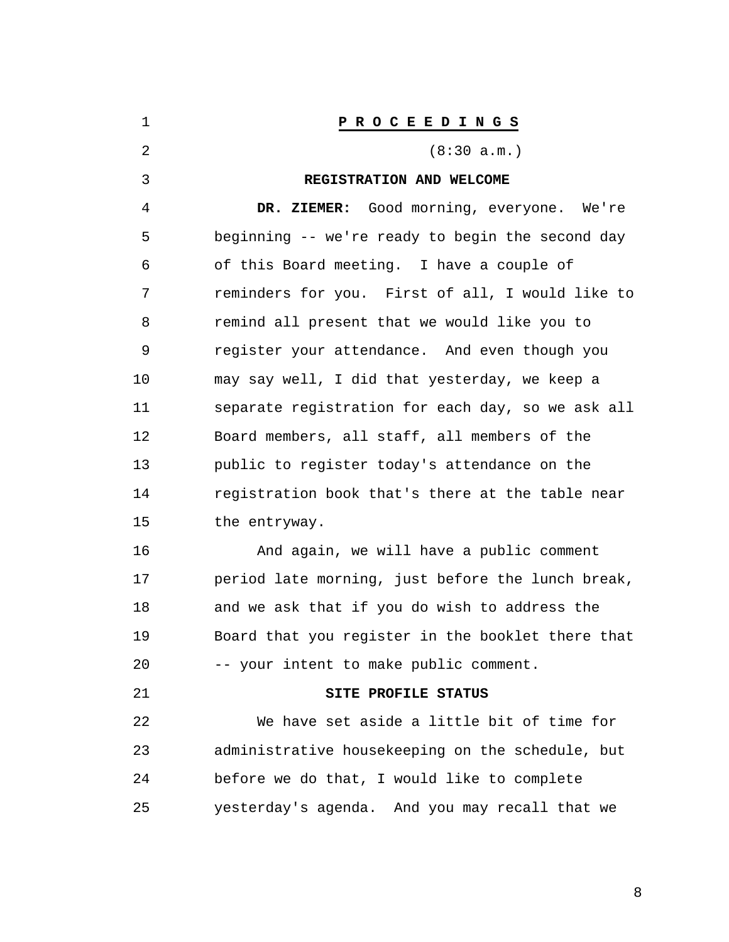| 1  | PROCEEDINGS                                       |
|----|---------------------------------------------------|
| 2  | (8:30 a.m.)                                       |
| 3  | REGISTRATION AND WELCOME                          |
| 4  | DR. ZIEMER: Good morning, everyone. We're         |
| 5  | beginning -- we're ready to begin the second day  |
| 6  | of this Board meeting. I have a couple of         |
| 7  | reminders for you. First of all, I would like to  |
| 8  | remind all present that we would like you to      |
| 9  | register your attendance. And even though you     |
| 10 | may say well, I did that yesterday, we keep a     |
| 11 | separate registration for each day, so we ask all |
| 12 | Board members, all staff, all members of the      |
| 13 | public to register today's attendance on the      |
| 14 | registration book that's there at the table near  |
| 15 | the entryway.                                     |
| 16 | And again, we will have a public comment          |
| 17 | period late morning, just before the lunch break, |
| 18 | and we ask that if you do wish to address the     |
| 19 | Board that you register in the booklet there that |
| 20 | -- your intent to make public comment.            |
| 21 | SITE PROFILE STATUS                               |
| 22 | We have set aside a little bit of time for        |
| 23 | administrative housekeeping on the schedule, but  |
| 24 | before we do that, I would like to complete       |
| 25 | yesterday's agenda. And you may recall that we    |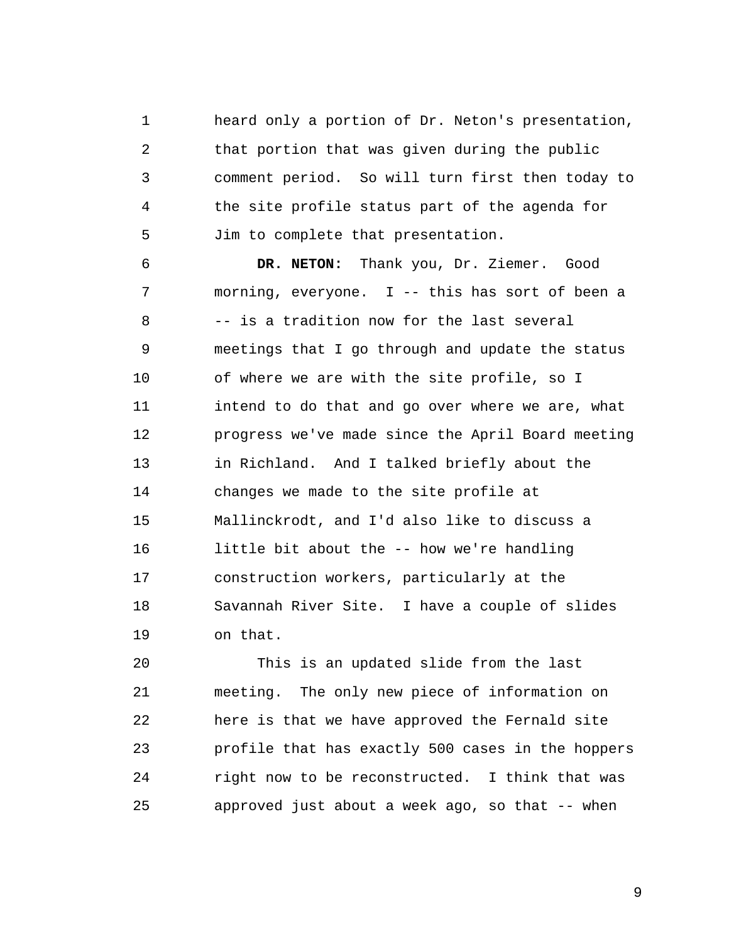1 2 3 4 5 heard only a portion of Dr. Neton's presentation, that portion that was given during the public comment period. So will turn first then today to the site profile status part of the agenda for Jim to complete that presentation.

6 7 8 9 10 11 12 13 14 15 16 17 18 19 **DR. NETON:** Thank you, Dr. Ziemer. Good morning, everyone. I -- this has sort of been a -- is a tradition now for the last several meetings that I go through and update the status of where we are with the site profile, so I intend to do that and go over where we are, what progress we've made since the April Board meeting in Richland. And I talked briefly about the changes we made to the site profile at Mallinckrodt, and I'd also like to discuss a little bit about the -- how we're handling construction workers, particularly at the Savannah River Site. I have a couple of slides on that.

 $20^{\circ}$ 21 22 23 24 25 This is an updated slide from the last meeting. The only new piece of information on here is that we have approved the Fernald site profile that has exactly 500 cases in the hoppers right now to be reconstructed. I think that was approved just about a week ago, so that -- when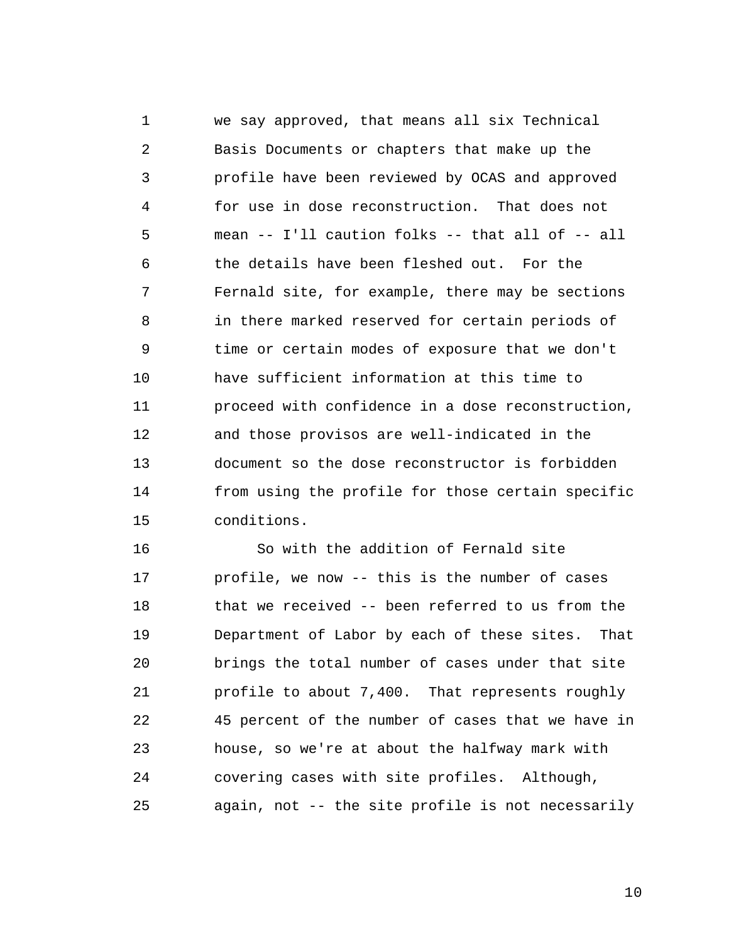1 2 3 4 5 6 7 8 9 10 11 12 13 14 15 we say approved, that means all six Technical Basis Documents or chapters that make up the profile have been reviewed by OCAS and approved for use in dose reconstruction. That does not mean -- I'll caution folks -- that all of -- all the details have been fleshed out. For the Fernald site, for example, there may be sections in there marked reserved for certain periods of time or certain modes of exposure that we don't have sufficient information at this time to proceed with confidence in a dose reconstruction, and those provisos are well-indicated in the document so the dose reconstructor is forbidden from using the profile for those certain specific conditions.

16 17 18 19  $20$ 21 22 23 24 25 So with the addition of Fernald site profile, we now -- this is the number of cases that we received -- been referred to us from the Department of Labor by each of these sites. That brings the total number of cases under that site profile to about 7,400. That represents roughly 45 percent of the number of cases that we have in house, so we're at about the halfway mark with covering cases with site profiles. Although, again, not -- the site profile is not necessarily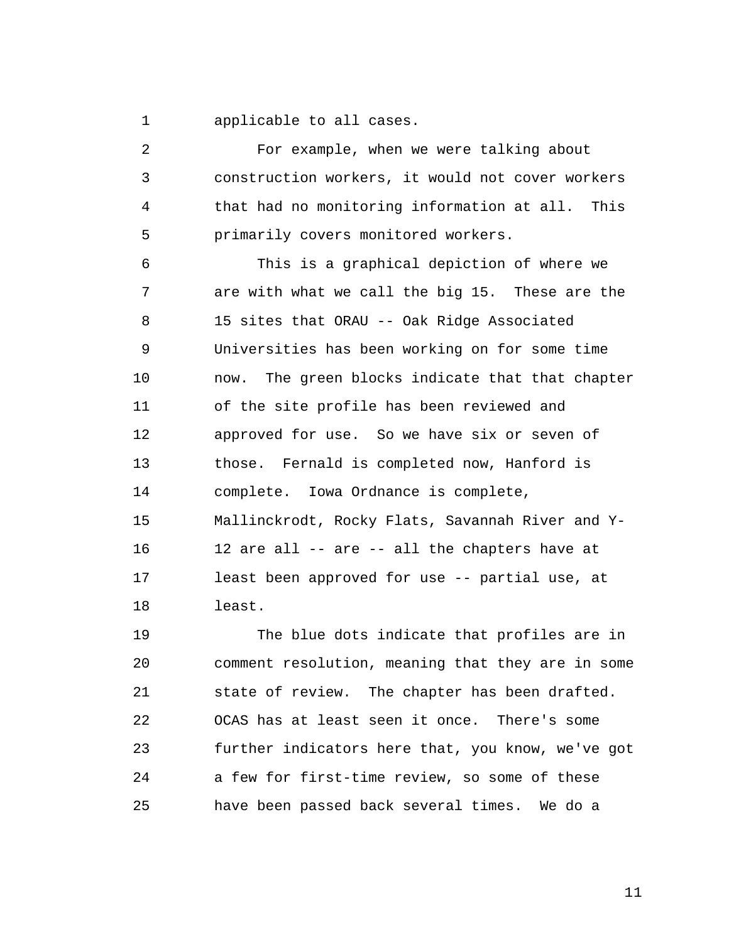1 applicable to all cases.

2 3 4 5 For example, when we were talking about construction workers, it would not cover workers that had no monitoring information at all. This primarily covers monitored workers.

6 7 8 9 10 11 12 13 14 15 16 17 18 This is a graphical depiction of where we are with what we call the big 15. These are the 15 sites that ORAU -- Oak Ridge Associated Universities has been working on for some time now. The green blocks indicate that that chapter of the site profile has been reviewed and approved for use. So we have six or seven of those. Fernald is completed now, Hanford is complete. Iowa Ordnance is complete, Mallinckrodt, Rocky Flats, Savannah River and Y-12 are all -- are -- all the chapters have at least been approved for use -- partial use, at least.

19  $20^{\circ}$ 21 22 23 24 25 The blue dots indicate that profiles are in comment resolution, meaning that they are in some state of review. The chapter has been drafted. OCAS has at least seen it once. There's some further indicators here that, you know, we've got a few for first-time review, so some of these have been passed back several times. We do a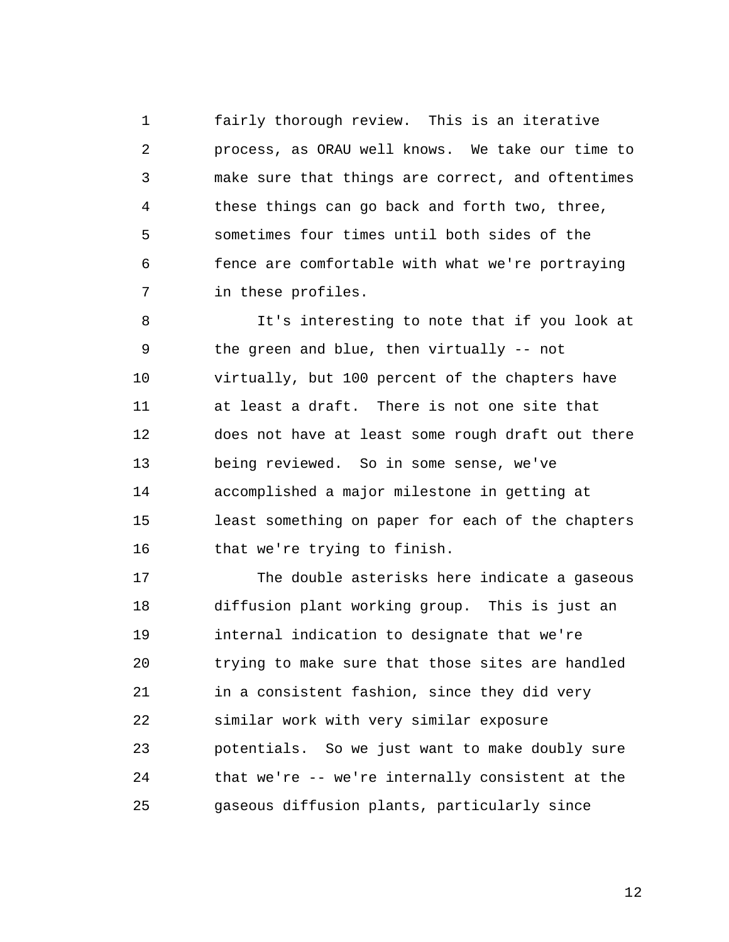1 2 3 4 5 6 7 fairly thorough review. This is an iterative process, as ORAU well knows. We take our time to make sure that things are correct, and oftentimes these things can go back and forth two, three, sometimes four times until both sides of the fence are comfortable with what we're portraying in these profiles.

8 9 10 11 12 13 14 15 16 It's interesting to note that if you look at the green and blue, then virtually -- not virtually, but 100 percent of the chapters have at least a draft. There is not one site that does not have at least some rough draft out there being reviewed. So in some sense, we've accomplished a major milestone in getting at least something on paper for each of the chapters that we're trying to finish.

17 18 19  $20^{\circ}$ 21 22 23 24 25 The double asterisks here indicate a gaseous diffusion plant working group. This is just an internal indication to designate that we're trying to make sure that those sites are handled in a consistent fashion, since they did very similar work with very similar exposure potentials. So we just want to make doubly sure that we're -- we're internally consistent at the gaseous diffusion plants, particularly since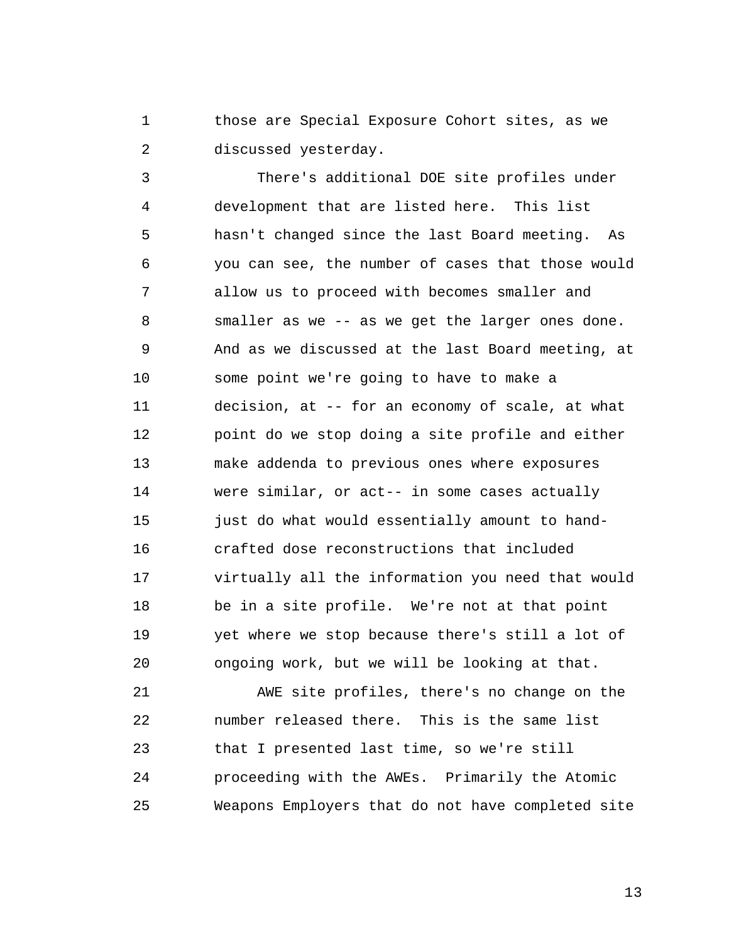1 2 those are Special Exposure Cohort sites, as we discussed yesterday.

3 4 5 6 7 8 9 10 11 12 13 14 15 16 17 18 19  $2.0$ There's additional DOE site profiles under development that are listed here. This list hasn't changed since the last Board meeting. As you can see, the number of cases that those would allow us to proceed with becomes smaller and smaller as we -- as we get the larger ones done. And as we discussed at the last Board meeting, at some point we're going to have to make a decision, at -- for an economy of scale, at what point do we stop doing a site profile and either make addenda to previous ones where exposures were similar, or act-- in some cases actually just do what would essentially amount to handcrafted dose reconstructions that included virtually all the information you need that would be in a site profile. We're not at that point yet where we stop because there's still a lot of ongoing work, but we will be looking at that.

21 22 23 24 25 AWE site profiles, there's no change on the number released there. This is the same list that I presented last time, so we're still proceeding with the AWEs. Primarily the Atomic Weapons Employers that do not have completed site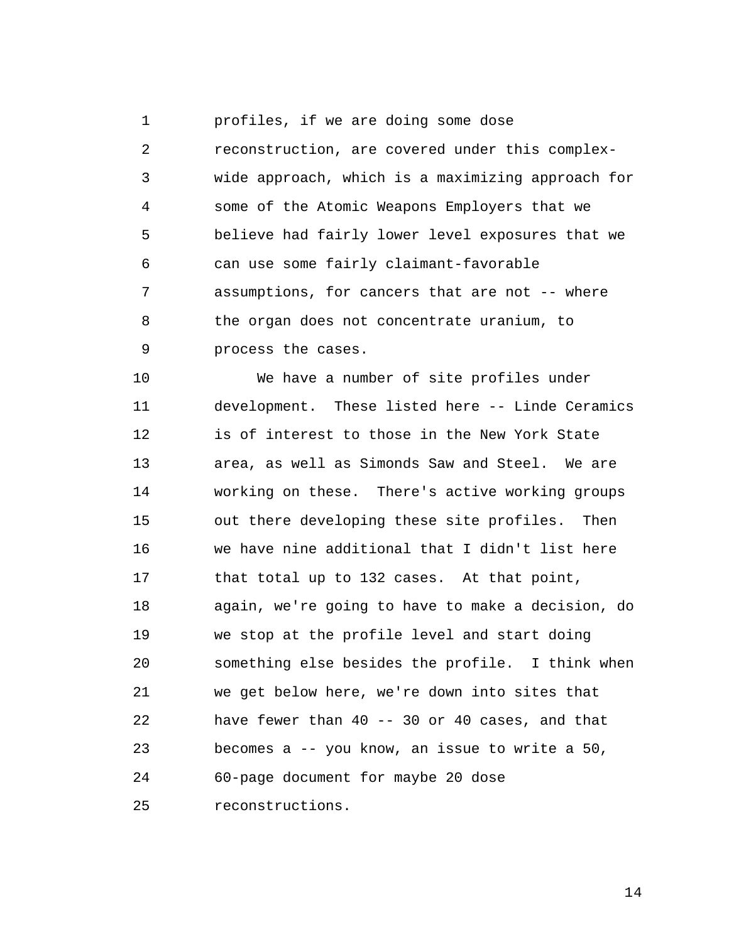1 profiles, if we are doing some dose

2 3 4 5 6 7 8 9 reconstruction, are covered under this complexwide approach, which is a maximizing approach for some of the Atomic Weapons Employers that we believe had fairly lower level exposures that we can use some fairly claimant-favorable assumptions, for cancers that are not -- where the organ does not concentrate uranium, to process the cases.

10 11 12 13 14 15 16 17 18 19  $20^{\circ}$ 21 22 23 24 25 We have a number of site profiles under development. These listed here -- Linde Ceramics is of interest to those in the New York State area, as well as Simonds Saw and Steel. We are working on these. There's active working groups out there developing these site profiles. Then we have nine additional that I didn't list here that total up to 132 cases. At that point, again, we're going to have to make a decision, do we stop at the profile level and start doing something else besides the profile. I think when we get below here, we're down into sites that have fewer than 40 -- 30 or 40 cases, and that becomes a -- you know, an issue to write a 50, 60-page document for maybe 20 dose reconstructions.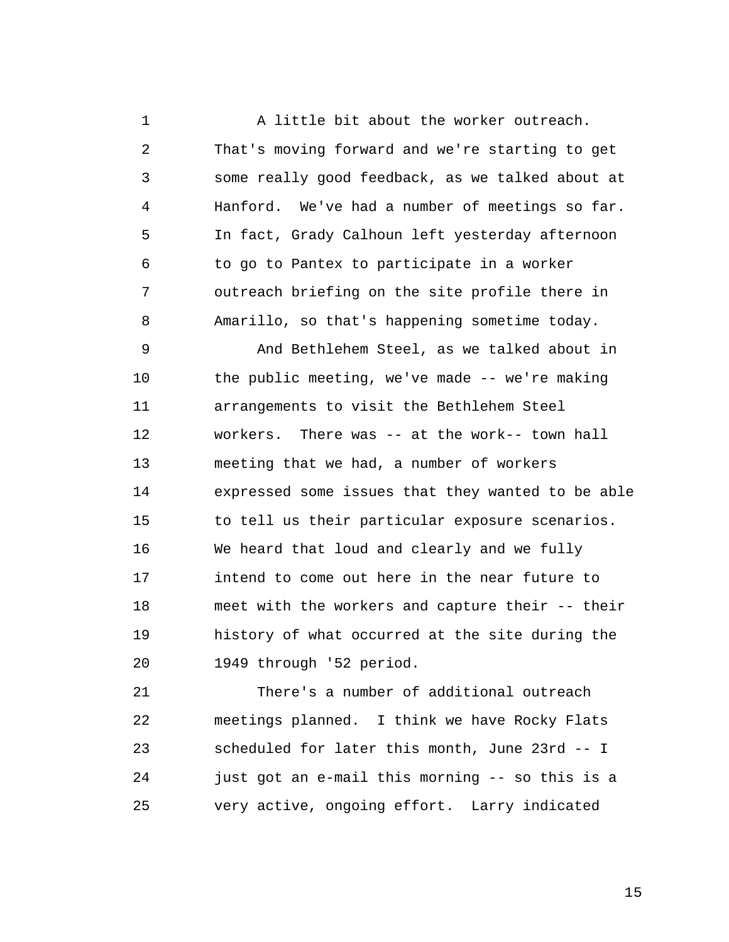1 2 3 4 5 6 7 8 A little bit about the worker outreach. That's moving forward and we're starting to get some really good feedback, as we talked about at Hanford. We've had a number of meetings so far. In fact, Grady Calhoun left yesterday afternoon to go to Pantex to participate in a worker outreach briefing on the site profile there in Amarillo, so that's happening sometime today.

9 10 11 12 13 14 15 16 17 18 19  $20^{\circ}$ And Bethlehem Steel, as we talked about in the public meeting, we've made -- we're making arrangements to visit the Bethlehem Steel workers. There was -- at the work-- town hall meeting that we had, a number of workers expressed some issues that they wanted to be able to tell us their particular exposure scenarios. We heard that loud and clearly and we fully intend to come out here in the near future to meet with the workers and capture their -- their history of what occurred at the site during the 1949 through '52 period.

21 22 23 24 25 There's a number of additional outreach meetings planned. I think we have Rocky Flats scheduled for later this month, June 23rd -- I just got an e-mail this morning -- so this is a very active, ongoing effort. Larry indicated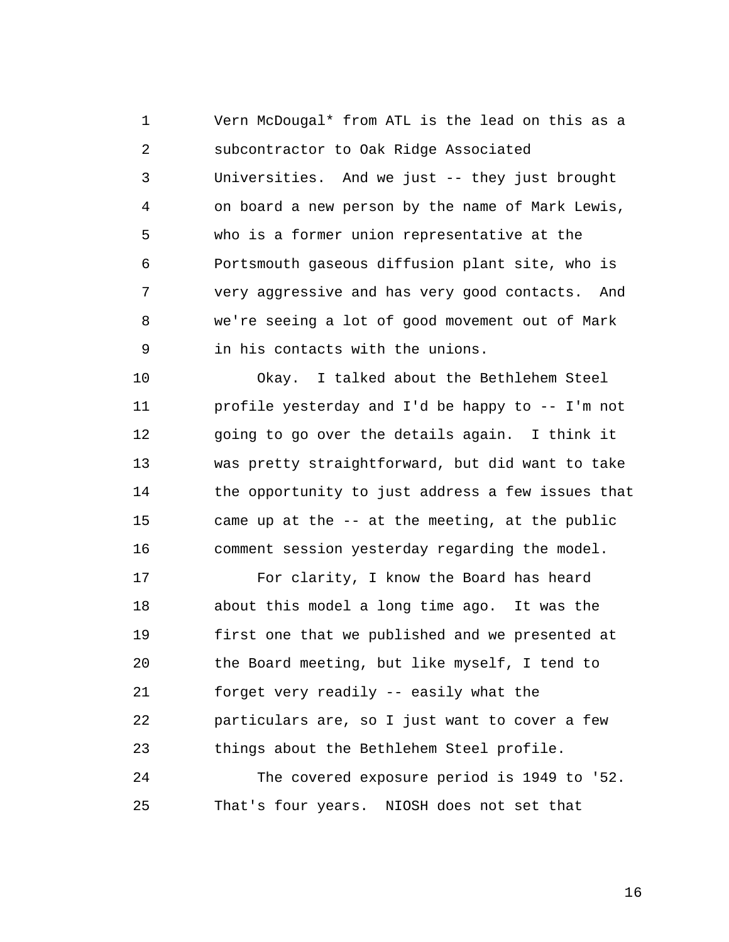1 2 3 4 5 6 7 8 9 Vern McDougal\* from ATL is the lead on this as a subcontractor to Oak Ridge Associated Universities. And we just -- they just brought on board a new person by the name of Mark Lewis, who is a former union representative at the Portsmouth gaseous diffusion plant site, who is very aggressive and has very good contacts. And we're seeing a lot of good movement out of Mark in his contacts with the unions.

10 11 12 13 14 15 16 Okay. I talked about the Bethlehem Steel profile yesterday and I'd be happy to -- I'm not going to go over the details again. I think it was pretty straightforward, but did want to take the opportunity to just address a few issues that came up at the -- at the meeting, at the public comment session yesterday regarding the model.

17 18 19  $2.0$ 21 22 23 For clarity, I know the Board has heard about this model a long time ago. It was the first one that we published and we presented at the Board meeting, but like myself, I tend to forget very readily -- easily what the particulars are, so I just want to cover a few things about the Bethlehem Steel profile.

24 25 The covered exposure period is 1949 to '52. That's four years. NIOSH does not set that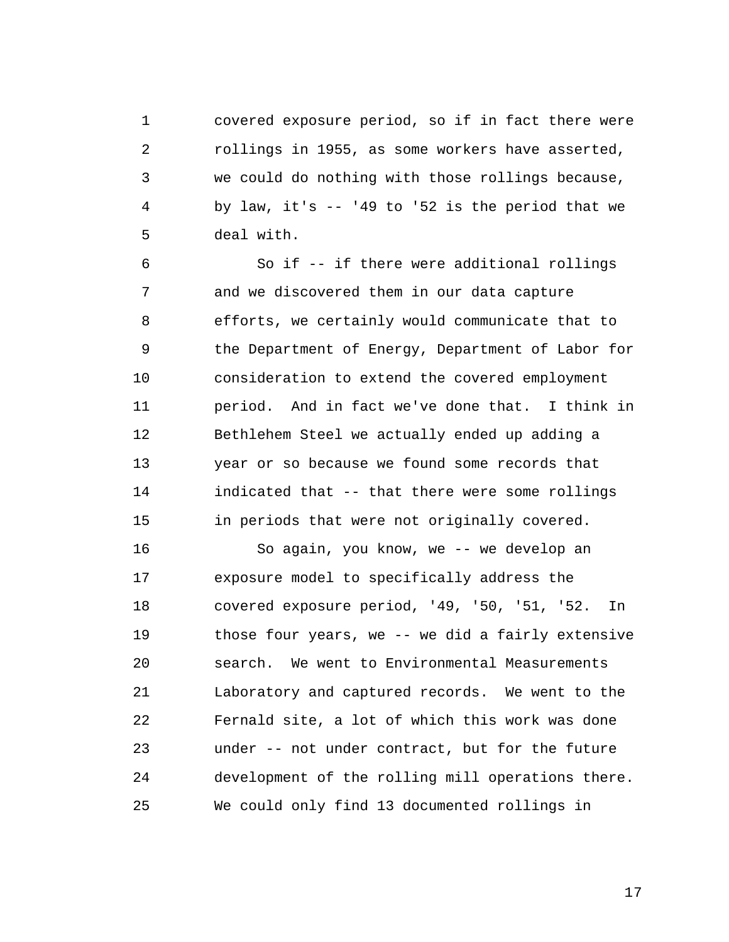1 2 3 4 5 covered exposure period, so if in fact there were rollings in 1955, as some workers have asserted, we could do nothing with those rollings because, by law, it's -- '49 to '52 is the period that we deal with.

6 7 8 9 10 11 12 13 14 15 So if -- if there were additional rollings and we discovered them in our data capture efforts, we certainly would communicate that to the Department of Energy, Department of Labor for consideration to extend the covered employment period. And in fact we've done that. I think in Bethlehem Steel we actually ended up adding a year or so because we found some records that indicated that -- that there were some rollings in periods that were not originally covered.

16 17 18 19  $2.0$ 21 22 23 24 25 So again, you know, we -- we develop an exposure model to specifically address the covered exposure period, '49, '50, '51, '52. In those four years, we -- we did a fairly extensive search. We went to Environmental Measurements Laboratory and captured records. We went to the Fernald site, a lot of which this work was done under -- not under contract, but for the future development of the rolling mill operations there. We could only find 13 documented rollings in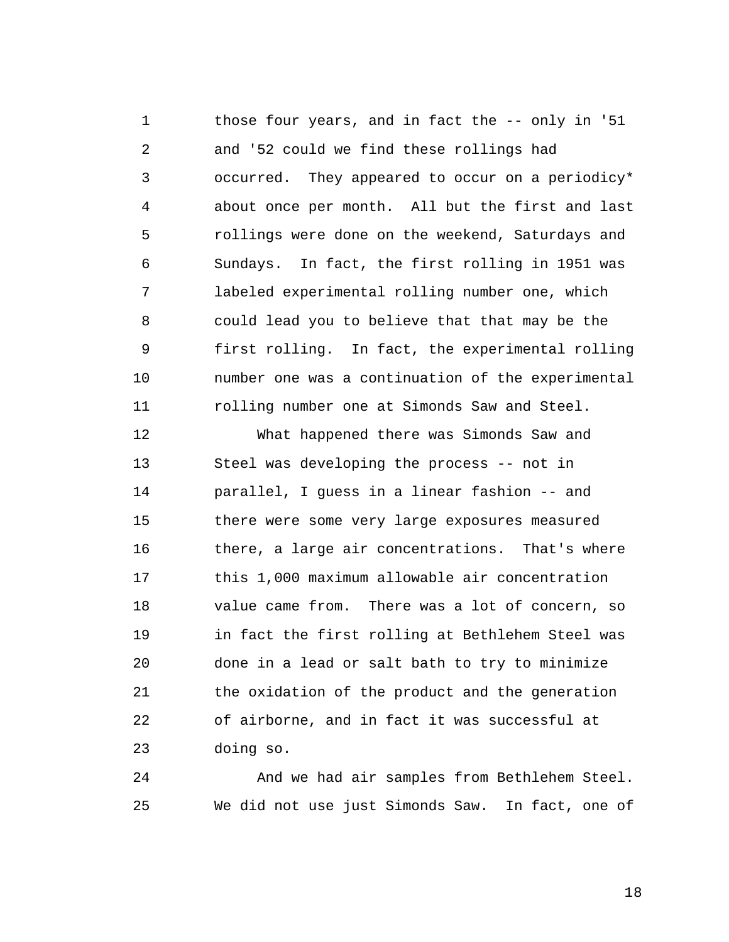1 2 3 4 5 6 7 8 9 10 11 those four years, and in fact the -- only in '51 and '52 could we find these rollings had occurred. They appeared to occur on a periodicy\* about once per month. All but the first and last rollings were done on the weekend, Saturdays and Sundays. In fact, the first rolling in 1951 was labeled experimental rolling number one, which could lead you to believe that that may be the first rolling. In fact, the experimental rolling number one was a continuation of the experimental rolling number one at Simonds Saw and Steel.

12 13 14 15 16 17 18 19  $2.0$ 21 22 23 What happened there was Simonds Saw and Steel was developing the process -- not in parallel, I guess in a linear fashion -- and there were some very large exposures measured there, a large air concentrations. That's where this 1,000 maximum allowable air concentration value came from. There was a lot of concern, so in fact the first rolling at Bethlehem Steel was done in a lead or salt bath to try to minimize the oxidation of the product and the generation of airborne, and in fact it was successful at doing so.

24 25 And we had air samples from Bethlehem Steel. We did not use just Simonds Saw. In fact, one of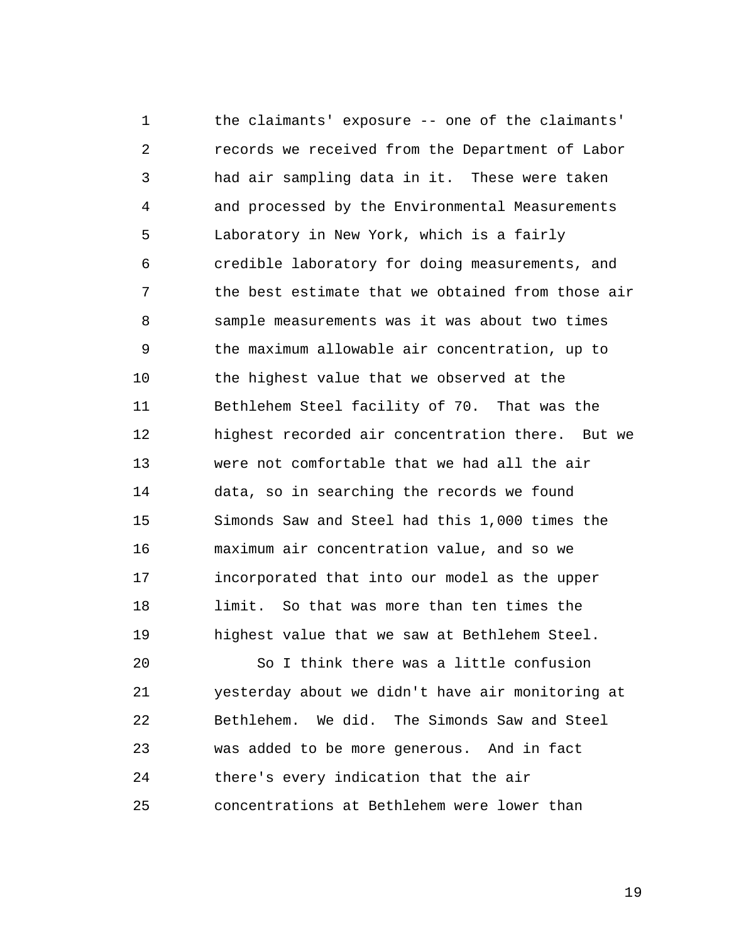1 2 3 4 5 6 7 8 9 10 11 12 13 14 15 16 17 18 19 the claimants' exposure -- one of the claimants' records we received from the Department of Labor had air sampling data in it. These were taken and processed by the Environmental Measurements Laboratory in New York, which is a fairly credible laboratory for doing measurements, and the best estimate that we obtained from those air sample measurements was it was about two times the maximum allowable air concentration, up to the highest value that we observed at the Bethlehem Steel facility of 70. That was the highest recorded air concentration there. But we were not comfortable that we had all the air data, so in searching the records we found Simonds Saw and Steel had this 1,000 times the maximum air concentration value, and so we incorporated that into our model as the upper limit. So that was more than ten times the highest value that we saw at Bethlehem Steel.

 $20$ 21 22 23 24 25 So I think there was a little confusion yesterday about we didn't have air monitoring at Bethlehem. We did. The Simonds Saw and Steel was added to be more generous. And in fact there's every indication that the air concentrations at Bethlehem were lower than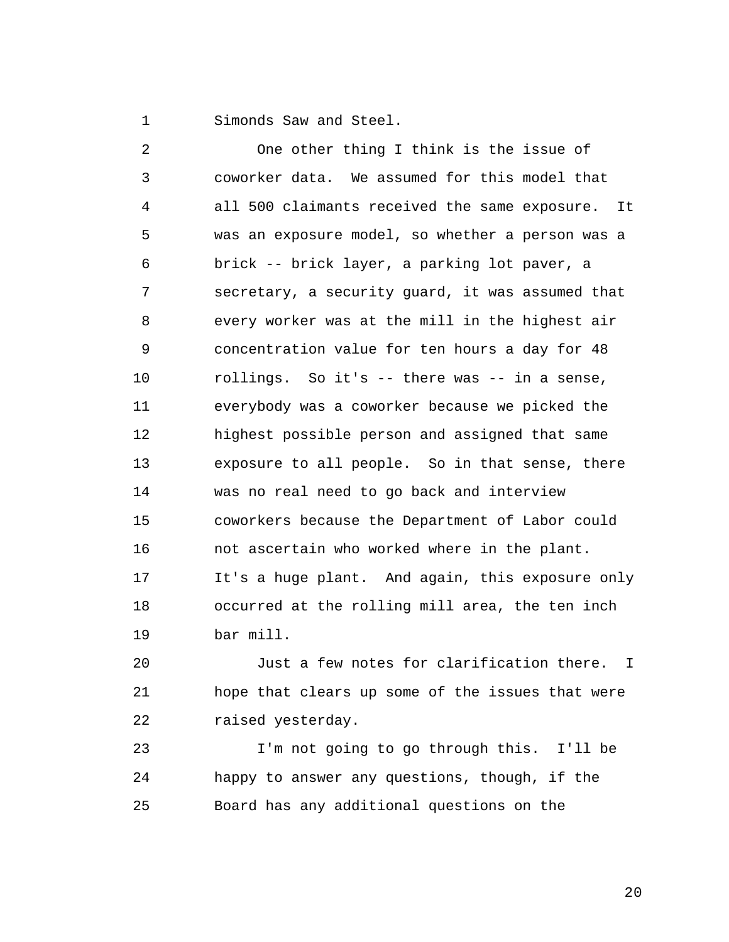1 Simonds Saw and Steel.

2 3 4 5 6 7 8 9 10 11 12 13 14 15 16 17 18 19 One other thing I think is the issue of coworker data. We assumed for this model that all 500 claimants received the same exposure. It was an exposure model, so whether a person was a brick -- brick layer, a parking lot paver, a secretary, a security guard, it was assumed that every worker was at the mill in the highest air concentration value for ten hours a day for 48 rollings. So it's -- there was -- in a sense, everybody was a coworker because we picked the highest possible person and assigned that same exposure to all people. So in that sense, there was no real need to go back and interview coworkers because the Department of Labor could not ascertain who worked where in the plant. It's a huge plant. And again, this exposure only occurred at the rolling mill area, the ten inch bar mill.

 $2.0$ 21 22 Just a few notes for clarification there. I hope that clears up some of the issues that were raised yesterday.

23 24 25 I'm not going to go through this. I'll be happy to answer any questions, though, if the Board has any additional questions on the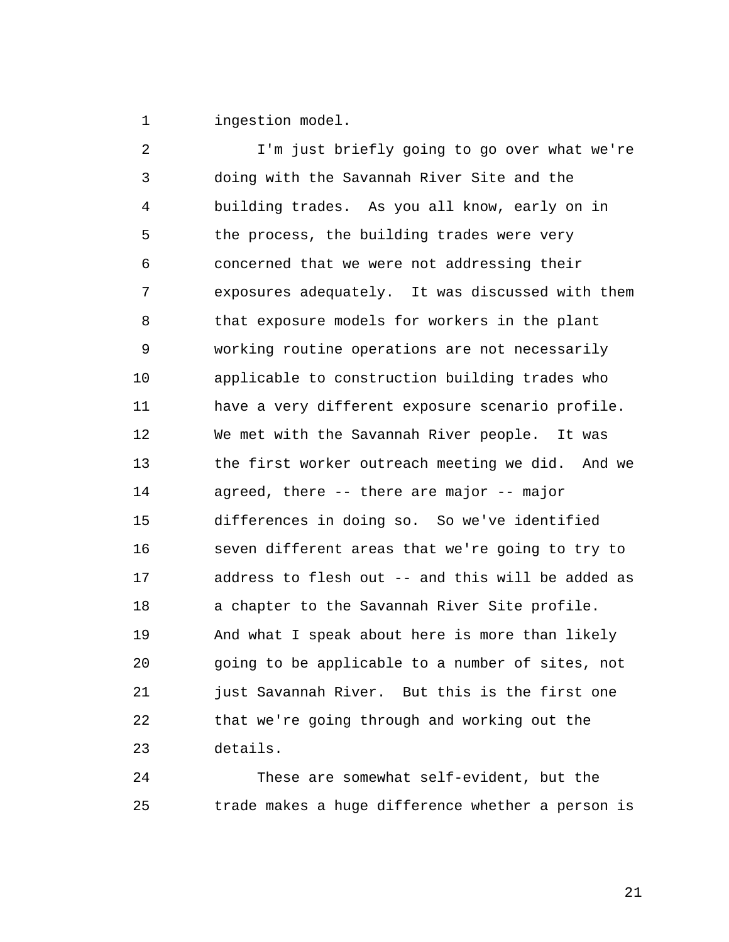1 ingestion model.

2 3 4 5 6 7 8 9 10 11 12 13 14 15 16 17 18 19  $20$ 21 22 23 I'm just briefly going to go over what we're doing with the Savannah River Site and the building trades. As you all know, early on in the process, the building trades were very concerned that we were not addressing their exposures adequately. It was discussed with them that exposure models for workers in the plant working routine operations are not necessarily applicable to construction building trades who have a very different exposure scenario profile. We met with the Savannah River people. It was the first worker outreach meeting we did. And we agreed, there -- there are major -- major differences in doing so. So we've identified seven different areas that we're going to try to address to flesh out -- and this will be added as a chapter to the Savannah River Site profile. And what I speak about here is more than likely going to be applicable to a number of sites, not just Savannah River. But this is the first one that we're going through and working out the details.

24 25 These are somewhat self-evident, but the trade makes a huge difference whether a person is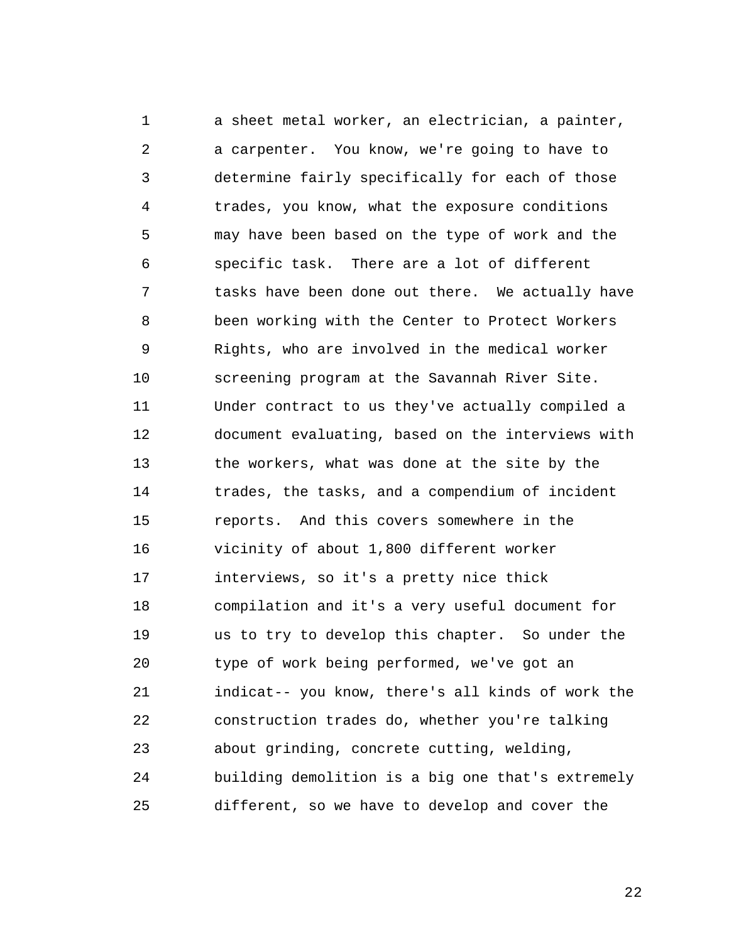1 2 3 4 5 6 7 8 9 10 11 12 13 14 15 16 17 18 19  $20^{\circ}$ 21 22 23 24 25 a sheet metal worker, an electrician, a painter, a carpenter. You know, we're going to have to determine fairly specifically for each of those trades, you know, what the exposure conditions may have been based on the type of work and the specific task. There are a lot of different tasks have been done out there. We actually have been working with the Center to Protect Workers Rights, who are involved in the medical worker screening program at the Savannah River Site. Under contract to us they've actually compiled a document evaluating, based on the interviews with the workers, what was done at the site by the trades, the tasks, and a compendium of incident reports. And this covers somewhere in the vicinity of about 1,800 different worker interviews, so it's a pretty nice thick compilation and it's a very useful document for us to try to develop this chapter. So under the type of work being performed, we've got an indicat-- you know, there's all kinds of work the construction trades do, whether you're talking about grinding, concrete cutting, welding, building demolition is a big one that's extremely different, so we have to develop and cover the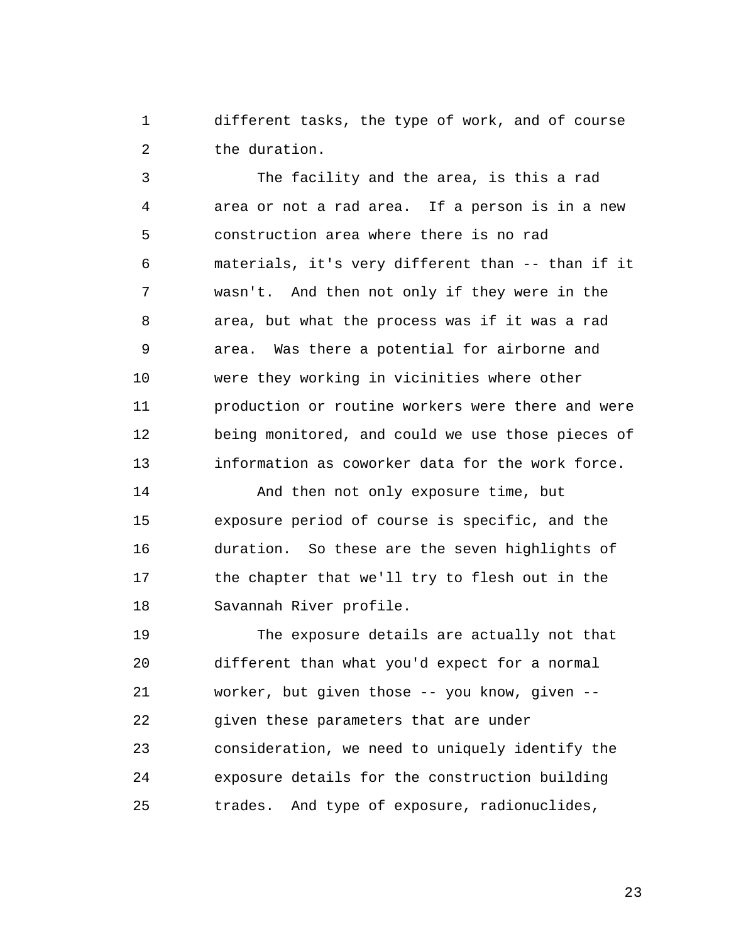1 2 different tasks, the type of work, and of course the duration.

3 4 5 6 7 8 9 10 11 12 13 The facility and the area, is this a rad area or not a rad area. If a person is in a new construction area where there is no rad materials, it's very different than -- than if it wasn't. And then not only if they were in the area, but what the process was if it was a rad area. Was there a potential for airborne and were they working in vicinities where other production or routine workers were there and were being monitored, and could we use those pieces of information as coworker data for the work force.

14 15 16 17 18 And then not only exposure time, but exposure period of course is specific, and the duration. So these are the seven highlights of the chapter that we'll try to flesh out in the Savannah River profile.

19  $20^{\circ}$ 21 22 23 24 25 The exposure details are actually not that different than what you'd expect for a normal worker, but given those -- you know, given - given these parameters that are under consideration, we need to uniquely identify the exposure details for the construction building trades. And type of exposure, radionuclides,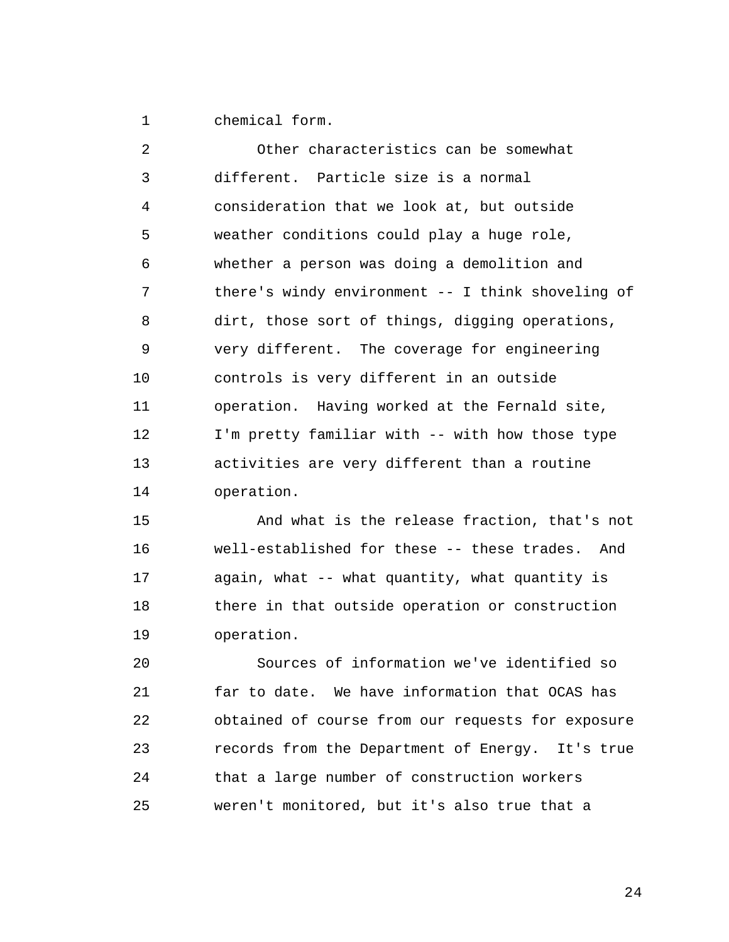1 chemical form.

2 3 4 5 6 7 8 9 10 11 12 13 14 Other characteristics can be somewhat different. Particle size is a normal consideration that we look at, but outside weather conditions could play a huge role, whether a person was doing a demolition and there's windy environment -- I think shoveling of dirt, those sort of things, digging operations, very different. The coverage for engineering controls is very different in an outside operation. Having worked at the Fernald site, I'm pretty familiar with -- with how those type activities are very different than a routine operation.

15 16 17 18 19 And what is the release fraction, that's not well-established for these -- these trades. And again, what -- what quantity, what quantity is there in that outside operation or construction operation.

 $2.0$ 21 22 23 24 25 Sources of information we've identified so far to date. We have information that OCAS has obtained of course from our requests for exposure records from the Department of Energy. It's true that a large number of construction workers weren't monitored, but it's also true that a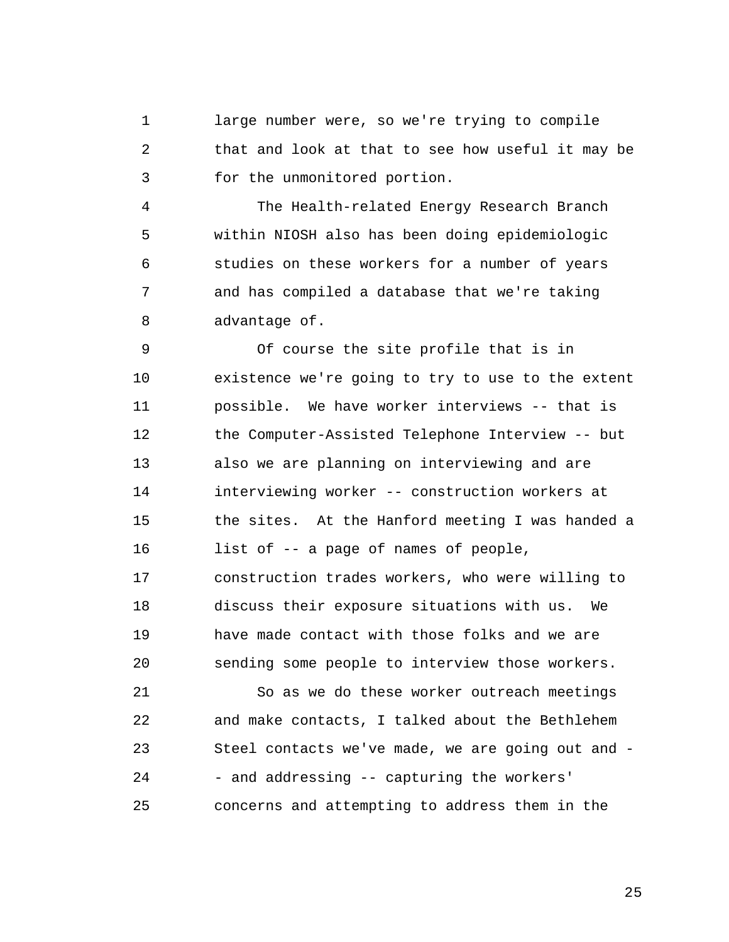1 2 3 large number were, so we're trying to compile that and look at that to see how useful it may be for the unmonitored portion.

4 5 6 7 8 The Health-related Energy Research Branch within NIOSH also has been doing epidemiologic studies on these workers for a number of years and has compiled a database that we're taking advantage of.

9 10 11 12 13 14 15 16 17 18 19  $20^{\circ}$ Of course the site profile that is in existence we're going to try to use to the extent possible. We have worker interviews -- that is the Computer-Assisted Telephone Interview -- but also we are planning on interviewing and are interviewing worker -- construction workers at the sites. At the Hanford meeting I was handed a list of -- a page of names of people, construction trades workers, who were willing to discuss their exposure situations with us. We have made contact with those folks and we are sending some people to interview those workers.

21 22 23 24 25 So as we do these worker outreach meetings and make contacts, I talked about the Bethlehem Steel contacts we've made, we are going out and - - and addressing -- capturing the workers' concerns and attempting to address them in the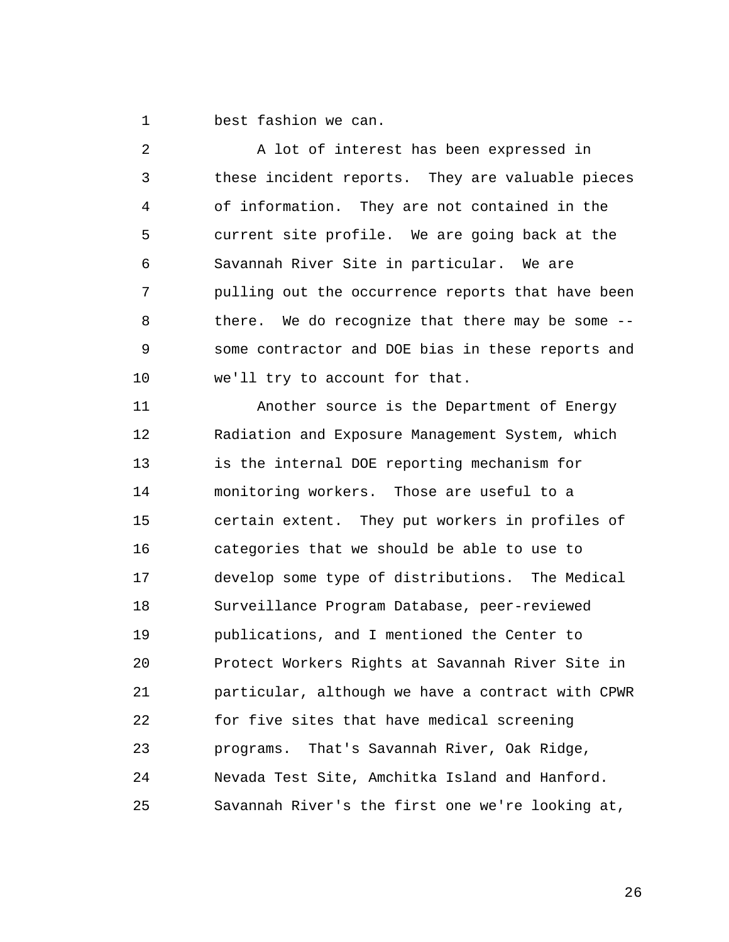1 best fashion we can.

2 3 4 5 6 7 8 9 10 A lot of interest has been expressed in these incident reports. They are valuable pieces of information. They are not contained in the current site profile. We are going back at the Savannah River Site in particular. We are pulling out the occurrence reports that have been there. We do recognize that there may be some - some contractor and DOE bias in these reports and we'll try to account for that.

11 12 13 14 15 16 17 18 19  $2.0$ 21 22 23 24 25 Another source is the Department of Energy Radiation and Exposure Management System, which is the internal DOE reporting mechanism for monitoring workers. Those are useful to a certain extent. They put workers in profiles of categories that we should be able to use to develop some type of distributions. The Medical Surveillance Program Database, peer-reviewed publications, and I mentioned the Center to Protect Workers Rights at Savannah River Site in particular, although we have a contract with CPWR for five sites that have medical screening programs. That's Savannah River, Oak Ridge, Nevada Test Site, Amchitka Island and Hanford. Savannah River's the first one we're looking at,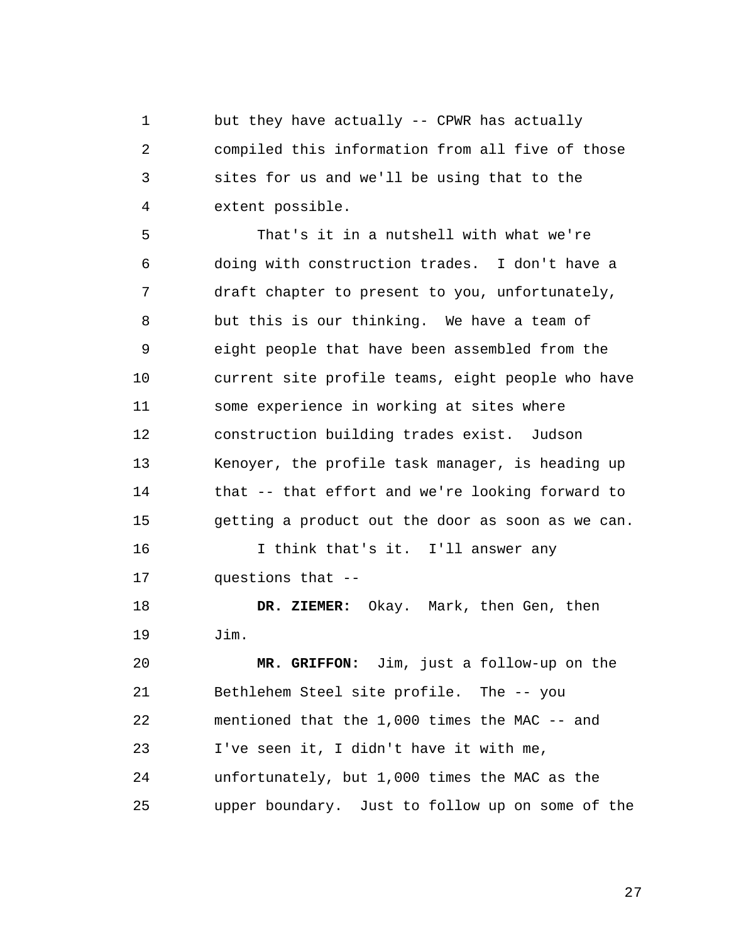1 2 3 4 but they have actually -- CPWR has actually compiled this information from all five of those sites for us and we'll be using that to the extent possible.

5 6 7 8 9 10 11 12 13 14 15 16 That's it in a nutshell with what we're doing with construction trades. I don't have a draft chapter to present to you, unfortunately, but this is our thinking. We have a team of eight people that have been assembled from the current site profile teams, eight people who have some experience in working at sites where construction building trades exist. Judson Kenoyer, the profile task manager, is heading up that -- that effort and we're looking forward to getting a product out the door as soon as we can. I think that's it. I'll answer any

17 questions that --

18 19 **DR. ZIEMER:** Okay. Mark, then Gen, then Jim.

 $2.0$ 21 22 23 24 25 **MR. GRIFFON:** Jim, just a follow-up on the Bethlehem Steel site profile. The -- you mentioned that the 1,000 times the MAC -- and I've seen it, I didn't have it with me, unfortunately, but 1,000 times the MAC as the upper boundary. Just to follow up on some of the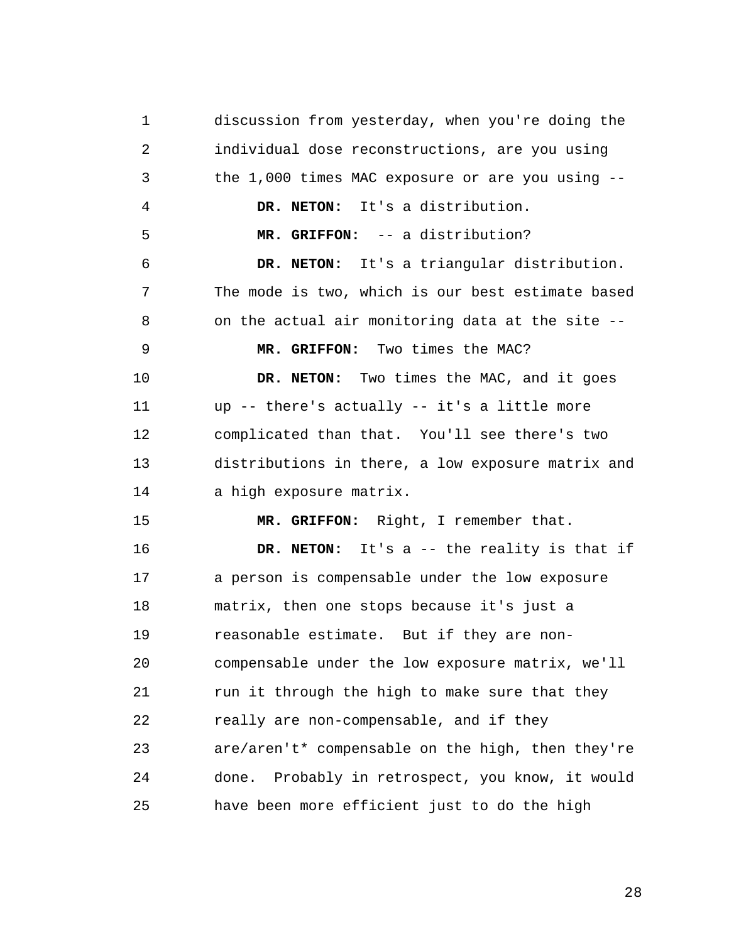1 2 3 4 5 6 7 8 9 10 11 12 13 14 15 16 17 18 19  $20^{\circ}$ 21 22 23 24 25 discussion from yesterday, when you're doing the individual dose reconstructions, are you using the 1,000 times MAC exposure or are you using -- **DR. NETON:** It's a distribution. **MR. GRIFFON:** -- a distribution? **DR. NETON:** It's a triangular distribution. The mode is two, which is our best estimate based on the actual air monitoring data at the site -- **MR. GRIFFON:** Two times the MAC? **DR. NETON:** Two times the MAC, and it goes up -- there's actually -- it's a little more complicated than that. You'll see there's two distributions in there, a low exposure matrix and a high exposure matrix. **MR. GRIFFON:** Right, I remember that. **DR. NETON:** It's a -- the reality is that if a person is compensable under the low exposure matrix, then one stops because it's just a reasonable estimate. But if they are noncompensable under the low exposure matrix, we'll run it through the high to make sure that they really are non-compensable, and if they are/aren't\* compensable on the high, then they're done. Probably in retrospect, you know, it would have been more efficient just to do the high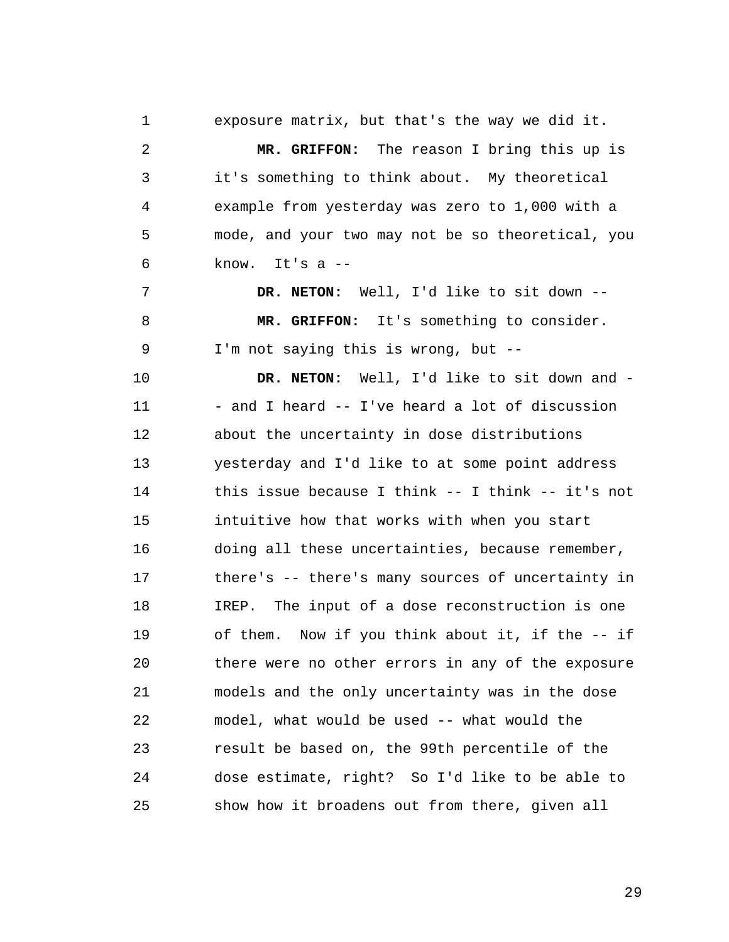exposure matrix, but that's the way we did it.

1

2 3 4 5 6 **MR. GRIFFON:** The reason I bring this up is it's something to think about. My theoretical example from yesterday was zero to 1,000 with a mode, and your two may not be so theoretical, you know. It's  $a -$ 

7 8 9 **DR. NETON:** Well, I'd like to sit down -- **MR. GRIFFON:** It's something to consider. I'm not saying this is wrong, but --

10 11 12 13 14 15 16 17 18 19  $20^{\circ}$ 21 22 23 24 25 **DR. NETON:** Well, I'd like to sit down and - - and I heard -- I've heard a lot of discussion about the uncertainty in dose distributions yesterday and I'd like to at some point address this issue because I think -- I think -- it's not intuitive how that works with when you start doing all these uncertainties, because remember, there's -- there's many sources of uncertainty in IREP. The input of a dose reconstruction is one of them. Now if you think about it, if the -- if there were no other errors in any of the exposure models and the only uncertainty was in the dose model, what would be used -- what would the result be based on, the 99th percentile of the dose estimate, right? So I'd like to be able to show how it broadens out from there, given all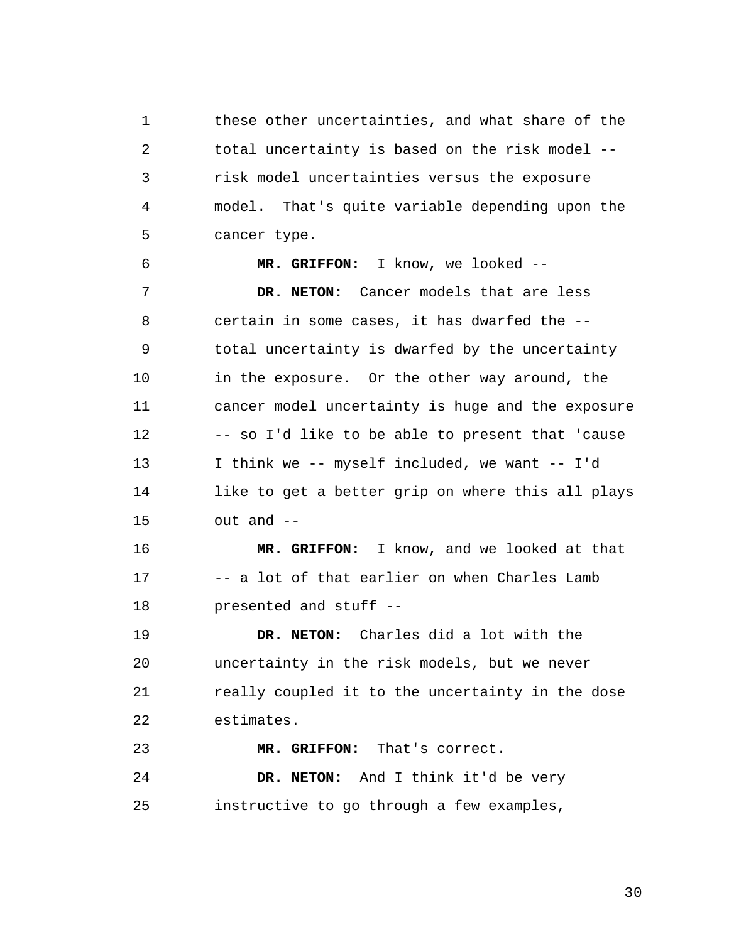1 2 3 4 5 these other uncertainties, and what share of the total uncertainty is based on the risk model - risk model uncertainties versus the exposure model. That's quite variable depending upon the cancer type.

6 7 8 9 10 11 12 13 14 15 **MR. GRIFFON:** I know, we looked -- **DR. NETON:** Cancer models that are less certain in some cases, it has dwarfed the - total uncertainty is dwarfed by the uncertainty in the exposure. Or the other way around, the cancer model uncertainty is huge and the exposure -- so I'd like to be able to present that 'cause I think we -- myself included, we want -- I'd like to get a better grip on where this all plays out and --

16 17 18 **MR. GRIFFON:** I know, and we looked at that -- a lot of that earlier on when Charles Lamb presented and stuff --

19  $20^{\circ}$ 21 22 **DR. NETON:** Charles did a lot with the uncertainty in the risk models, but we never really coupled it to the uncertainty in the dose estimates.

23 24 25 **MR. GRIFFON:** That's correct. **DR. NETON:** And I think it'd be very instructive to go through a few examples,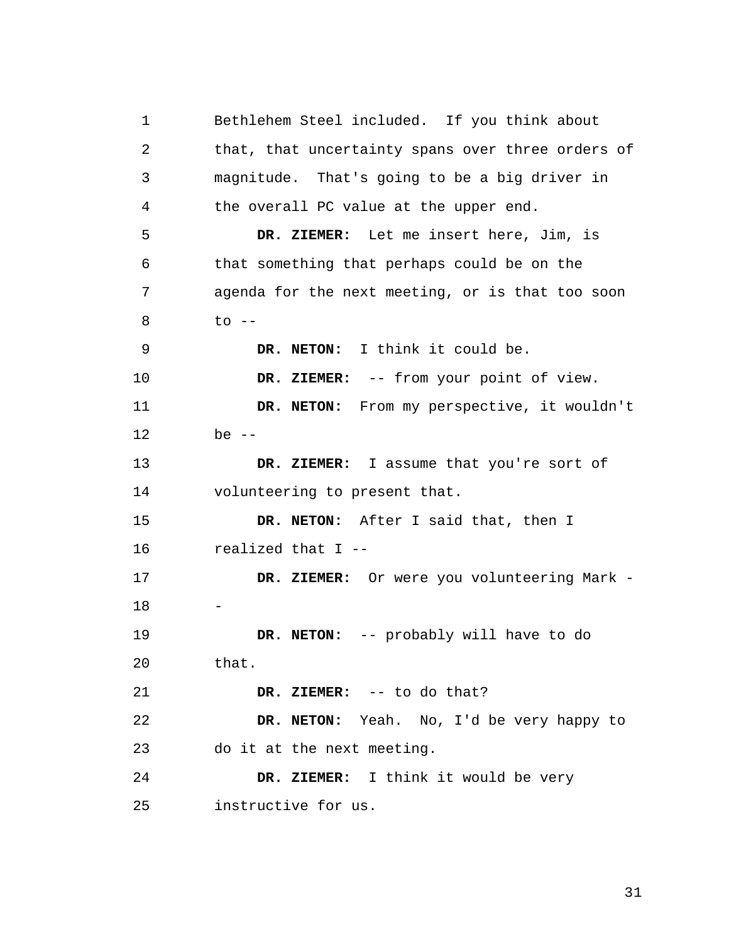1 2 3 4 5 6 7 8 9 10 11 12 13 14 15 16 17 18 19  $20^{\circ}$ 21 22 23 24 25 Bethlehem Steel included. If you think about that, that uncertainty spans over three orders of magnitude. That's going to be a big driver in the overall PC value at the upper end. **DR. ZIEMER:** Let me insert here, Jim, is that something that perhaps could be on the agenda for the next meeting, or is that too soon to  $--$ **DR. NETON:** I think it could be. **DR. ZIEMER:** -- from your point of view. **DR. NETON:** From my perspective, it wouldn't be  $--$ **DR. ZIEMER:** I assume that you're sort of volunteering to present that. **DR. NETON:** After I said that, then I realized that I -- **DR. ZIEMER:** Or were you volunteering Mark - - **DR. NETON:** -- probably will have to do that. **DR. ZIEMER:** -- to do that? **DR. NETON:** Yeah. No, I'd be very happy to do it at the next meeting. **DR. ZIEMER:** I think it would be very instructive for us.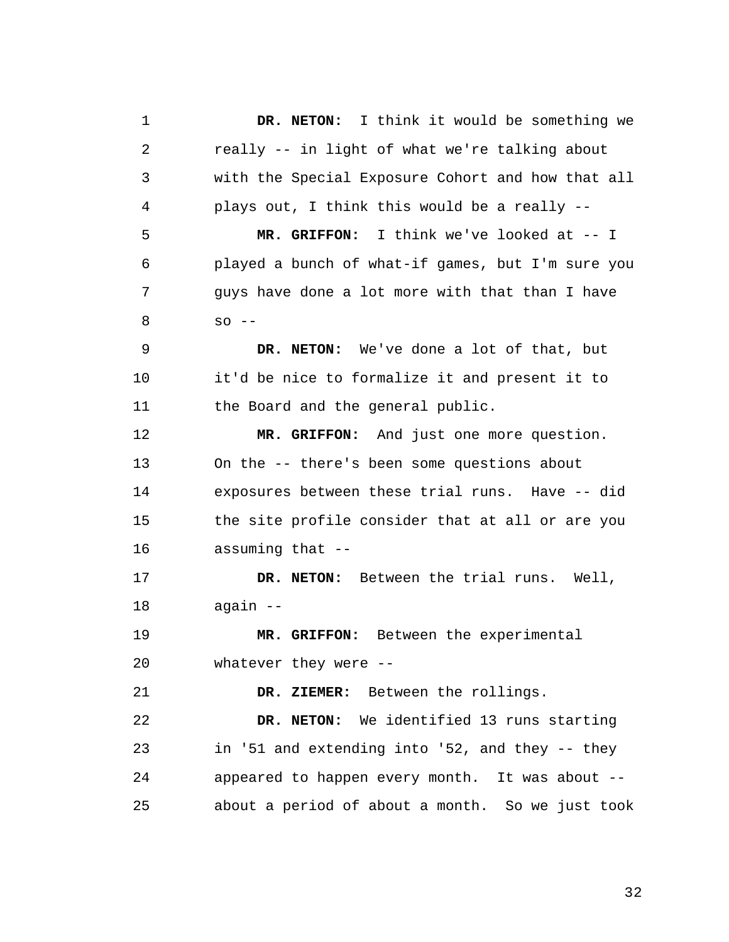1 2 3 4 5 6 7 8 9 10 11 12 13 14 15 16 17 18 19  $20^{\circ}$ 21 22 23 24 25 **DR. NETON:** I think it would be something we really -- in light of what we're talking about with the Special Exposure Cohort and how that all plays out, I think this would be a really -- **MR. GRIFFON:** I think we've looked at -- I played a bunch of what-if games, but I'm sure you guys have done a lot more with that than I have  $SO = -$ **DR. NETON:** We've done a lot of that, but it'd be nice to formalize it and present it to the Board and the general public. **MR. GRIFFON:** And just one more question. On the -- there's been some questions about exposures between these trial runs. Have -- did the site profile consider that at all or are you assuming that -- **DR. NETON:** Between the trial runs. Well, again -- **MR. GRIFFON:** Between the experimental whatever they were -- **DR. ZIEMER:** Between the rollings. **DR. NETON:** We identified 13 runs starting in '51 and extending into '52, and they -- they appeared to happen every month. It was about - about a period of about a month. So we just took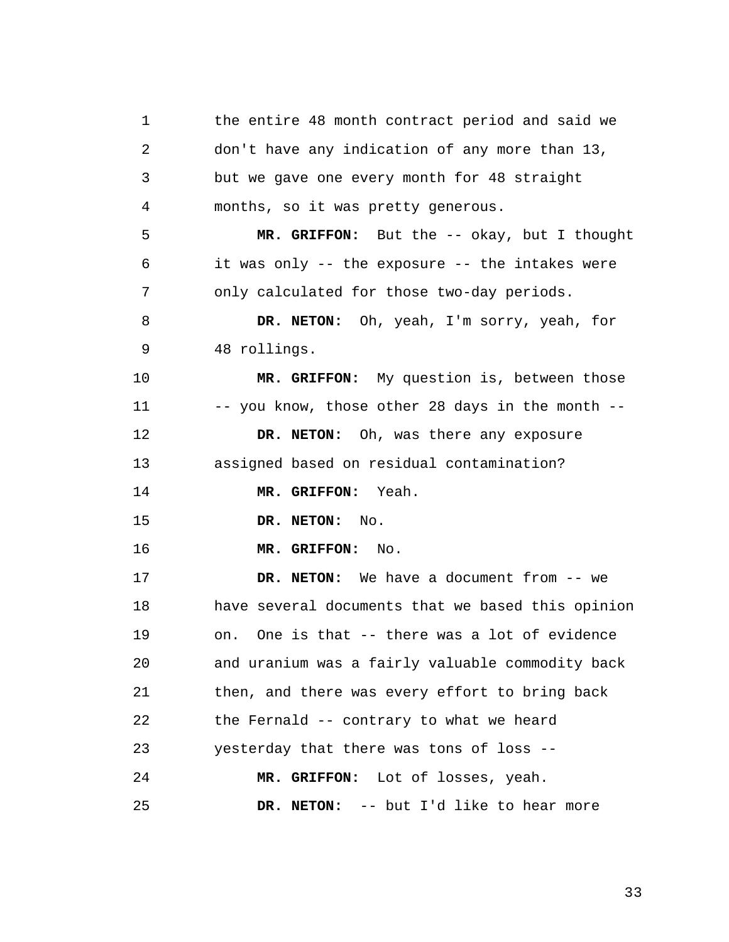1 2 3 4 5 6 7 8 9 10 11 12 13 14 15 16 17 18 19  $20^{\circ}$ 21 22 23 24 25 the entire 48 month contract period and said we don't have any indication of any more than 13, but we gave one every month for 48 straight months, so it was pretty generous. **MR. GRIFFON:** But the -- okay, but I thought it was only -- the exposure -- the intakes were only calculated for those two-day periods. **DR. NETON:** Oh, yeah, I'm sorry, yeah, for 48 rollings. **MR. GRIFFON:** My question is, between those -- you know, those other 28 days in the month -- **DR. NETON:** Oh, was there any exposure assigned based on residual contamination? **MR. GRIFFON:** Yeah. **DR. NETON:** No. **MR. GRIFFON:** No. **DR. NETON:** We have a document from -- we have several documents that we based this opinion on. One is that -- there was a lot of evidence and uranium was a fairly valuable commodity back then, and there was every effort to bring back the Fernald -- contrary to what we heard yesterday that there was tons of loss -- **MR. GRIFFON:** Lot of losses, yeah. **DR. NETON:** -- but I'd like to hear more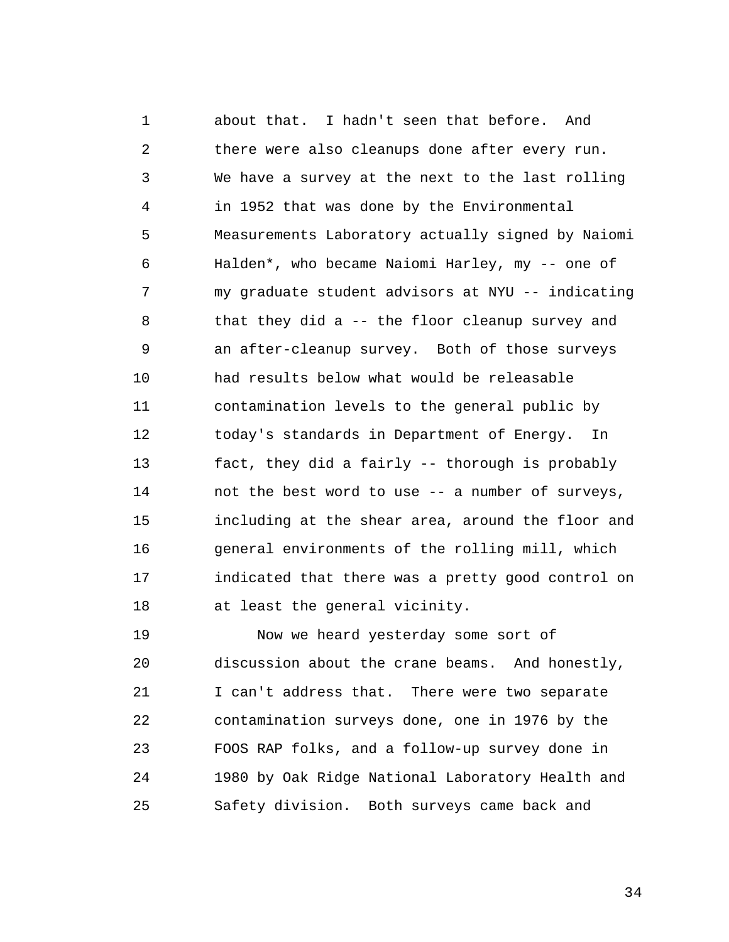1 2 3 4 5 6 7 8 9 10 11 12 13 14 15 16 17 18 about that. I hadn't seen that before. And there were also cleanups done after every run. We have a survey at the next to the last rolling in 1952 that was done by the Environmental Measurements Laboratory actually signed by Naiomi Halden\*, who became Naiomi Harley, my -- one of my graduate student advisors at NYU -- indicating that they did a -- the floor cleanup survey and an after-cleanup survey. Both of those surveys had results below what would be releasable contamination levels to the general public by today's standards in Department of Energy. In fact, they did a fairly -- thorough is probably not the best word to use -- a number of surveys, including at the shear area, around the floor and general environments of the rolling mill, which indicated that there was a pretty good control on at least the general vicinity.

19  $2.0$ 21 22 23 24 25 Now we heard yesterday some sort of discussion about the crane beams. And honestly, I can't address that. There were two separate contamination surveys done, one in 1976 by the FOOS RAP folks, and a follow-up survey done in 1980 by Oak Ridge National Laboratory Health and Safety division. Both surveys came back and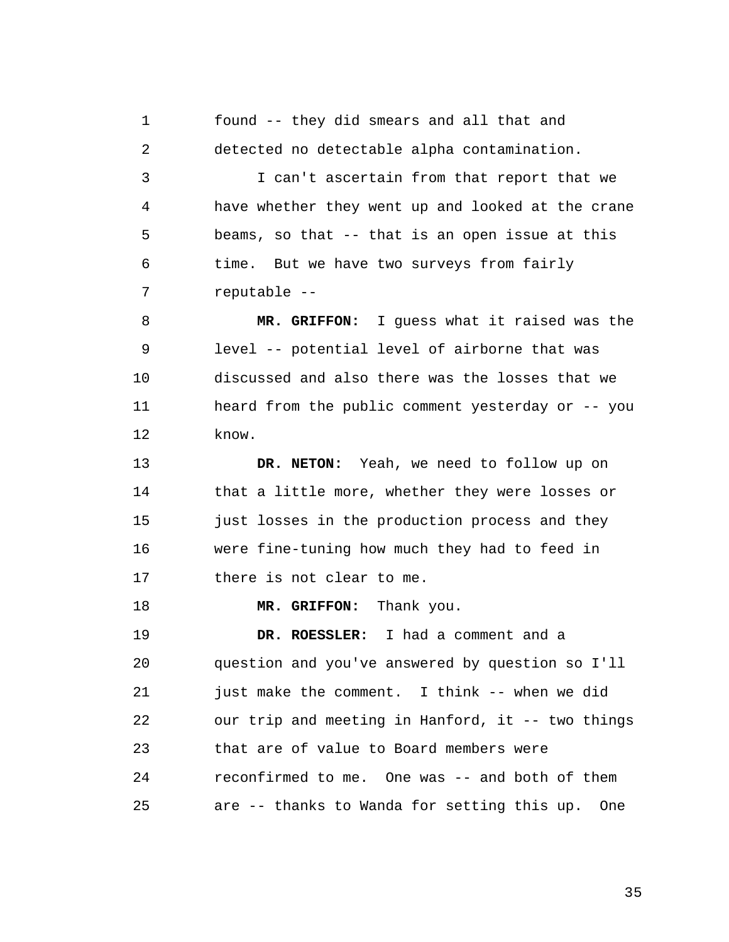1 2 found -- they did smears and all that and detected no detectable alpha contamination.

3 4 5 6 7 I can't ascertain from that report that we have whether they went up and looked at the crane beams, so that -- that is an open issue at this time. But we have two surveys from fairly reputable --

8 9 10 11 12 **MR. GRIFFON:** I guess what it raised was the level -- potential level of airborne that was discussed and also there was the losses that we heard from the public comment yesterday or -- you know.

13 14 15 16 17 **DR. NETON:** Yeah, we need to follow up on that a little more, whether they were losses or just losses in the production process and they were fine-tuning how much they had to feed in there is not clear to me.

18 **MR. GRIFFON:** Thank you.

19  $20^{\circ}$ 21 22 23 24 25 **DR. ROESSLER:** I had a comment and a question and you've answered by question so I'll just make the comment. I think -- when we did our trip and meeting in Hanford, it -- two things that are of value to Board members were reconfirmed to me. One was -- and both of them are -- thanks to Wanda for setting this up. One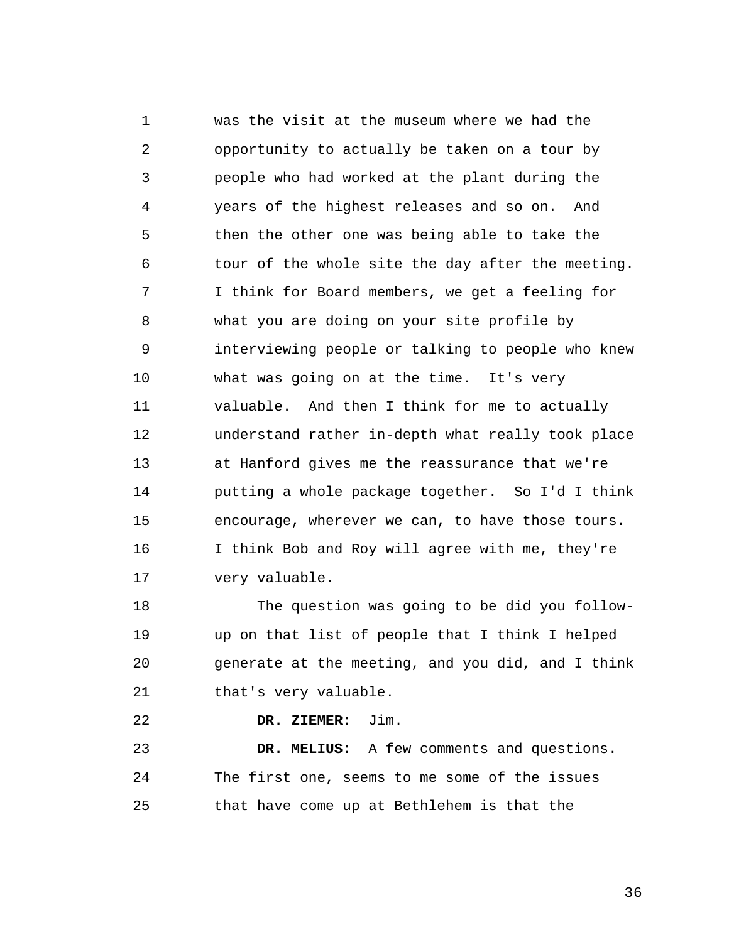1 2 3 4 5 6 7 8 9 10 11 12 13 14 15 16 17 was the visit at the museum where we had the opportunity to actually be taken on a tour by people who had worked at the plant during the years of the highest releases and so on. And then the other one was being able to take the tour of the whole site the day after the meeting. I think for Board members, we get a feeling for what you are doing on your site profile by interviewing people or talking to people who knew what was going on at the time. It's very valuable. And then I think for me to actually understand rather in-depth what really took place at Hanford gives me the reassurance that we're putting a whole package together. So I'd I think encourage, wherever we can, to have those tours. I think Bob and Roy will agree with me, they're very valuable.

18 19  $20$ 21 The question was going to be did you followup on that list of people that I think I helped generate at the meeting, and you did, and I think that's very valuable.

22 **DR. ZIEMER:** Jim.

23 24 25 **DR. MELIUS:** A few comments and questions. The first one, seems to me some of the issues that have come up at Bethlehem is that the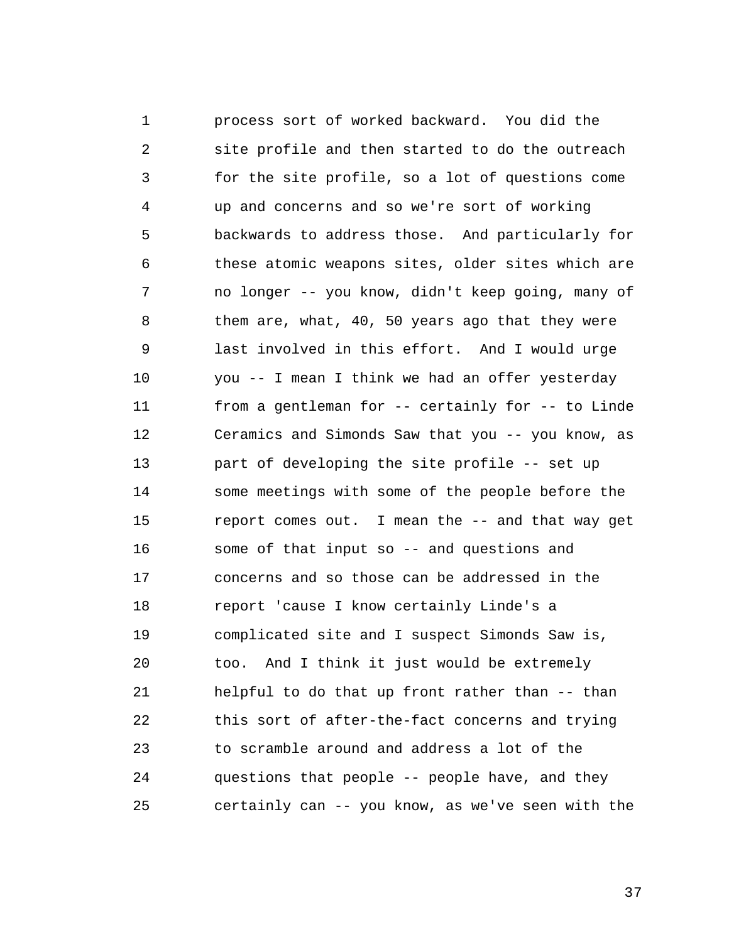1 2 3 4 5 6 7 8 9 10 11 12 13 14 15 16 17 18 19  $2.0$ 21 22 23 24 25 process sort of worked backward. You did the site profile and then started to do the outreach for the site profile, so a lot of questions come up and concerns and so we're sort of working backwards to address those. And particularly for these atomic weapons sites, older sites which are no longer -- you know, didn't keep going, many of them are, what, 40, 50 years ago that they were last involved in this effort. And I would urge you -- I mean I think we had an offer yesterday from a gentleman for -- certainly for -- to Linde Ceramics and Simonds Saw that you -- you know, as part of developing the site profile -- set up some meetings with some of the people before the report comes out. I mean the -- and that way get some of that input so -- and questions and concerns and so those can be addressed in the report 'cause I know certainly Linde's a complicated site and I suspect Simonds Saw is, too. And I think it just would be extremely helpful to do that up front rather than -- than this sort of after-the-fact concerns and trying to scramble around and address a lot of the questions that people -- people have, and they certainly can -- you know, as we've seen with the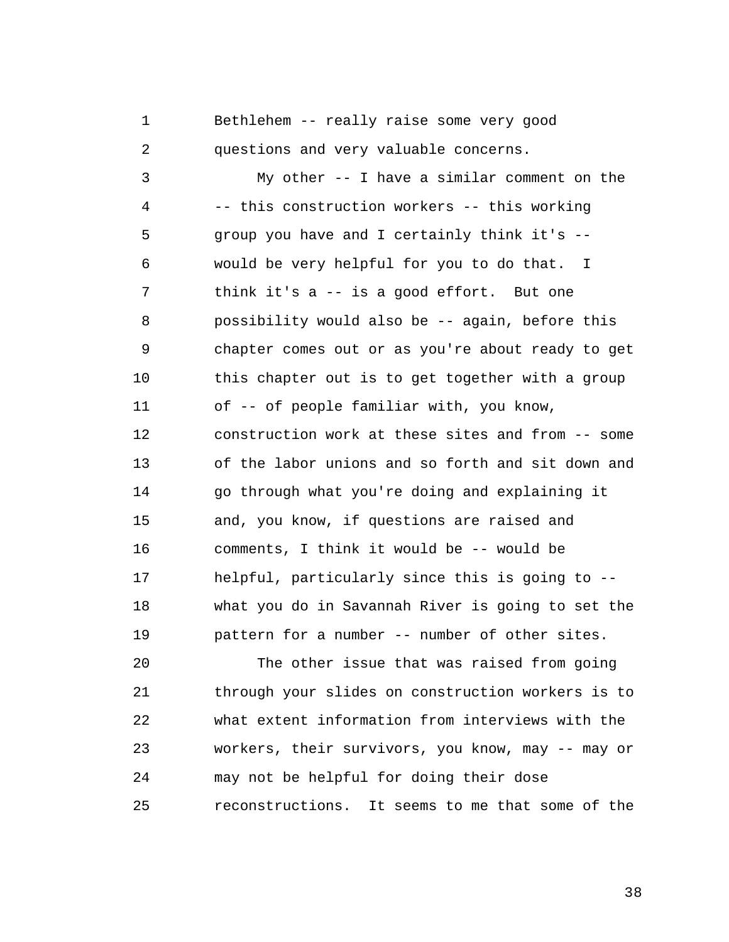1 2 Bethlehem -- really raise some very good questions and very valuable concerns.

3 4 5 6 7 8 9 10 11 12 13 14 15 16 17 18 19 My other -- I have a similar comment on the -- this construction workers -- this working group you have and I certainly think it's - would be very helpful for you to do that. I think it's a -- is a good effort. But one possibility would also be -- again, before this chapter comes out or as you're about ready to get this chapter out is to get together with a group of -- of people familiar with, you know, construction work at these sites and from -- some of the labor unions and so forth and sit down and go through what you're doing and explaining it and, you know, if questions are raised and comments, I think it would be -- would be helpful, particularly since this is going to - what you do in Savannah River is going to set the pattern for a number -- number of other sites.

 $20$ 21 22 23 24 25 The other issue that was raised from going through your slides on construction workers is to what extent information from interviews with the workers, their survivors, you know, may -- may or may not be helpful for doing their dose reconstructions. It seems to me that some of the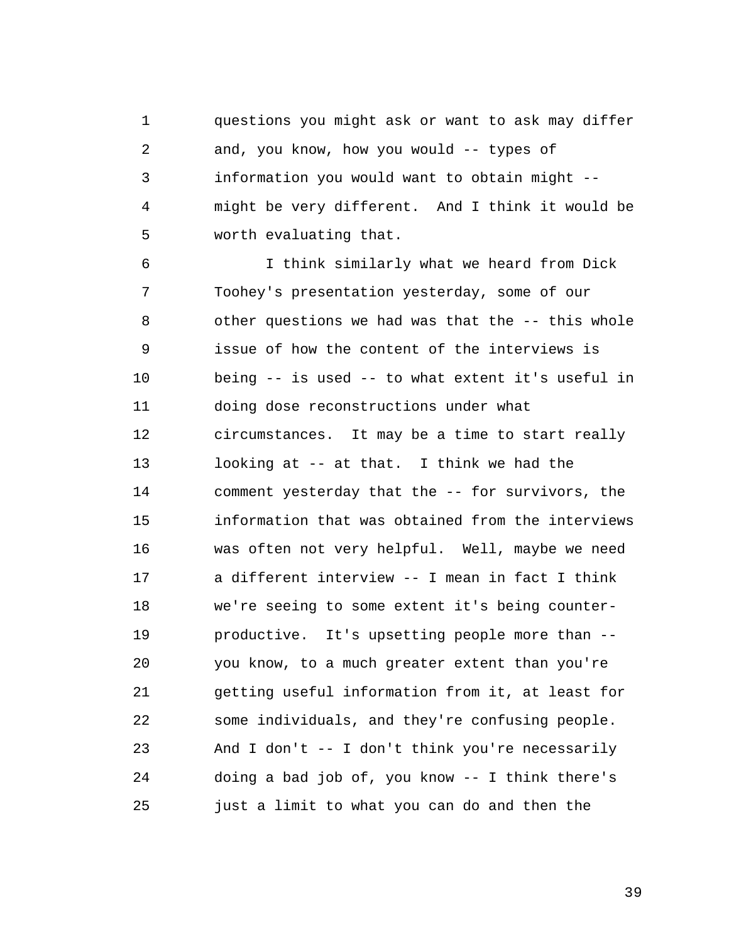1 2 3 4 5 questions you might ask or want to ask may differ and, you know, how you would -- types of information you would want to obtain might - might be very different. And I think it would be worth evaluating that.

6 7 8 9 10 11 12 13 14 15 16 17 18 19  $20^{\circ}$ 21 22 23 24 25 I think similarly what we heard from Dick Toohey's presentation yesterday, some of our other questions we had was that the -- this whole issue of how the content of the interviews is being -- is used -- to what extent it's useful in doing dose reconstructions under what circumstances. It may be a time to start really looking at -- at that. I think we had the comment yesterday that the -- for survivors, the information that was obtained from the interviews was often not very helpful. Well, maybe we need a different interview -- I mean in fact I think we're seeing to some extent it's being counterproductive. It's upsetting people more than - you know, to a much greater extent than you're getting useful information from it, at least for some individuals, and they're confusing people. And I don't -- I don't think you're necessarily doing a bad job of, you know -- I think there's just a limit to what you can do and then the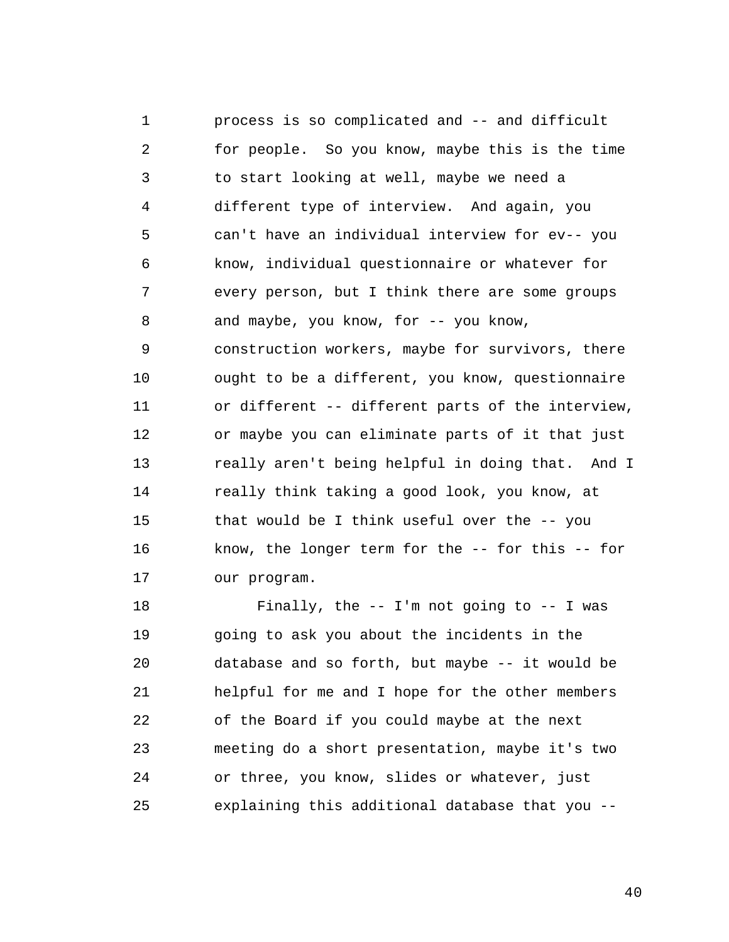1 2 3 4 5 6 7 8 9 10 11 12 13 14 15 16 17 process is so complicated and -- and difficult for people. So you know, maybe this is the time to start looking at well, maybe we need a different type of interview. And again, you can't have an individual interview for ev-- you know, individual questionnaire or whatever for every person, but I think there are some groups and maybe, you know, for -- you know, construction workers, maybe for survivors, there ought to be a different, you know, questionnaire or different -- different parts of the interview, or maybe you can eliminate parts of it that just really aren't being helpful in doing that. And I really think taking a good look, you know, at that would be I think useful over the -- you know, the longer term for the -- for this -- for our program.

18 19  $2.0$ 21 22 23 24 25 Finally, the  $-$ - I'm not going to  $-$ - I was going to ask you about the incidents in the database and so forth, but maybe -- it would be helpful for me and I hope for the other members of the Board if you could maybe at the next meeting do a short presentation, maybe it's two or three, you know, slides or whatever, just explaining this additional database that you --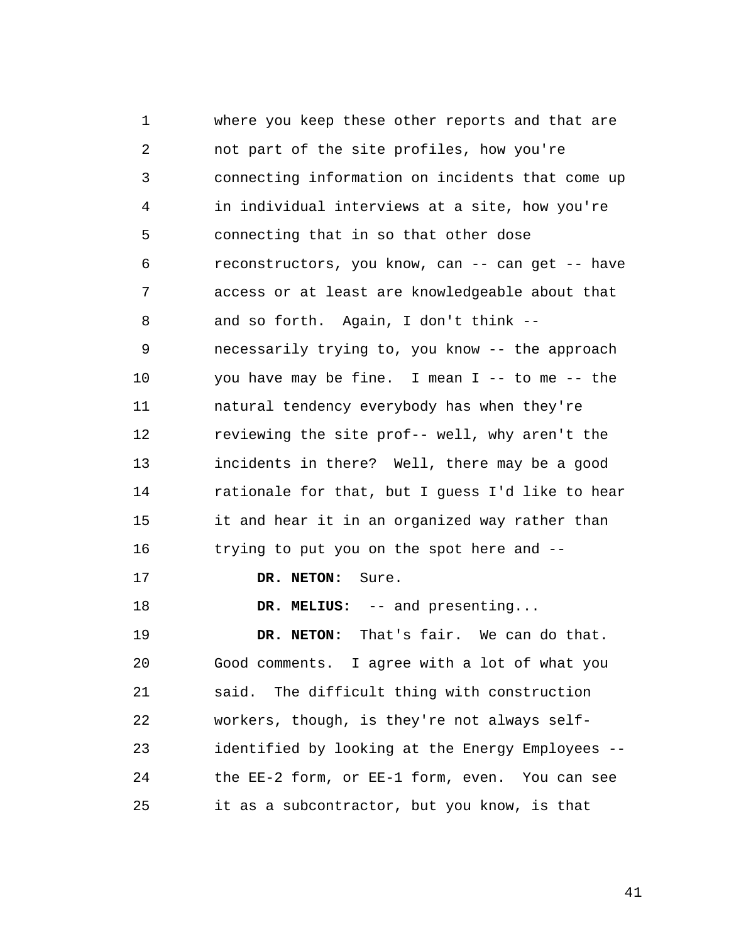1 2 3 4 5 6 7 8 9 10 11 12 13 14 15 16 17 18 19  $20^{\circ}$ 21 22 23 24 25 where you keep these other reports and that are not part of the site profiles, how you're connecting information on incidents that come up in individual interviews at a site, how you're connecting that in so that other dose reconstructors, you know, can -- can get -- have access or at least are knowledgeable about that and so forth. Again, I don't think - necessarily trying to, you know -- the approach you have may be fine. I mean I -- to me -- the natural tendency everybody has when they're reviewing the site prof-- well, why aren't the incidents in there? Well, there may be a good rationale for that, but I guess I'd like to hear it and hear it in an organized way rather than trying to put you on the spot here and -- **DR. NETON:** Sure. **DR. MELIUS:** -- and presenting... **DR. NETON:** That's fair. We can do that. Good comments. I agree with a lot of what you said. The difficult thing with construction workers, though, is they're not always selfidentified by looking at the Energy Employees - the EE-2 form, or EE-1 form, even. You can see it as a subcontractor, but you know, is that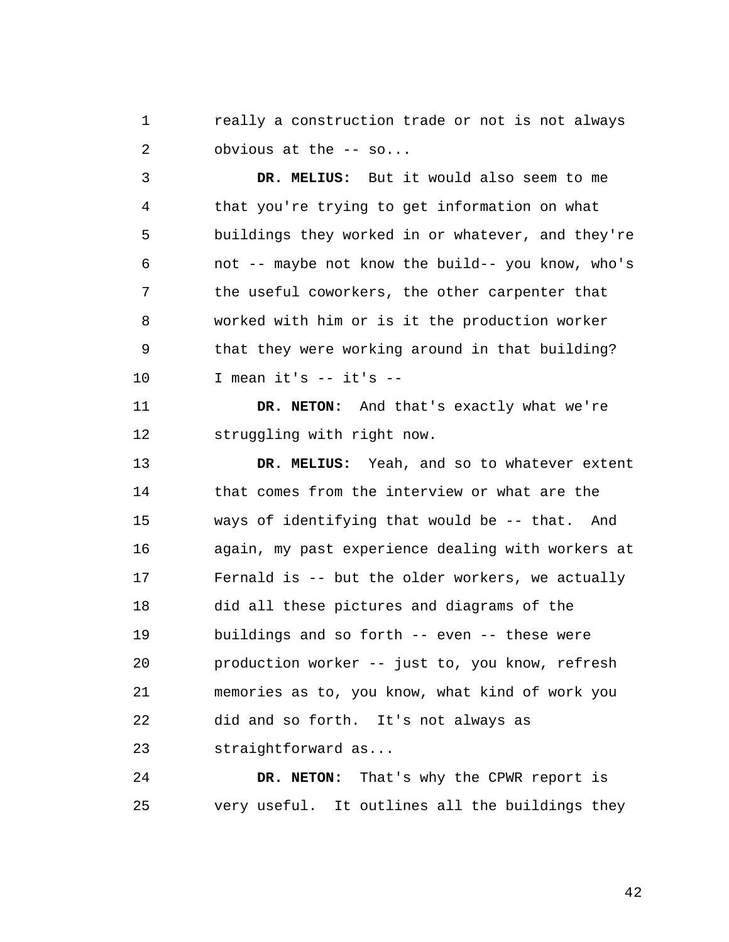1 2 really a construction trade or not is not always obvious at the -- so...

3 4 5 6 7 8 9 10 **DR. MELIUS:** But it would also seem to me that you're trying to get information on what buildings they worked in or whatever, and they're not -- maybe not know the build-- you know, who's the useful coworkers, the other carpenter that worked with him or is it the production worker that they were working around in that building? I mean it's -- it's --

11 12 **DR. NETON:** And that's exactly what we're struggling with right now.

13 14 15 16 17 18 19  $2.0$ 21 22 23 **DR. MELIUS:** Yeah, and so to whatever extent that comes from the interview or what are the ways of identifying that would be -- that. And again, my past experience dealing with workers at Fernald is -- but the older workers, we actually did all these pictures and diagrams of the buildings and so forth -- even -- these were production worker -- just to, you know, refresh memories as to, you know, what kind of work you did and so forth. It's not always as straightforward as...

24 25 **DR. NETON:** That's why the CPWR report is very useful. It outlines all the buildings they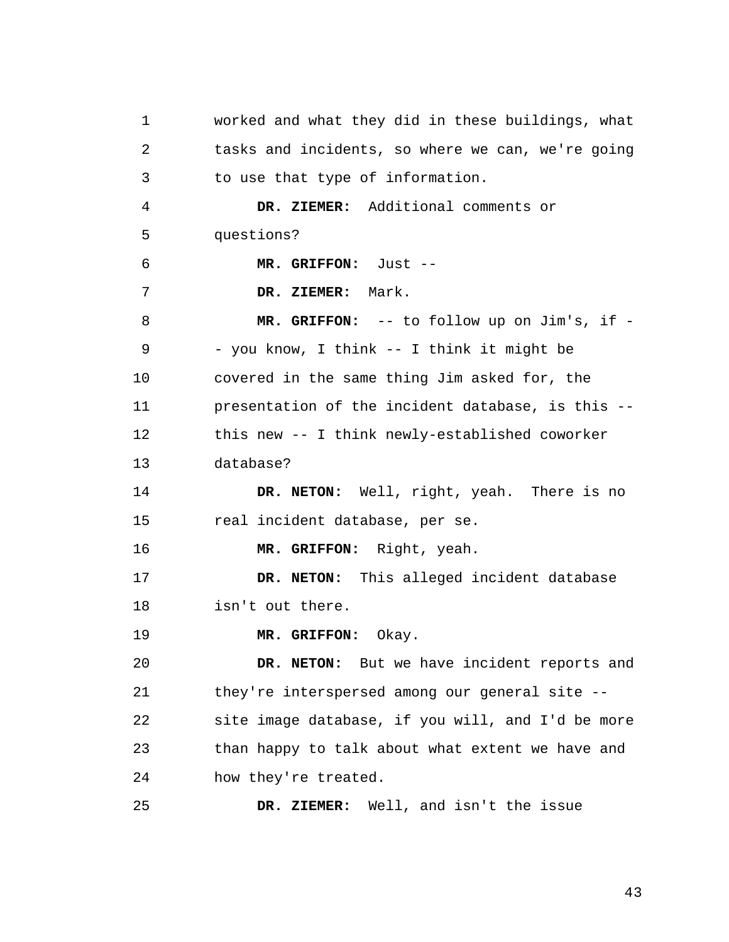1 2 3 4 5 6 7 8 9 10 11 12 13 14 15 16 17 18 19  $2.0$ 21 22 23 24 25 worked and what they did in these buildings, what tasks and incidents, so where we can, we're going to use that type of information. **DR. ZIEMER:** Additional comments or questions? **MR. GRIFFON:** Just -- **DR. ZIEMER:** Mark. **MR. GRIFFON:** -- to follow up on Jim's, if - - you know, I think -- I think it might be covered in the same thing Jim asked for, the presentation of the incident database, is this - this new -- I think newly-established coworker database? **DR. NETON:** Well, right, yeah. There is no real incident database, per se. **MR. GRIFFON:** Right, yeah. **DR. NETON:** This alleged incident database isn't out there. **MR. GRIFFON:** Okay. **DR. NETON:** But we have incident reports and they're interspersed among our general site - site image database, if you will, and I'd be more than happy to talk about what extent we have and how they're treated. **DR. ZIEMER:** Well, and isn't the issue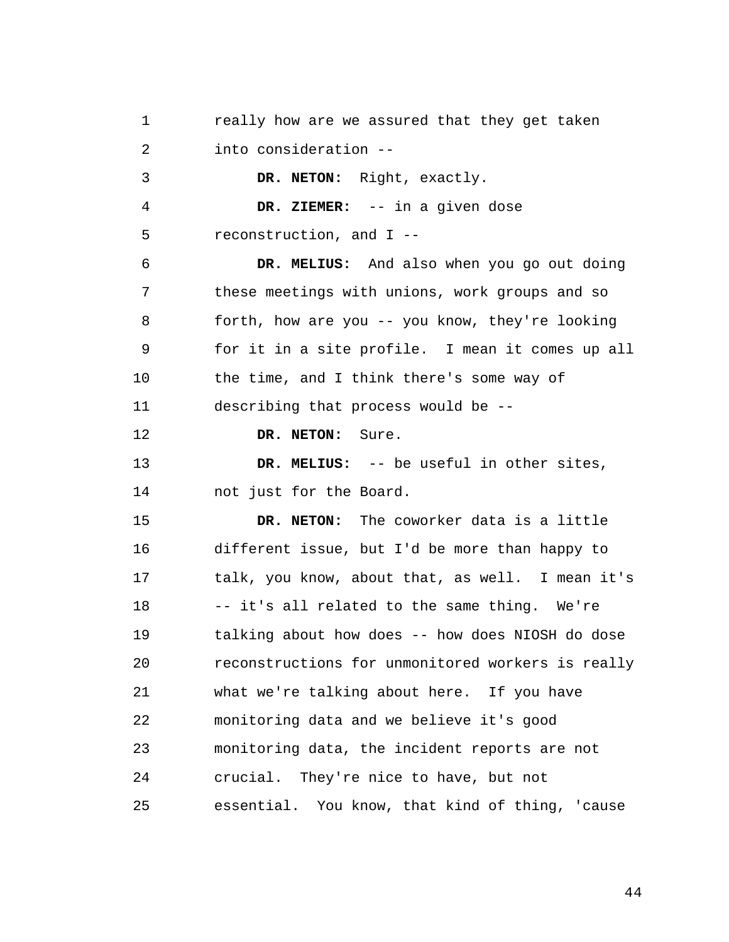1 2 3 4 5 6 7 8 9 10 11 12 13 14 15 16 17 18 19  $20^{\circ}$ 21 22 23 24 really how are we assured that they get taken into consideration -- **DR. NETON:** Right, exactly. **DR. ZIEMER:** -- in a given dose reconstruction, and I -- **DR. MELIUS:** And also when you go out doing these meetings with unions, work groups and so forth, how are you -- you know, they're looking for it in a site profile. I mean it comes up all the time, and I think there's some way of describing that process would be -- **DR. NETON:** Sure. **DR. MELIUS:** -- be useful in other sites, not just for the Board. **DR. NETON:** The coworker data is a little different issue, but I'd be more than happy to talk, you know, about that, as well. I mean it's -- it's all related to the same thing. We're talking about how does -- how does NIOSH do dose reconstructions for unmonitored workers is really what we're talking about here. If you have monitoring data and we believe it's good monitoring data, the incident reports are not crucial. They're nice to have, but not

25 essential. You know, that kind of thing, 'cause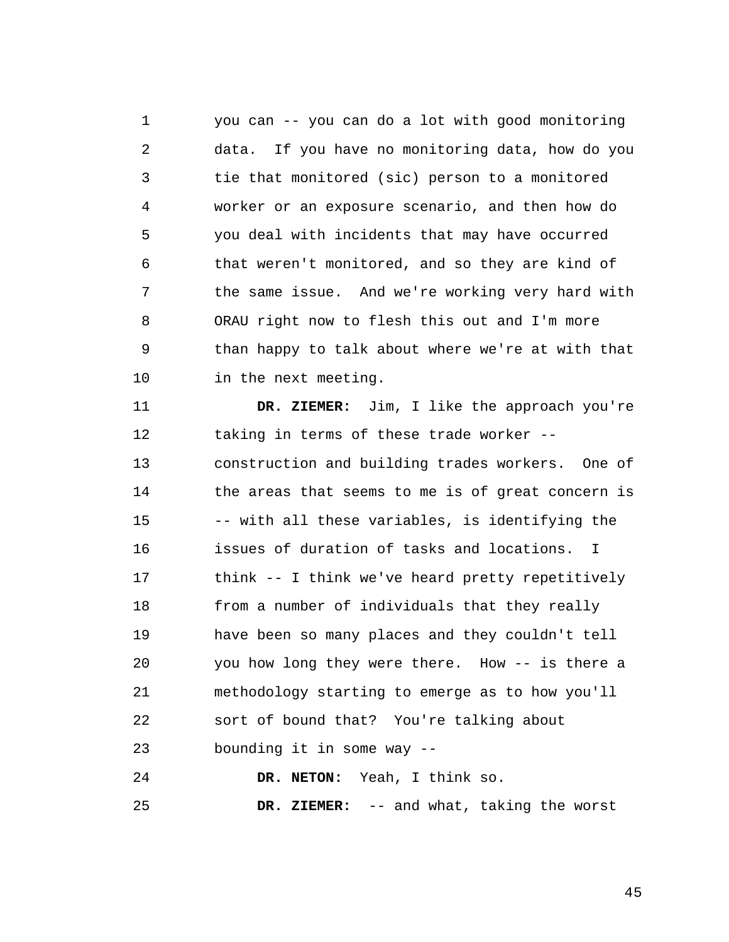1 2 3 4 5 6 7 8 9 10 you can -- you can do a lot with good monitoring data. If you have no monitoring data, how do you tie that monitored (sic) person to a monitored worker or an exposure scenario, and then how do you deal with incidents that may have occurred that weren't monitored, and so they are kind of the same issue. And we're working very hard with ORAU right now to flesh this out and I'm more than happy to talk about where we're at with that in the next meeting.

11 12 13 14 15 16 17 18 19  $2.0$ 21 22 23 **DR. ZIEMER:** Jim, I like the approach you're taking in terms of these trade worker - construction and building trades workers. One of the areas that seems to me is of great concern is -- with all these variables, is identifying the issues of duration of tasks and locations. I think -- I think we've heard pretty repetitively from a number of individuals that they really have been so many places and they couldn't tell you how long they were there. How -- is there a methodology starting to emerge as to how you'll sort of bound that? You're talking about bounding it in some way --

24 25 **DR. NETON:** Yeah, I think so. **DR. ZIEMER:** -- and what, taking the worst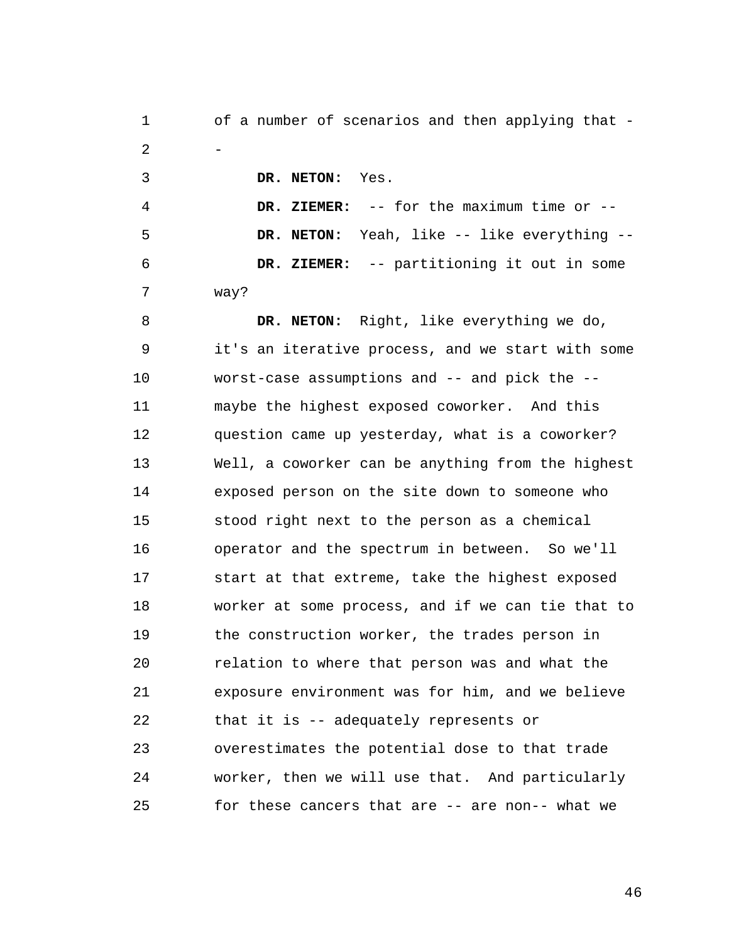1 2 of a number of scenarios and then applying that - -

3 **DR. NETON:** Yes.

4 5 6 7 **DR. ZIEMER:** -- for the maximum time or -- **DR. NETON:** Yeah, like -- like everything -- **DR. ZIEMER:** -- partitioning it out in some way?

8 9 10 11 12 13 14 15 16 17 18 19  $20^{\circ}$ 21 22 23 24 25 **DR. NETON:** Right, like everything we do, it's an iterative process, and we start with some worst-case assumptions and -- and pick the - maybe the highest exposed coworker. And this question came up yesterday, what is a coworker? Well, a coworker can be anything from the highest exposed person on the site down to someone who stood right next to the person as a chemical operator and the spectrum in between. So we'll start at that extreme, take the highest exposed worker at some process, and if we can tie that to the construction worker, the trades person in relation to where that person was and what the exposure environment was for him, and we believe that it is -- adequately represents or overestimates the potential dose to that trade worker, then we will use that. And particularly for these cancers that are -- are non-- what we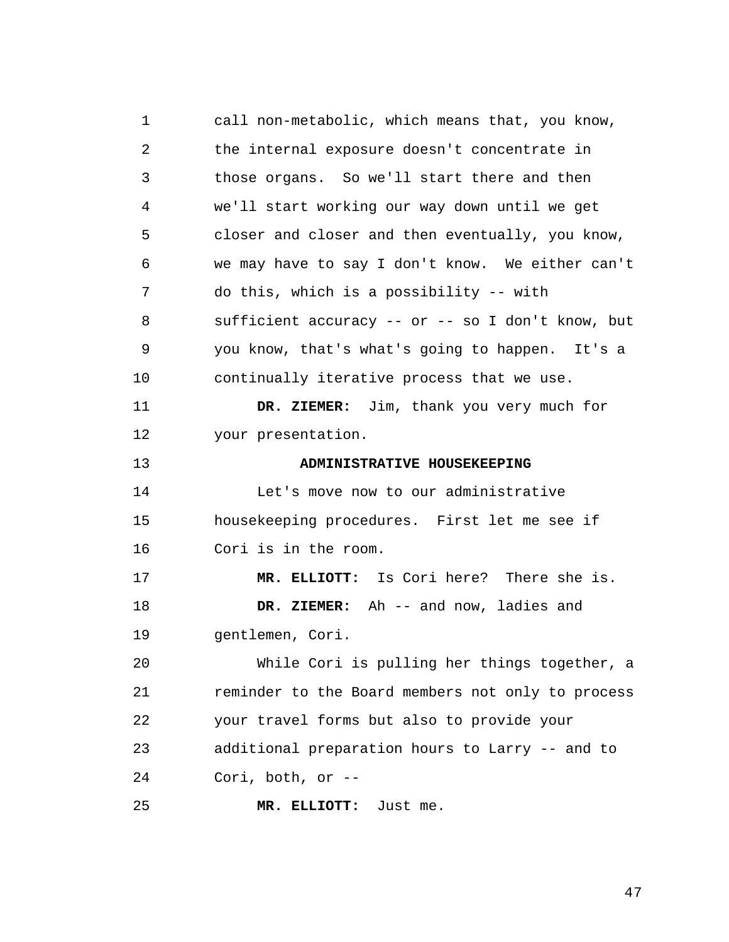1 2 3 4 5 6 7 8 9 10 11 12 13 14 15 16 17 18 19  $2.0$ 21 22 23 24 25 call non-metabolic, which means that, you know, the internal exposure doesn't concentrate in those organs. So we'll start there and then we'll start working our way down until we get closer and closer and then eventually, you know, we may have to say I don't know. We either can't do this, which is a possibility -- with sufficient accuracy -- or -- so I don't know, but you know, that's what's going to happen. It's a continually iterative process that we use. **DR. ZIEMER:** Jim, thank you very much for your presentation. **ADMINISTRATIVE HOUSEKEEPING**  Let's move now to our administrative housekeeping procedures. First let me see if Cori is in the room. **MR. ELLIOTT:** Is Cori here? There she is. **DR. ZIEMER:** Ah -- and now, ladies and gentlemen, Cori. While Cori is pulling her things together, a reminder to the Board members not only to process your travel forms but also to provide your additional preparation hours to Larry -- and to Cori, both, or -- **MR. ELLIOTT:** Just me.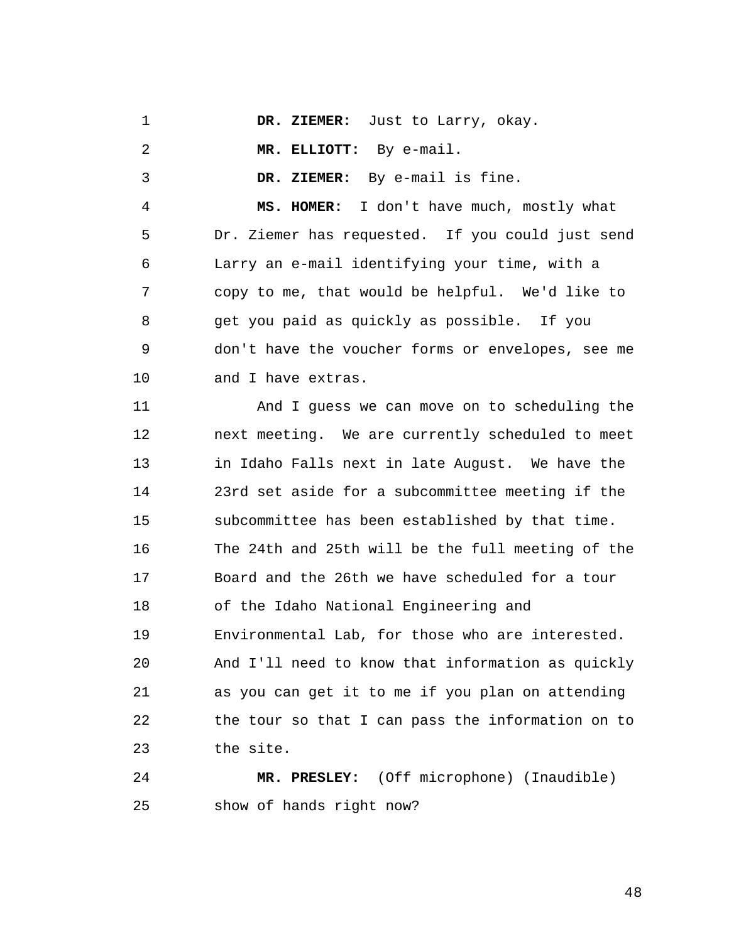1 **DR. ZIEMER:** Just to Larry, okay.

**MR. ELLIOTT:** By e-mail.

2

3

**DR. ZIEMER:** By e-mail is fine.

4 5 6 7 8 9 10 **MS. HOMER:** I don't have much, mostly what Dr. Ziemer has requested. If you could just send Larry an e-mail identifying your time, with a copy to me, that would be helpful. We'd like to get you paid as quickly as possible. If you don't have the voucher forms or envelopes, see me and I have extras.

11 12 13 14 15 16 17 18 19  $20^{\circ}$ 21 22 23 And I guess we can move on to scheduling the next meeting. We are currently scheduled to meet in Idaho Falls next in late August. We have the 23rd set aside for a subcommittee meeting if the subcommittee has been established by that time. The 24th and 25th will be the full meeting of the Board and the 26th we have scheduled for a tour of the Idaho National Engineering and Environmental Lab, for those who are interested. And I'll need to know that information as quickly as you can get it to me if you plan on attending the tour so that I can pass the information on to the site.

24 25 **MR. PRESLEY:** (Off microphone) (Inaudible) show of hands right now?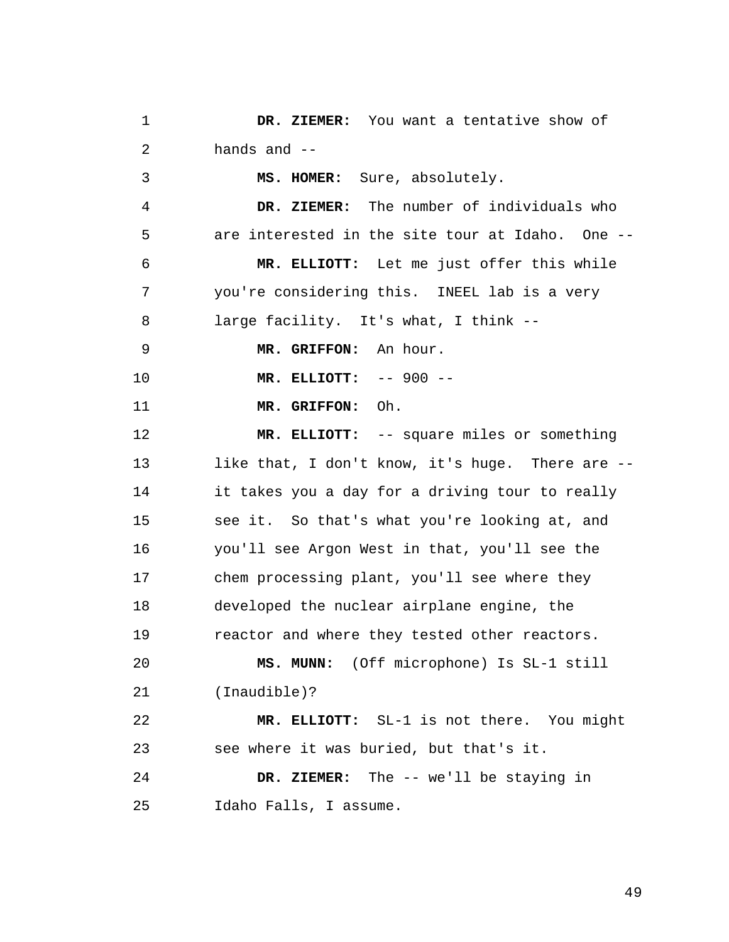1 2 3 4 5 6 7 8 9 10 11 12 13 14 15 16 17 18 19  $2.0$ 21 22 23 24 25 **DR. ZIEMER:** You want a tentative show of hands and -- **MS. HOMER:** Sure, absolutely. **DR. ZIEMER:** The number of individuals who are interested in the site tour at Idaho. One -- **MR. ELLIOTT:** Let me just offer this while you're considering this. INEEL lab is a very large facility. It's what, I think -- **MR. GRIFFON:** An hour. **MR. ELLIOTT:** -- 900 -- **MR. GRIFFON:** Oh. **MR. ELLIOTT:** -- square miles or something like that, I don't know, it's huge. There are - it takes you a day for a driving tour to really see it. So that's what you're looking at, and you'll see Argon West in that, you'll see the chem processing plant, you'll see where they developed the nuclear airplane engine, the reactor and where they tested other reactors. **MS. MUNN:** (Off microphone) Is SL-1 still (Inaudible)? **MR. ELLIOTT:** SL-1 is not there. You might see where it was buried, but that's it. **DR. ZIEMER:** The -- we'll be staying in Idaho Falls, I assume.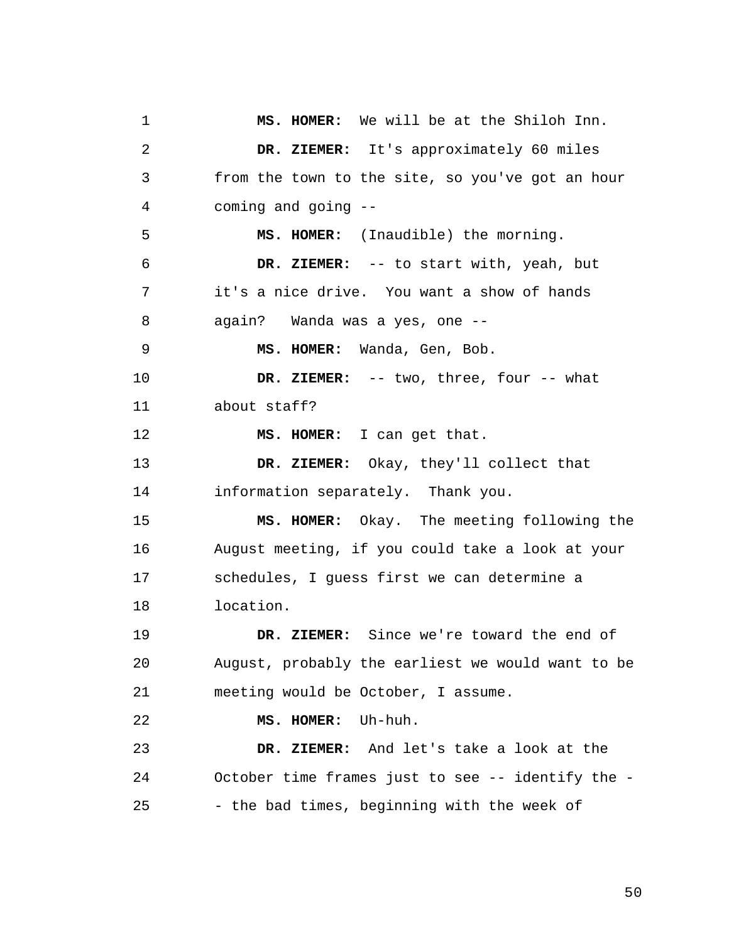1 2 3 4 5 6 7 8 9 10 11 12 13 14 15 16 17 18 19  $20^{\circ}$ 21 22 23 24 25 **MS. HOMER:** We will be at the Shiloh Inn. **DR. ZIEMER:** It's approximately 60 miles from the town to the site, so you've got an hour coming and going -- **MS. HOMER:** (Inaudible) the morning. **DR. ZIEMER:** -- to start with, yeah, but it's a nice drive. You want a show of hands again? Wanda was a yes, one -- **MS. HOMER:** Wanda, Gen, Bob. **DR. ZIEMER:** -- two, three, four -- what about staff? **MS. HOMER:** I can get that. **DR. ZIEMER:** Okay, they'll collect that information separately. Thank you. **MS. HOMER:** Okay. The meeting following the August meeting, if you could take a look at your schedules, I guess first we can determine a location. **DR. ZIEMER:** Since we're toward the end of August, probably the earliest we would want to be meeting would be October, I assume. **MS. HOMER:** Uh-huh. **DR. ZIEMER:** And let's take a look at the October time frames just to see -- identify the - - the bad times, beginning with the week of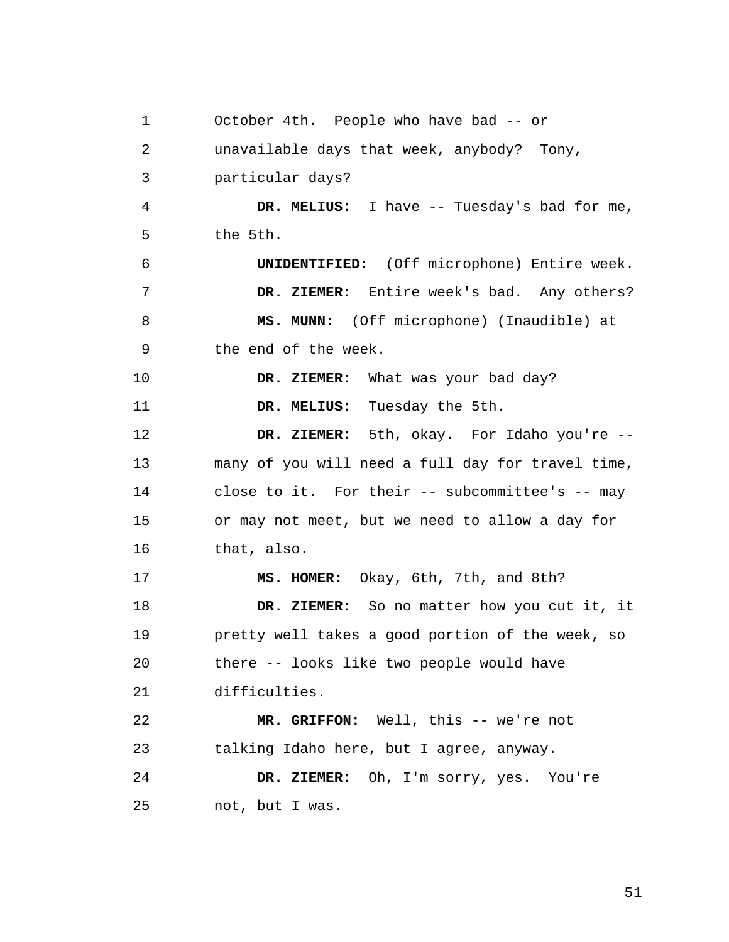1 2 3 4 5 6 7 8 9 10 11 12 13 14 15 16 17 18 19  $2.0$ 21 22 23 24 25 October 4th. People who have bad -- or unavailable days that week, anybody? Tony, particular days? **DR. MELIUS:** I have -- Tuesday's bad for me, the 5th. **UNIDENTIFIED:** (Off microphone) Entire week. **DR. ZIEMER:** Entire week's bad. Any others? **MS. MUNN:** (Off microphone) (Inaudible) at the end of the week. **DR. ZIEMER:** What was your bad day? **DR. MELIUS:** Tuesday the 5th. **DR. ZIEMER:** 5th, okay. For Idaho you're - many of you will need a full day for travel time, close to it. For their -- subcommittee's -- may or may not meet, but we need to allow a day for that, also. **MS. HOMER:** Okay, 6th, 7th, and 8th? **DR. ZIEMER:** So no matter how you cut it, it pretty well takes a good portion of the week, so there -- looks like two people would have difficulties. **MR. GRIFFON:** Well, this -- we're not talking Idaho here, but I agree, anyway. **DR. ZIEMER:** Oh, I'm sorry, yes. You're not, but I was.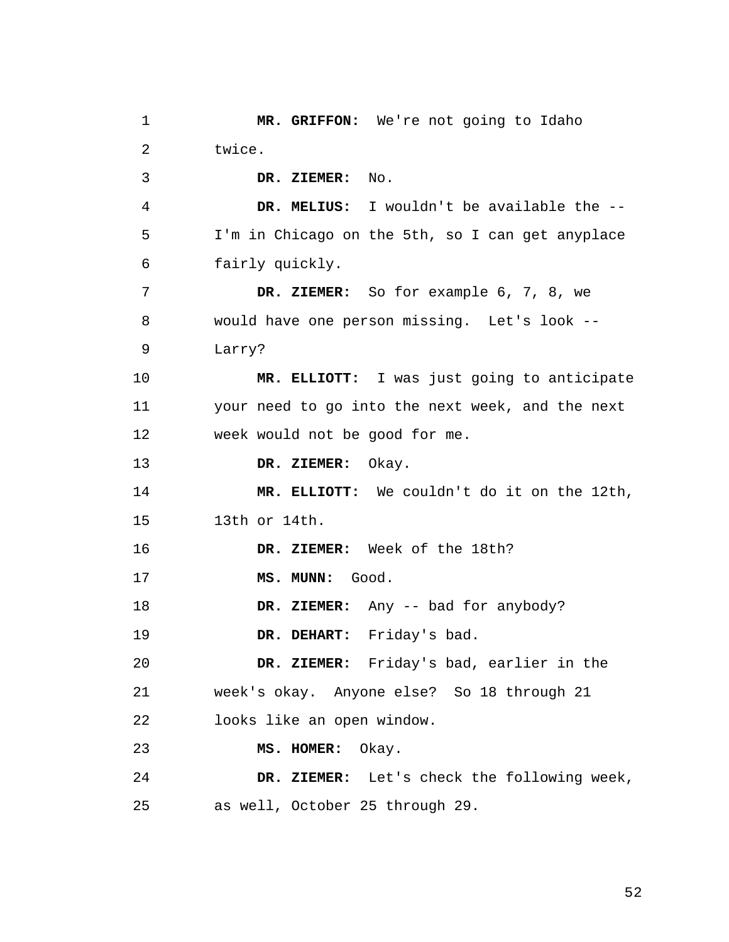1 2 3 4 5 6 7 8 9 10 11 12 13 14 15 16 17 18 19  $2.0$ 21 22 23 24 25 **MR. GRIFFON:** We're not going to Idaho twice. **DR. ZIEMER:** No. **DR. MELIUS:** I wouldn't be available the -- I'm in Chicago on the 5th, so I can get anyplace fairly quickly. **DR. ZIEMER:** So for example 6, 7, 8, we would have one person missing. Let's look -- Larry? **MR. ELLIOTT:** I was just going to anticipate your need to go into the next week, and the next week would not be good for me. **DR. ZIEMER:** Okay. **MR. ELLIOTT:** We couldn't do it on the 12th, 13th or 14th. **DR. ZIEMER:** Week of the 18th? **MS. MUNN:** Good. **DR. ZIEMER:** Any -- bad for anybody? **DR. DEHART:** Friday's bad. **DR. ZIEMER:** Friday's bad, earlier in the week's okay. Anyone else? So 18 through 21 looks like an open window. **MS. HOMER:** Okay. **DR. ZIEMER:** Let's check the following week, as well, October 25 through 29.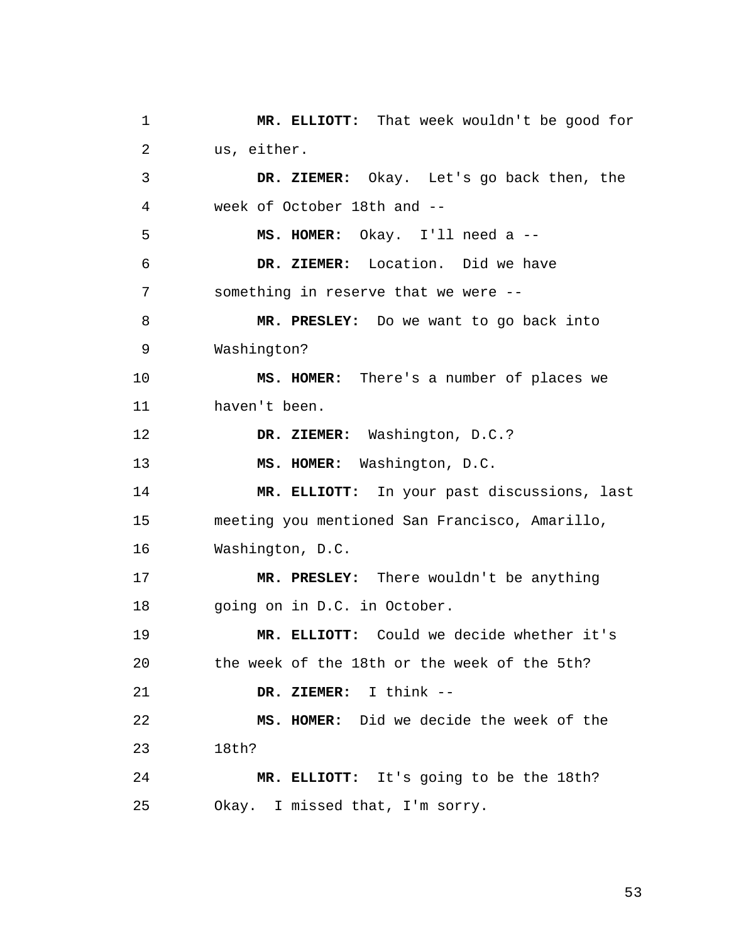```
1 
 2 
 3 
 4 
 5 
 6 
 7 
 8 
 9 
10 
11 
12 
13 
14 
15 
16 
17 
18 
19 
20^{\circ}21 
22 
23 
24 
25 
               MR. ELLIOTT: That week wouldn't be good for 
          us, either. 
               DR. ZIEMER: Okay. Let's go back then, the 
          week of October 18th and --
               MS. HOMER: Okay. I'll need a --
               DR. ZIEMER: Location. Did we have 
          something in reserve that we were --
               MR. PRESLEY: Do we want to go back into 
          Washington? 
               MS. HOMER: There's a number of places we 
         haven't been. 
               DR. ZIEMER: Washington, D.C.? 
               MS. HOMER: Washington, D.C. 
               MR. ELLIOTT: In your past discussions, last 
          meeting you mentioned San Francisco, Amarillo, 
          Washington, D.C. 
               MR. PRESLEY: There wouldn't be anything 
          going on in D.C. in October. 
               MR. ELLIOTT: Could we decide whether it's 
          the week of the 18th or the week of the 5th? 
               DR. ZIEMER: I think --
               MS. HOMER: Did we decide the week of the 
          18th? 
               MR. ELLIOTT: It's going to be the 18th? 
          Okay. I missed that, I'm sorry.
```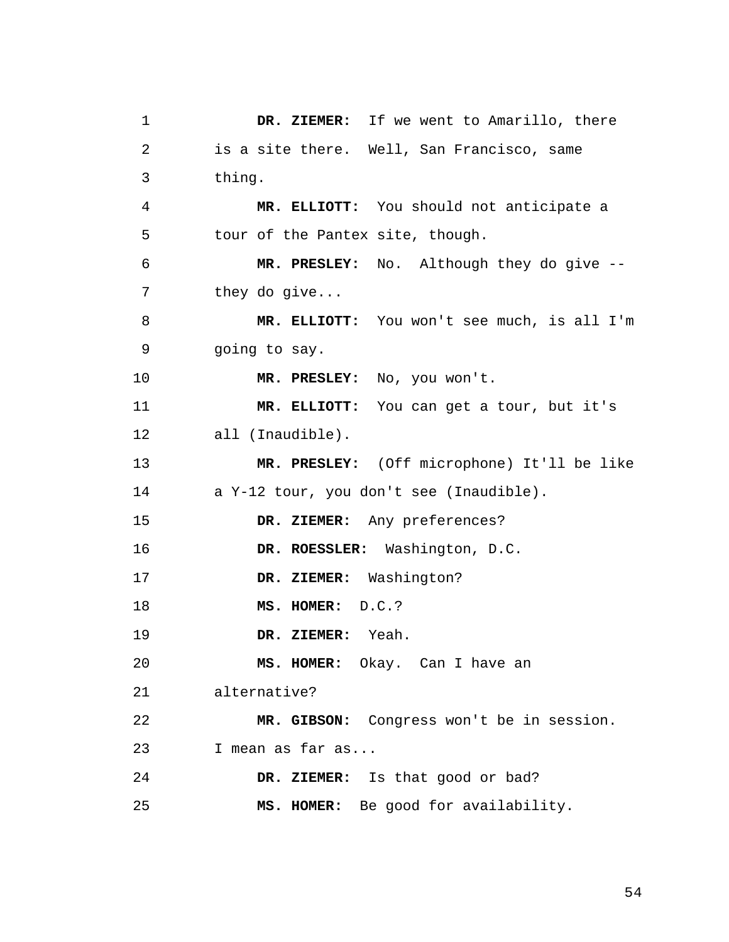1 2 3 4 5 6 7 8 9 10 11 12 13 14 15 16 17 18 19  $20^{\circ}$ 21 22 23 24 25 **DR. ZIEMER:** If we went to Amarillo, there is a site there. Well, San Francisco, same thing. **MR. ELLIOTT:** You should not anticipate a tour of the Pantex site, though. **MR. PRESLEY:** No. Although they do give - they do give... **MR. ELLIOTT:** You won't see much, is all I'm going to say. **MR. PRESLEY:** No, you won't. **MR. ELLIOTT:** You can get a tour, but it's all (Inaudible). **MR. PRESLEY:** (Off microphone) It'll be like a Y-12 tour, you don't see (Inaudible). **DR. ZIEMER:** Any preferences? **DR. ROESSLER:** Washington, D.C. **DR. ZIEMER:** Washington? **MS. HOMER:** D.C.? **DR. ZIEMER:** Yeah. **MS. HOMER:** Okay. Can I have an alternative? **MR. GIBSON:** Congress won't be in session. I mean as far as... **DR. ZIEMER:** Is that good or bad? **MS. HOMER:** Be good for availability.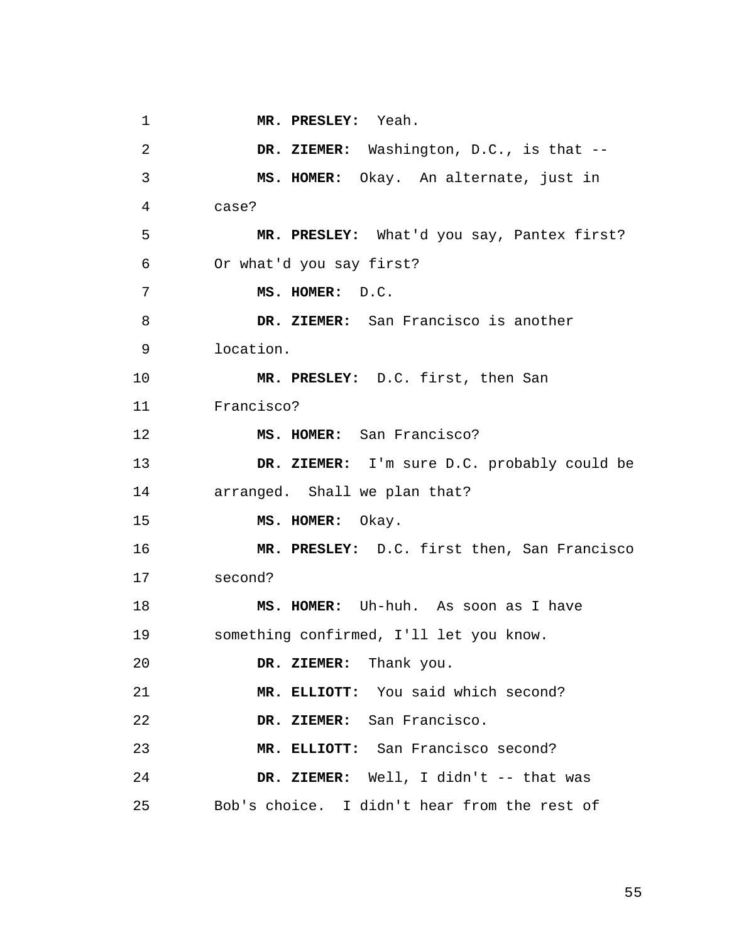```
1 
 2 
 3 
 4 
 5 
 6 
 7 
 8 
 9 
10 
11 
12 
13 
14 
15 
16 
17 
18 
19 
20^{\circ}21 
22 
23 
24 
25 
               MR. PRESLEY: Yeah. 
               DR. ZIEMER: Washington, D.C., is that --
               MS. HOMER: Okay. An alternate, just in 
          case? 
               MR. PRESLEY: What'd you say, Pantex first? 
          Or what'd you say first? 
               MS. HOMER: D.C. 
               DR. ZIEMER: San Francisco is another 
          location. 
               MR. PRESLEY: D.C. first, then San 
          Francisco? 
               MS. HOMER: San Francisco? 
               DR. ZIEMER: I'm sure D.C. probably could be 
          arranged. Shall we plan that? 
               MS. HOMER: Okay. 
               MR. PRESLEY: D.C. first then, San Francisco 
          second? 
               MS. HOMER: Uh-huh. As soon as I have 
          something confirmed, I'll let you know. 
               DR. ZIEMER: Thank you. 
               MR. ELLIOTT: You said which second? 
               DR. ZIEMER: San Francisco. 
               MR. ELLIOTT: San Francisco second? 
               DR. ZIEMER: Well, I didn't -- that was 
         Bob's choice. I didn't hear from the rest of
```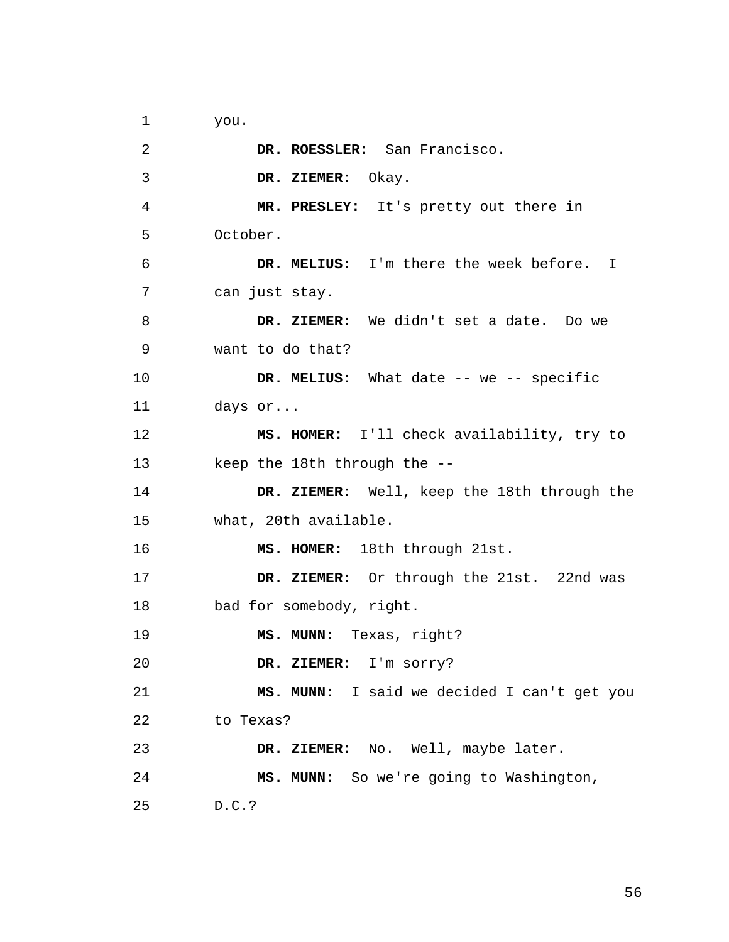1 you.

2 3 4 5 6 7 8 9 10 11 12 13 14 15 16 17 18 19  $20^{\circ}$ 21 22 23 24 25 **DR. ROESSLER:** San Francisco. **DR. ZIEMER:** Okay. **MR. PRESLEY:** It's pretty out there in October. **DR. MELIUS:** I'm there the week before. I can just stay. **DR. ZIEMER:** We didn't set a date. Do we want to do that? **DR. MELIUS:** What date -- we -- specific days or... **MS. HOMER:** I'll check availability, try to keep the 18th through the -- **DR. ZIEMER:** Well, keep the 18th through the what, 20th available. **MS. HOMER:** 18th through 21st. **DR. ZIEMER:** Or through the 21st. 22nd was bad for somebody, right. **MS. MUNN:** Texas, right? **DR. ZIEMER:** I'm sorry? **MS. MUNN:** I said we decided I can't get you to Texas? **DR. ZIEMER:** No. Well, maybe later. **MS. MUNN:** So we're going to Washington, D.C.?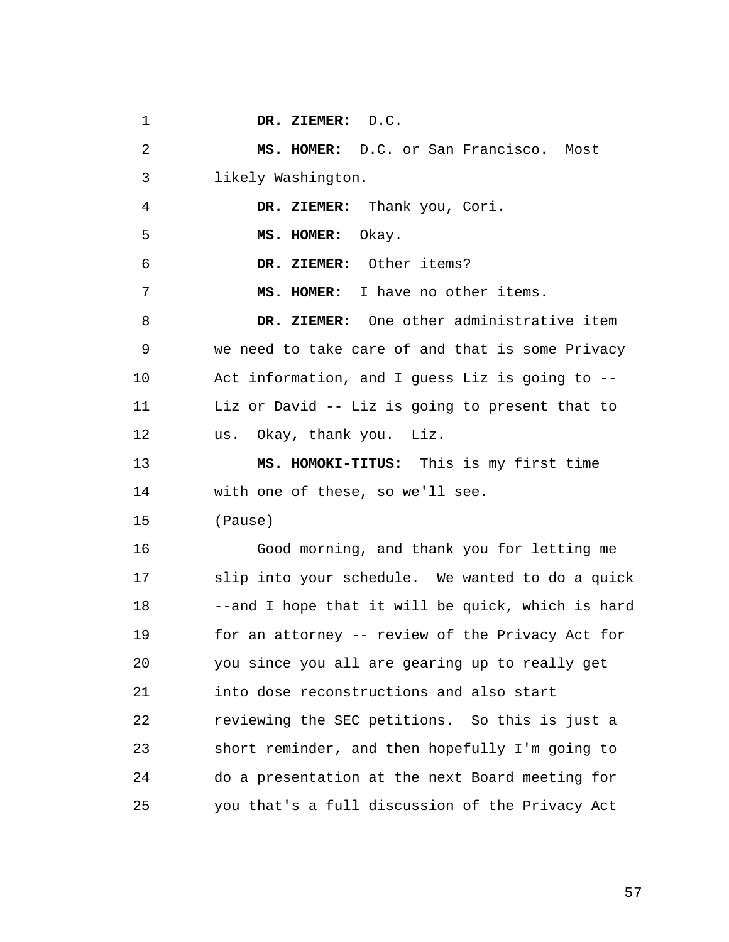1 2 3 4 5 6 7 8 9 10 11 12 13 14 15 16 17 18 19  $20$ 21 22 23 24 25 **DR. ZIEMER:** D.C. **MS. HOMER:** D.C. or San Francisco. Most likely Washington. **DR. ZIEMER:** Thank you, Cori. **MS. HOMER:** Okay. **DR. ZIEMER:** Other items? **MS. HOMER:** I have no other items. **DR. ZIEMER:** One other administrative item we need to take care of and that is some Privacy Act information, and I guess Liz is going to -- Liz or David -- Liz is going to present that to us. Okay, thank you. Liz. **MS. HOMOKI-TITUS:** This is my first time with one of these, so we'll see. (Pause) Good morning, and thank you for letting me slip into your schedule. We wanted to do a quick --and I hope that it will be quick, which is hard for an attorney -- review of the Privacy Act for you since you all are gearing up to really get into dose reconstructions and also start reviewing the SEC petitions. So this is just a short reminder, and then hopefully I'm going to do a presentation at the next Board meeting for you that's a full discussion of the Privacy Act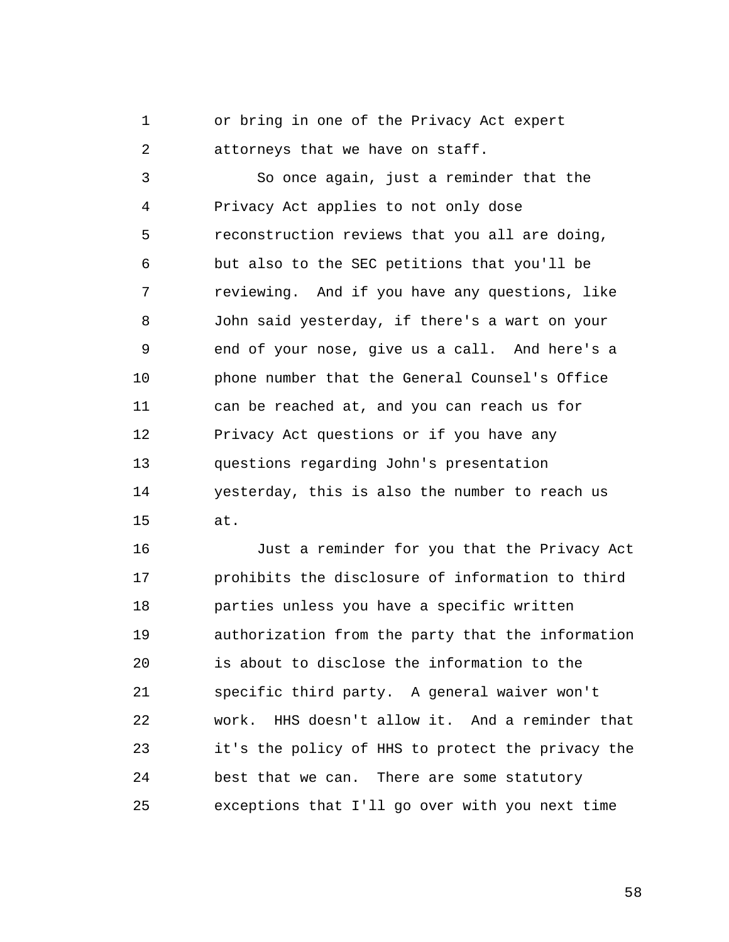1 2 or bring in one of the Privacy Act expert attorneys that we have on staff.

3 4 5 6 7 8 9 10 11 12 13 14 15 So once again, just a reminder that the Privacy Act applies to not only dose reconstruction reviews that you all are doing, but also to the SEC petitions that you'll be reviewing. And if you have any questions, like John said yesterday, if there's a wart on your end of your nose, give us a call. And here's a phone number that the General Counsel's Office can be reached at, and you can reach us for Privacy Act questions or if you have any questions regarding John's presentation yesterday, this is also the number to reach us at.

16 17 18 19  $2.0$ 21 22 23 24 25 Just a reminder for you that the Privacy Act prohibits the disclosure of information to third parties unless you have a specific written authorization from the party that the information is about to disclose the information to the specific third party. A general waiver won't work. HHS doesn't allow it. And a reminder that it's the policy of HHS to protect the privacy the best that we can. There are some statutory exceptions that I'll go over with you next time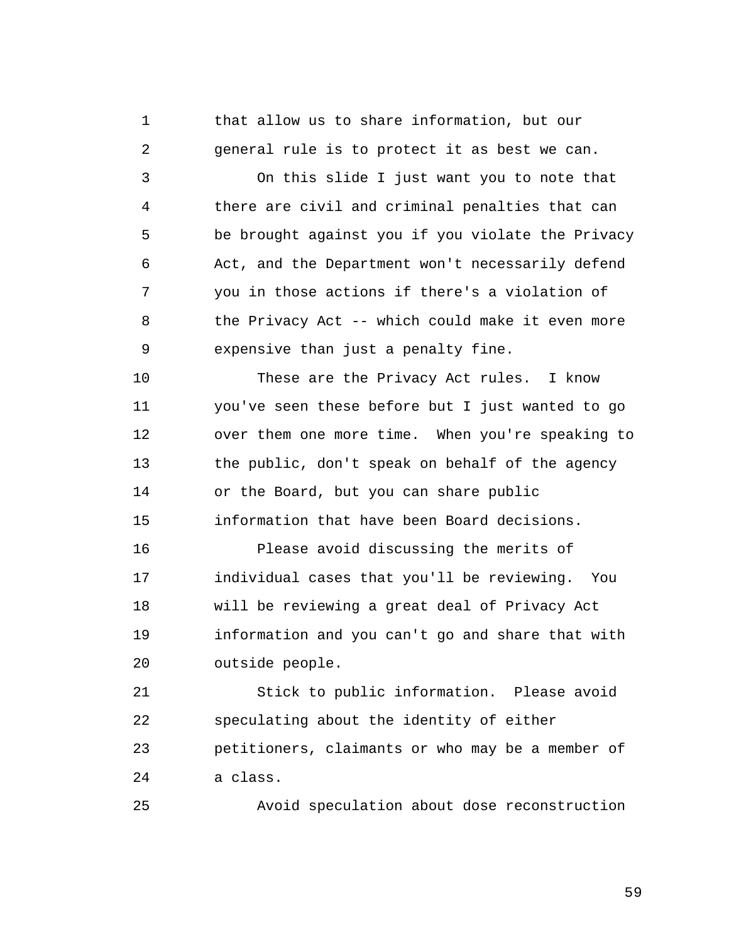1 2 that allow us to share information, but our general rule is to protect it as best we can.

3 4 5 6 7 8 9 On this slide I just want you to note that there are civil and criminal penalties that can be brought against you if you violate the Privacy Act, and the Department won't necessarily defend you in those actions if there's a violation of the Privacy Act -- which could make it even more expensive than just a penalty fine.

10 11 12 13 14 15 These are the Privacy Act rules. I know you've seen these before but I just wanted to go over them one more time. When you're speaking to the public, don't speak on behalf of the agency or the Board, but you can share public information that have been Board decisions.

16 17 18 19  $20^{\circ}$ Please avoid discussing the merits of individual cases that you'll be reviewing. You will be reviewing a great deal of Privacy Act information and you can't go and share that with outside people.

21 22 23 24 Stick to public information. Please avoid speculating about the identity of either petitioners, claimants or who may be a member of a class.

25 Avoid speculation about dose reconstruction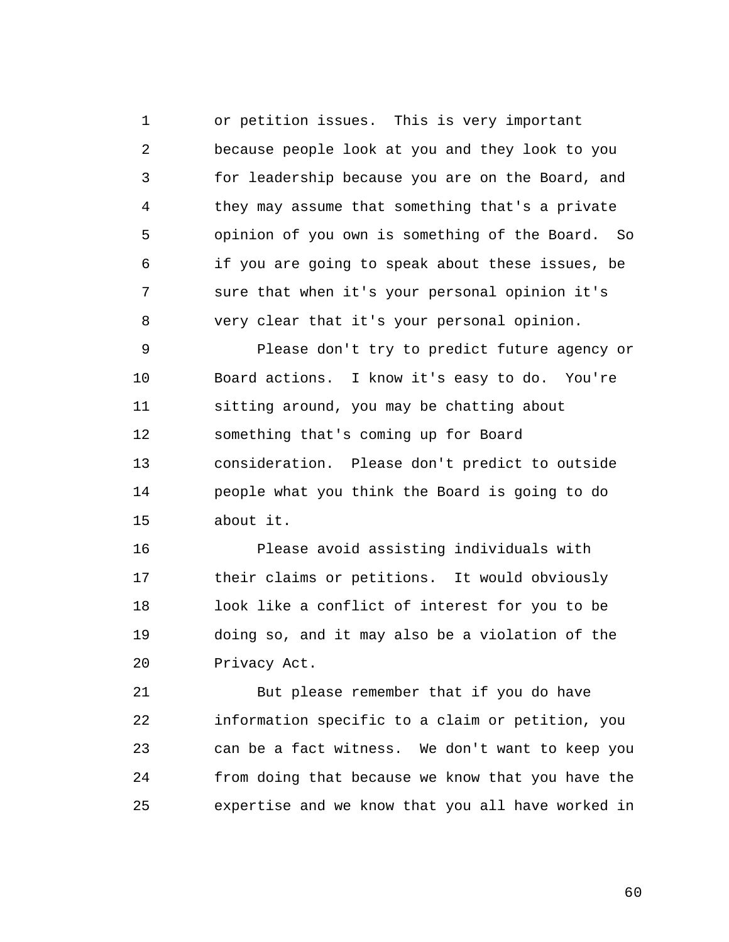1 2 3 4 5 6 7 8 or petition issues. This is very important because people look at you and they look to you for leadership because you are on the Board, and they may assume that something that's a private opinion of you own is something of the Board. So if you are going to speak about these issues, be sure that when it's your personal opinion it's very clear that it's your personal opinion.

9 10 11 12 13 14 15 Please don't try to predict future agency or Board actions. I know it's easy to do. You're sitting around, you may be chatting about something that's coming up for Board consideration. Please don't predict to outside people what you think the Board is going to do about it.

16 17 18 19  $20^{\circ}$ Please avoid assisting individuals with their claims or petitions. It would obviously look like a conflict of interest for you to be doing so, and it may also be a violation of the Privacy Act.

21 22 23 24 25 But please remember that if you do have information specific to a claim or petition, you can be a fact witness. We don't want to keep you from doing that because we know that you have the expertise and we know that you all have worked in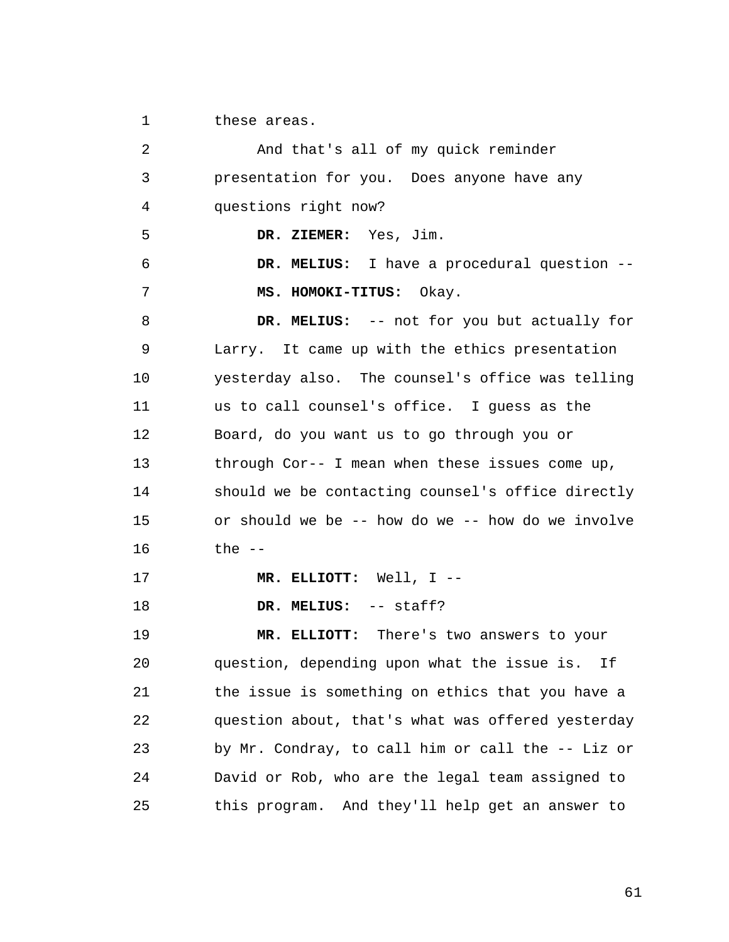1 these areas.

2 3 4 5 6 7 8 9 10 11 12 13 14 15 16 17 18 19  $20^{\circ}$ 21 22 23 24 25 And that's all of my quick reminder presentation for you. Does anyone have any questions right now? **DR. ZIEMER:** Yes, Jim. **DR. MELIUS:** I have a procedural question -- **MS. HOMOKI-TITUS:** Okay. **DR. MELIUS:** -- not for you but actually for Larry. It came up with the ethics presentation yesterday also. The counsel's office was telling us to call counsel's office. I guess as the Board, do you want us to go through you or through Cor-- I mean when these issues come up, should we be contacting counsel's office directly or should we be -- how do we -- how do we involve the  $--$ **MR. ELLIOTT:** Well, I -- **DR. MELIUS:** -- staff? **MR. ELLIOTT:** There's two answers to your question, depending upon what the issue is. If the issue is something on ethics that you have a question about, that's what was offered yesterday by Mr. Condray, to call him or call the -- Liz or David or Rob, who are the legal team assigned to this program. And they'll help get an answer to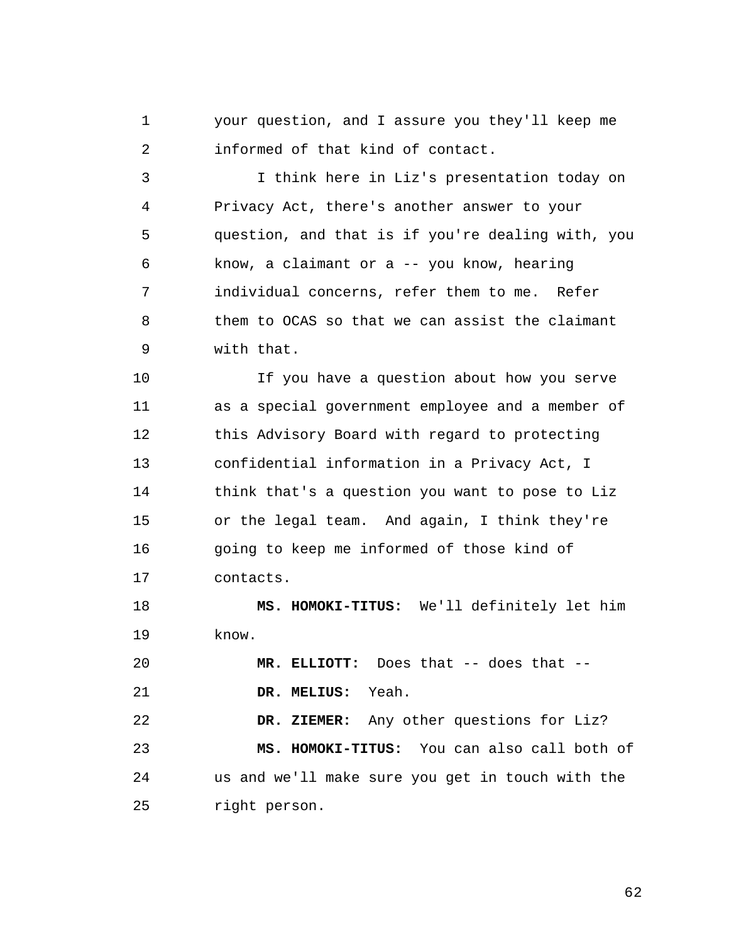1 2 your question, and I assure you they'll keep me informed of that kind of contact.

3 4 5 6 7 8 9 I think here in Liz's presentation today on Privacy Act, there's another answer to your question, and that is if you're dealing with, you know, a claimant or a -- you know, hearing individual concerns, refer them to me. Refer them to OCAS so that we can assist the claimant with that.

10 11 12 13 14 15 16 17 If you have a question about how you serve as a special government employee and a member of this Advisory Board with regard to protecting confidential information in a Privacy Act, I think that's a question you want to pose to Liz or the legal team. And again, I think they're going to keep me informed of those kind of contacts.

18 19 **MS. HOMOKI-TITUS:** We'll definitely let him know.

 $2.0$ 21 **MR. ELLIOTT:** Does that -- does that -- **DR. MELIUS:** Yeah.

22 23 24 25 **DR. ZIEMER:** Any other questions for Liz? **MS. HOMOKI-TITUS:** You can also call both of us and we'll make sure you get in touch with the right person.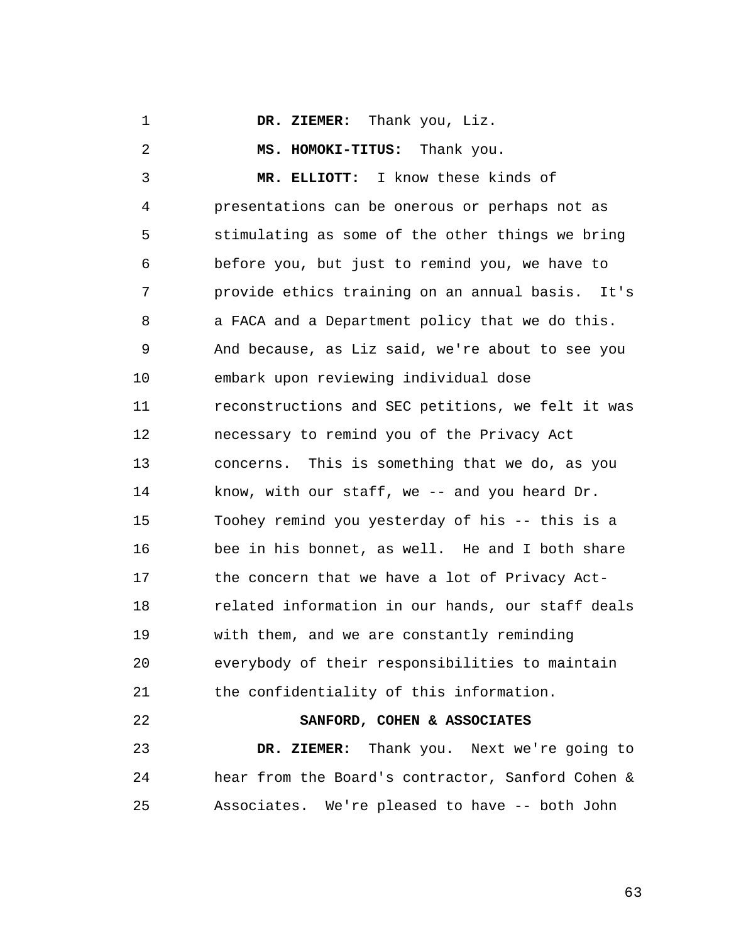1 **DR. ZIEMER:** Thank you, Liz.

**MS. HOMOKI-TITUS:** Thank you.

3 4 5 6 7 8 9 10 11 12 13 14 15 16 17 18 19  $2.0$ 21 **MR. ELLIOTT:** I know these kinds of presentations can be onerous or perhaps not as stimulating as some of the other things we bring before you, but just to remind you, we have to provide ethics training on an annual basis. It's a FACA and a Department policy that we do this. And because, as Liz said, we're about to see you embark upon reviewing individual dose reconstructions and SEC petitions, we felt it was necessary to remind you of the Privacy Act concerns. This is something that we do, as you know, with our staff, we -- and you heard Dr. Toohey remind you yesterday of his -- this is a bee in his bonnet, as well. He and I both share the concern that we have a lot of Privacy Actrelated information in our hands, our staff deals with them, and we are constantly reminding everybody of their responsibilities to maintain the confidentiality of this information.

22

2

**SANFORD, COHEN & ASSOCIATES** 

23 24 25 **DR. ZIEMER:** Thank you. Next we're going to hear from the Board's contractor, Sanford Cohen & Associates. We're pleased to have -- both John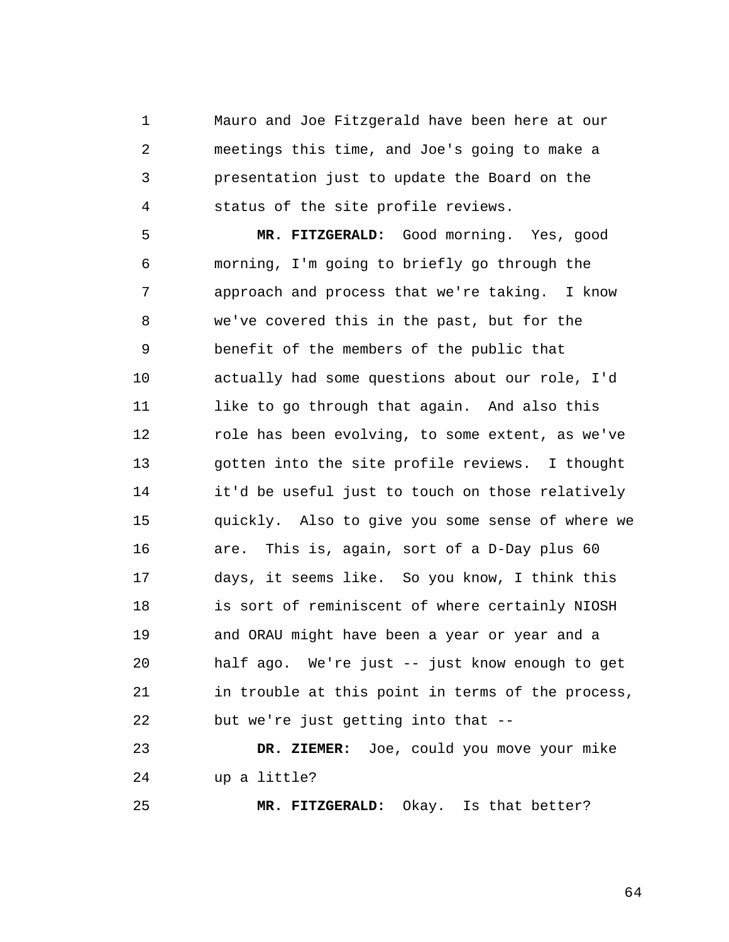1 2 3 4 Mauro and Joe Fitzgerald have been here at our meetings this time, and Joe's going to make a presentation just to update the Board on the status of the site profile reviews.

5 6 7 8 9 10 11 12 13 14 15 16 17 18 19  $20^{\circ}$ 21 22 **MR. FITZGERALD:** Good morning. Yes, good morning, I'm going to briefly go through the approach and process that we're taking. I know we've covered this in the past, but for the benefit of the members of the public that actually had some questions about our role, I'd like to go through that again. And also this role has been evolving, to some extent, as we've gotten into the site profile reviews. I thought it'd be useful just to touch on those relatively quickly. Also to give you some sense of where we are. This is, again, sort of a D-Day plus 60 days, it seems like. So you know, I think this is sort of reminiscent of where certainly NIOSH and ORAU might have been a year or year and a half ago. We're just -- just know enough to get in trouble at this point in terms of the process, but we're just getting into that --

23 24 **DR. ZIEMER:** Joe, could you move your mike up a little?

25

**MR. FITZGERALD:** Okay. Is that better?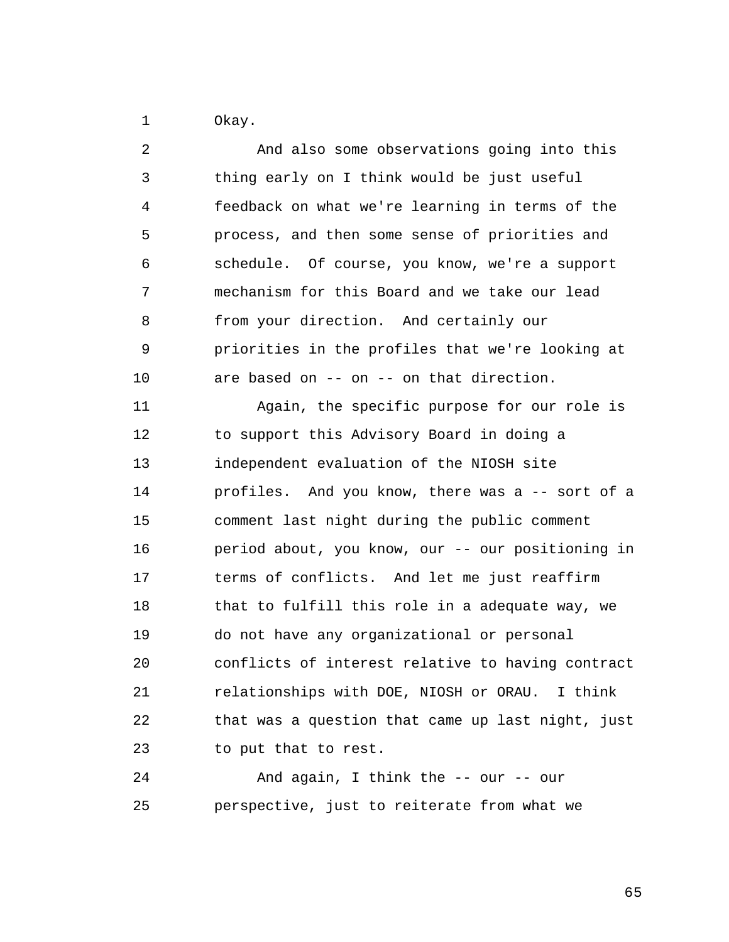1 Okay.

2 3 4 5 6 7 8 9 10 11 12 13 14 15 16 17 18 19  $2.0$ 21 22 23 24 And also some observations going into this thing early on I think would be just useful feedback on what we're learning in terms of the process, and then some sense of priorities and schedule. Of course, you know, we're a support mechanism for this Board and we take our lead from your direction. And certainly our priorities in the profiles that we're looking at are based on -- on -- on that direction. Again, the specific purpose for our role is to support this Advisory Board in doing a independent evaluation of the NIOSH site profiles. And you know, there was a -- sort of a comment last night during the public comment period about, you know, our -- our positioning in terms of conflicts. And let me just reaffirm that to fulfill this role in a adequate way, we do not have any organizational or personal conflicts of interest relative to having contract relationships with DOE, NIOSH or ORAU. I think that was a question that came up last night, just to put that to rest. And again, I think the -- our -- our

25 perspective, just to reiterate from what we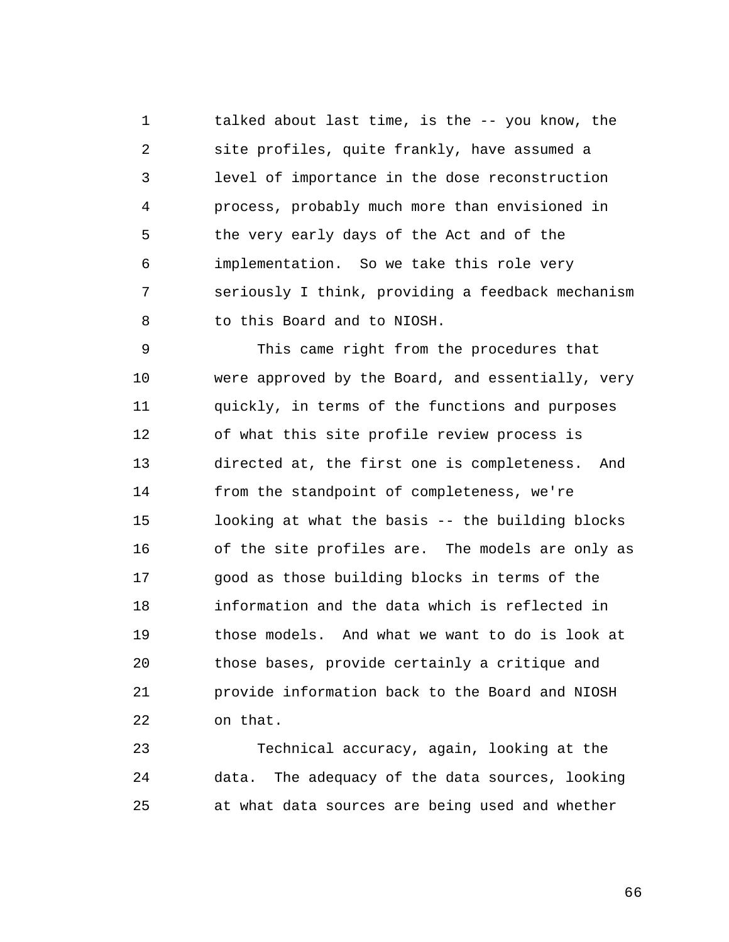1 2 3 4 5 6 7 8 talked about last time, is the -- you know, the site profiles, quite frankly, have assumed a level of importance in the dose reconstruction process, probably much more than envisioned in the very early days of the Act and of the implementation. So we take this role very seriously I think, providing a feedback mechanism to this Board and to NIOSH.

9 10 11 12 13 14 15 16 17 18 19  $20^{\circ}$ 21 22 This came right from the procedures that were approved by the Board, and essentially, very quickly, in terms of the functions and purposes of what this site profile review process is directed at, the first one is completeness. And from the standpoint of completeness, we're looking at what the basis -- the building blocks of the site profiles are. The models are only as good as those building blocks in terms of the information and the data which is reflected in those models. And what we want to do is look at those bases, provide certainly a critique and provide information back to the Board and NIOSH on that.

23 24 25 Technical accuracy, again, looking at the data. The adequacy of the data sources, looking at what data sources are being used and whether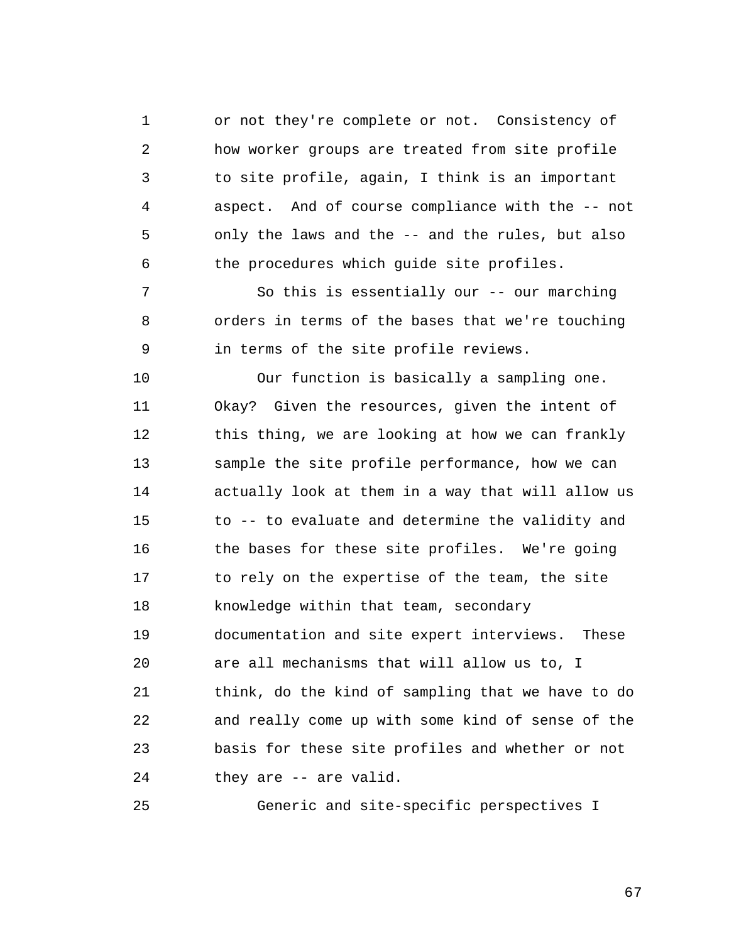1 2 3 4 5 6 or not they're complete or not. Consistency of how worker groups are treated from site profile to site profile, again, I think is an important aspect. And of course compliance with the -- not only the laws and the -- and the rules, but also the procedures which guide site profiles.

7 8 9 So this is essentially our -- our marching orders in terms of the bases that we're touching in terms of the site profile reviews.

10 11 12 13 14 15 16 17 18 19  $2.0$ 21 22 23 24 Our function is basically a sampling one. Okay? Given the resources, given the intent of this thing, we are looking at how we can frankly sample the site profile performance, how we can actually look at them in a way that will allow us to -- to evaluate and determine the validity and the bases for these site profiles. We're going to rely on the expertise of the team, the site knowledge within that team, secondary documentation and site expert interviews. These are all mechanisms that will allow us to, I think, do the kind of sampling that we have to do and really come up with some kind of sense of the basis for these site profiles and whether or not they are -- are valid.

25 Generic and site-specific perspectives I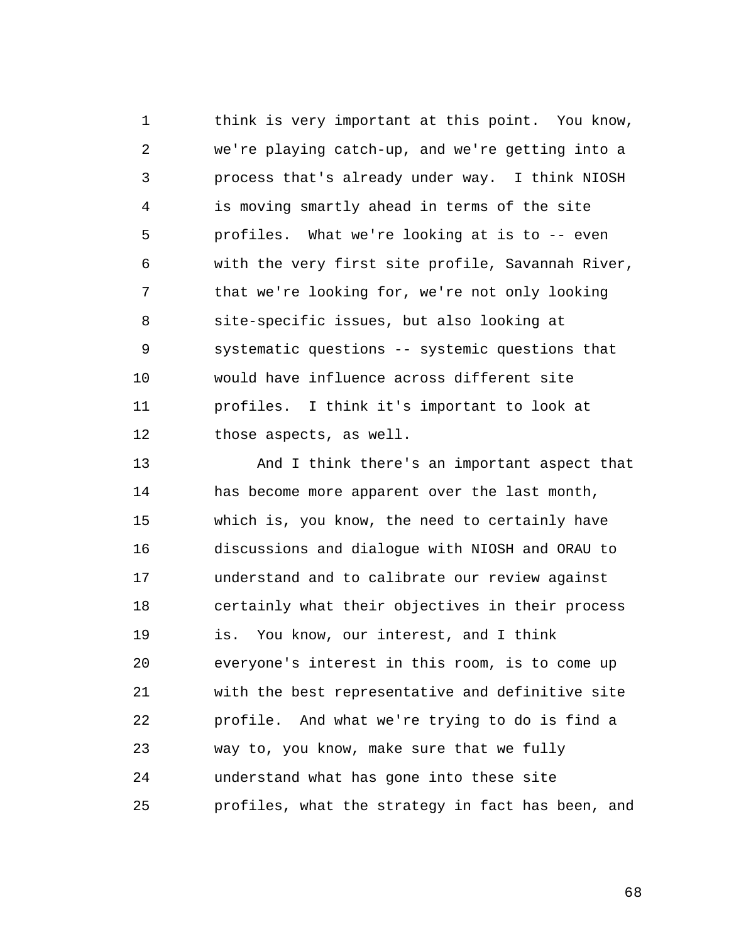1 2 3 4 5 6 7 8 9 10 11 12 think is very important at this point. You know, we're playing catch-up, and we're getting into a process that's already under way. I think NIOSH is moving smartly ahead in terms of the site profiles. What we're looking at is to -- even with the very first site profile, Savannah River, that we're looking for, we're not only looking site-specific issues, but also looking at systematic questions -- systemic questions that would have influence across different site profiles. I think it's important to look at those aspects, as well.

13 14 15 16 17 18 19  $20^{\circ}$ 21 22 23 24 25 And I think there's an important aspect that has become more apparent over the last month, which is, you know, the need to certainly have discussions and dialogue with NIOSH and ORAU to understand and to calibrate our review against certainly what their objectives in their process is. You know, our interest, and I think everyone's interest in this room, is to come up with the best representative and definitive site profile. And what we're trying to do is find a way to, you know, make sure that we fully understand what has gone into these site profiles, what the strategy in fact has been, and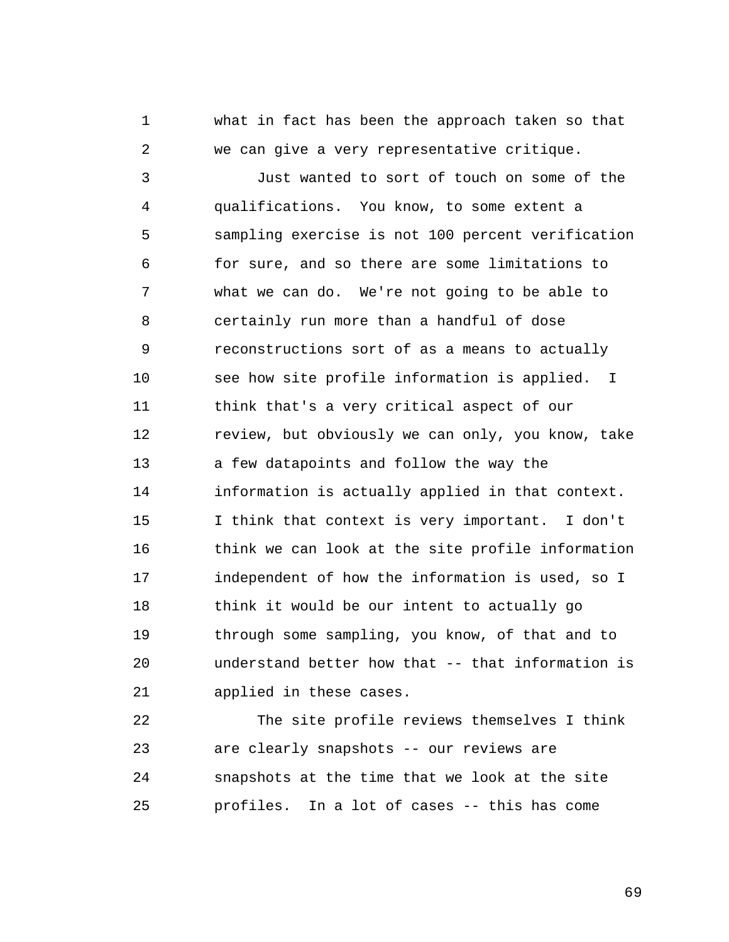what in fact has been the approach taken so that we can give a very representative critique.

1

2

3 4 5 6 7 8 9 10 11 12 13 14 15 16 17 18 19  $2.0$ 21 Just wanted to sort of touch on some of the qualifications. You know, to some extent a sampling exercise is not 100 percent verification for sure, and so there are some limitations to what we can do. We're not going to be able to certainly run more than a handful of dose reconstructions sort of as a means to actually see how site profile information is applied. I think that's a very critical aspect of our review, but obviously we can only, you know, take a few datapoints and follow the way the information is actually applied in that context. I think that context is very important. I don't think we can look at the site profile information independent of how the information is used, so I think it would be our intent to actually go through some sampling, you know, of that and to understand better how that -- that information is applied in these cases.

22 23 24 25 The site profile reviews themselves I think are clearly snapshots -- our reviews are snapshots at the time that we look at the site profiles. In a lot of cases -- this has come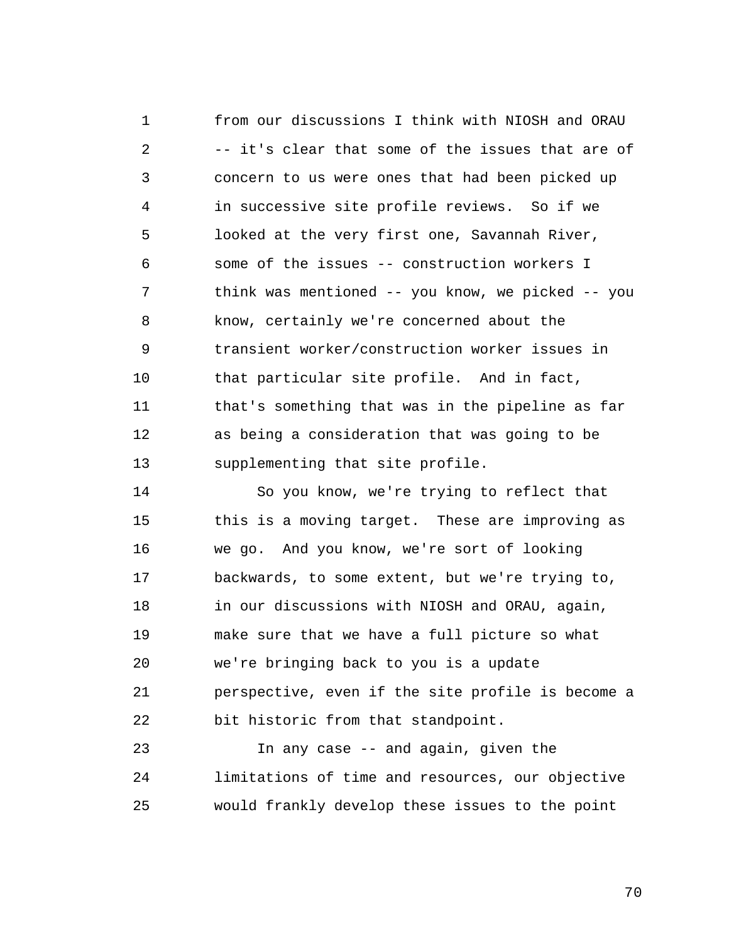1 2 3 4 5 6 7 8 9 10 11 12 13 from our discussions I think with NIOSH and ORAU -- it's clear that some of the issues that are of concern to us were ones that had been picked up in successive site profile reviews. So if we looked at the very first one, Savannah River, some of the issues -- construction workers I think was mentioned -- you know, we picked -- you know, certainly we're concerned about the transient worker/construction worker issues in that particular site profile. And in fact, that's something that was in the pipeline as far as being a consideration that was going to be supplementing that site profile.

14 15 16 17 18 19  $2.0$ 21 22 So you know, we're trying to reflect that this is a moving target. These are improving as we go. And you know, we're sort of looking backwards, to some extent, but we're trying to, in our discussions with NIOSH and ORAU, again, make sure that we have a full picture so what we're bringing back to you is a update perspective, even if the site profile is become a bit historic from that standpoint.

23 24 25 In any case -- and again, given the limitations of time and resources, our objective would frankly develop these issues to the point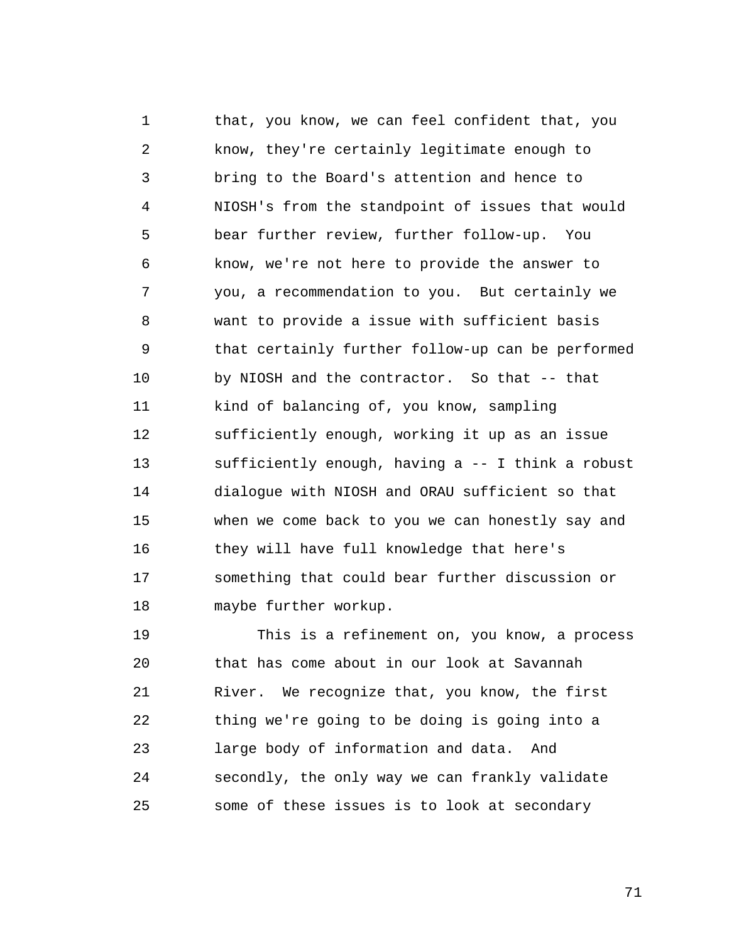1 2 3 4 5 6 7 8 9 10 11 12 13 14 15 16 17 18 that, you know, we can feel confident that, you know, they're certainly legitimate enough to bring to the Board's attention and hence to NIOSH's from the standpoint of issues that would bear further review, further follow-up. You know, we're not here to provide the answer to you, a recommendation to you. But certainly we want to provide a issue with sufficient basis that certainly further follow-up can be performed by NIOSH and the contractor. So that -- that kind of balancing of, you know, sampling sufficiently enough, working it up as an issue sufficiently enough, having a -- I think a robust dialogue with NIOSH and ORAU sufficient so that when we come back to you we can honestly say and they will have full knowledge that here's something that could bear further discussion or maybe further workup.

19  $20^{\circ}$ 21 22 23 24 25 This is a refinement on, you know, a process that has come about in our look at Savannah River. We recognize that, you know, the first thing we're going to be doing is going into a large body of information and data. And secondly, the only way we can frankly validate some of these issues is to look at secondary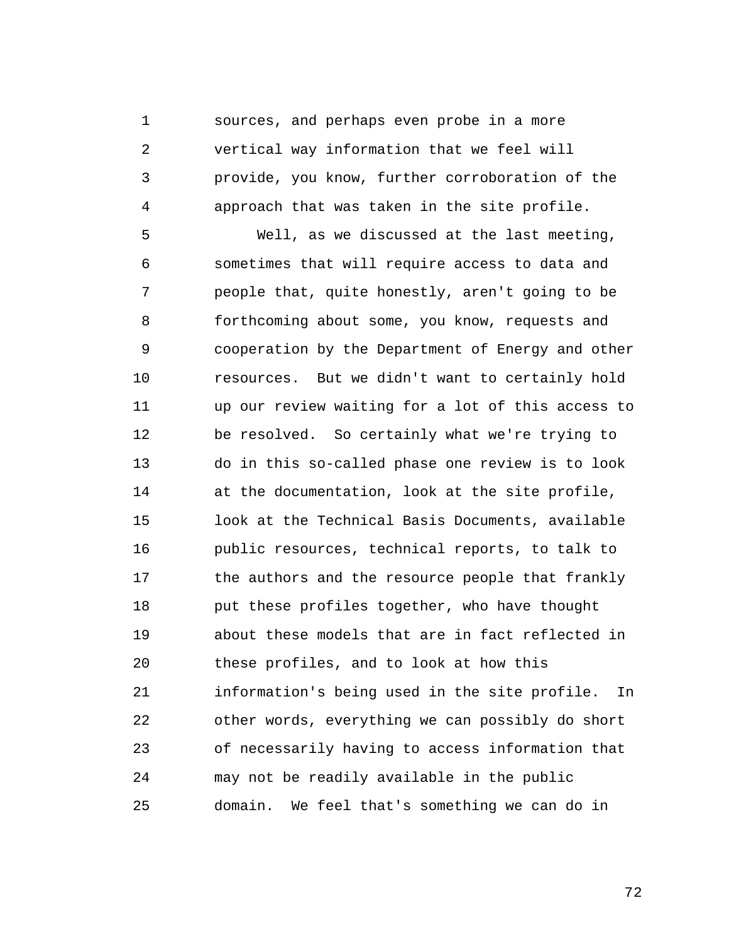1 2 3 4 sources, and perhaps even probe in a more vertical way information that we feel will provide, you know, further corroboration of the approach that was taken in the site profile.

5 6 7 8 9 10 11 12 13 14 15 16 17 18 19  $2.0$ 21 22 23 24 25 Well, as we discussed at the last meeting, sometimes that will require access to data and people that, quite honestly, aren't going to be forthcoming about some, you know, requests and cooperation by the Department of Energy and other resources. But we didn't want to certainly hold up our review waiting for a lot of this access to be resolved. So certainly what we're trying to do in this so-called phase one review is to look at the documentation, look at the site profile, look at the Technical Basis Documents, available public resources, technical reports, to talk to the authors and the resource people that frankly put these profiles together, who have thought about these models that are in fact reflected in these profiles, and to look at how this information's being used in the site profile. In other words, everything we can possibly do short of necessarily having to access information that may not be readily available in the public domain. We feel that's something we can do in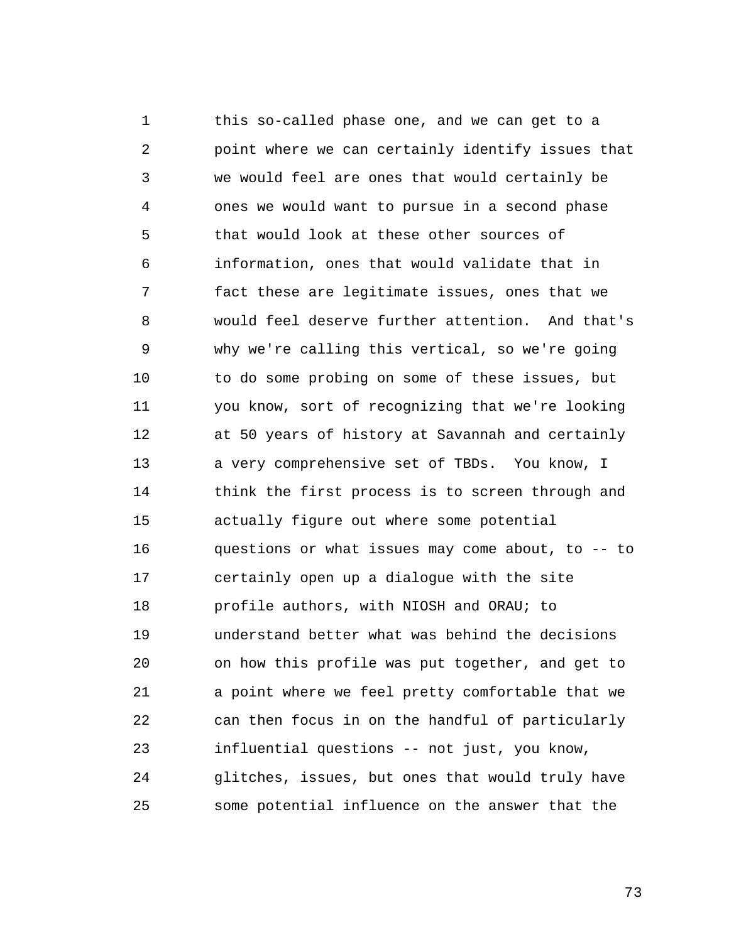1 2 3 4 5 6 7 8 9 10 11 12 13 14 15 16 17 18 19  $2.0$ 21 22 23 24 25 this so-called phase one, and we can get to a point where we can certainly identify issues that we would feel are ones that would certainly be ones we would want to pursue in a second phase that would look at these other sources of information, ones that would validate that in fact these are legitimate issues, ones that we would feel deserve further attention. And that's why we're calling this vertical, so we're going to do some probing on some of these issues, but you know, sort of recognizing that we're looking at 50 years of history at Savannah and certainly a very comprehensive set of TBDs. You know, I think the first process is to screen through and actually figure out where some potential questions or what issues may come about, to -- to certainly open up a dialogue with the site profile authors, with NIOSH and ORAU; to understand better what was behind the decisions on how this profile was put together, and get to a point where we feel pretty comfortable that we can then focus in on the handful of particularly influential questions -- not just, you know, glitches, issues, but ones that would truly have some potential influence on the answer that the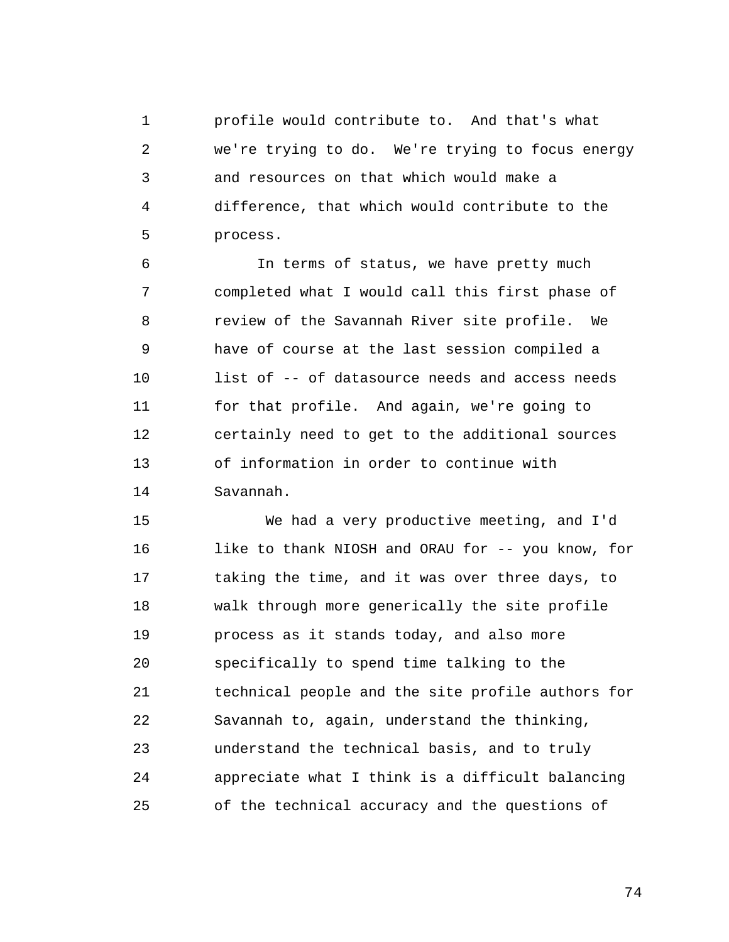1 2 3 4 5 profile would contribute to. And that's what we're trying to do. We're trying to focus energy and resources on that which would make a difference, that which would contribute to the process.

6 7 8 9 10 11 12 13 14 In terms of status, we have pretty much completed what I would call this first phase of review of the Savannah River site profile. We have of course at the last session compiled a list of -- of datasource needs and access needs for that profile. And again, we're going to certainly need to get to the additional sources of information in order to continue with Savannah.

15 16 17 18 19  $2.0$ 21 22 23 24 25 We had a very productive meeting, and I'd like to thank NIOSH and ORAU for -- you know, for taking the time, and it was over three days, to walk through more generically the site profile process as it stands today, and also more specifically to spend time talking to the technical people and the site profile authors for Savannah to, again, understand the thinking, understand the technical basis, and to truly appreciate what I think is a difficult balancing of the technical accuracy and the questions of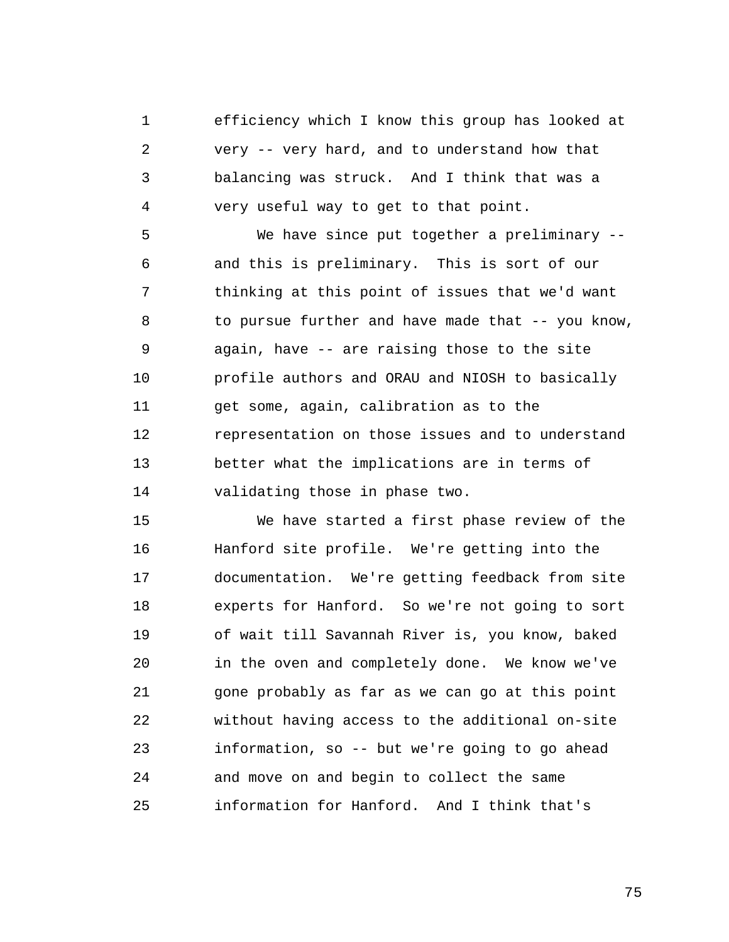1 2 3 4 efficiency which I know this group has looked at very -- very hard, and to understand how that balancing was struck. And I think that was a very useful way to get to that point.

5 6 7 8 9 10 11 12 13 14 We have since put together a preliminary -and this is preliminary. This is sort of our thinking at this point of issues that we'd want to pursue further and have made that -- you know, again, have -- are raising those to the site profile authors and ORAU and NIOSH to basically get some, again, calibration as to the representation on those issues and to understand better what the implications are in terms of validating those in phase two.

15 16 17 18 19  $20^{\circ}$ 21 22 23 24 25 We have started a first phase review of the Hanford site profile. We're getting into the documentation. We're getting feedback from site experts for Hanford. So we're not going to sort of wait till Savannah River is, you know, baked in the oven and completely done. We know we've gone probably as far as we can go at this point without having access to the additional on-site information, so -- but we're going to go ahead and move on and begin to collect the same information for Hanford. And I think that's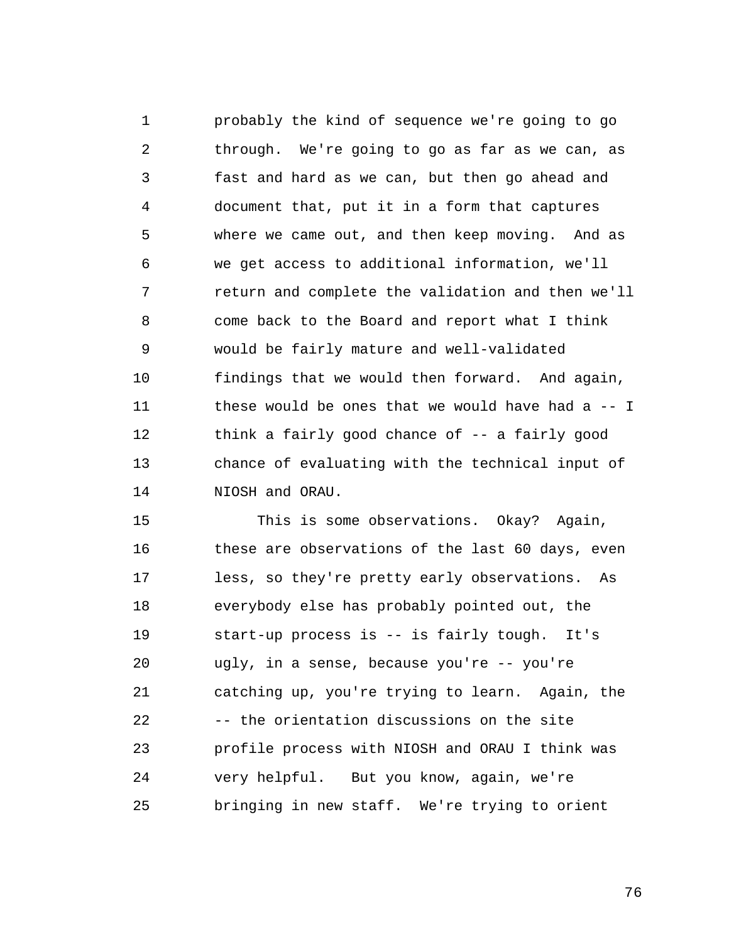1 2 3 4 5 6 7 8 9 10 11 12 13 14 probably the kind of sequence we're going to go through. We're going to go as far as we can, as fast and hard as we can, but then go ahead and document that, put it in a form that captures where we came out, and then keep moving. And as we get access to additional information, we'll return and complete the validation and then we'll come back to the Board and report what I think would be fairly mature and well-validated findings that we would then forward. And again, these would be ones that we would have had  $a -1$ think a fairly good chance of -- a fairly good chance of evaluating with the technical input of NIOSH and ORAU.

15 16 17 18 19  $2.0$ 21 22 23 24 25 This is some observations. Okay? Again, these are observations of the last 60 days, even less, so they're pretty early observations. As everybody else has probably pointed out, the start-up process is -- is fairly tough. It's ugly, in a sense, because you're -- you're catching up, you're trying to learn. Again, the -- the orientation discussions on the site profile process with NIOSH and ORAU I think was very helpful. But you know, again, we're bringing in new staff. We're trying to orient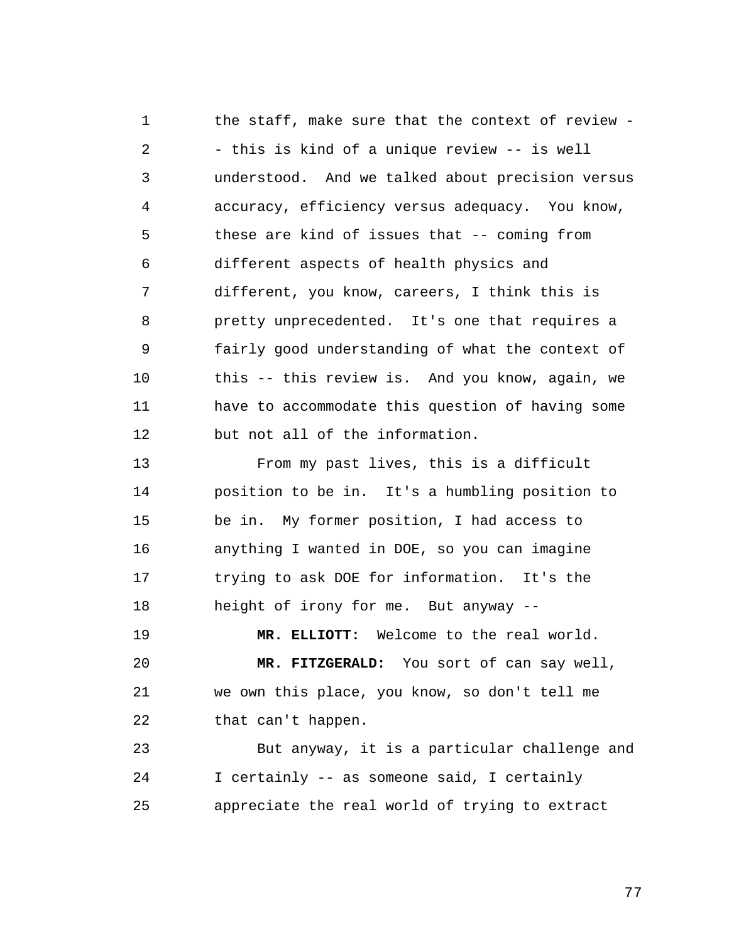1 2 3 4 5 6 7 8 9 10 11 12 the staff, make sure that the context of review - - this is kind of a unique review -- is well understood. And we talked about precision versus accuracy, efficiency versus adequacy. You know, these are kind of issues that -- coming from different aspects of health physics and different, you know, careers, I think this is pretty unprecedented. It's one that requires a fairly good understanding of what the context of this -- this review is. And you know, again, we have to accommodate this question of having some but not all of the information.

13 14 15 16 17 18 From my past lives, this is a difficult position to be in. It's a humbling position to be in. My former position, I had access to anything I wanted in DOE, so you can imagine trying to ask DOE for information. It's the height of irony for me. But anyway --

19  $2.0$ 21 22 **MR. ELLIOTT:** Welcome to the real world. **MR. FITZGERALD:** You sort of can say well, we own this place, you know, so don't tell me that can't happen.

23 24 25 But anyway, it is a particular challenge and I certainly -- as someone said, I certainly appreciate the real world of trying to extract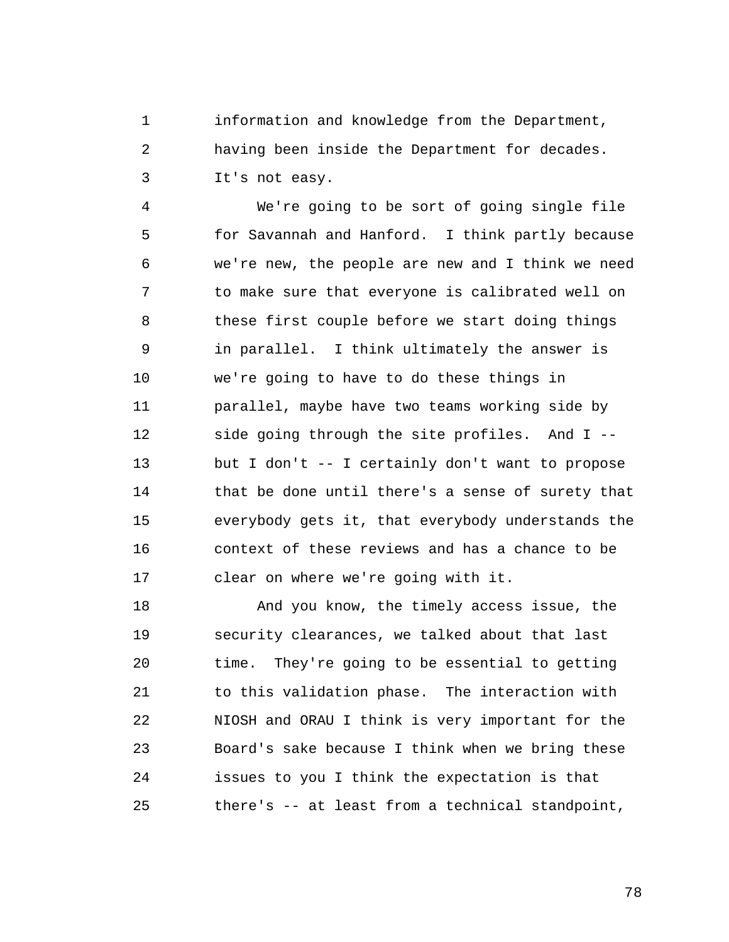1 2 3 information and knowledge from the Department, having been inside the Department for decades. It's not easy.

4 5 6 7 8 9 10 11 12 13 14 15 16 17 We're going to be sort of going single file for Savannah and Hanford. I think partly because we're new, the people are new and I think we need to make sure that everyone is calibrated well on these first couple before we start doing things in parallel. I think ultimately the answer is we're going to have to do these things in parallel, maybe have two teams working side by side going through the site profiles. And I - but I don't -- I certainly don't want to propose that be done until there's a sense of surety that everybody gets it, that everybody understands the context of these reviews and has a chance to be clear on where we're going with it.

18 19  $2.0$ 21 22 23 24 25 And you know, the timely access issue, the security clearances, we talked about that last time. They're going to be essential to getting to this validation phase. The interaction with NIOSH and ORAU I think is very important for the Board's sake because I think when we bring these issues to you I think the expectation is that there's -- at least from a technical standpoint,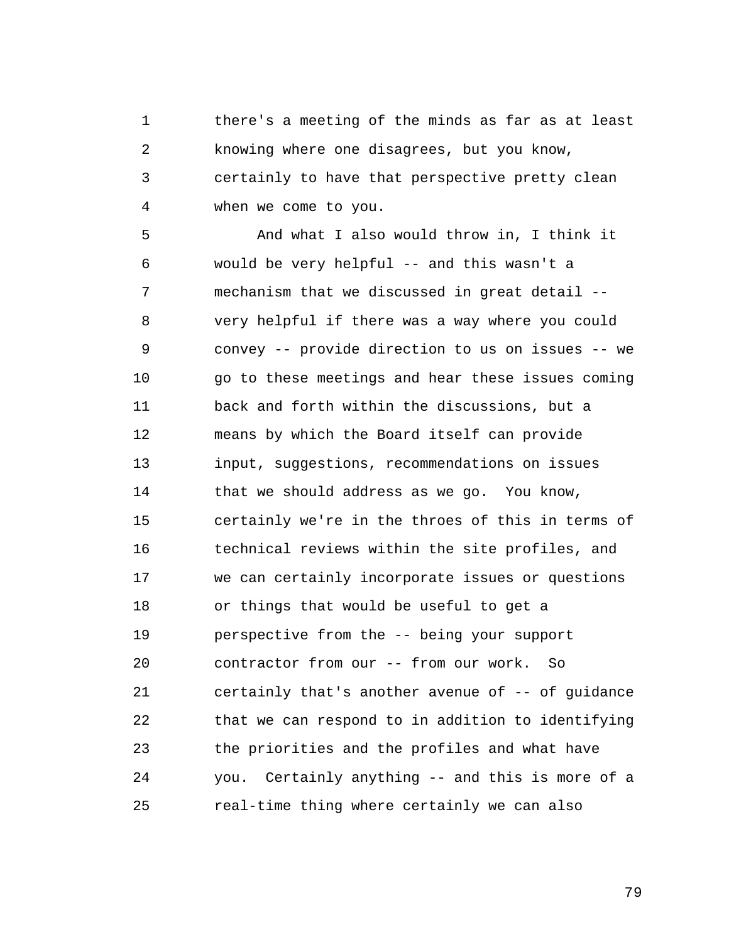1 2 3 4 there's a meeting of the minds as far as at least knowing where one disagrees, but you know, certainly to have that perspective pretty clean when we come to you.

5 6 7 8 9 10 11 12 13 14 15 16 17 18 19  $2.0$ 21 22 23 24 25 And what I also would throw in, I think it would be very helpful -- and this wasn't a mechanism that we discussed in great detail - very helpful if there was a way where you could convey -- provide direction to us on issues -- we go to these meetings and hear these issues coming back and forth within the discussions, but a means by which the Board itself can provide input, suggestions, recommendations on issues that we should address as we go. You know, certainly we're in the throes of this in terms of technical reviews within the site profiles, and we can certainly incorporate issues or questions or things that would be useful to get a perspective from the -- being your support contractor from our -- from our work. So certainly that's another avenue of -- of guidance that we can respond to in addition to identifying the priorities and the profiles and what have you. Certainly anything -- and this is more of a real-time thing where certainly we can also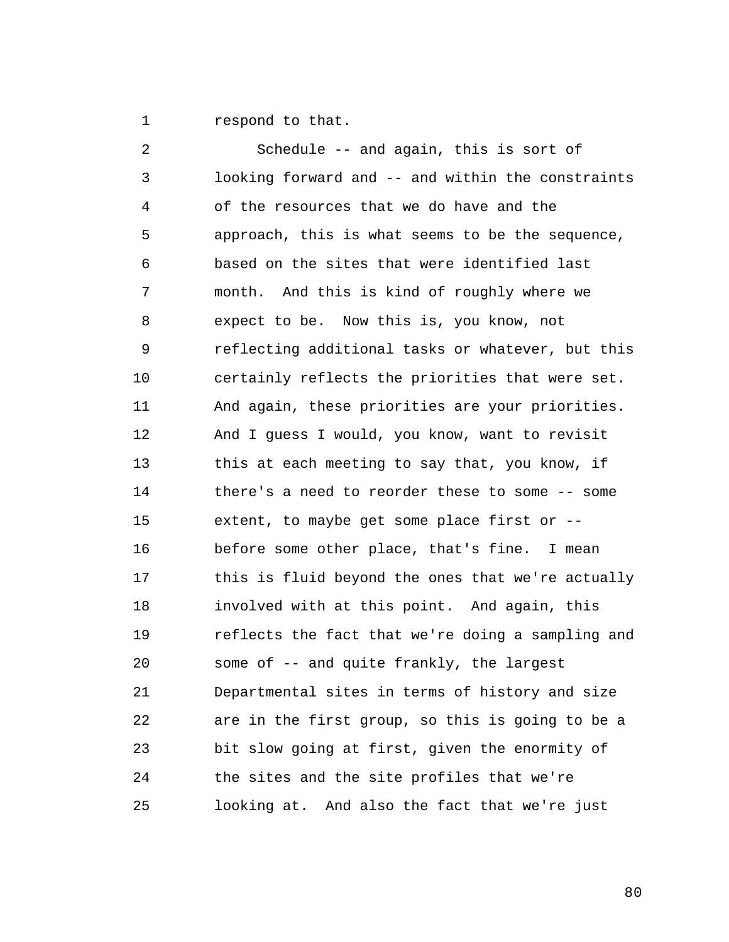1 respond to that.

2 3 4 5 6 7 8 9 10 11 12 13 14 15 16 17 18 19  $20^{\circ}$ 21 22 23 24 25 Schedule -- and again, this is sort of looking forward and -- and within the constraints of the resources that we do have and the approach, this is what seems to be the sequence, based on the sites that were identified last month. And this is kind of roughly where we expect to be. Now this is, you know, not reflecting additional tasks or whatever, but this certainly reflects the priorities that were set. And again, these priorities are your priorities. And I guess I would, you know, want to revisit this at each meeting to say that, you know, if there's a need to reorder these to some -- some extent, to maybe get some place first or - before some other place, that's fine. I mean this is fluid beyond the ones that we're actually involved with at this point. And again, this reflects the fact that we're doing a sampling and some of -- and quite frankly, the largest Departmental sites in terms of history and size are in the first group, so this is going to be a bit slow going at first, given the enormity of the sites and the site profiles that we're looking at. And also the fact that we're just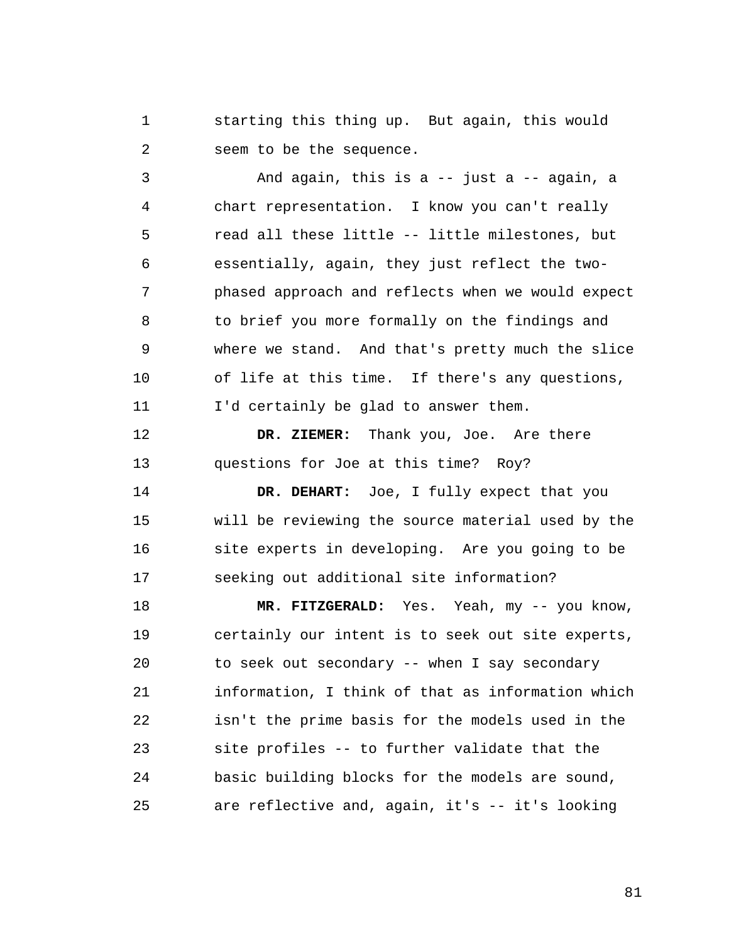1 2 starting this thing up. But again, this would seem to be the sequence.

3 4 5 6 7 8 9 10 11 And again, this is a -- just a -- again, a chart representation. I know you can't really read all these little -- little milestones, but essentially, again, they just reflect the twophased approach and reflects when we would expect to brief you more formally on the findings and where we stand. And that's pretty much the slice of life at this time. If there's any questions, I'd certainly be glad to answer them.

12 13 **DR. ZIEMER:** Thank you, Joe. Are there questions for Joe at this time? Roy?

14 15 16 17 **DR. DEHART:** Joe, I fully expect that you will be reviewing the source material used by the site experts in developing. Are you going to be seeking out additional site information?

18 19  $2.0$ 21 22 23 24 25 **MR. FITZGERALD:** Yes. Yeah, my -- you know, certainly our intent is to seek out site experts, to seek out secondary -- when I say secondary information, I think of that as information which isn't the prime basis for the models used in the site profiles -- to further validate that the basic building blocks for the models are sound, are reflective and, again, it's -- it's looking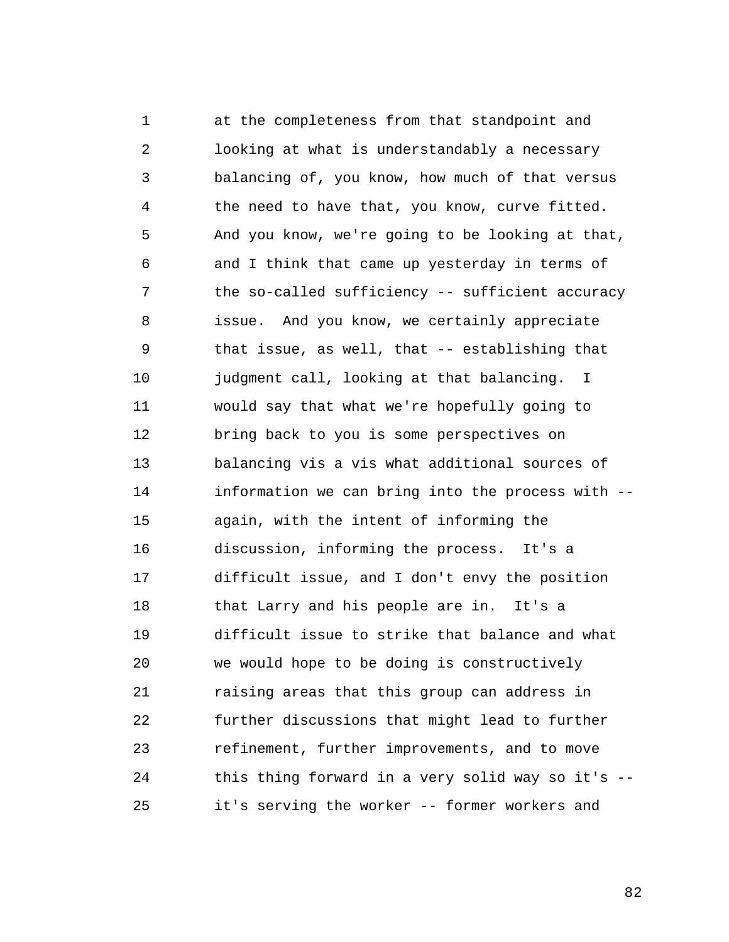1 2 3 4 5 6 7 8 9 10 11 12 13 14 15 16 17 18 19  $2.0$ 21 22 23 24 25 at the completeness from that standpoint and looking at what is understandably a necessary balancing of, you know, how much of that versus the need to have that, you know, curve fitted. And you know, we're going to be looking at that, and I think that came up yesterday in terms of the so-called sufficiency -- sufficient accuracy issue. And you know, we certainly appreciate that issue, as well, that -- establishing that judgment call, looking at that balancing. I would say that what we're hopefully going to bring back to you is some perspectives on balancing vis a vis what additional sources of information we can bring into the process with - again, with the intent of informing the discussion, informing the process. It's a difficult issue, and I don't envy the position that Larry and his people are in. It's a difficult issue to strike that balance and what we would hope to be doing is constructively raising areas that this group can address in further discussions that might lead to further refinement, further improvements, and to move this thing forward in a very solid way so it's - it's serving the worker -- former workers and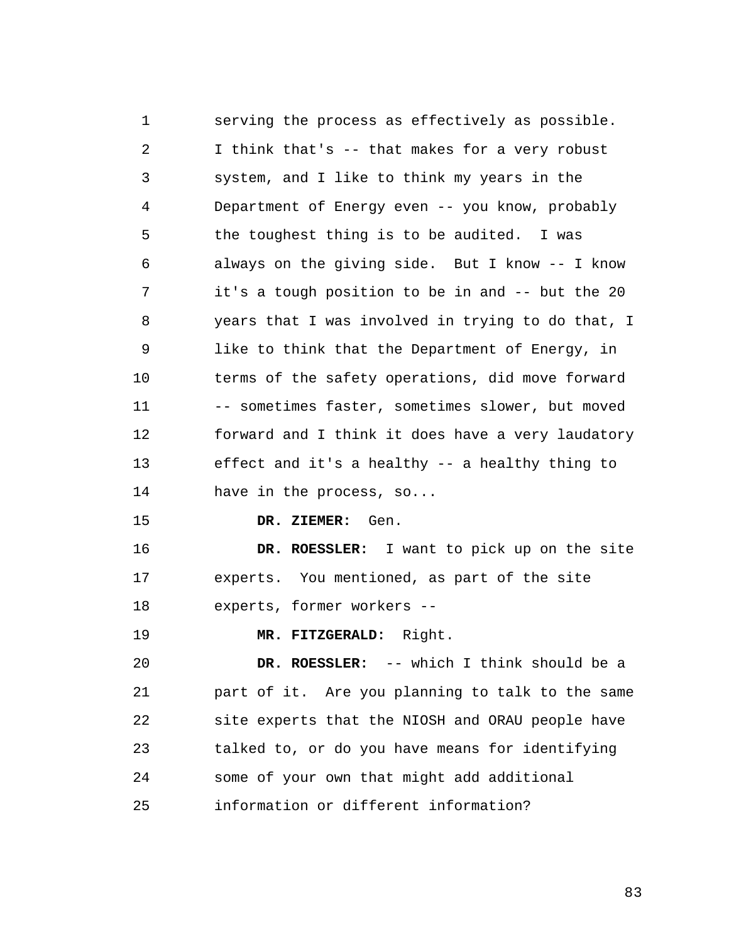1 2 3 4 5 6 7 8 9 10 11 12 13 14 serving the process as effectively as possible. I think that's -- that makes for a very robust system, and I like to think my years in the Department of Energy even -- you know, probably the toughest thing is to be audited. I was always on the giving side. But I know -- I know it's a tough position to be in and -- but the 20 years that I was involved in trying to do that, I like to think that the Department of Energy, in terms of the safety operations, did move forward -- sometimes faster, sometimes slower, but moved forward and I think it does have a very laudatory effect and it's a healthy -- a healthy thing to have in the process, so...

15 **DR. ZIEMER:** Gen.

16 17 18 **DR. ROESSLER:** I want to pick up on the site experts. You mentioned, as part of the site experts, former workers --

19 **MR. FITZGERALD:** Right.

 $2.0$ 21 22 23 24 25 **DR. ROESSLER:** -- which I think should be a part of it. Are you planning to talk to the same site experts that the NIOSH and ORAU people have talked to, or do you have means for identifying some of your own that might add additional information or different information?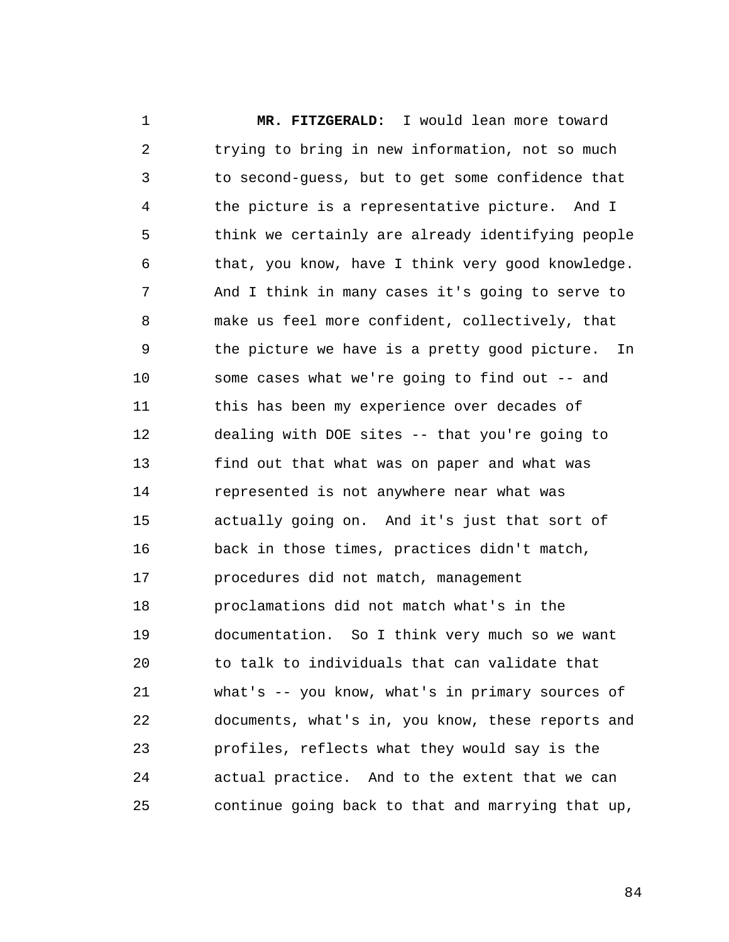1 2 3 4 5 6 7 8 9 10 11 12 13 14 15 16 17 18 19  $20^{\circ}$ 21 22 23 24 25 **MR. FITZGERALD:** I would lean more toward trying to bring in new information, not so much to second-guess, but to get some confidence that the picture is a representative picture. And I think we certainly are already identifying people that, you know, have I think very good knowledge. And I think in many cases it's going to serve to make us feel more confident, collectively, that the picture we have is a pretty good picture. In some cases what we're going to find out -- and this has been my experience over decades of dealing with DOE sites -- that you're going to find out that what was on paper and what was represented is not anywhere near what was actually going on. And it's just that sort of back in those times, practices didn't match, procedures did not match, management proclamations did not match what's in the documentation. So I think very much so we want to talk to individuals that can validate that what's -- you know, what's in primary sources of documents, what's in, you know, these reports and profiles, reflects what they would say is the actual practice. And to the extent that we can continue going back to that and marrying that up,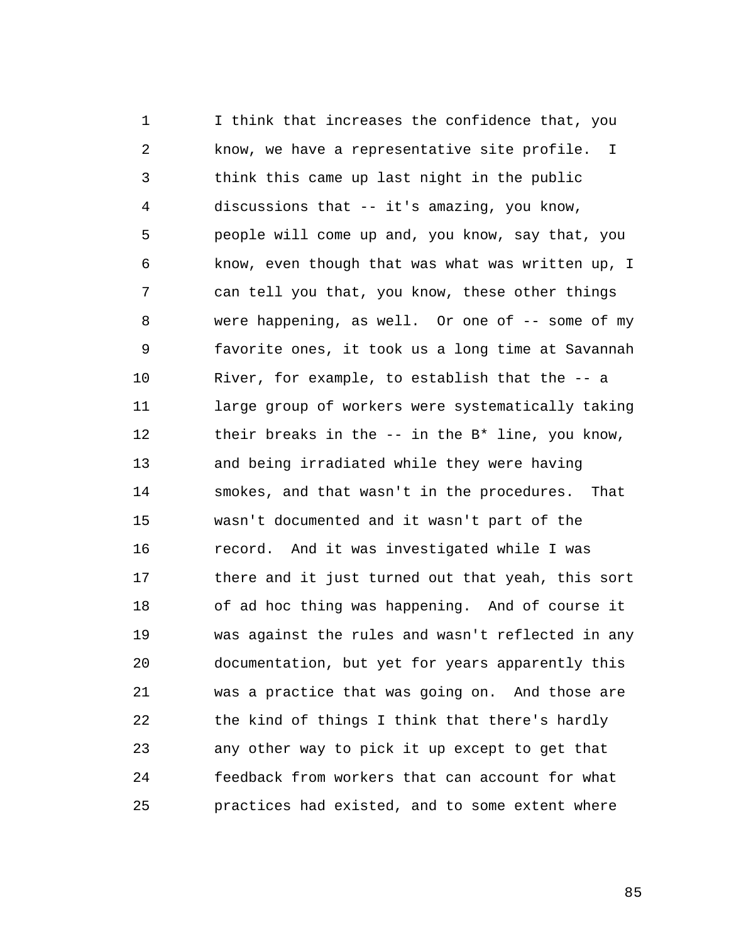1 2 3 4 5 6 7 8 9 10 11 12 13 14 15 16 17 18 19  $2.0$ 21 22 23 24 25 I think that increases the confidence that, you know, we have a representative site profile. I think this came up last night in the public discussions that -- it's amazing, you know, people will come up and, you know, say that, you know, even though that was what was written up, I can tell you that, you know, these other things were happening, as well. Or one of  $-$ - some of my favorite ones, it took us a long time at Savannah River, for example, to establish that the -- a large group of workers were systematically taking their breaks in the -- in the B\* line, you know, and being irradiated while they were having smokes, and that wasn't in the procedures. That wasn't documented and it wasn't part of the record. And it was investigated while I was there and it just turned out that yeah, this sort of ad hoc thing was happening. And of course it was against the rules and wasn't reflected in any documentation, but yet for years apparently this was a practice that was going on. And those are the kind of things I think that there's hardly any other way to pick it up except to get that feedback from workers that can account for what practices had existed, and to some extent where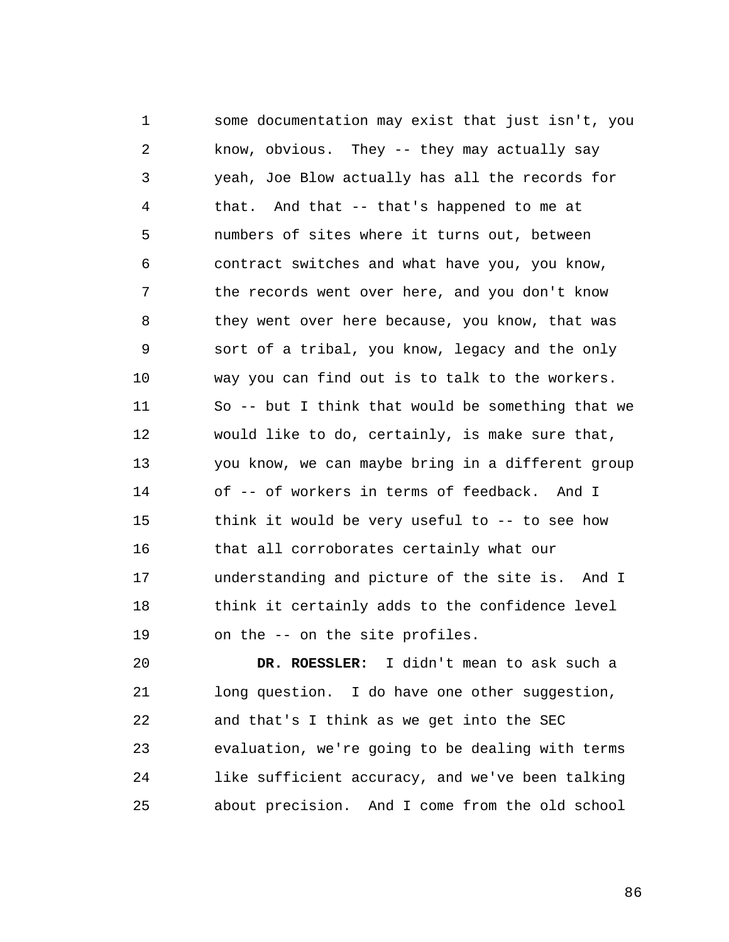1 2 3 4 5 6 7 8 9 10 11 12 13 14 15 16 17 18 19 some documentation may exist that just isn't, you know, obvious. They -- they may actually say yeah, Joe Blow actually has all the records for that. And that -- that's happened to me at numbers of sites where it turns out, between contract switches and what have you, you know, the records went over here, and you don't know they went over here because, you know, that was sort of a tribal, you know, legacy and the only way you can find out is to talk to the workers. So -- but I think that would be something that we would like to do, certainly, is make sure that, you know, we can maybe bring in a different group of -- of workers in terms of feedback. And I think it would be very useful to -- to see how that all corroborates certainly what our understanding and picture of the site is. And I think it certainly adds to the confidence level on the -- on the site profiles.

 $2.0$ 21 22 23 24 25 **DR. ROESSLER:** I didn't mean to ask such a long question. I do have one other suggestion, and that's I think as we get into the SEC evaluation, we're going to be dealing with terms like sufficient accuracy, and we've been talking about precision. And I come from the old school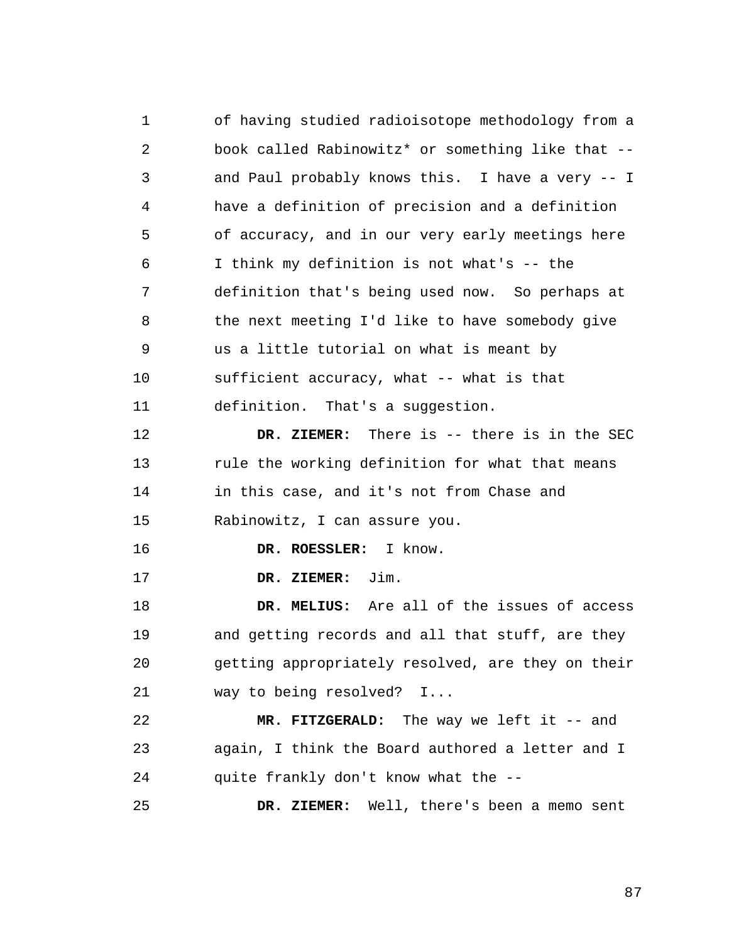1 2 3 4 5 6 7 8 9 10 11 of having studied radioisotope methodology from a book called Rabinowitz\* or something like that - and Paul probably knows this. I have a very -- I have a definition of precision and a definition of accuracy, and in our very early meetings here I think my definition is not what's -- the definition that's being used now. So perhaps at the next meeting I'd like to have somebody give us a little tutorial on what is meant by sufficient accuracy, what -- what is that definition. That's a suggestion.

12 13 14 15 **DR. ZIEMER:** There is -- there is in the SEC rule the working definition for what that means in this case, and it's not from Chase and Rabinowitz, I can assure you.

16 **DR. ROESSLER:** I know.

17 **DR. ZIEMER:** Jim.

25

18 19  $2.0$ 21 **DR. MELIUS:** Are all of the issues of access and getting records and all that stuff, are they getting appropriately resolved, are they on their way to being resolved? I...

22 23 24 **MR. FITZGERALD:** The way we left it -- and again, I think the Board authored a letter and I quite frankly don't know what the --

**DR. ZIEMER:** Well, there's been a memo sent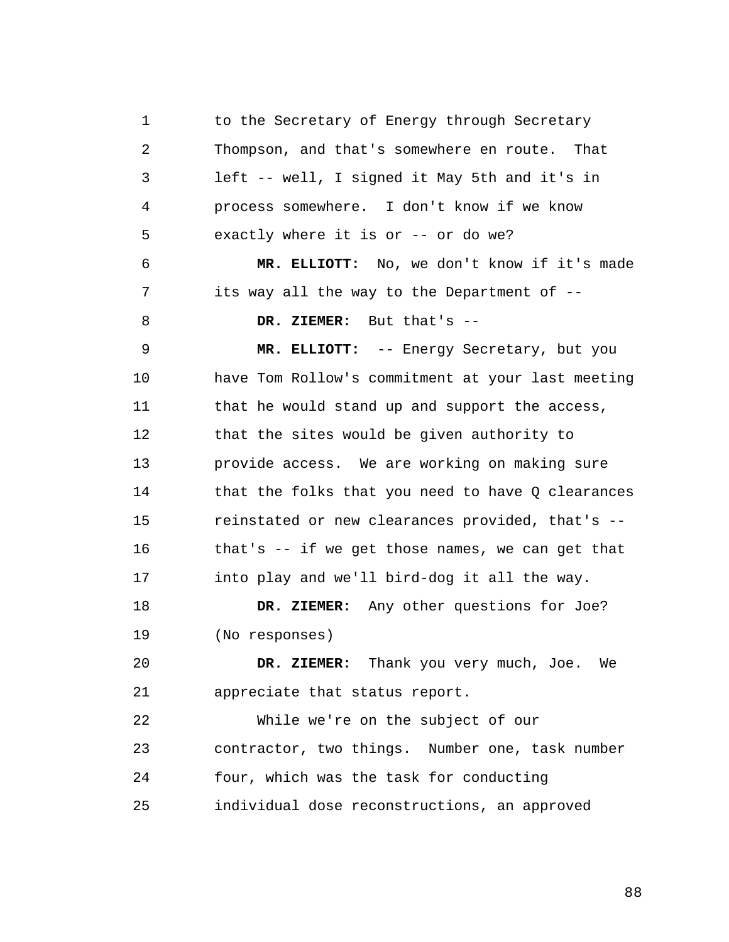1 2 3 4 5 6 7 8 9 10 11 12 13 14 15 16 17 18 19  $2.0$ 21 22 23 24 25 to the Secretary of Energy through Secretary Thompson, and that's somewhere en route. That left -- well, I signed it May 5th and it's in process somewhere. I don't know if we know exactly where it is or -- or do we? **MR. ELLIOTT:** No, we don't know if it's made its way all the way to the Department of -- **DR. ZIEMER:** But that's -- **MR. ELLIOTT:** -- Energy Secretary, but you have Tom Rollow's commitment at your last meeting that he would stand up and support the access, that the sites would be given authority to provide access. We are working on making sure that the folks that you need to have Q clearances reinstated or new clearances provided, that's - that's -- if we get those names, we can get that into play and we'll bird-dog it all the way. **DR. ZIEMER:** Any other questions for Joe? (No responses) **DR. ZIEMER:** Thank you very much, Joe. We appreciate that status report. While we're on the subject of our contractor, two things. Number one, task number four, which was the task for conducting individual dose reconstructions, an approved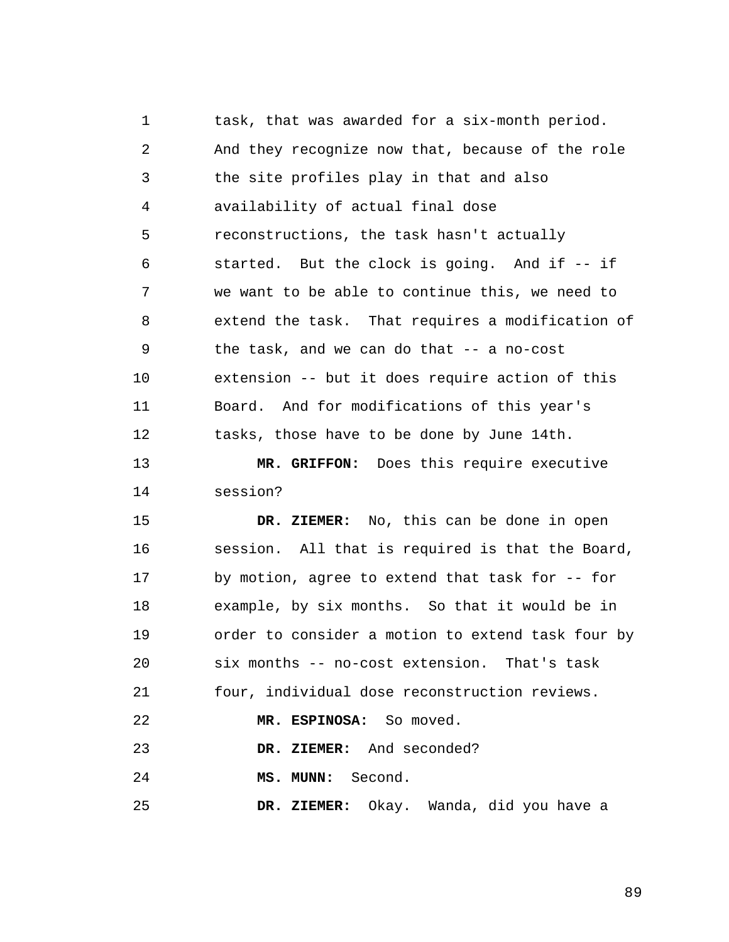1 2 3 4 5 6 7 8 9 10 11 12 13 14 15 16 17 18 19  $2.0$ 21 22 23 24 25 task, that was awarded for a six-month period. And they recognize now that, because of the role the site profiles play in that and also availability of actual final dose reconstructions, the task hasn't actually started. But the clock is going. And if -- if we want to be able to continue this, we need to extend the task. That requires a modification of the task, and we can do that -- a no-cost extension -- but it does require action of this Board. And for modifications of this year's tasks, those have to be done by June 14th. **MR. GRIFFON:** Does this require executive session? **DR. ZIEMER:** No, this can be done in open session. All that is required is that the Board, by motion, agree to extend that task for -- for example, by six months. So that it would be in order to consider a motion to extend task four by six months -- no-cost extension. That's task four, individual dose reconstruction reviews. **MR. ESPINOSA:** So moved. **DR. ZIEMER:** And seconded? **MS. MUNN:** Second. **DR. ZIEMER:** Okay. Wanda, did you have a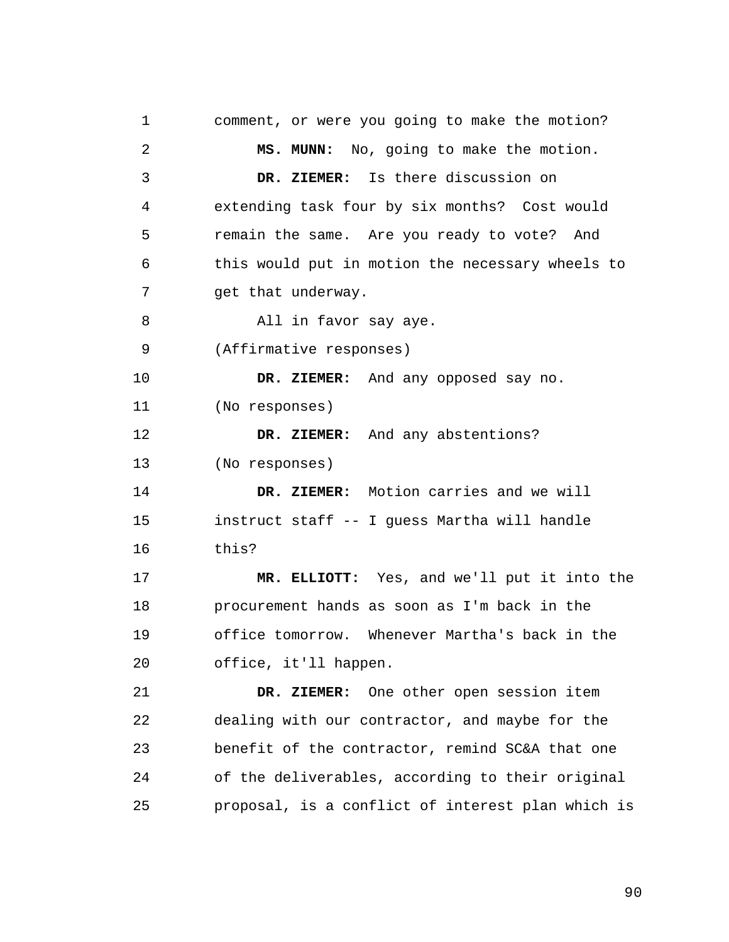1 2 3 4 5 6 7 8 9 10 11 12 13 14 15 16 17 18 19  $20^{\circ}$ 21 22 23 24 25 comment, or were you going to make the motion? **MS. MUNN:** No, going to make the motion. **DR. ZIEMER:** Is there discussion on extending task four by six months? Cost would remain the same. Are you ready to vote? And this would put in motion the necessary wheels to get that underway. All in favor say aye. (Affirmative responses) **DR. ZIEMER:** And any opposed say no. (No responses) **DR. ZIEMER:** And any abstentions? (No responses) **DR. ZIEMER:** Motion carries and we will instruct staff -- I guess Martha will handle this? **MR. ELLIOTT:** Yes, and we'll put it into the procurement hands as soon as I'm back in the office tomorrow. Whenever Martha's back in the office, it'll happen. **DR. ZIEMER:** One other open session item dealing with our contractor, and maybe for the benefit of the contractor, remind SC&A that one of the deliverables, according to their original proposal, is a conflict of interest plan which is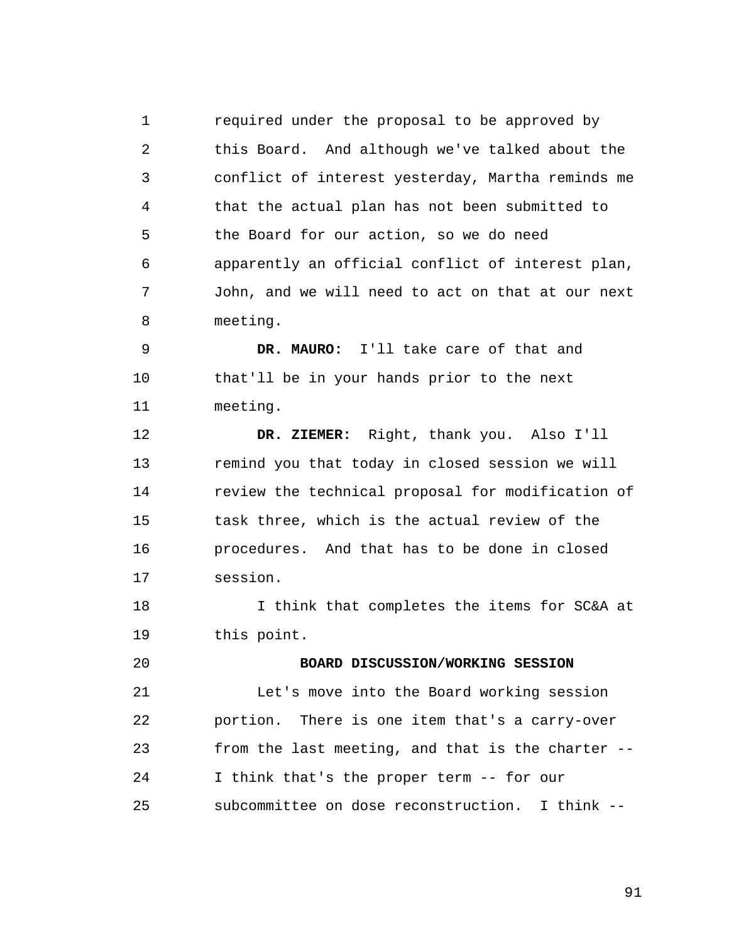1 2 3 4 5 6 7 8 required under the proposal to be approved by this Board. And although we've talked about the conflict of interest yesterday, Martha reminds me that the actual plan has not been submitted to the Board for our action, so we do need apparently an official conflict of interest plan, John, and we will need to act on that at our next meeting.

9 10 11 **DR. MAURO:** I'll take care of that and that'll be in your hands prior to the next meeting.

12 13 14 15 16 17 **DR. ZIEMER:** Right, thank you. Also I'll remind you that today in closed session we will review the technical proposal for modification of task three, which is the actual review of the procedures. And that has to be done in closed session.

18 19 I think that completes the items for SC&A at this point.

 $2.0$ 

## **BOARD DISCUSSION/WORKING SESSION**

21 22 23 24 25 Let's move into the Board working session portion. There is one item that's a carry-over from the last meeting, and that is the charter -- I think that's the proper term -- for our subcommittee on dose reconstruction. I think --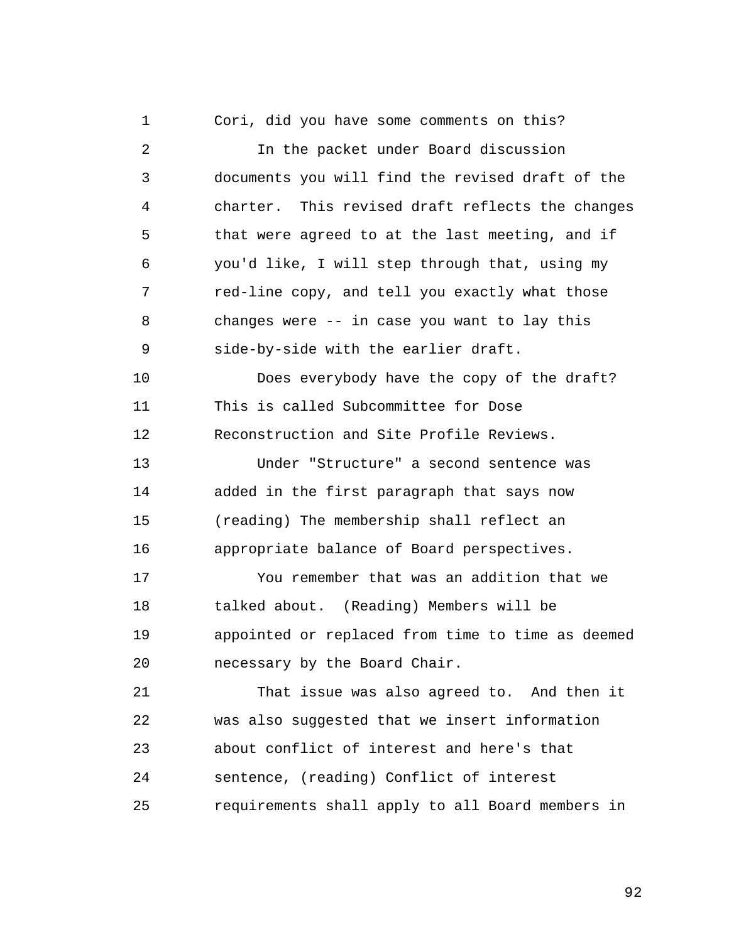1 2 3 4 5 6 7 8 9 10 11 12 13 14 15 16 17 18 19  $20^{\circ}$ 21 22 23 24 25 Cori, did you have some comments on this? In the packet under Board discussion documents you will find the revised draft of the charter. This revised draft reflects the changes that were agreed to at the last meeting, and if you'd like, I will step through that, using my red-line copy, and tell you exactly what those changes were -- in case you want to lay this side-by-side with the earlier draft. Does everybody have the copy of the draft? This is called Subcommittee for Dose Reconstruction and Site Profile Reviews. Under "Structure" a second sentence was added in the first paragraph that says now (reading) The membership shall reflect an appropriate balance of Board perspectives. You remember that was an addition that we talked about. (Reading) Members will be appointed or replaced from time to time as deemed necessary by the Board Chair. That issue was also agreed to. And then it was also suggested that we insert information about conflict of interest and here's that sentence, (reading) Conflict of interest requirements shall apply to all Board members in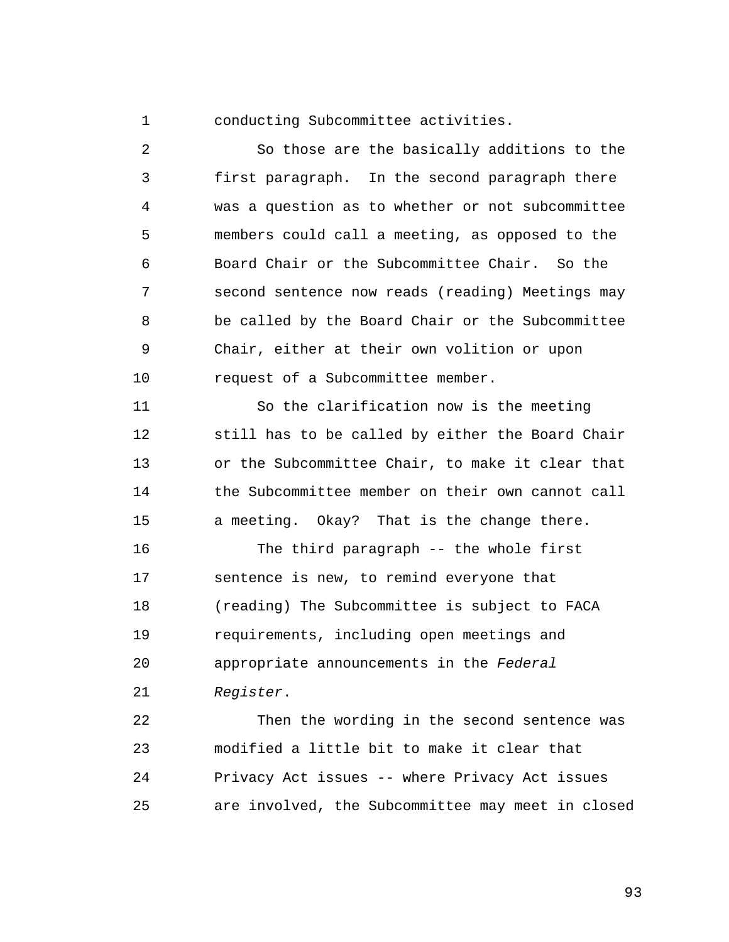1

conducting Subcommittee activities.

2 3 4 5 6 7 8 9 10 So those are the basically additions to the first paragraph. In the second paragraph there was a question as to whether or not subcommittee members could call a meeting, as opposed to the Board Chair or the Subcommittee Chair. So the second sentence now reads (reading) Meetings may be called by the Board Chair or the Subcommittee Chair, either at their own volition or upon request of a Subcommittee member.

11 12 13 14 15 So the clarification now is the meeting still has to be called by either the Board Chair or the Subcommittee Chair, to make it clear that the Subcommittee member on their own cannot call a meeting. Okay? That is the change there.

16 17 18 19  $2.0$ 21 The third paragraph -- the whole first sentence is new, to remind everyone that (reading) The Subcommittee is subject to FACA requirements, including open meetings and appropriate announcements in the *Federal Register*.

22 23 24 25 Then the wording in the second sentence was modified a little bit to make it clear that Privacy Act issues -- where Privacy Act issues are involved, the Subcommittee may meet in closed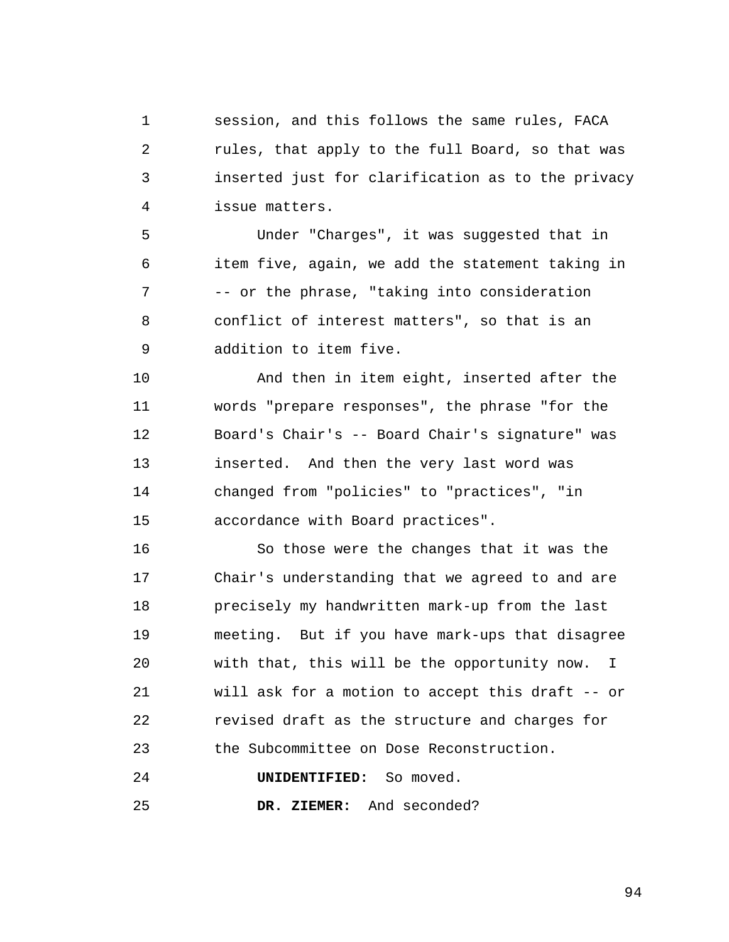1 2 3 4 session, and this follows the same rules, FACA rules, that apply to the full Board, so that was inserted just for clarification as to the privacy issue matters.

5 6 7 8 9 Under "Charges", it was suggested that in item five, again, we add the statement taking in -- or the phrase, "taking into consideration conflict of interest matters", so that is an addition to item five.

10 11 12 13 14 15 And then in item eight, inserted after the words "prepare responses", the phrase "for the Board's Chair's -- Board Chair's signature" was inserted. And then the very last word was changed from "policies" to "practices", "in accordance with Board practices".

16 17 18 19  $20^{\circ}$ 21 22 23 So those were the changes that it was the Chair's understanding that we agreed to and are precisely my handwritten mark-up from the last meeting. But if you have mark-ups that disagree with that, this will be the opportunity now. I will ask for a motion to accept this draft -- or revised draft as the structure and charges for the Subcommittee on Dose Reconstruction.

**UNIDENTIFIED:** So moved.

24

25 **DR. ZIEMER:** And seconded?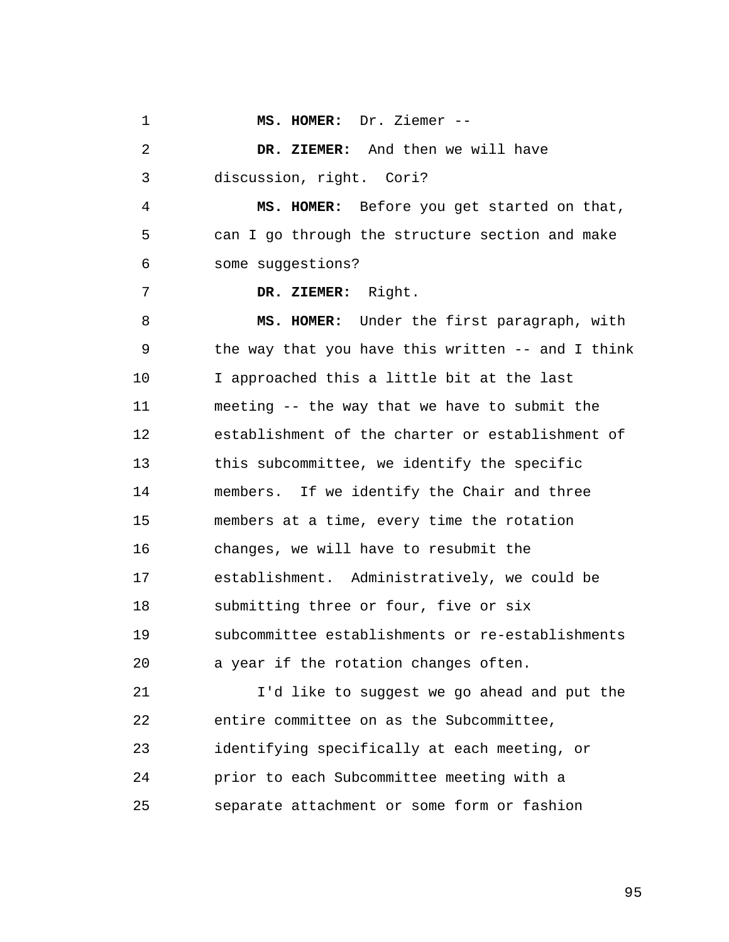1 2 3 4 5 6 7 8 9 10 11 12 13 14 15 16 17 18 19  $2.0$ 21 22 23 24 25 **MS. HOMER:** Dr. Ziemer -- **DR. ZIEMER:** And then we will have discussion, right. Cori? **MS. HOMER:** Before you get started on that, can I go through the structure section and make some suggestions? **DR. ZIEMER:** Right. **MS. HOMER:** Under the first paragraph, with the way that you have this written -- and I think I approached this a little bit at the last meeting -- the way that we have to submit the establishment of the charter or establishment of this subcommittee, we identify the specific members. If we identify the Chair and three members at a time, every time the rotation changes, we will have to resubmit the establishment. Administratively, we could be submitting three or four, five or six subcommittee establishments or re-establishments a year if the rotation changes often. I'd like to suggest we go ahead and put the entire committee on as the Subcommittee, identifying specifically at each meeting, or prior to each Subcommittee meeting with a separate attachment or some form or fashion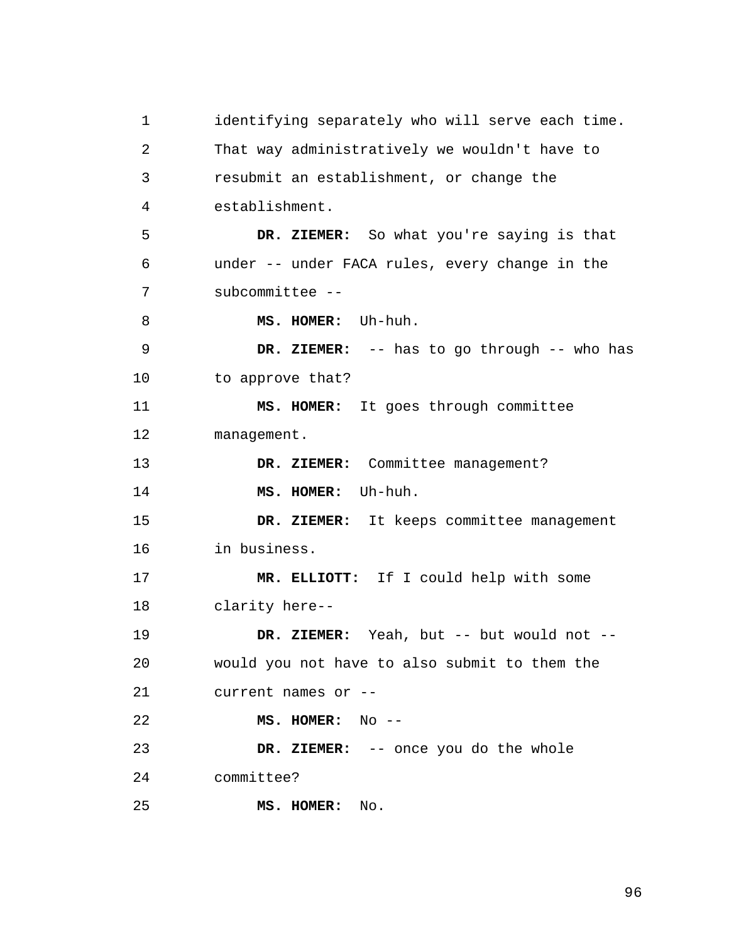1 2 3 4 5 6 7 8 9 10 11 12 13 14 15 16 17 18 19 20 21 22 23 24 25 identifying separately who will serve each time. That way administratively we wouldn't have to resubmit an establishment, or change the establishment. **DR. ZIEMER:** So what you're saying is that under -- under FACA rules, every change in the subcommittee -- **MS. HOMER:** Uh-huh. **DR. ZIEMER:** -- has to go through -- who has to approve that? **MS. HOMER:** It goes through committee management. **DR. ZIEMER:** Committee management? **MS. HOMER:** Uh-huh. DR. ZIEMER: It keeps committee management in business. **MR. ELLIOTT:** If I could help with some clarity here-- **DR. ZIEMER:** Yeah, but -- but would not - would you not have to also submit to them the current names or -- **MS. HOMER:** No -- **DR. ZIEMER:** -- once you do the whole committee? **MS. HOMER:** No.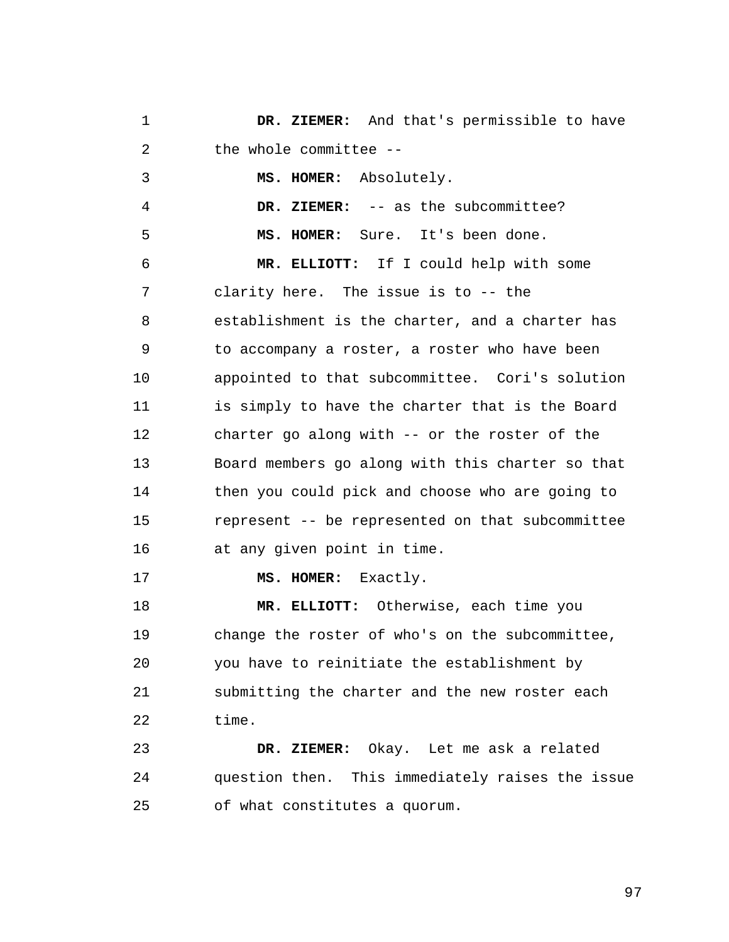1 2 **DR. ZIEMER:** And that's permissible to have the whole committee --

3 **MS. HOMER:** Absolutely.

5

17

4 **DR. ZIEMER:** -- as the subcommittee?

**MS. HOMER:** Sure. It's been done.

6 7 8 9 10 11 12 13 14 15 16 **MR. ELLIOTT:** If I could help with some clarity here. The issue is to -- the establishment is the charter, and a charter has to accompany a roster, a roster who have been appointed to that subcommittee. Cori's solution is simply to have the charter that is the Board charter go along with -- or the roster of the Board members go along with this charter so that then you could pick and choose who are going to represent -- be represented on that subcommittee at any given point in time.

**MS. HOMER:** Exactly.

18 19  $2.0$ 21 22 **MR. ELLIOTT:** Otherwise, each time you change the roster of who's on the subcommittee, you have to reinitiate the establishment by submitting the charter and the new roster each time.

23 24 25 **DR. ZIEMER:** Okay. Let me ask a related question then. This immediately raises the issue of what constitutes a quorum.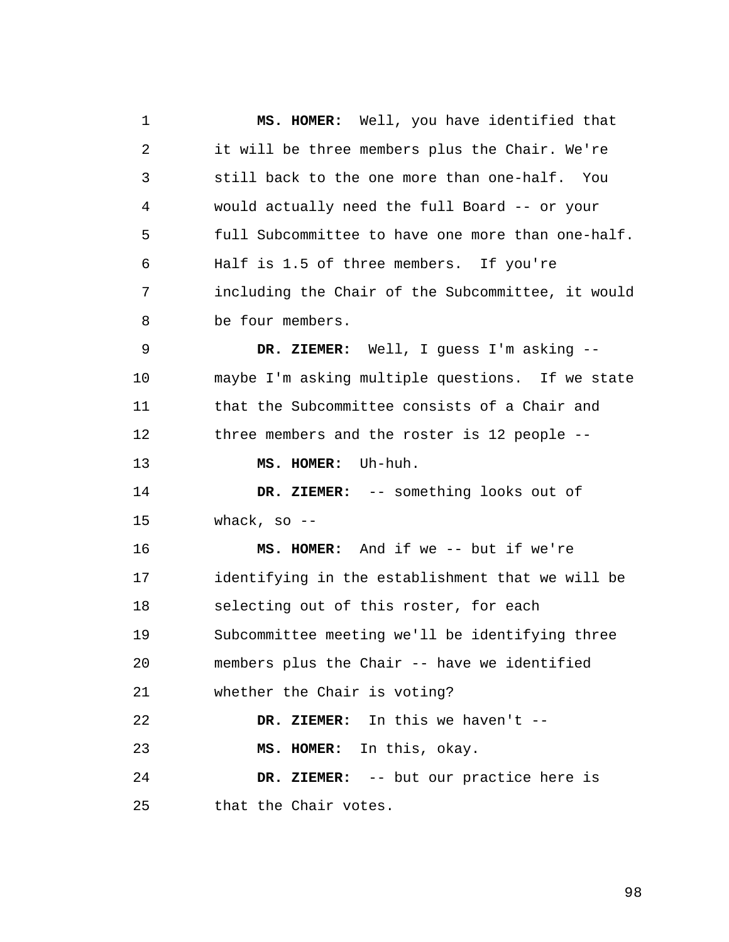1 2 3 4 5 6 7 8 9 10 11 12 13 14 15 16 17 18 19  $20^{\circ}$ 21 22 23 24 25 **MS. HOMER:** Well, you have identified that it will be three members plus the Chair. We're still back to the one more than one-half. You would actually need the full Board -- or your full Subcommittee to have one more than one-half. Half is 1.5 of three members. If you're including the Chair of the Subcommittee, it would be four members. **DR. ZIEMER:** Well, I guess I'm asking - maybe I'm asking multiple questions. If we state that the Subcommittee consists of a Chair and three members and the roster is 12 people -- **MS. HOMER:** Uh-huh. **DR. ZIEMER:** -- something looks out of whack, so  $-$ -**MS. HOMER:** And if we -- but if we're identifying in the establishment that we will be selecting out of this roster, for each Subcommittee meeting we'll be identifying three members plus the Chair -- have we identified whether the Chair is voting? **DR. ZIEMER:** In this we haven't -- **MS. HOMER:** In this, okay. **DR. ZIEMER:** -- but our practice here is that the Chair votes.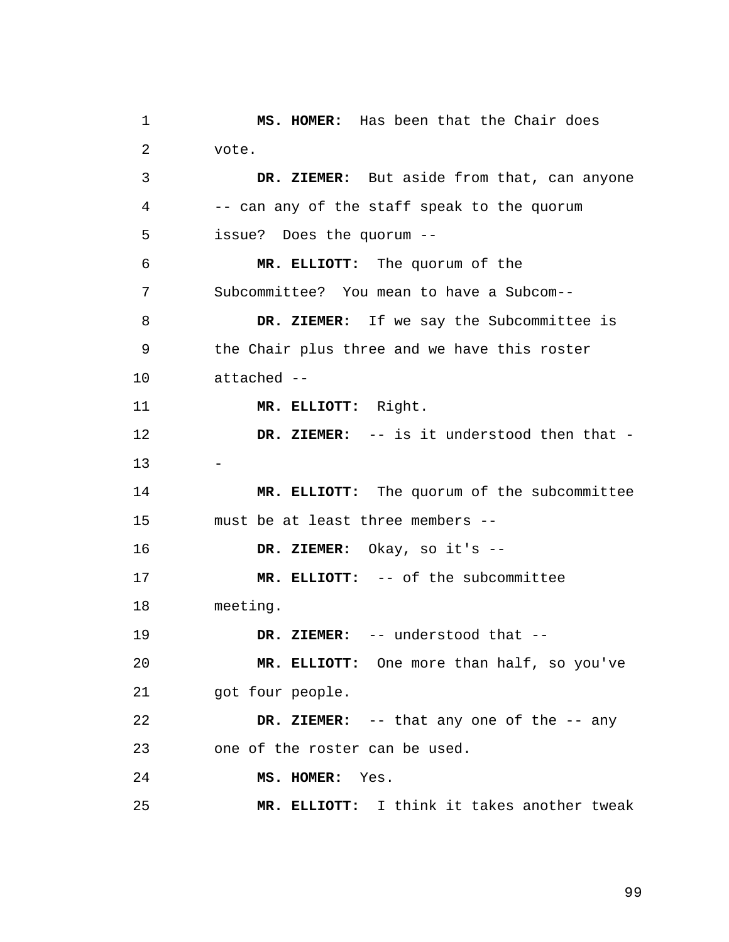1 2 3 4 5 6 7 8 9 10 11 12 13 14 15 16 17 18 19  $20^{\circ}$ 21 22 23 24 25 **MS. HOMER:** Has been that the Chair does vote. **DR. ZIEMER:** But aside from that, can anyone -- can any of the staff speak to the quorum issue? Does the quorum -- **MR. ELLIOTT:** The quorum of the Subcommittee? You mean to have a Subcom-- **DR. ZIEMER:** If we say the Subcommittee is the Chair plus three and we have this roster attached -- **MR. ELLIOTT:** Right. **DR. ZIEMER:** -- is it understood then that - - **MR. ELLIOTT:** The quorum of the subcommittee must be at least three members -- **DR. ZIEMER:** Okay, so it's -- **MR. ELLIOTT:** -- of the subcommittee meeting. **DR. ZIEMER:** -- understood that -- **MR. ELLIOTT:** One more than half, so you've got four people. **DR. ZIEMER:** -- that any one of the -- any one of the roster can be used. **MS. HOMER:** Yes. **MR. ELLIOTT:** I think it takes another tweak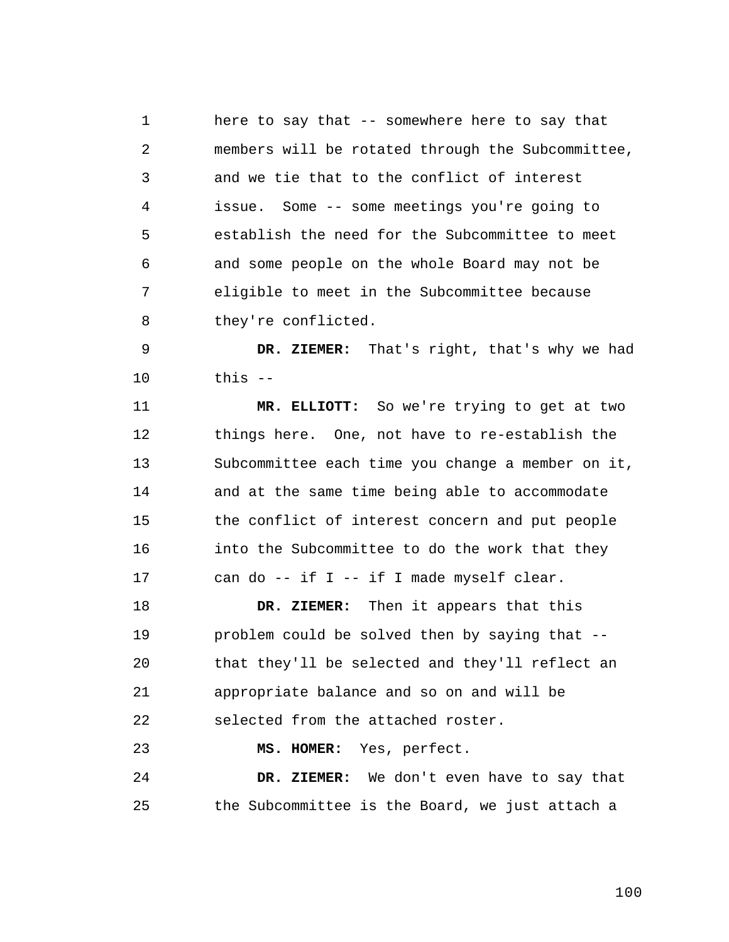1 2 3 4 5 6 7 8 here to say that -- somewhere here to say that members will be rotated through the Subcommittee, and we tie that to the conflict of interest issue. Some -- some meetings you're going to establish the need for the Subcommittee to meet and some people on the whole Board may not be eligible to meet in the Subcommittee because they're conflicted.

9 10 **DR. ZIEMER:** That's right, that's why we had this --

11 12 13 14 15 16 17 **MR. ELLIOTT:** So we're trying to get at two things here. One, not have to re-establish the Subcommittee each time you change a member on it, and at the same time being able to accommodate the conflict of interest concern and put people into the Subcommittee to do the work that they can do -- if I -- if I made myself clear.

18 19  $20^{\circ}$ 21 22 **DR. ZIEMER:** Then it appears that this problem could be solved then by saying that - that they'll be selected and they'll reflect an appropriate balance and so on and will be selected from the attached roster.

**MS. HOMER:** Yes, perfect.

23

24 25 **DR. ZIEMER:** We don't even have to say that the Subcommittee is the Board, we just attach a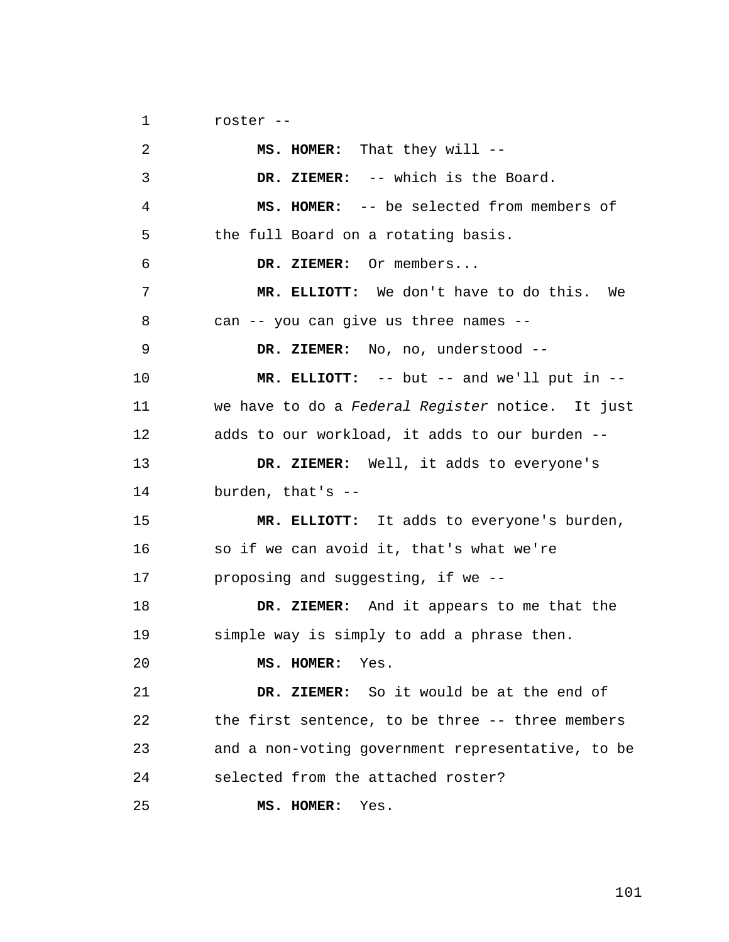1 roster --

| 2  | MS. HOMER: That they will --                       |
|----|----------------------------------------------------|
| 3  | DR. ZIEMER: -- which is the Board.                 |
| 4  | MS. HOMER: -- be selected from members of          |
| 5  | the full Board on a rotating basis.                |
| 6  | DR. ZIEMER: Or members                             |
| 7  | MR. ELLIOTT: We don't have to do this. We          |
| 8  | can -- you can give us three names --              |
| 9  | DR. ZIEMER: No, no, understood --                  |
| 10 | $MR.$ ELLIOTT: $--$ but $--$ and we'll put in $--$ |
| 11 | we have to do a Federal Register notice. It just   |
| 12 | adds to our workload, it adds to our burden --     |
| 13 | DR. ZIEMER: Well, it adds to everyone's            |
| 14 | burden, that's $-$                                 |
| 15 | MR. ELLIOTT: It adds to everyone's burden,         |
| 16 | so if we can avoid it, that's what we're           |
| 17 | proposing and suggesting, if we --                 |
| 18 | DR. ZIEMER: And it appears to me that the          |
| 19 | simple way is simply to add a phrase then.         |
| 20 | MS. HOMER: Yes.                                    |
| 21 | DR. ZIEMER: So it would be at the end of           |
| 22 | the first sentence, to be three -- three members   |
| 23 | and a non-voting government representative, to be  |
| 24 | selected from the attached roster?                 |
| 25 | MS. HOMER:<br>Yes.                                 |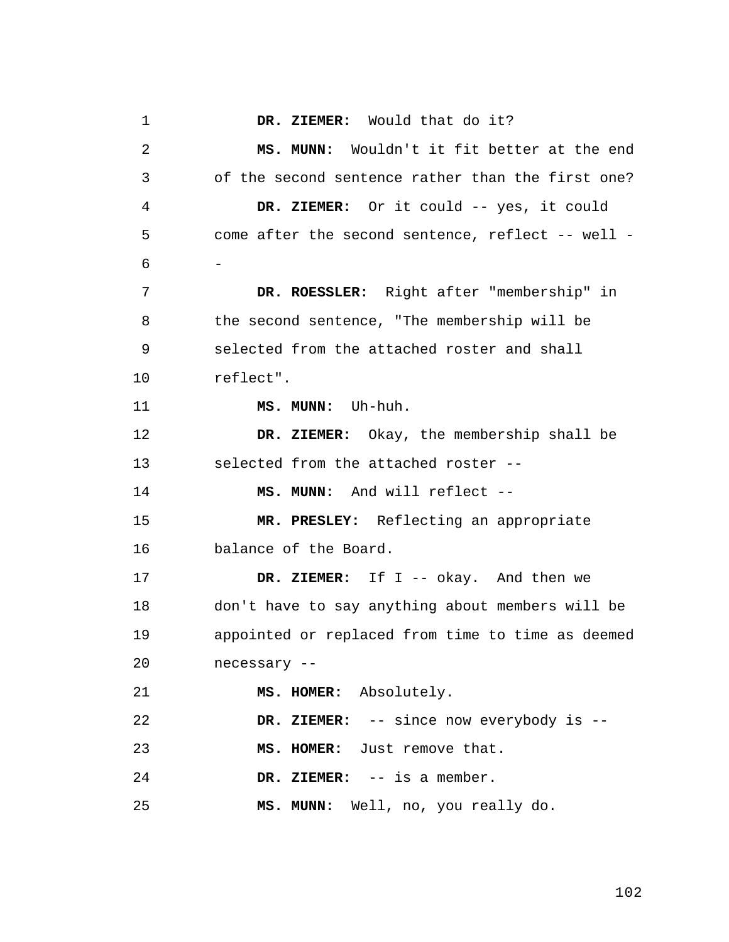1 2 3 4 5 6 7 8 9 10 11 12 13 14 15 16 17 18 19  $20^{\circ}$ 21 22 23 24 25 **DR. ZIEMER:** Would that do it? **MS. MUNN:** Wouldn't it fit better at the end of the second sentence rather than the first one? **DR. ZIEMER:** Or it could -- yes, it could come after the second sentence, reflect -- well - - **DR. ROESSLER:** Right after "membership" in the second sentence, "The membership will be selected from the attached roster and shall reflect". **MS. MUNN:** Uh-huh. **DR. ZIEMER:** Okay, the membership shall be selected from the attached roster -- **MS. MUNN:** And will reflect -- **MR. PRESLEY:** Reflecting an appropriate balance of the Board. **DR. ZIEMER:** If I -- okay. And then we don't have to say anything about members will be appointed or replaced from time to time as deemed necessary -- **MS. HOMER:** Absolutely. **DR. ZIEMER:** -- since now everybody is -- **MS. HOMER:** Just remove that. **DR. ZIEMER:** -- is a member. **MS. MUNN:** Well, no, you really do.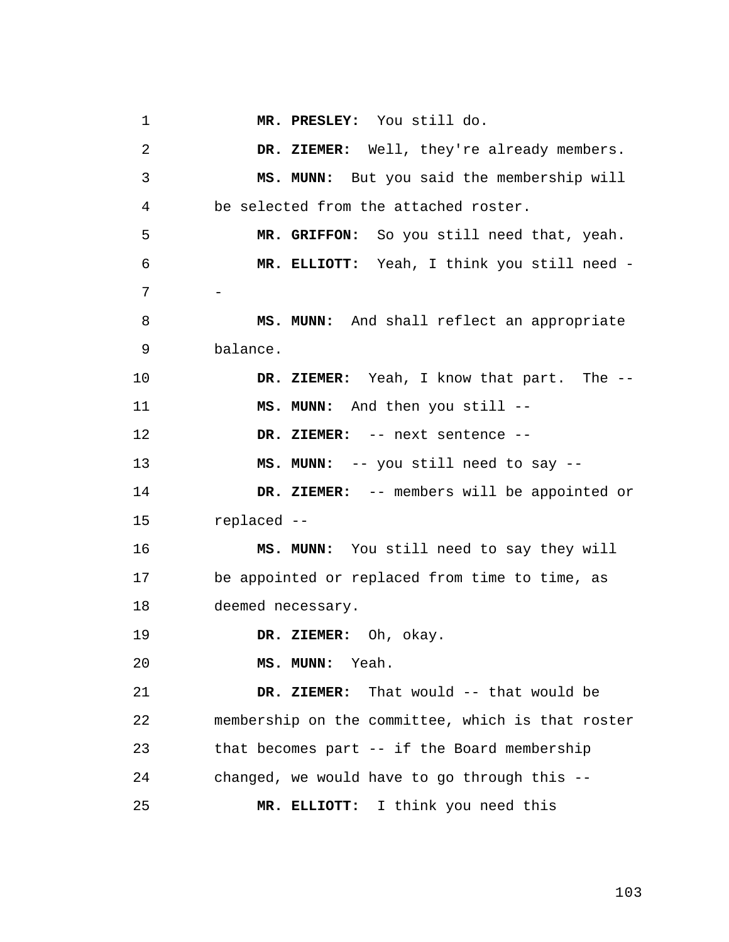```
1 
 2 
 3 
 4 
 5 
 6 
 7 
 8 
 9 
10 
11 
12 
13 
14 
15 
16 
17 
18 
19 
2.021 
22 
23 
24 
25 
               MR. PRESLEY: You still do. 
               DR. ZIEMER: Well, they're already members. 
               MS. MUNN: But you said the membership will 
          be selected from the attached roster. 
               MR. GRIFFON: So you still need that, yeah. 
               MR. ELLIOTT: Yeah, I think you still need -
          -
               MS. MUNN: And shall reflect an appropriate 
          balance. 
               DR. ZIEMER: Yeah, I know that part. The --
               MS. MUNN: And then you still --
               DR. ZIEMER: -- next sentence --
               MS. MUNN: -- you still need to say --
               DR. ZIEMER: -- members will be appointed or 
          replaced --
               MS. MUNN: You still need to say they will 
          be appointed or replaced from time to time, as 
          deemed necessary. 
               DR. ZIEMER: Oh, okay. 
               MS. MUNN: Yeah. 
               DR. ZIEMER: That would -- that would be 
          membership on the committee, which is that roster 
          that becomes part -- if the Board membership 
          changed, we would have to go through this --
               MR. ELLIOTT: I think you need this
```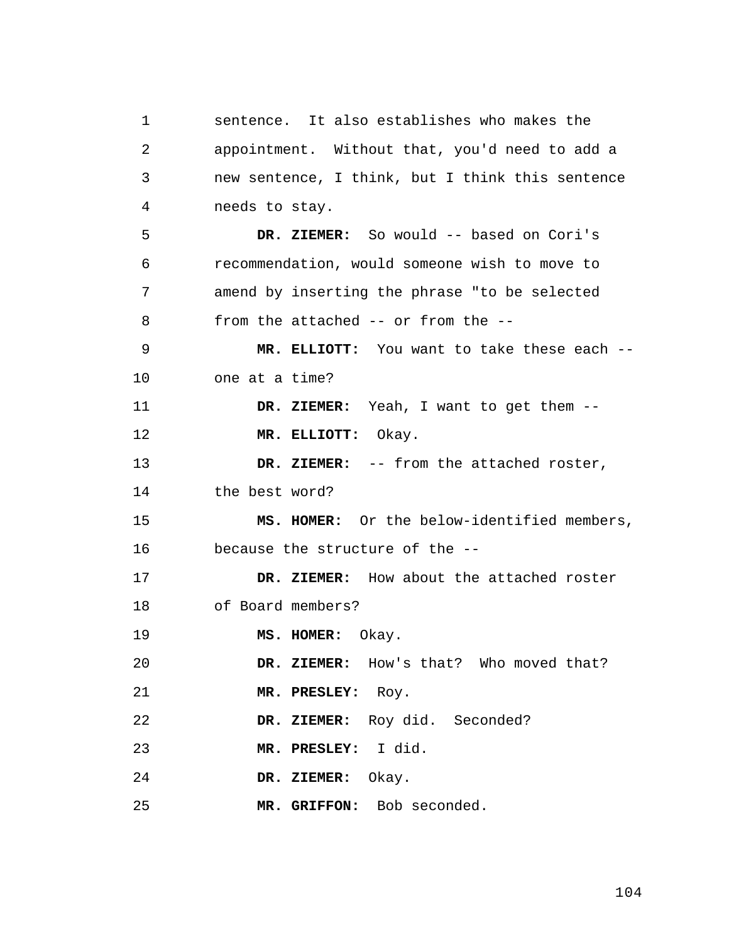1 2 3 4 5 6 7 8 9 10 11 12 13 14 15 16 17 18 19  $20^{\circ}$ 21 22 23 24 25 sentence. It also establishes who makes the appointment. Without that, you'd need to add a new sentence, I think, but I think this sentence needs to stay. **DR. ZIEMER:** So would -- based on Cori's recommendation, would someone wish to move to amend by inserting the phrase "to be selected from the attached -- or from the -- **MR. ELLIOTT:** You want to take these each - one at a time? **DR. ZIEMER:** Yeah, I want to get them -- **MR. ELLIOTT:** Okay. **DR. ZIEMER:** -- from the attached roster, the best word? **MS. HOMER:** Or the below-identified members, because the structure of the -- **DR. ZIEMER:** How about the attached roster of Board members? **MS. HOMER:** Okay. **DR. ZIEMER:** How's that? Who moved that? **MR. PRESLEY:** Roy. **DR. ZIEMER:** Roy did. Seconded? **MR. PRESLEY:** I did. **DR. ZIEMER:** Okay. **MR. GRIFFON:** Bob seconded.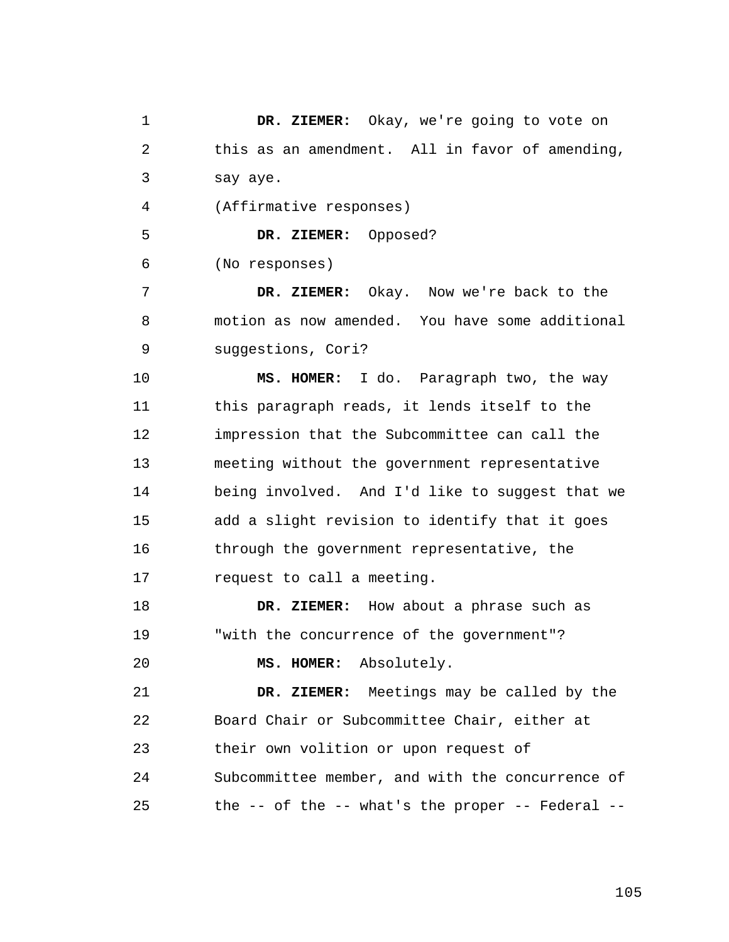1 2 3 **DR. ZIEMER:** Okay, we're going to vote on this as an amendment. All in favor of amending, say aye.

4 (Affirmative responses)

5 6 **DR. ZIEMER:** Opposed? (No responses)

7 8 9 **DR. ZIEMER:** Okay. Now we're back to the motion as now amended. You have some additional suggestions, Cori?

10 11 12 13 14 15 16 17 **MS. HOMER:** I do. Paragraph two, the way this paragraph reads, it lends itself to the impression that the Subcommittee can call the meeting without the government representative being involved. And I'd like to suggest that we add a slight revision to identify that it goes through the government representative, the request to call a meeting.

18 19 **DR. ZIEMER:** How about a phrase such as "with the concurrence of the government"?

**MS. HOMER:** Absolutely.

 $2.0$ 

21 22 23 24 25 **DR. ZIEMER:** Meetings may be called by the Board Chair or Subcommittee Chair, either at their own volition or upon request of Subcommittee member, and with the concurrence of the  $-$ - of the  $-$ - what's the proper  $-$ - Federal  $-$ -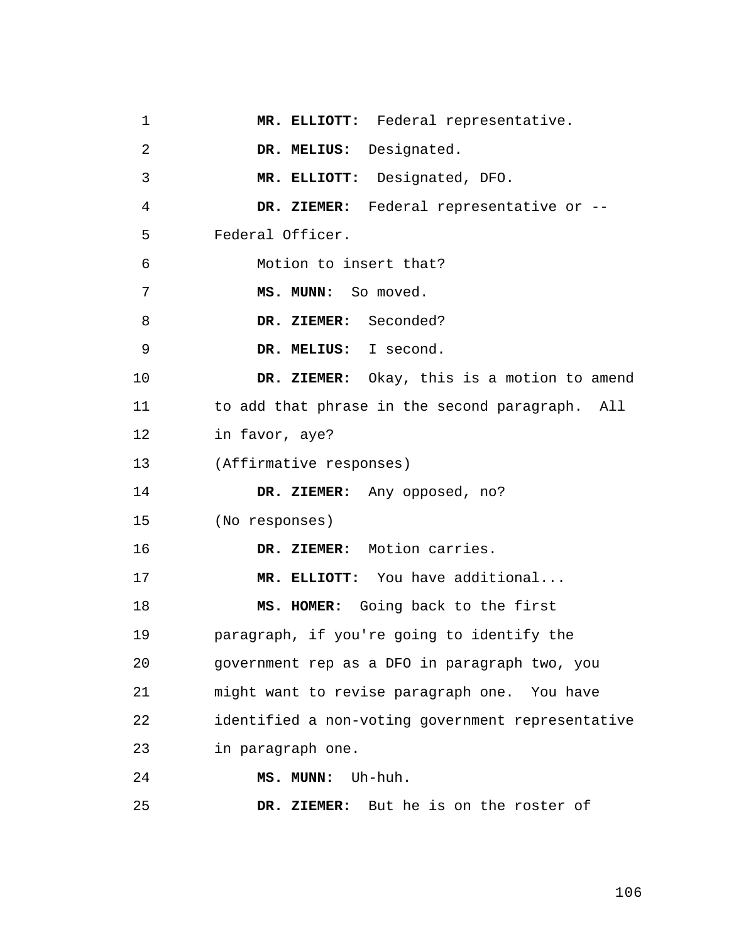| $\mathbf 1$ | MR. ELLIOTT: Federal representative.              |
|-------------|---------------------------------------------------|
| 2           | DR. MELIUS: Designated.                           |
| 3           | MR. ELLIOTT: Designated, DFO.                     |
| 4           | DR. ZIEMER: Federal representative or --          |
| 5           | Federal Officer.                                  |
| 6           | Motion to insert that?                            |
| 7           | MS. MUNN: So moved.                               |
| 8           | DR. ZIEMER: Seconded?                             |
| 9           | DR. MELIUS: I second.                             |
| 10          | DR. ZIEMER: Okay, this is a motion to amend       |
| 11          | to add that phrase in the second paragraph. All   |
| 12          | in favor, aye?                                    |
| 13          | (Affirmative responses)                           |
| 14          | DR. ZIEMER: Any opposed, no?                      |
| 15          | (No responses)                                    |
| 16          | DR. ZIEMER: Motion carries.                       |
| 17          | MR. ELLIOTT: You have additional                  |
| 18          | MS. HOMER: Going back to the first                |
| 19          | paragraph, if you're going to identify the        |
| 20          | government rep as a DFO in paragraph two, you     |
| 21          | might want to revise paragraph one. You have      |
| 22          | identified a non-voting government representative |
| 23          | in paragraph one.                                 |
| 24          | MS. MUNN: Uh-huh.                                 |
| 25          | DR. ZIEMER: But he is on the roster of            |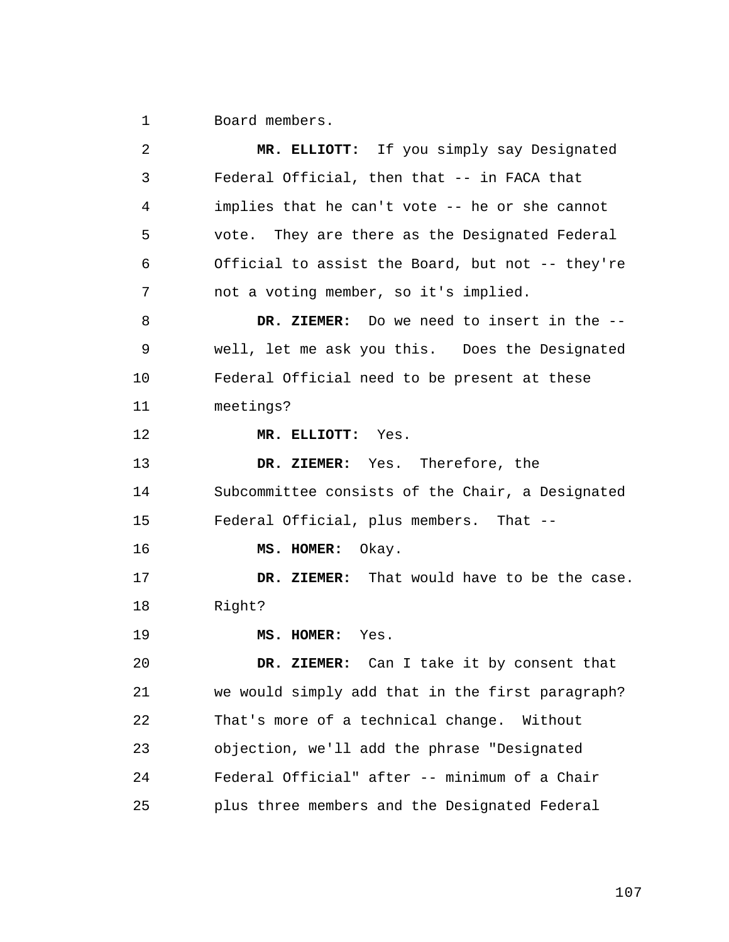1 Board members.

| 2  | MR. ELLIOTT: If you simply say Designated        |
|----|--------------------------------------------------|
| 3  | Federal Official, then that -- in FACA that      |
| 4  | implies that he can't vote -- he or she cannot   |
| 5  | vote. They are there as the Designated Federal   |
| 6  | Official to assist the Board, but not -- they're |
| 7  | not a voting member, so it's implied.            |
| 8  | DR. ZIEMER: Do we need to insert in the --       |
| 9  | well, let me ask you this. Does the Designated   |
| 10 | Federal Official need to be present at these     |
| 11 | meetings?                                        |
| 12 | MR. ELLIOTT: Yes.                                |
| 13 | DR. ZIEMER: Yes. Therefore, the                  |
| 14 | Subcommittee consists of the Chair, a Designated |
| 15 | Federal Official, plus members. That --          |
| 16 | Okay.<br>MS. HOMER:                              |
| 17 | DR. ZIEMER: That would have to be the case.      |
| 18 | Right?                                           |
| 19 | MS. HOMER: Yes.                                  |
| 20 | DR. ZIEMER: Can I take it by consent that        |
| 21 | we would simply add that in the first paragraph? |
| 22 | That's more of a technical change. Without       |
| 23 | objection, we'll add the phrase "Designated      |
| 24 | Federal Official" after -- minimum of a Chair    |
| 25 | plus three members and the Designated Federal    |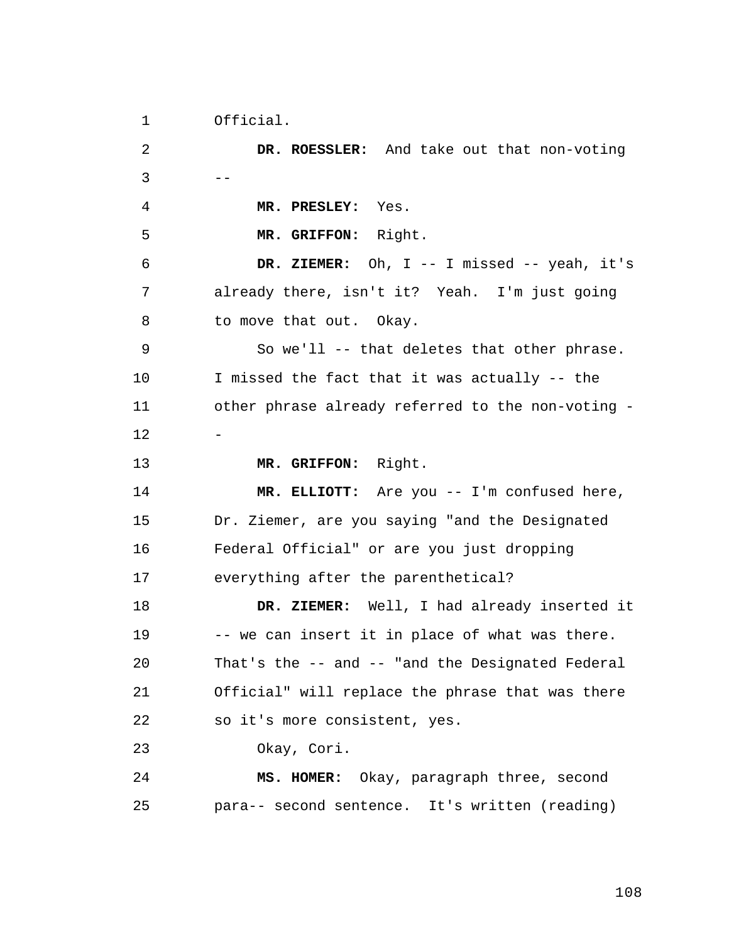1 Official.

2  $3 \qquad --$ 4 5 6 7 8 9 10 11 12 13 14 15 16 17 18 19  $20^{\circ}$ 21 22 23 24 25 **DR. ROESSLER:** And take out that non-voting **MR. PRESLEY:** Yes. **MR. GRIFFON:** Right. **DR. ZIEMER:** Oh, I -- I missed -- yeah, it's already there, isn't it? Yeah. I'm just going to move that out. Okay. So we'll -- that deletes that other phrase. I missed the fact that it was actually -- the other phrase already referred to the non-voting - - **MR. GRIFFON:** Right. **MR. ELLIOTT:** Are you -- I'm confused here, Dr. Ziemer, are you saying "and the Designated Federal Official" or are you just dropping everything after the parenthetical? **DR. ZIEMER:** Well, I had already inserted it -- we can insert it in place of what was there. That's the -- and -- "and the Designated Federal Official" will replace the phrase that was there so it's more consistent, yes. Okay, Cori. **MS. HOMER:** Okay, paragraph three, second para-- second sentence. It's written (reading)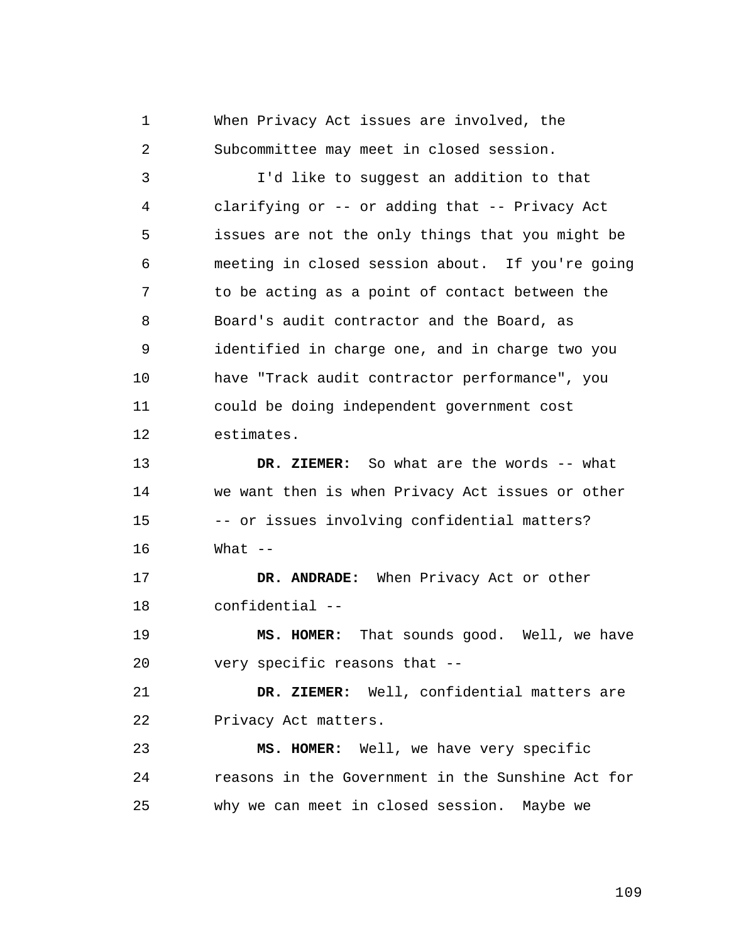1 2 When Privacy Act issues are involved, the Subcommittee may meet in closed session.

3 4 5 6 7 8 9 10 11 12 I'd like to suggest an addition to that clarifying or -- or adding that -- Privacy Act issues are not the only things that you might be meeting in closed session about. If you're going to be acting as a point of contact between the Board's audit contractor and the Board, as identified in charge one, and in charge two you have "Track audit contractor performance", you could be doing independent government cost estimates.

13 14 15 16 **DR. ZIEMER:** So what are the words -- what we want then is when Privacy Act issues or other -- or issues involving confidential matters? What  $--$ 

17 18 **DR. ANDRADE:** When Privacy Act or other confidential --

19  $20^{\circ}$ **MS. HOMER:** That sounds good. Well, we have very specific reasons that --

21 22 **DR. ZIEMER:** Well, confidential matters are Privacy Act matters.

23 24 25 **MS. HOMER:** Well, we have very specific reasons in the Government in the Sunshine Act for why we can meet in closed session. Maybe we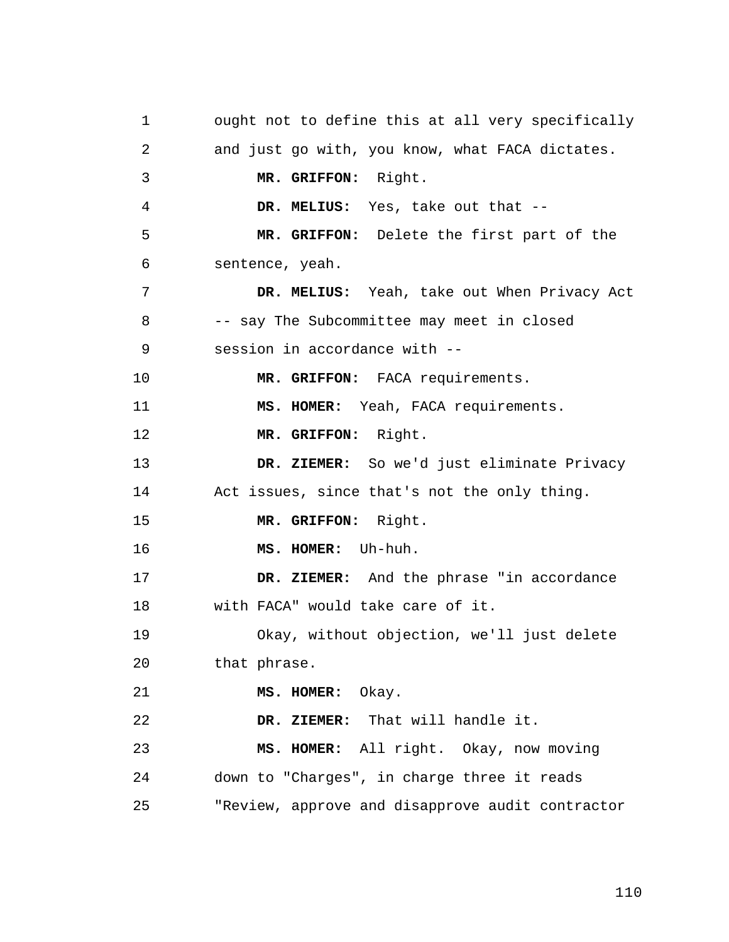```
1 
 2 
 3 
 4 
 5 
 6 
 7 
 8 
 9 
10 
11 
12 
13 
14 
15 
16 
17 
18 
19 
20^{\circ}21 
22 
23 
24 
25 
          ought not to define this at all very specifically 
          and just go with, you know, what FACA dictates. 
               MR. GRIFFON: Right. 
               DR. MELIUS: Yes, take out that --
               MR. GRIFFON: Delete the first part of the 
          sentence, yeah. 
               DR. MELIUS: Yeah, take out When Privacy Act 
          -- say The Subcommittee may meet in closed 
          session in accordance with --
               MR. GRIFFON: FACA requirements. 
               MS. HOMER: Yeah, FACA requirements. 
               MR. GRIFFON: Right. 
               DR. ZIEMER: So we'd just eliminate Privacy 
          Act issues, since that's not the only thing. 
               MR. GRIFFON: Right. 
               MS. HOMER: Uh-huh. 
               DR. ZIEMER: And the phrase "in accordance 
          with FACA" would take care of it. 
               Okay, without objection, we'll just delete 
          that phrase. 
               MS. HOMER: Okay. 
               DR. ZIEMER: That will handle it. 
               MS. HOMER: All right. Okay, now moving 
          down to "Charges", in charge three it reads 
          "Review, approve and disapprove audit contractor
```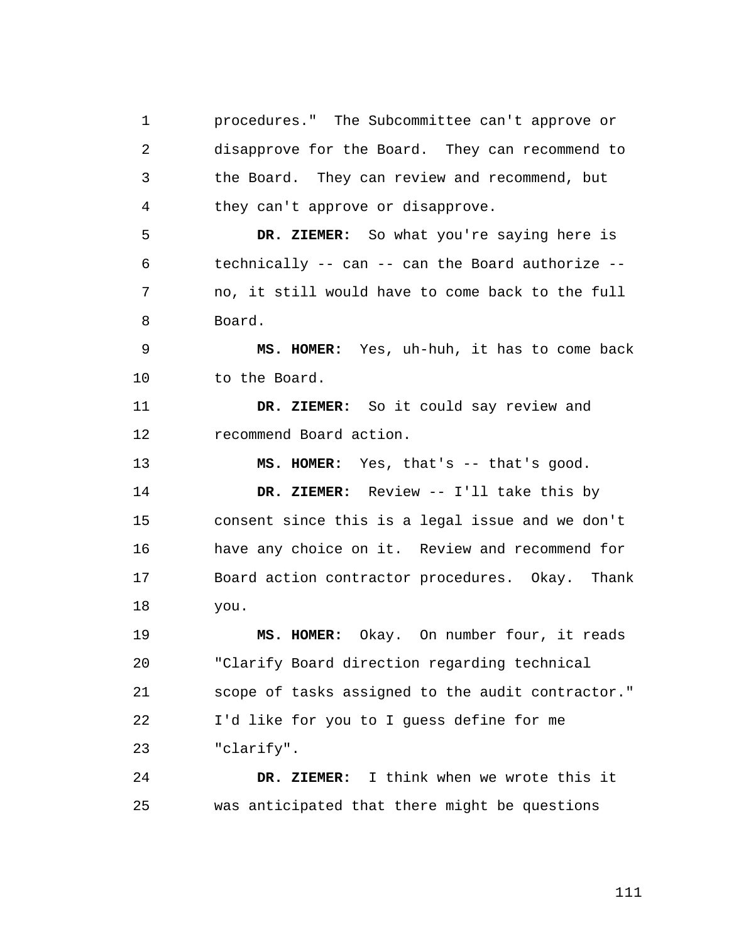1 2 3 4 procedures." The Subcommittee can't approve or disapprove for the Board. They can recommend to the Board. They can review and recommend, but they can't approve or disapprove.

5 6 7 8 **DR. ZIEMER:** So what you're saying here is technically -- can -- can the Board authorize - no, it still would have to come back to the full Board.

9 10 **MS. HOMER:** Yes, uh-huh, it has to come back to the Board.

11 12 **DR. ZIEMER:** So it could say review and recommend Board action.

13 **MS. HOMER:** Yes, that's -- that's good.

14 15 16 17 18 **DR. ZIEMER:** Review -- I'll take this by consent since this is a legal issue and we don't have any choice on it. Review and recommend for Board action contractor procedures. Okay. Thank you.

19  $20^{\circ}$ 21 22 23 **MS. HOMER:** Okay. On number four, it reads "Clarify Board direction regarding technical scope of tasks assigned to the audit contractor." I'd like for you to I guess define for me "clarify".

24 25 **DR. ZIEMER:** I think when we wrote this it was anticipated that there might be questions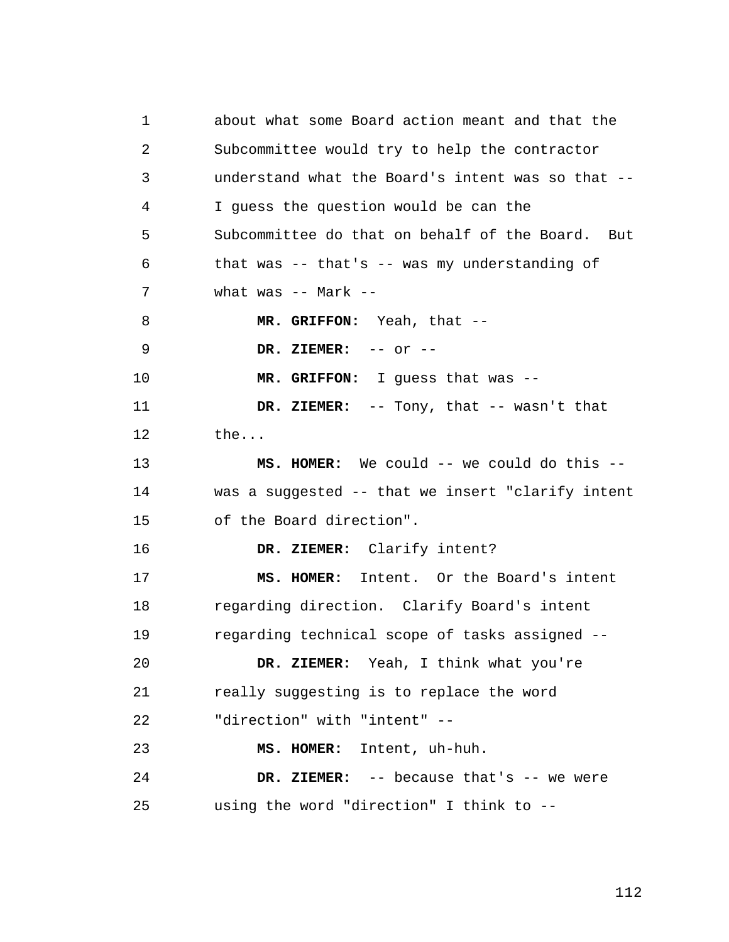1 2 3 4 5 6 7 8 9 10 11 12 13 14 15 16 17 18 19  $2.0$ 21 22 23 24 25 about what some Board action meant and that the Subcommittee would try to help the contractor understand what the Board's intent was so that -- I guess the question would be can the Subcommittee do that on behalf of the Board. But that was -- that's -- was my understanding of what was  $--$  Mark  $--$ **MR. GRIFFON:** Yeah, that -- **DR. ZIEMER:** -- or -- **MR. GRIFFON:** I guess that was -- **DR. ZIEMER:** -- Tony, that -- wasn't that the... **MS. HOMER:** We could -- we could do this - was a suggested -- that we insert "clarify intent of the Board direction". **DR. ZIEMER:** Clarify intent? **MS. HOMER:** Intent. Or the Board's intent regarding direction. Clarify Board's intent regarding technical scope of tasks assigned -- **DR. ZIEMER:** Yeah, I think what you're really suggesting is to replace the word "direction" with "intent" -- **MS. HOMER:** Intent, uh-huh. **DR. ZIEMER:** -- because that's -- we were using the word "direction" I think to --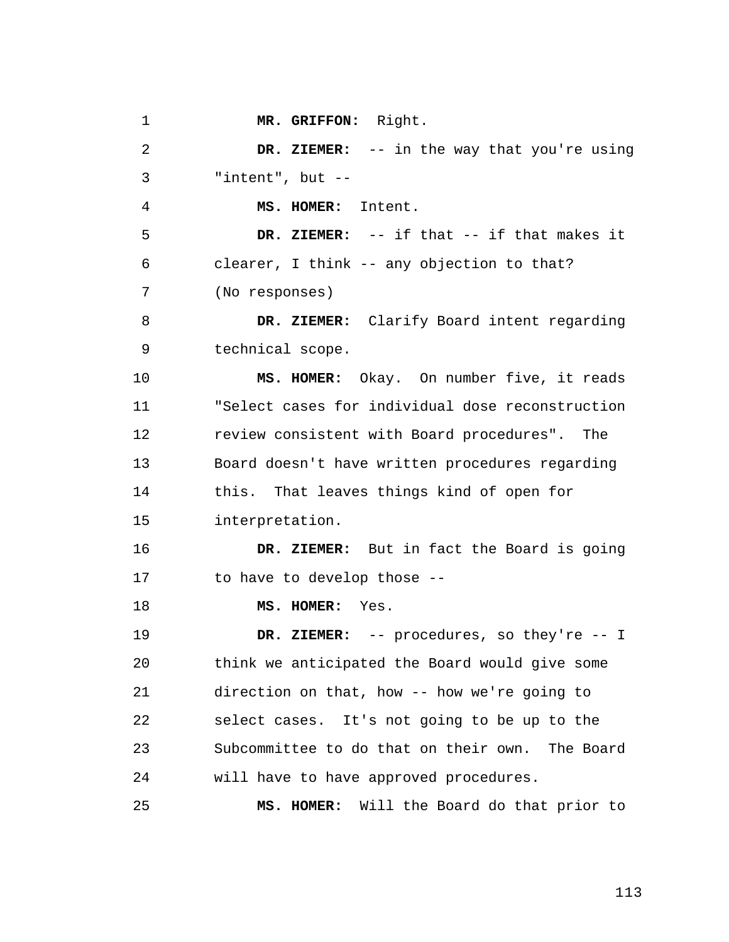1

**MR. GRIFFON:** Right.

2 3 **DR. ZIEMER:** -- in the way that you're using "intent", but --

4 **MS. HOMER:** Intent.

5 6 7 **DR. ZIEMER:** -- if that -- if that makes it clearer, I think -- any objection to that? (No responses)

8 9 **DR. ZIEMER:** Clarify Board intent regarding technical scope.

10 11 12 13 14 15 **MS. HOMER:** Okay. On number five, it reads "Select cases for individual dose reconstruction review consistent with Board procedures". The Board doesn't have written procedures regarding this. That leaves things kind of open for interpretation.

16 17 **DR. ZIEMER:** But in fact the Board is going to have to develop those --

18 **MS. HOMER:** Yes.

25

19 20 21 22 23 24 **DR. ZIEMER:** -- procedures, so they're -- I think we anticipated the Board would give some direction on that, how -- how we're going to select cases. It's not going to be up to the Subcommittee to do that on their own. The Board will have to have approved procedures.

**MS. HOMER:** Will the Board do that prior to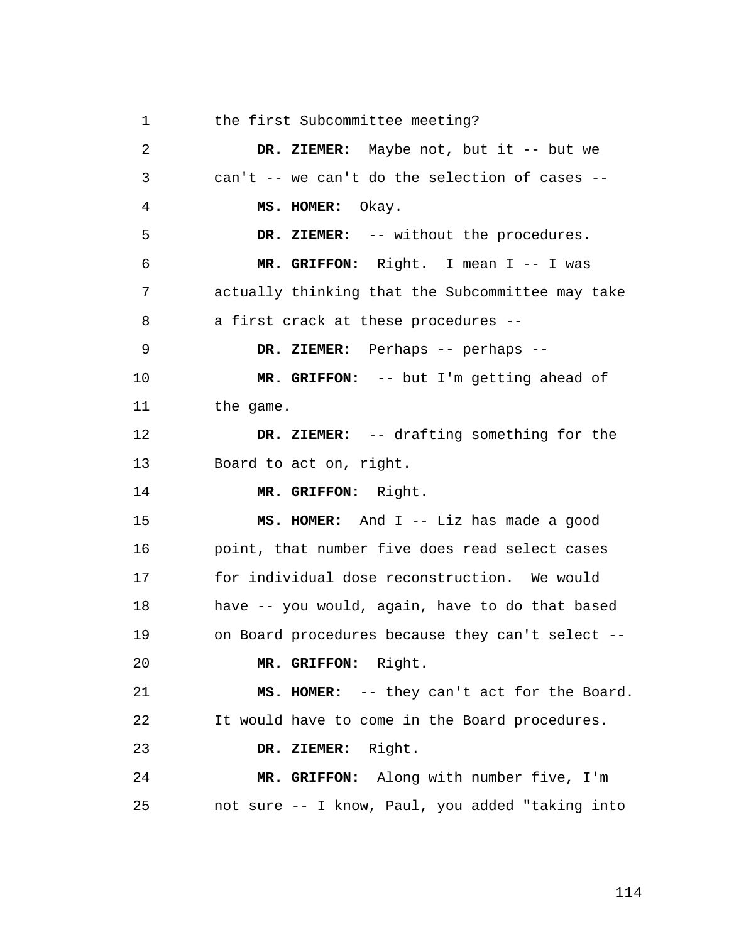1 the first Subcommittee meeting?

2 3 4 5 6 7 8 9 10 11 12 13 14 15 16 17 18 19  $2.0$ 21 22 23 24 25 **DR. ZIEMER:** Maybe not, but it -- but we can't -- we can't do the selection of cases -- **MS. HOMER:** Okay. **DR. ZIEMER:** -- without the procedures. **MR. GRIFFON:** Right. I mean I -- I was actually thinking that the Subcommittee may take a first crack at these procedures -- **DR. ZIEMER:** Perhaps -- perhaps -- **MR. GRIFFON:** -- but I'm getting ahead of the game. **DR. ZIEMER:** -- drafting something for the Board to act on, right. **MR. GRIFFON:** Right. **MS. HOMER:** And I -- Liz has made a good point, that number five does read select cases for individual dose reconstruction. We would have -- you would, again, have to do that based on Board procedures because they can't select -- **MR. GRIFFON:** Right. **MS. HOMER:** -- they can't act for the Board. It would have to come in the Board procedures. **DR. ZIEMER:** Right. **MR. GRIFFON:** Along with number five, I'm not sure -- I know, Paul, you added "taking into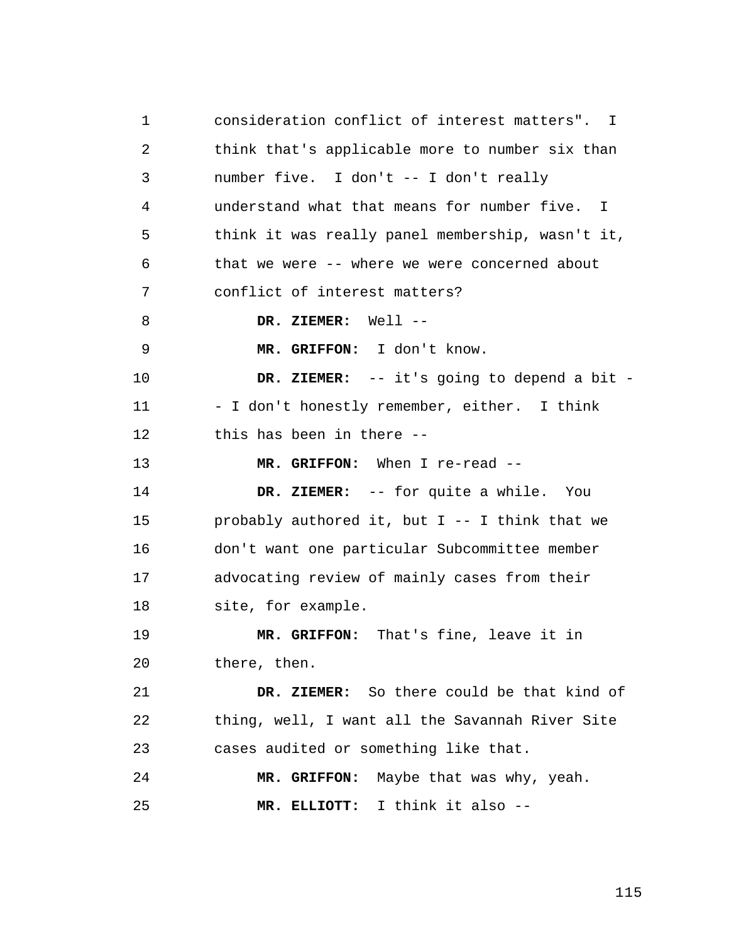1 2 3 4 5 6 7 8 9 10 11 12 13 14 15 16 17 18 19  $20^{\circ}$ 21 22 23 24 25 consideration conflict of interest matters". I think that's applicable more to number six than number five. I don't -- I don't really understand what that means for number five. I think it was really panel membership, wasn't it, that we were -- where we were concerned about conflict of interest matters? **DR. ZIEMER:** Well -- **MR. GRIFFON:** I don't know. **DR. ZIEMER:** -- it's going to depend a bit - - I don't honestly remember, either. I think this has been in there -- **MR. GRIFFON:** When I re-read -- **DR. ZIEMER:** -- for quite a while. You probably authored it, but  $I$  -- I think that we don't want one particular Subcommittee member advocating review of mainly cases from their site, for example. **MR. GRIFFON:** That's fine, leave it in there, then. **DR. ZIEMER:** So there could be that kind of thing, well, I want all the Savannah River Site cases audited or something like that. **MR. GRIFFON:** Maybe that was why, yeah. **MR. ELLIOTT:** I think it also --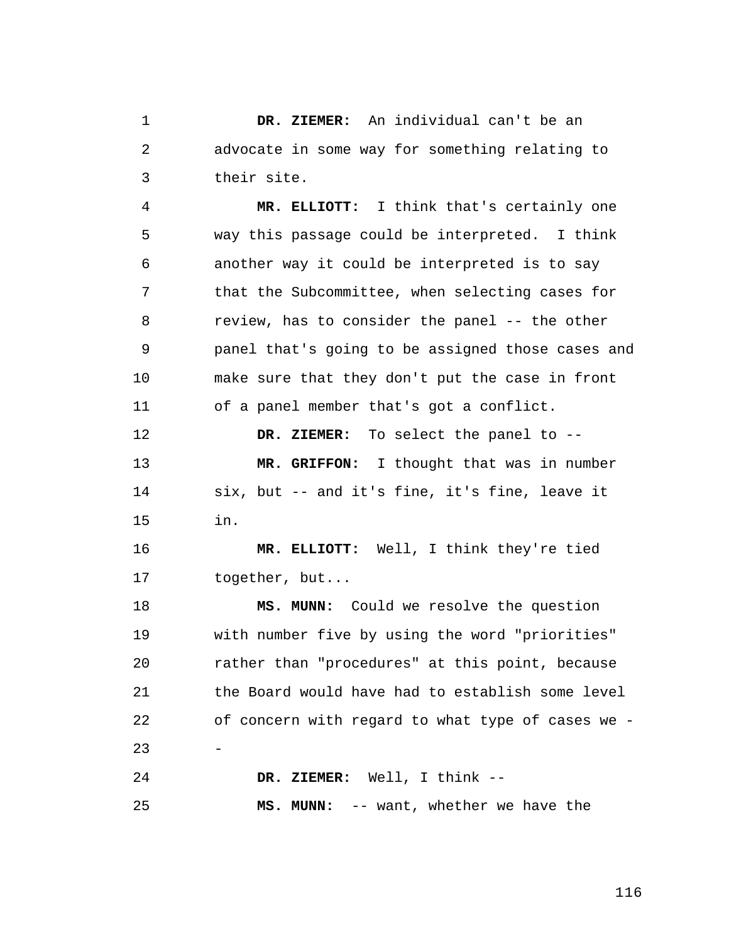1 2 3 **DR. ZIEMER:** An individual can't be an advocate in some way for something relating to their site.

4 5 6 7 8 9 10 11 **MR. ELLIOTT:** I think that's certainly one way this passage could be interpreted. I think another way it could be interpreted is to say that the Subcommittee, when selecting cases for review, has to consider the panel -- the other panel that's going to be assigned those cases and make sure that they don't put the case in front of a panel member that's got a conflict.

12 13 14 15 **DR. ZIEMER:** To select the panel to -- **MR. GRIFFON:** I thought that was in number six, but -- and it's fine, it's fine, leave it in.

16 17 **MR. ELLIOTT:** Well, I think they're tied together, but...

18 19  $20^{\circ}$ 21 22 23 24 **MS. MUNN:** Could we resolve the question with number five by using the word "priorities" rather than "procedures" at this point, because the Board would have had to establish some level of concern with regard to what type of cases we - - **DR. ZIEMER:** Well, I think --

**MS. MUNN:** -- want, whether we have the

25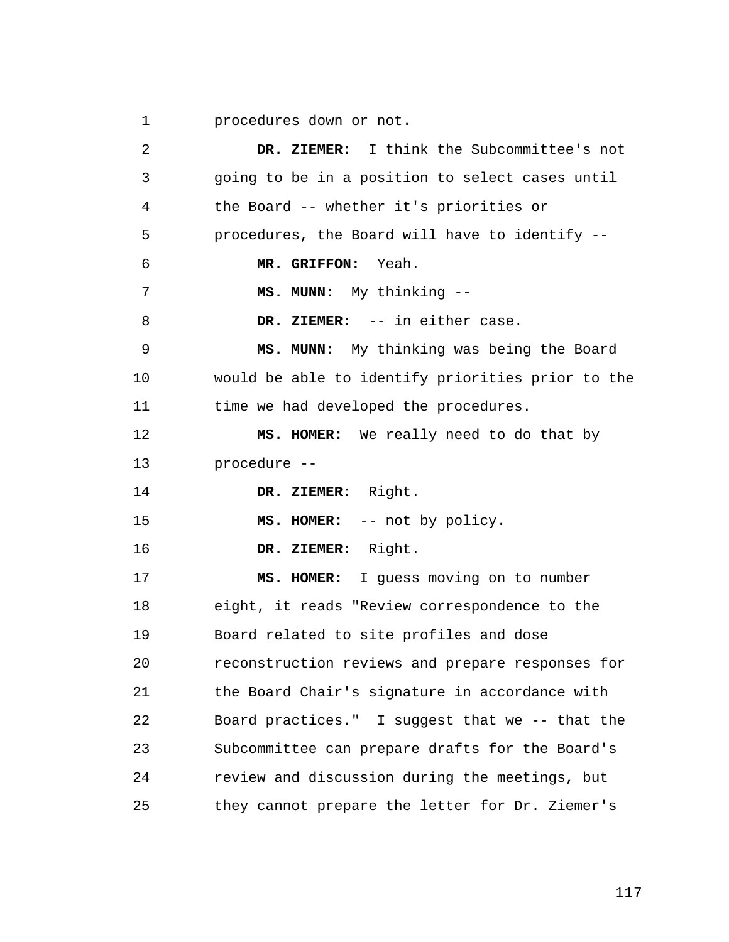1 procedures down or not.

2 3 4 5 6 7 8 9 10 11 12 13 14 15 16 17 18 19  $2.0$ 21 22 23 24 25 **DR. ZIEMER:** I think the Subcommittee's not going to be in a position to select cases until the Board -- whether it's priorities or procedures, the Board will have to identify -- **MR. GRIFFON:** Yeah. **MS. MUNN:** My thinking -- **DR. ZIEMER:** -- in either case. **MS. MUNN:** My thinking was being the Board would be able to identify priorities prior to the time we had developed the procedures. **MS. HOMER:** We really need to do that by procedure -- **DR. ZIEMER:** Right. **MS. HOMER:** -- not by policy. **DR. ZIEMER:** Right. **MS. HOMER:** I guess moving on to number eight, it reads "Review correspondence to the Board related to site profiles and dose reconstruction reviews and prepare responses for the Board Chair's signature in accordance with Board practices." I suggest that we -- that the Subcommittee can prepare drafts for the Board's review and discussion during the meetings, but they cannot prepare the letter for Dr. Ziemer's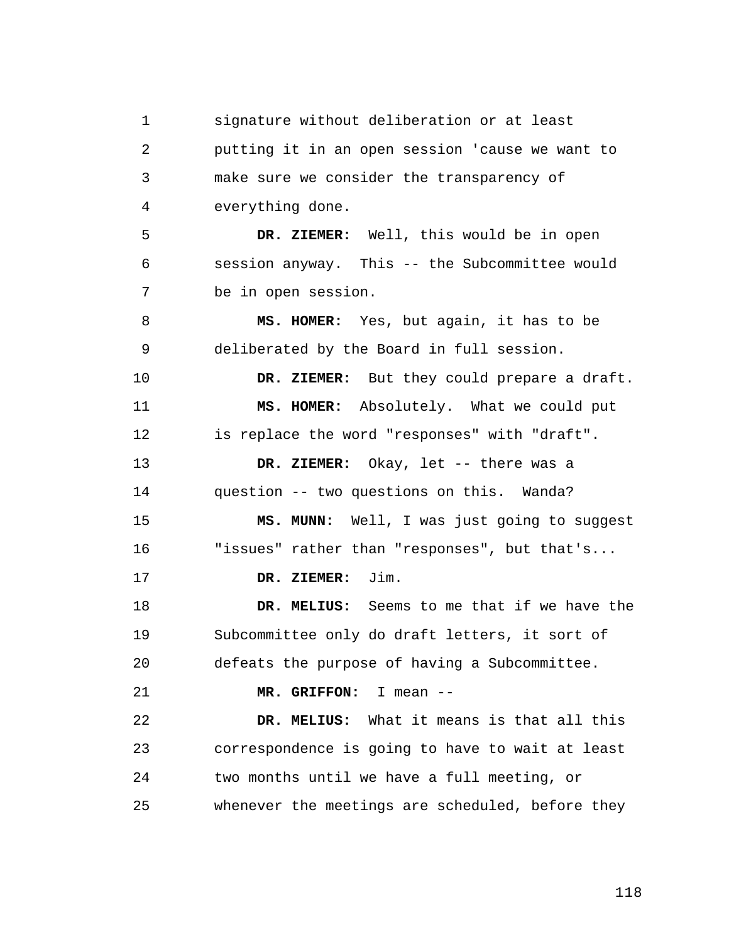1 2 3 4 signature without deliberation or at least putting it in an open session 'cause we want to make sure we consider the transparency of everything done.

5 6 7 **DR. ZIEMER:** Well, this would be in open session anyway. This -- the Subcommittee would be in open session.

8 9 **MS. HOMER:** Yes, but again, it has to be deliberated by the Board in full session.

10 11 12 **DR. ZIEMER:** But they could prepare a draft. **MS. HOMER:** Absolutely. What we could put is replace the word "responses" with "draft".

13 14 **DR. ZIEMER:** Okay, let -- there was a question -- two questions on this. Wanda?

15 16 **MS. MUNN:** Well, I was just going to suggest "issues" rather than "responses", but that's...

**DR. ZIEMER:** Jim.

17

21

18 19  $20^{\circ}$ **DR. MELIUS:** Seems to me that if we have the Subcommittee only do draft letters, it sort of defeats the purpose of having a Subcommittee.

```
MR. GRIFFON: I mean --
```
22 23 24 25 **DR. MELIUS:** What it means is that all this correspondence is going to have to wait at least two months until we have a full meeting, or whenever the meetings are scheduled, before they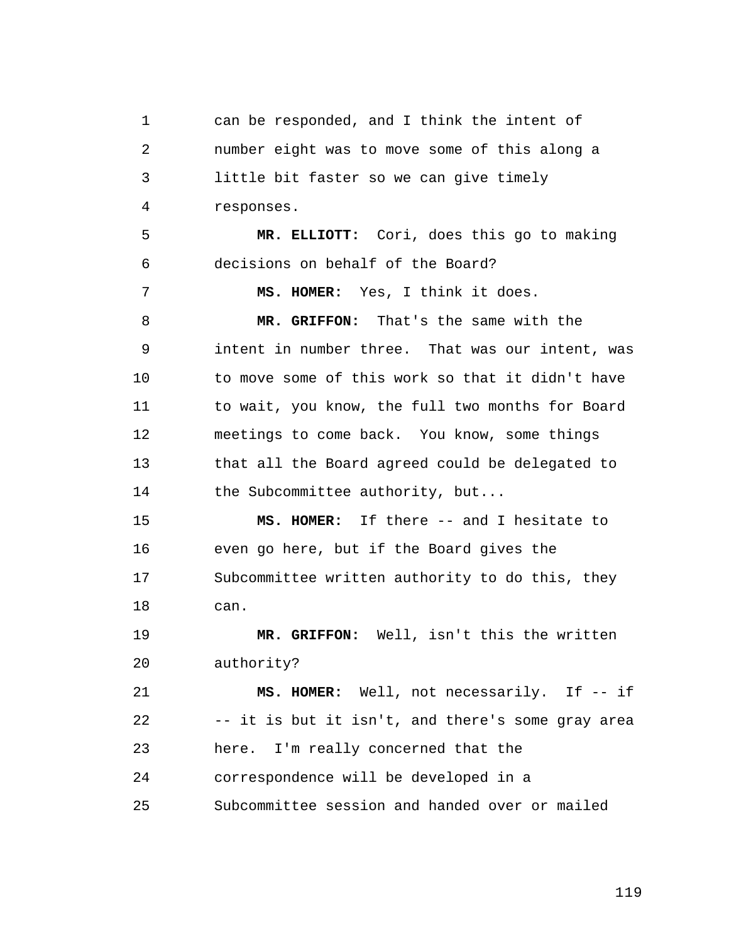1 2 3 4 5 6 7 8 9 10 11 12 13 14 15 16 17 18 19  $20^{\circ}$ 21 22 can be responded, and I think the intent of number eight was to move some of this along a little bit faster so we can give timely responses. **MR. ELLIOTT:** Cori, does this go to making decisions on behalf of the Board? **MS. HOMER:** Yes, I think it does. **MR. GRIFFON:** That's the same with the intent in number three. That was our intent, was to move some of this work so that it didn't have to wait, you know, the full two months for Board meetings to come back. You know, some things that all the Board agreed could be delegated to the Subcommittee authority, but... **MS. HOMER:** If there -- and I hesitate to even go here, but if the Board gives the Subcommittee written authority to do this, they can. **MR. GRIFFON:** Well, isn't this the written authority? **MS. HOMER:** Well, not necessarily. If -- if -- it is but it isn't, and there's some gray area

23 here. I'm really concerned that the

24 correspondence will be developed in a

25 Subcommittee session and handed over or mailed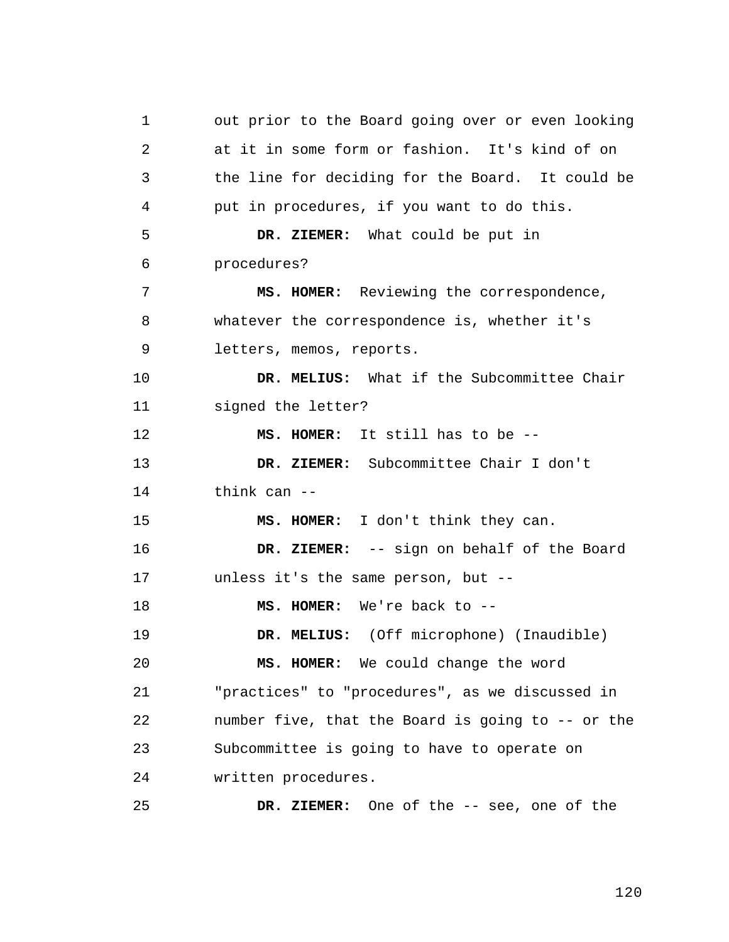1 2 3 4 5 6 7 8 9 10 11 12 13 14 15 16 17 18 19  $2.0$ 21 22 23 24 25 out prior to the Board going over or even looking at it in some form or fashion. It's kind of on the line for deciding for the Board. It could be put in procedures, if you want to do this. **DR. ZIEMER:** What could be put in procedures? **MS. HOMER:** Reviewing the correspondence, whatever the correspondence is, whether it's letters, memos, reports. **DR. MELIUS:** What if the Subcommittee Chair signed the letter? **MS. HOMER:** It still has to be -- **DR. ZIEMER:** Subcommittee Chair I don't think can -- **MS. HOMER:** I don't think they can. **DR. ZIEMER:** -- sign on behalf of the Board unless it's the same person, but -- **MS. HOMER:** We're back to -- **DR. MELIUS:** (Off microphone) (Inaudible) **MS. HOMER:** We could change the word "practices" to "procedures", as we discussed in number five, that the Board is going to -- or the Subcommittee is going to have to operate on written procedures. **DR. ZIEMER:** One of the -- see, one of the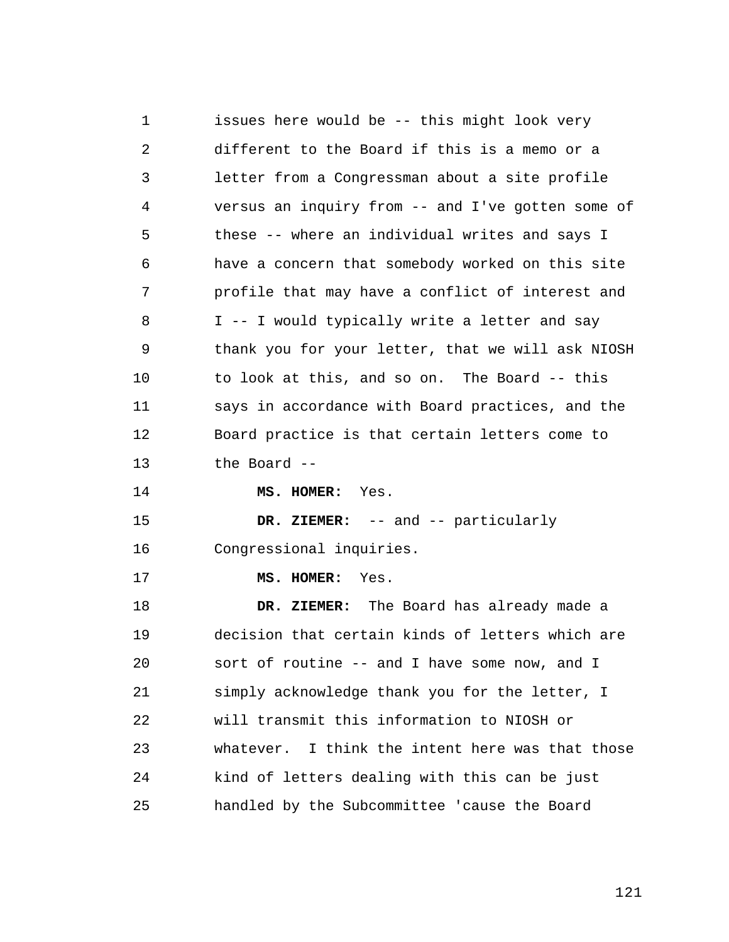1 2 3 4 5 6 7 8 9 10 11 12 13 14 15 16 17 18 19  $2.0$ 21 22 23 24 25 issues here would be -- this might look very different to the Board if this is a memo or a letter from a Congressman about a site profile versus an inquiry from -- and I've gotten some of these -- where an individual writes and says I have a concern that somebody worked on this site profile that may have a conflict of interest and I -- I would typically write a letter and say thank you for your letter, that we will ask NIOSH to look at this, and so on. The Board -- this says in accordance with Board practices, and the Board practice is that certain letters come to the Board -- **MS. HOMER:** Yes. **DR. ZIEMER:** -- and -- particularly Congressional inquiries. **MS. HOMER:** Yes. **DR. ZIEMER:** The Board has already made a decision that certain kinds of letters which are sort of routine -- and I have some now, and I simply acknowledge thank you for the letter, I will transmit this information to NIOSH or whatever. I think the intent here was that those kind of letters dealing with this can be just handled by the Subcommittee 'cause the Board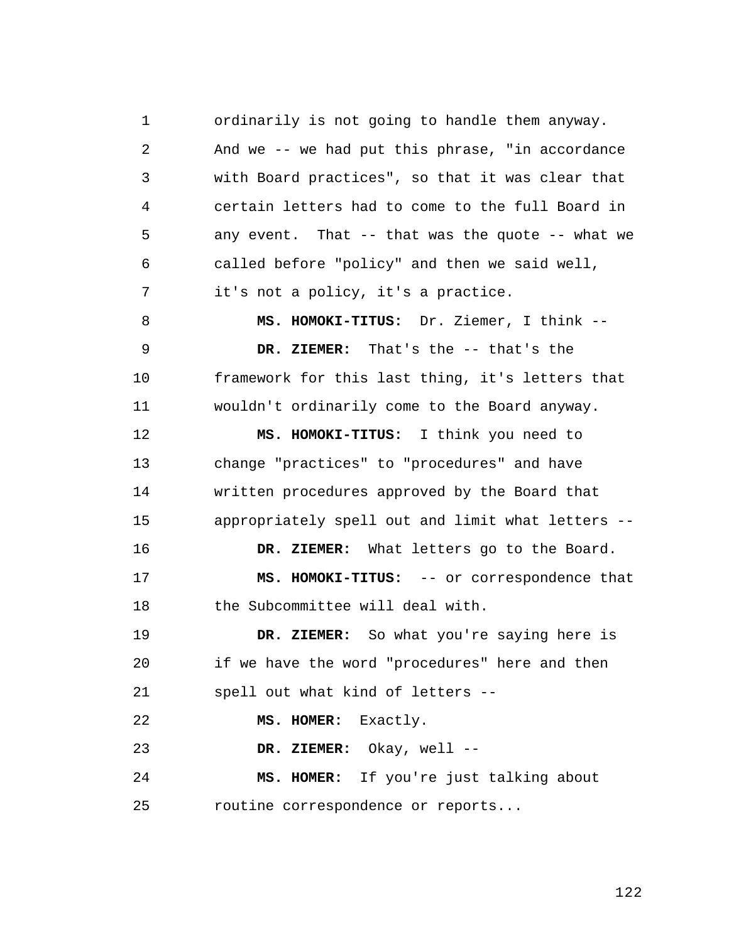1 2 3 4 5 6 7 8 ordinarily is not going to handle them anyway. And we -- we had put this phrase, "in accordance with Board practices", so that it was clear that certain letters had to come to the full Board in any event. That -- that was the quote -- what we called before "policy" and then we said well, it's not a policy, it's a practice. **MS. HOMOKI-TITUS:** Dr. Ziemer, I think --

9 10 11 **DR. ZIEMER:** That's the -- that's the framework for this last thing, it's letters that wouldn't ordinarily come to the Board anyway.

12 13 14 15 **MS. HOMOKI-TITUS:** I think you need to change "practices" to "procedures" and have written procedures approved by the Board that appropriately spell out and limit what letters --

16 17 18 **DR. ZIEMER:** What letters go to the Board. **MS. HOMOKI-TITUS:** -- or correspondence that the Subcommittee will deal with.

19  $2.0$ 21 **DR. ZIEMER:** So what you're saying here is if we have the word "procedures" here and then spell out what kind of letters --

22 **MS. HOMER:** Exactly.

23 **DR. ZIEMER:** Okay, well --

24 25 **MS. HOMER:** If you're just talking about routine correspondence or reports...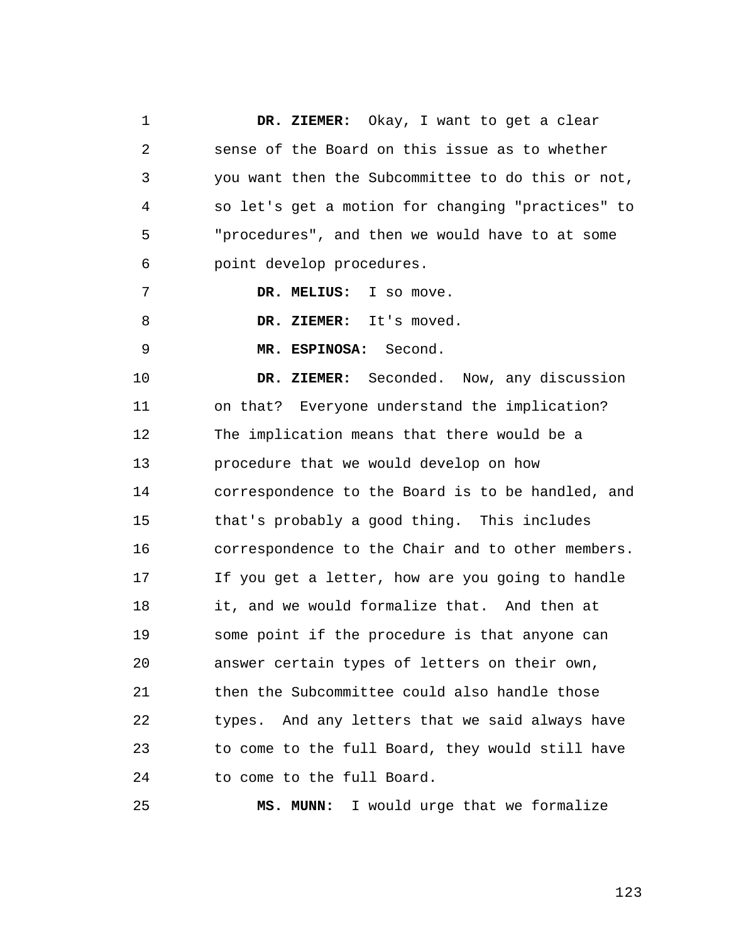1 2 3 4 5 6 **DR. ZIEMER:** Okay, I want to get a clear sense of the Board on this issue as to whether you want then the Subcommittee to do this or not, so let's get a motion for changing "practices" to "procedures", and then we would have to at some point develop procedures.

7 **DR. MELIUS:** I so move.

8 **DR. ZIEMER:** It's moved.

**MR. ESPINOSA:** Second.

10 11 12 13 14 15 16 17 18 19 20 21 22 23 24 **DR. ZIEMER:** Seconded. Now, any discussion on that? Everyone understand the implication? The implication means that there would be a procedure that we would develop on how correspondence to the Board is to be handled, and that's probably a good thing. This includes correspondence to the Chair and to other members. If you get a letter, how are you going to handle it, and we would formalize that. And then at some point if the procedure is that anyone can answer certain types of letters on their own, then the Subcommittee could also handle those types. And any letters that we said always have to come to the full Board, they would still have to come to the full Board.

25

9

**MS. MUNN:** I would urge that we formalize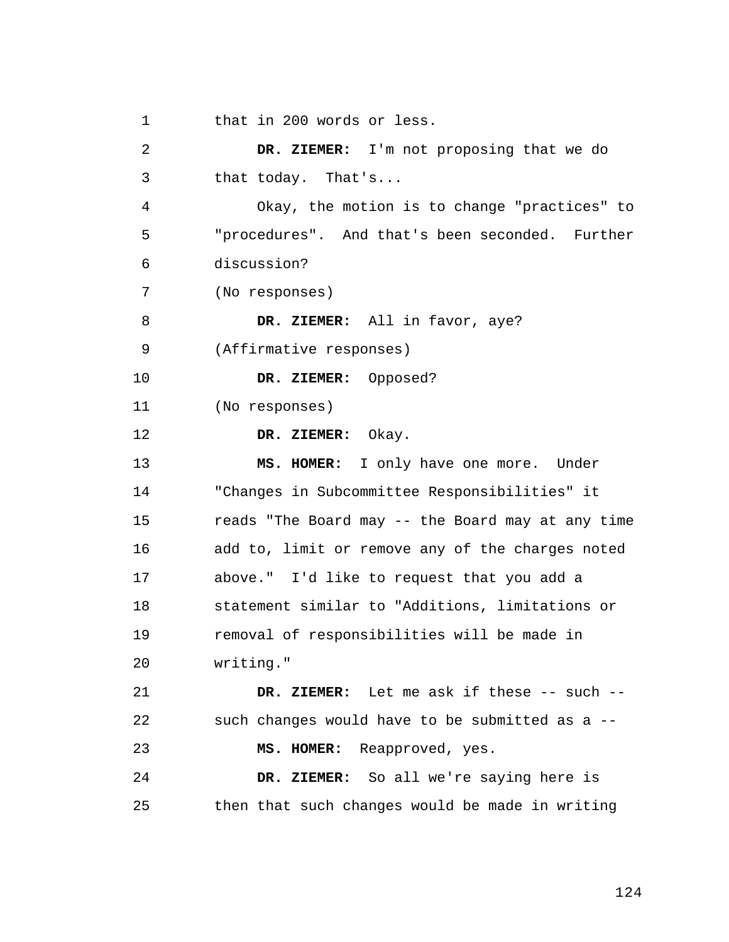1 that in 200 words or less.

2 3 4 5 6 7 8 9 10 11 12 13 14 15 16 17 18 19  $2.0$ 21 22 23 24 25 **DR. ZIEMER:** I'm not proposing that we do that today. That's... Okay, the motion is to change "practices" to "procedures". And that's been seconded. Further discussion? (No responses) **DR. ZIEMER:** All in favor, aye? (Affirmative responses) **DR. ZIEMER:** Opposed? (No responses) **DR. ZIEMER:** Okay. **MS. HOMER:** I only have one more. Under "Changes in Subcommittee Responsibilities" it reads "The Board may -- the Board may at any time add to, limit or remove any of the charges noted above." I'd like to request that you add a statement similar to "Additions, limitations or removal of responsibilities will be made in writing." **DR. ZIEMER:** Let me ask if these -- such - such changes would have to be submitted as a -- **MS. HOMER:** Reapproved, yes. **DR. ZIEMER:** So all we're saying here is then that such changes would be made in writing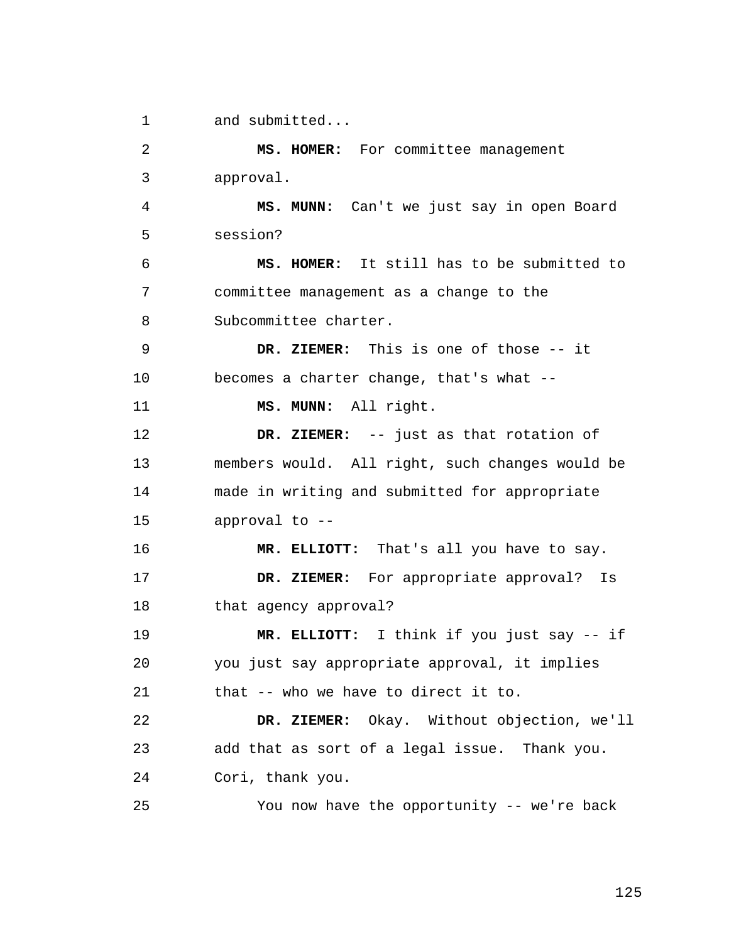1 and submitted...

2 3 4 5 6 7 8 9 10 11 12 13 14 15 16 17 18 19  $2.0$ 21 22 23 24 25 **MS. HOMER:** For committee management approval. **MS. MUNN:** Can't we just say in open Board session? **MS. HOMER:** It still has to be submitted to committee management as a change to the Subcommittee charter. **DR. ZIEMER:** This is one of those -- it becomes a charter change, that's what -- **MS. MUNN:** All right. **DR. ZIEMER:** -- just as that rotation of members would. All right, such changes would be made in writing and submitted for appropriate approval to -- **MR. ELLIOTT:** That's all you have to say. **DR. ZIEMER:** For appropriate approval? Is that agency approval? **MR. ELLIOTT:** I think if you just say -- if you just say appropriate approval, it implies that -- who we have to direct it to. **DR. ZIEMER:** Okay. Without objection, we'll add that as sort of a legal issue. Thank you. Cori, thank you. You now have the opportunity -- we're back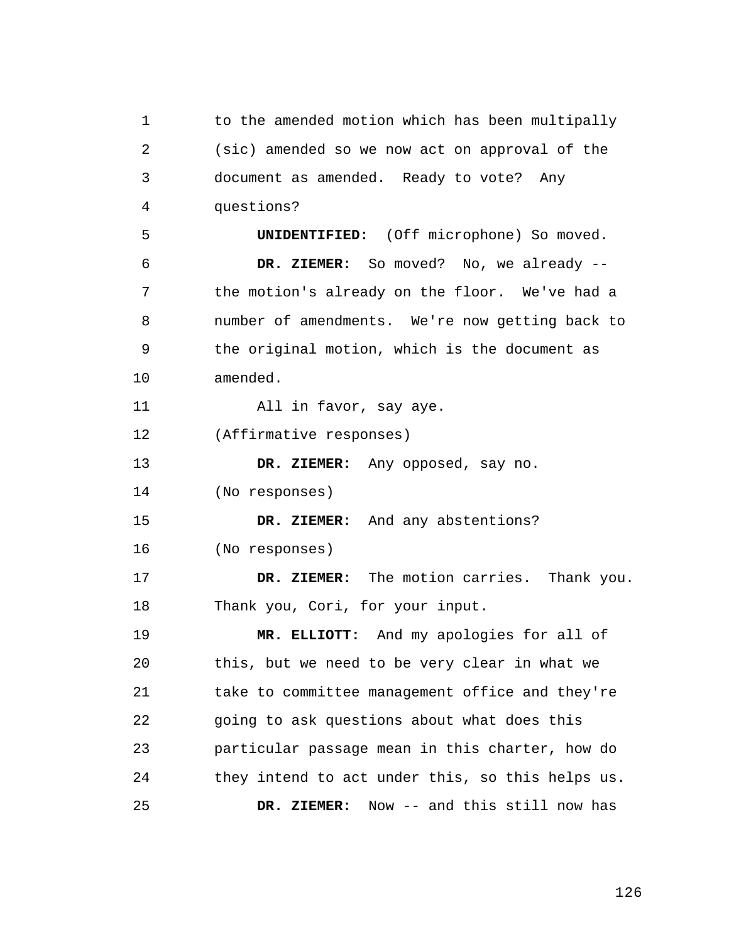1 2 3 4 5 6 7 8 9 10 11 12 13 14 15 16 17 18 19  $2.0$ 21 22 23 24 25 to the amended motion which has been multipally (sic) amended so we now act on approval of the document as amended. Ready to vote? Any questions? **UNIDENTIFIED:** (Off microphone) So moved. **DR. ZIEMER:** So moved? No, we already - the motion's already on the floor. We've had a number of amendments. We're now getting back to the original motion, which is the document as amended. All in favor, say aye. (Affirmative responses) **DR. ZIEMER:** Any opposed, say no. (No responses) **DR. ZIEMER:** And any abstentions? (No responses) **DR. ZIEMER:** The motion carries. Thank you. Thank you, Cori, for your input. **MR. ELLIOTT:** And my apologies for all of this, but we need to be very clear in what we take to committee management office and they're going to ask questions about what does this particular passage mean in this charter, how do they intend to act under this, so this helps us. **DR. ZIEMER:** Now -- and this still now has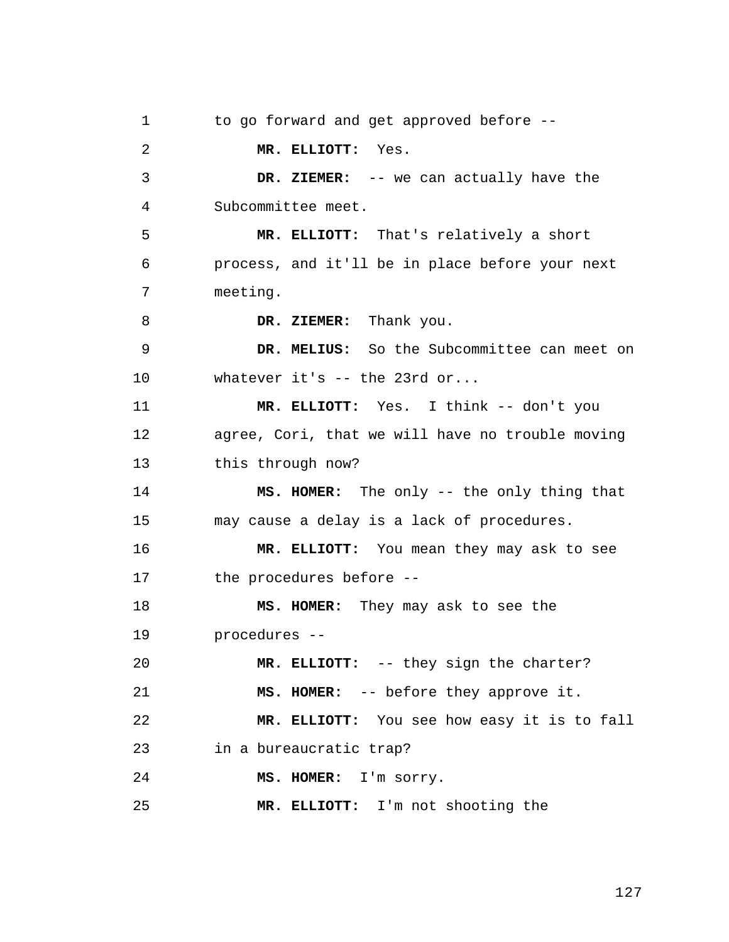1 2 3 4 5 6 7 8 9 10 11 12 13 14 15 16 17 18 19  $20^{\circ}$ 21 22 23 24 25 to go forward and get approved before -- **MR. ELLIOTT:** Yes. **DR. ZIEMER:** -- we can actually have the Subcommittee meet. **MR. ELLIOTT:** That's relatively a short process, and it'll be in place before your next meeting. **DR. ZIEMER:** Thank you. **DR. MELIUS:** So the Subcommittee can meet on whatever it's -- the 23rd or... **MR. ELLIOTT:** Yes. I think -- don't you agree, Cori, that we will have no trouble moving this through now? **MS. HOMER:** The only -- the only thing that may cause a delay is a lack of procedures. **MR. ELLIOTT:** You mean they may ask to see the procedures before -- **MS. HOMER:** They may ask to see the procedures -- **MR. ELLIOTT:** -- they sign the charter? **MS. HOMER:** -- before they approve it. **MR. ELLIOTT:** You see how easy it is to fall in a bureaucratic trap? **MS. HOMER:** I'm sorry. **MR. ELLIOTT:** I'm not shooting the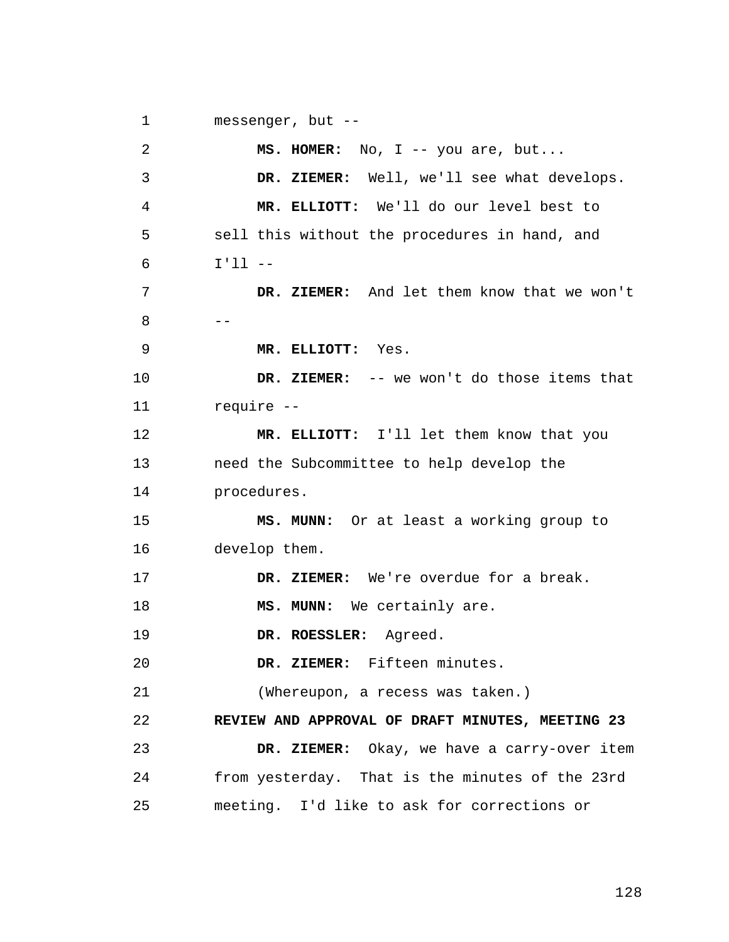1 messenger, but --

2 3 4 5 6 7  $8 - -$ 9 10 11 12 13 14 15 16 17 18 19  $2.0$ 21 22 23 24 25 **MS. HOMER:** No, I -- you are, but... **DR. ZIEMER:** Well, we'll see what develops. **MR. ELLIOTT:** We'll do our level best to sell this without the procedures in hand, and  $T'$ ]]  $-$ **DR. ZIEMER:** And let them know that we won't **MR. ELLIOTT:** Yes. **DR. ZIEMER:** -- we won't do those items that require -- **MR. ELLIOTT:** I'll let them know that you need the Subcommittee to help develop the procedures. **MS. MUNN:** Or at least a working group to develop them. **DR. ZIEMER:** We're overdue for a break. **MS. MUNN:** We certainly are. **DR. ROESSLER:** Agreed. **DR. ZIEMER:** Fifteen minutes. (Whereupon, a recess was taken.) **REVIEW AND APPROVAL OF DRAFT MINUTES, MEETING 23 DR. ZIEMER:** Okay, we have a carry-over item from yesterday. That is the minutes of the 23rd meeting. I'd like to ask for corrections or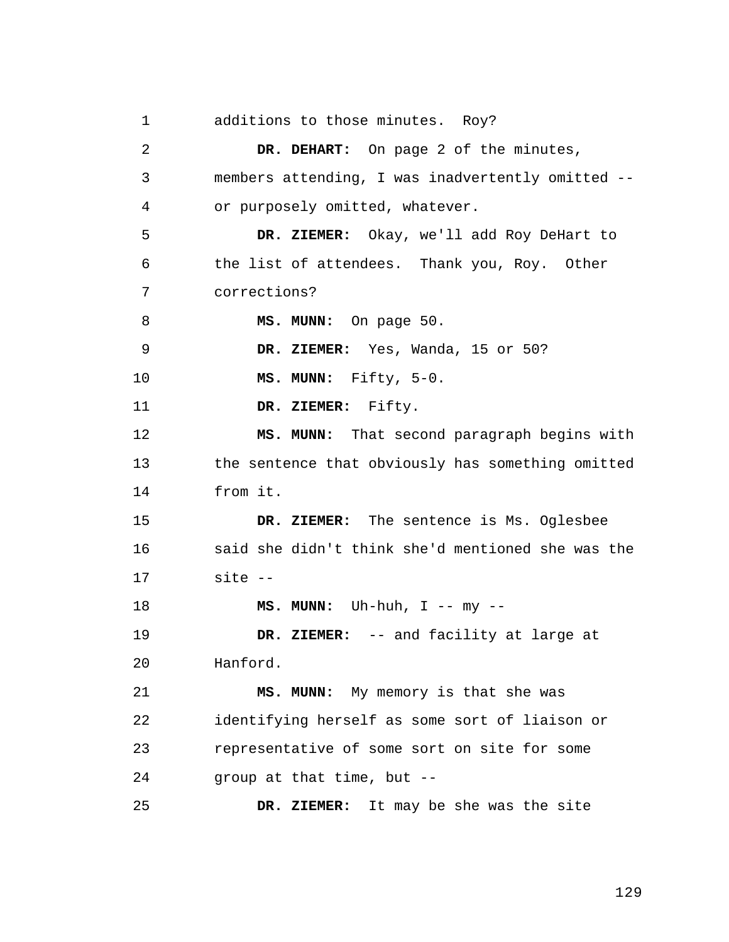1 additions to those minutes. Roy?

2 3 4 5 6 7 8 9 10 11 12 13 14 15 16 17 18 19  $2.0$ 21 22 23 24 25 **DR. DEHART:** On page 2 of the minutes, members attending, I was inadvertently omitted - or purposely omitted, whatever. **DR. ZIEMER:** Okay, we'll add Roy DeHart to the list of attendees. Thank you, Roy. Other corrections? **MS. MUNN:** On page 50. **DR. ZIEMER:** Yes, Wanda, 15 or 50? **MS. MUNN:** Fifty, 5-0. **DR. ZIEMER:** Fifty. **MS. MUNN:** That second paragraph begins with the sentence that obviously has something omitted from it. **DR. ZIEMER:** The sentence is Ms. Oglesbee said she didn't think she'd mentioned she was the site -- **MS. MUNN:** Uh-huh, I -- my -- **DR. ZIEMER:** -- and facility at large at Hanford. **MS. MUNN:** My memory is that she was identifying herself as some sort of liaison or representative of some sort on site for some group at that time, but -- **DR. ZIEMER:** It may be she was the site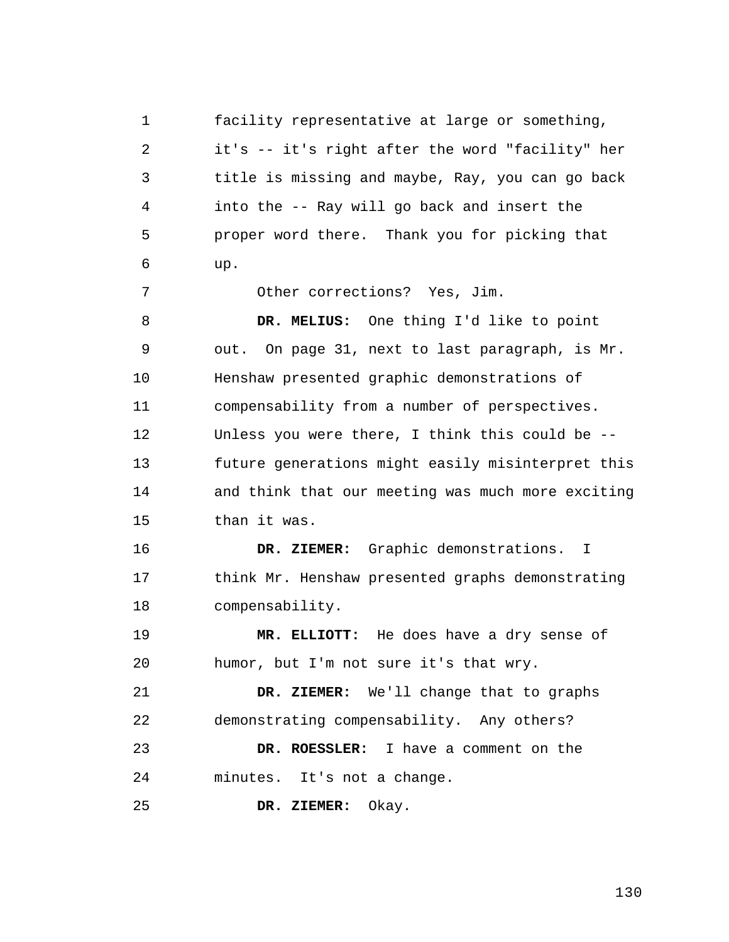1 2 3 4 5 6 facility representative at large or something, it's -- it's right after the word "facility" her title is missing and maybe, Ray, you can go back into the -- Ray will go back and insert the proper word there. Thank you for picking that up.

7 Other corrections? Yes, Jim.

8 9 10 11 12 13 14 15 **DR. MELIUS:** One thing I'd like to point out. On page 31, next to last paragraph, is Mr. Henshaw presented graphic demonstrations of compensability from a number of perspectives. Unless you were there, I think this could be - future generations might easily misinterpret this and think that our meeting was much more exciting than it was.

16 17 18 **DR. ZIEMER:** Graphic demonstrations. I think Mr. Henshaw presented graphs demonstrating compensability.

19  $2.0$ **MR. ELLIOTT:** He does have a dry sense of humor, but I'm not sure it's that wry.

21 22 **DR. ZIEMER:** We'll change that to graphs demonstrating compensability. Any others?

23 24 **DR. ROESSLER:** I have a comment on the minutes. It's not a change.

25 **DR. ZIEMER:** Okay.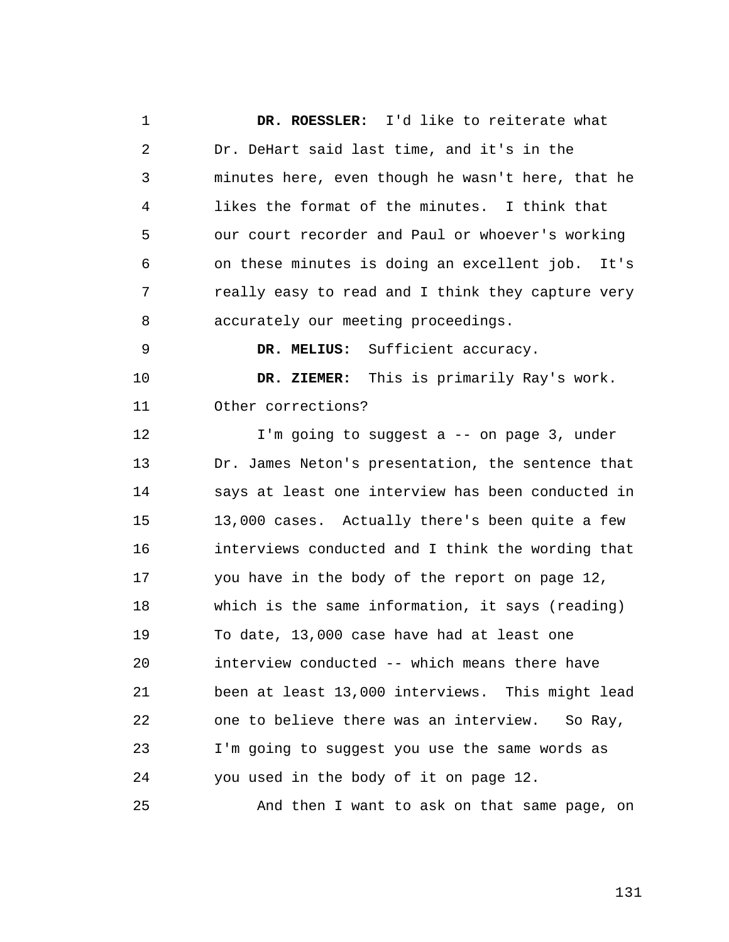1 2 3 4 5 6 7 8 9 10 11 12 13 14 15 16 17 18 19  $2.0$ 21 22 23 24 **DR. ROESSLER:** I'd like to reiterate what Dr. DeHart said last time, and it's in the minutes here, even though he wasn't here, that he likes the format of the minutes. I think that our court recorder and Paul or whoever's working on these minutes is doing an excellent job. It's really easy to read and I think they capture very accurately our meeting proceedings. **DR. MELIUS:** Sufficient accuracy. **DR. ZIEMER:** This is primarily Ray's work. Other corrections? I'm going to suggest a -- on page 3, under Dr. James Neton's presentation, the sentence that says at least one interview has been conducted in 13,000 cases. Actually there's been quite a few interviews conducted and I think the wording that you have in the body of the report on page 12, which is the same information, it says (reading) To date, 13,000 case have had at least one interview conducted -- which means there have been at least 13,000 interviews. This might lead one to believe there was an interview. So Ray, I'm going to suggest you use the same words as you used in the body of it on page 12.

25

And then I want to ask on that same page, on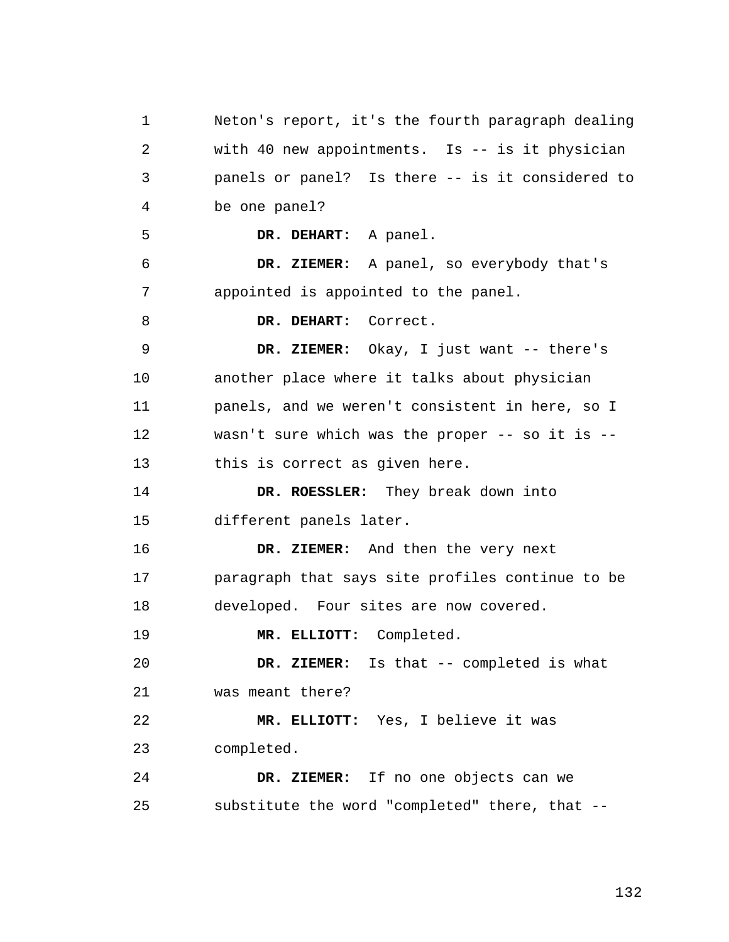1 2 3 4 5 6 7 8 9 10 11 12 13 14 15 16 17 18 19  $2.0$ 21 22 23 24 25 Neton's report, it's the fourth paragraph dealing with 40 new appointments. Is -- is it physician panels or panel? Is there -- is it considered to be one panel? **DR. DEHART:** A panel. **DR. ZIEMER:** A panel, so everybody that's appointed is appointed to the panel. **DR. DEHART:** Correct. **DR. ZIEMER:** Okay, I just want -- there's another place where it talks about physician panels, and we weren't consistent in here, so I wasn't sure which was the proper -- so it is - this is correct as given here. **DR. ROESSLER:** They break down into different panels later. DR. ZIEMER: And then the very next paragraph that says site profiles continue to be developed. Four sites are now covered. **MR. ELLIOTT:** Completed. **DR. ZIEMER:** Is that -- completed is what was meant there? **MR. ELLIOTT:** Yes, I believe it was completed. **DR. ZIEMER:** If no one objects can we substitute the word "completed" there, that --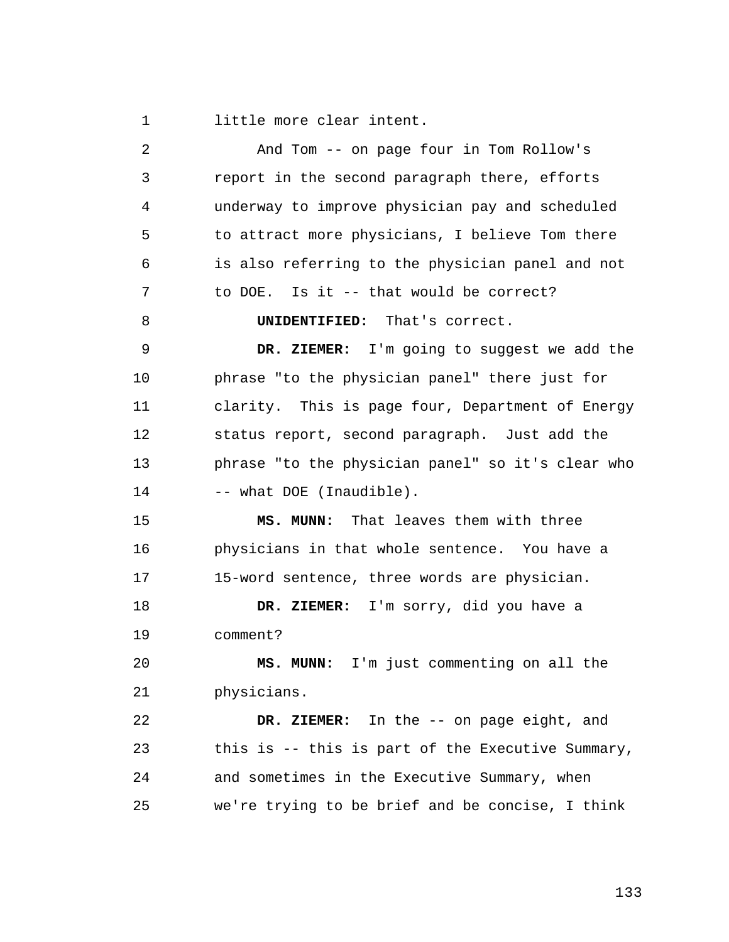1 little more clear intent.

| 2  | And Tom -- on page four in Tom Rollow's           |
|----|---------------------------------------------------|
| 3  | report in the second paragraph there, efforts     |
| 4  | underway to improve physician pay and scheduled   |
| 5  | to attract more physicians, I believe Tom there   |
| 6  | is also referring to the physician panel and not  |
| 7  | to DOE. Is it -- that would be correct?           |
| 8  | UNIDENTIFIED: That's correct.                     |
| 9  | DR. ZIEMER: I'm going to suggest we add the       |
| 10 | phrase "to the physician panel" there just for    |
| 11 | clarity. This is page four, Department of Energy  |
| 12 | status report, second paragraph. Just add the     |
| 13 | phrase "to the physician panel" so it's clear who |
| 14 | -- what DOE (Inaudible).                          |
| 15 | MS. MUNN: That leaves them with three             |
| 16 | physicians in that whole sentence. You have a     |
| 17 | 15-word sentence, three words are physician.      |
| 18 | DR. ZIEMER: I'm sorry, did you have a             |
| 19 | comment?                                          |
| 20 | MS. MUNN: I'm just commenting on all the          |
| 21 | physicians.                                       |
| 22 | DR. ZIEMER: In the -- on page eight, and          |
| 23 | this is -- this is part of the Executive Summary, |
| 24 | and sometimes in the Executive Summary, when      |
| 25 | we're trying to be brief and be concise, I think  |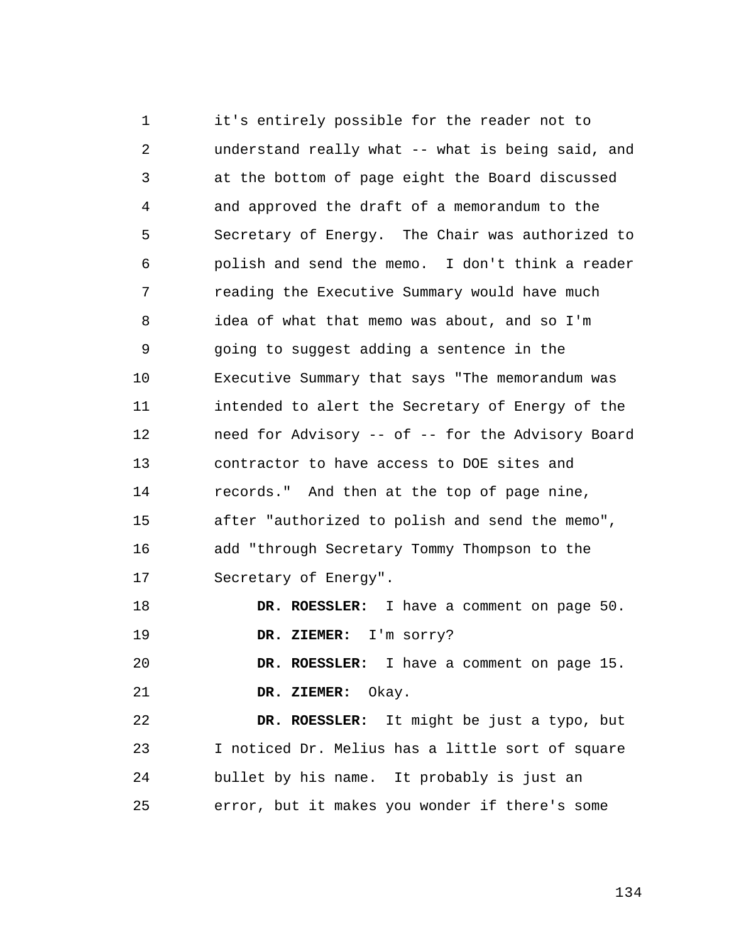1 2 3 4 5 6 7 8 9 10 11 12 13 14 15 16 17 18 19 20 21 22 23 24 it's entirely possible for the reader not to understand really what -- what is being said, and at the bottom of page eight the Board discussed and approved the draft of a memorandum to the Secretary of Energy. The Chair was authorized to polish and send the memo. I don't think a reader reading the Executive Summary would have much idea of what that memo was about, and so I'm going to suggest adding a sentence in the Executive Summary that says "The memorandum was intended to alert the Secretary of Energy of the need for Advisory -- of -- for the Advisory Board contractor to have access to DOE sites and records." And then at the top of page nine, after "authorized to polish and send the memo", add "through Secretary Tommy Thompson to the Secretary of Energy". **DR. ROESSLER:** I have a comment on page 50. **DR. ZIEMER:** I'm sorry? **DR. ROESSLER:** I have a comment on page 15. **DR. ZIEMER:** Okay. **DR. ROESSLER:** It might be just a typo, but I noticed Dr. Melius has a little sort of square bullet by his name. It probably is just an

error, but it makes you wonder if there's some

25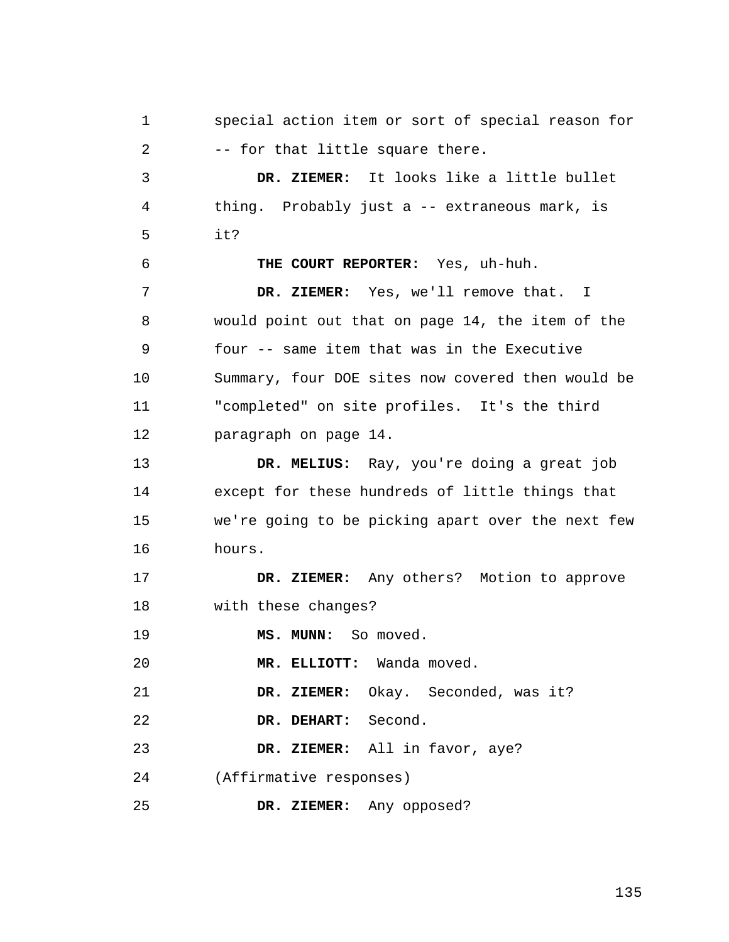1 2 special action item or sort of special reason for -- for that little square there.

3 4 5 **DR. ZIEMER:** It looks like a little bullet thing. Probably just a -- extraneous mark, is it?

6 7 8 9 10 11 12 **THE COURT REPORTER:** Yes, uh-huh. **DR. ZIEMER:** Yes, we'll remove that. I would point out that on page 14, the item of the four -- same item that was in the Executive Summary, four DOE sites now covered then would be "completed" on site profiles. It's the third paragraph on page 14.

13 14 15 16 **DR. MELIUS:** Ray, you're doing a great job except for these hundreds of little things that we're going to be picking apart over the next few hours.

17 18 **DR. ZIEMER:** Any others? Motion to approve with these changes?

19 **MS. MUNN:** So moved.

 $2.0$ **MR. ELLIOTT:** Wanda moved.

21 **DR. ZIEMER:** Okay. Seconded, was it?

22 **DR. DEHART:** Second.

23 **DR. ZIEMER:** All in favor, aye?

24 (Affirmative responses)

25 **DR. ZIEMER:** Any opposed?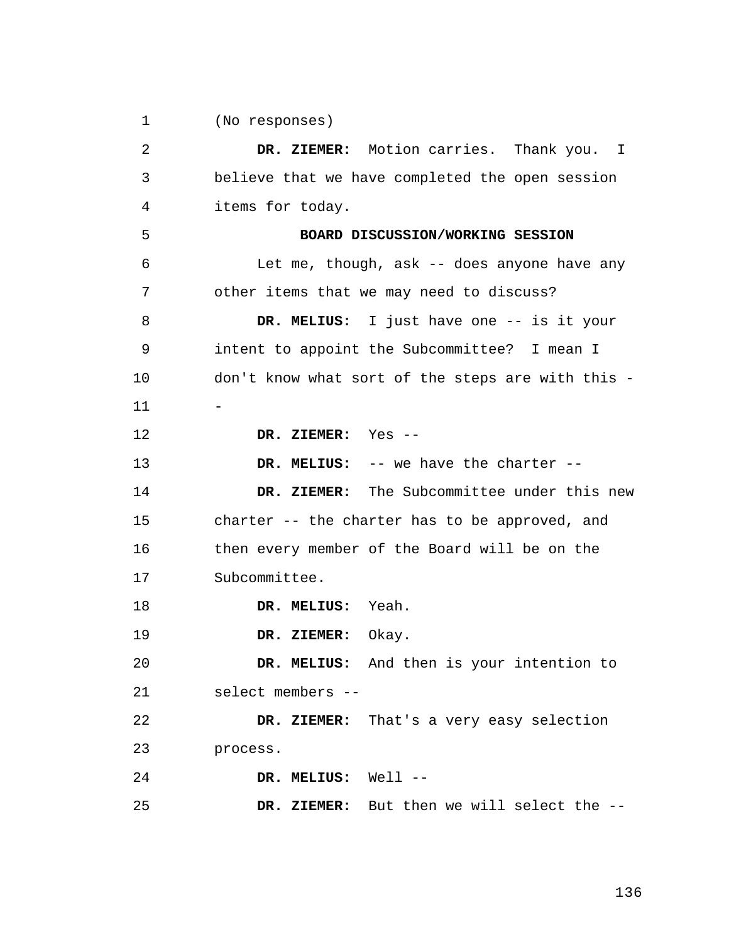1 (No responses)

2 3 4 5 6 7 8 9 10 11 12 13 14 15 16 17 18 19  $2.0$ 21 22 23 24 25 **DR. ZIEMER:** Motion carries. Thank you. I believe that we have completed the open session items for today. **BOARD DISCUSSION/WORKING SESSION**  Let me, though, ask -- does anyone have any other items that we may need to discuss? **DR. MELIUS:** I just have one -- is it your intent to appoint the Subcommittee? I mean I don't know what sort of the steps are with this - - **DR. ZIEMER:** Yes -- **DR. MELIUS:** -- we have the charter -- **DR. ZIEMER:** The Subcommittee under this new charter -- the charter has to be approved, and then every member of the Board will be on the Subcommittee. **DR. MELIUS:** Yeah. **DR. ZIEMER:** Okay. **DR. MELIUS:** And then is your intention to select members -- **DR. ZIEMER:** That's a very easy selection process. **DR. MELIUS:** Well -- **DR. ZIEMER:** But then we will select the --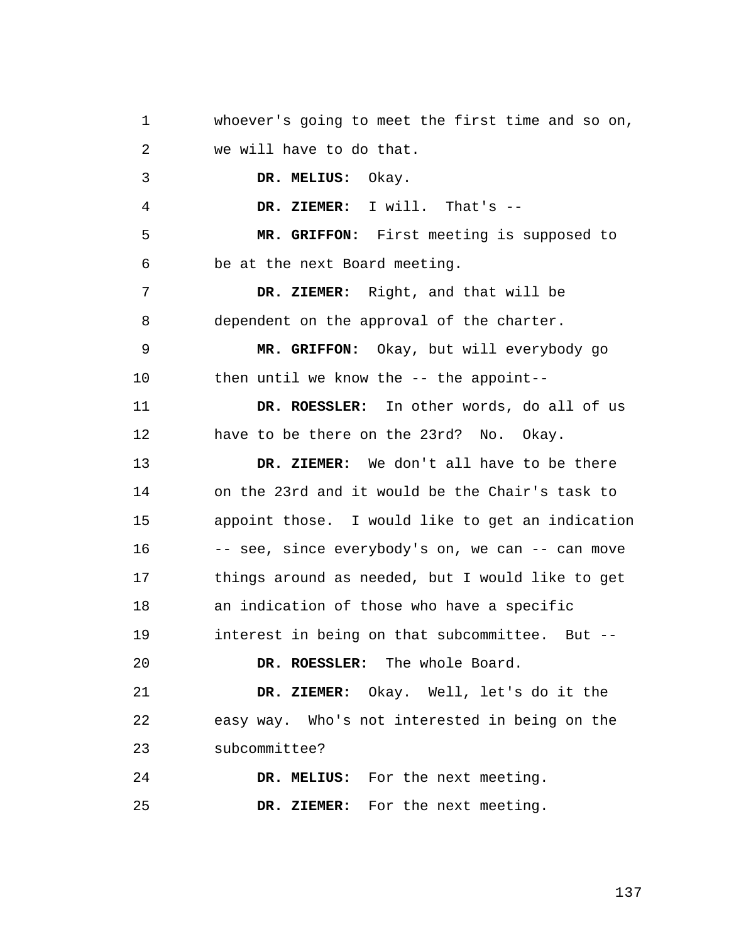1 2 3 4 5 6 7 8 9 10 11 12 13 14 15 16 17 18 19  $2.0$ 21 22 23 24 25 whoever's going to meet the first time and so on, we will have to do that. **DR. MELIUS:** Okay. **DR. ZIEMER:** I will. That's -- **MR. GRIFFON:** First meeting is supposed to be at the next Board meeting. **DR. ZIEMER:** Right, and that will be dependent on the approval of the charter. **MR. GRIFFON:** Okay, but will everybody go then until we know the -- the appoint-- **DR. ROESSLER:** In other words, do all of us have to be there on the 23rd? No. Okay. **DR. ZIEMER:** We don't all have to be there on the 23rd and it would be the Chair's task to appoint those. I would like to get an indication -- see, since everybody's on, we can -- can move things around as needed, but I would like to get an indication of those who have a specific interest in being on that subcommittee. But -- **DR. ROESSLER:** The whole Board. **DR. ZIEMER:** Okay. Well, let's do it the easy way. Who's not interested in being on the subcommittee? **DR. MELIUS:** For the next meeting. **DR. ZIEMER:** For the next meeting.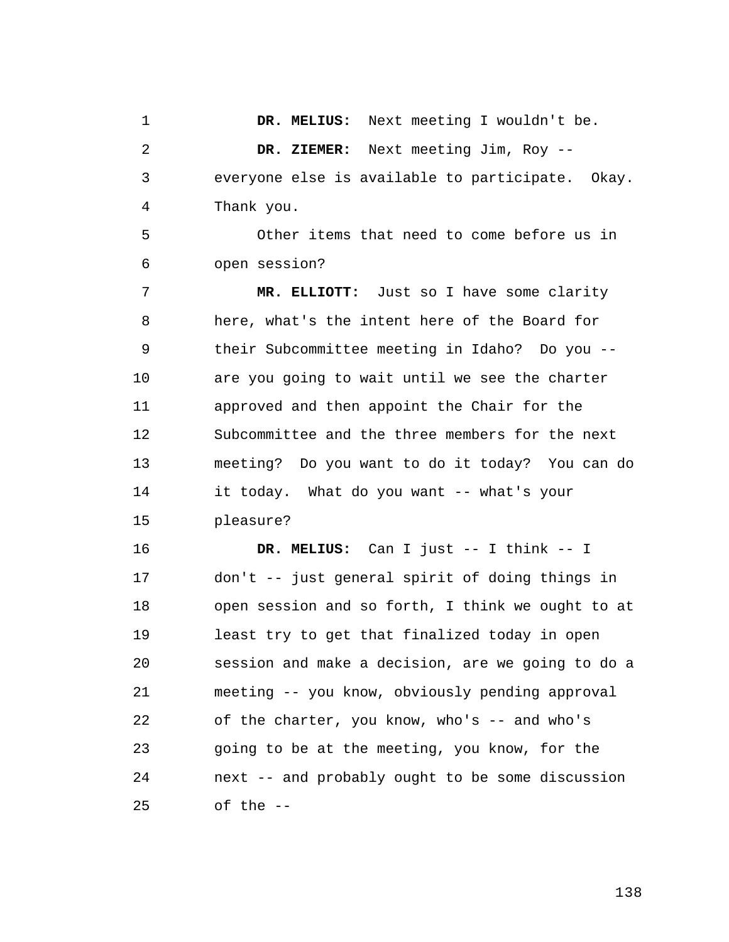1 2 3 4 **DR. MELIUS:** Next meeting I wouldn't be. **DR. ZIEMER:** Next meeting Jim, Roy - everyone else is available to participate. Okay. Thank you.

5 6 Other items that need to come before us in open session?

7 8 9 10 11 12 13 14 15 **MR. ELLIOTT:** Just so I have some clarity here, what's the intent here of the Board for their Subcommittee meeting in Idaho? Do you - are you going to wait until we see the charter approved and then appoint the Chair for the Subcommittee and the three members for the next meeting? Do you want to do it today? You can do it today. What do you want -- what's your pleasure?

16 17 18 19  $2.0$ 21 22 23 24 25 **DR. MELIUS:** Can I just -- I think -- I don't -- just general spirit of doing things in open session and so forth, I think we ought to at least try to get that finalized today in open session and make a decision, are we going to do a meeting -- you know, obviously pending approval of the charter, you know, who's -- and who's going to be at the meeting, you know, for the next -- and probably ought to be some discussion of the --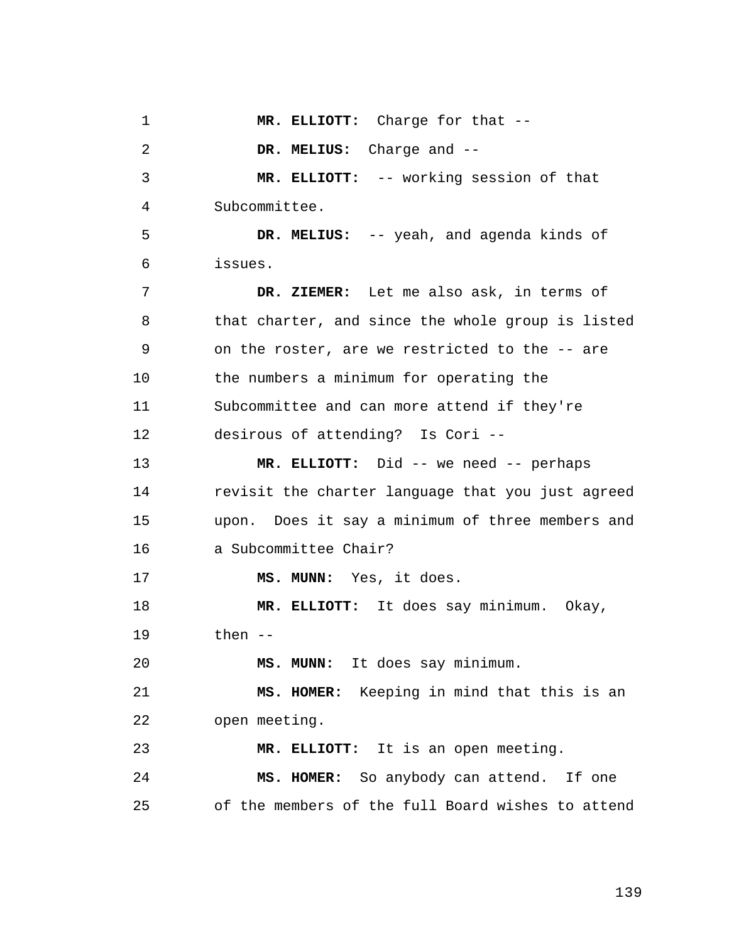1 2 3 4 5 6 7 8 9 10 11 12 13 14 15 16 17 18 19  $2.0$ 21 22 23 24 25 **MR. ELLIOTT:** Charge for that -- **DR. MELIUS:** Charge and -- **MR. ELLIOTT:** -- working session of that Subcommittee. **DR. MELIUS:** -- yeah, and agenda kinds of issues. **DR. ZIEMER:** Let me also ask, in terms of that charter, and since the whole group is listed on the roster, are we restricted to the -- are the numbers a minimum for operating the Subcommittee and can more attend if they're desirous of attending? Is Cori -- **MR. ELLIOTT:** Did -- we need -- perhaps revisit the charter language that you just agreed upon. Does it say a minimum of three members and a Subcommittee Chair? **MS. MUNN:** Yes, it does. **MR. ELLIOTT:** It does say minimum. Okay, then -- **MS. MUNN:** It does say minimum. **MS. HOMER:** Keeping in mind that this is an open meeting. **MR. ELLIOTT:** It is an open meeting. **MS. HOMER:** So anybody can attend. If one of the members of the full Board wishes to attend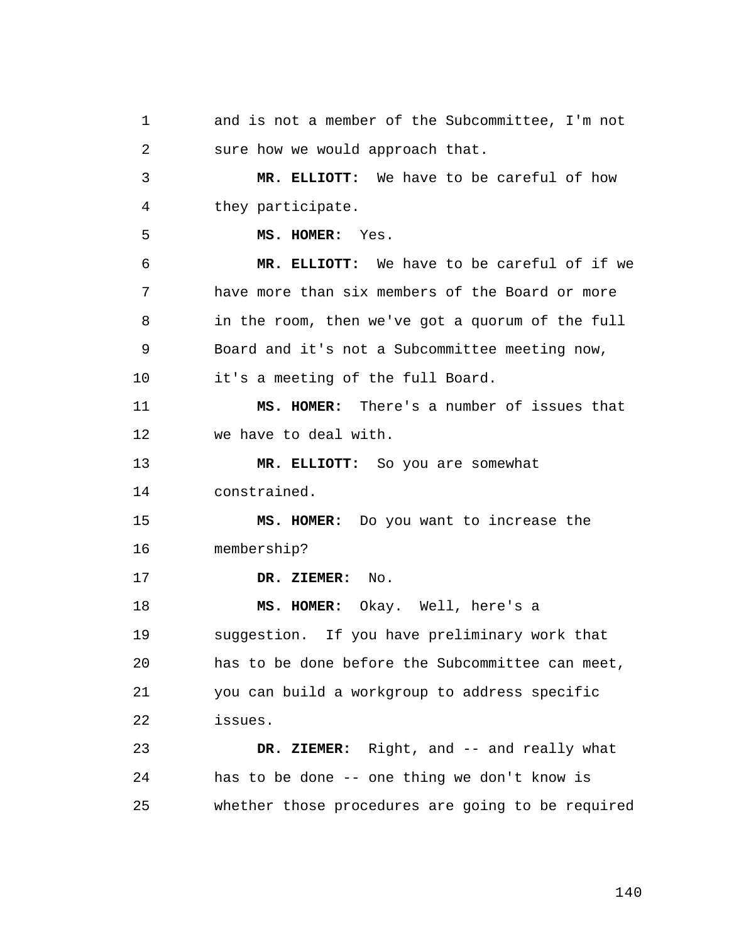1 2 3 4 5 6 7 8 9 10 11 12 13 14 15 16 17 18 19  $2.0$ 21 22 23 24 25 and is not a member of the Subcommittee, I'm not sure how we would approach that. **MR. ELLIOTT:** We have to be careful of how they participate. **MS. HOMER:** Yes. **MR. ELLIOTT:** We have to be careful of if we have more than six members of the Board or more in the room, then we've got a quorum of the full Board and it's not a Subcommittee meeting now, it's a meeting of the full Board. **MS. HOMER:** There's a number of issues that we have to deal with. **MR. ELLIOTT:** So you are somewhat constrained. **MS. HOMER:** Do you want to increase the membership? **DR. ZIEMER:** No. **MS. HOMER:** Okay. Well, here's a suggestion. If you have preliminary work that has to be done before the Subcommittee can meet, you can build a workgroup to address specific issues. **DR. ZIEMER:** Right, and -- and really what has to be done -- one thing we don't know is whether those procedures are going to be required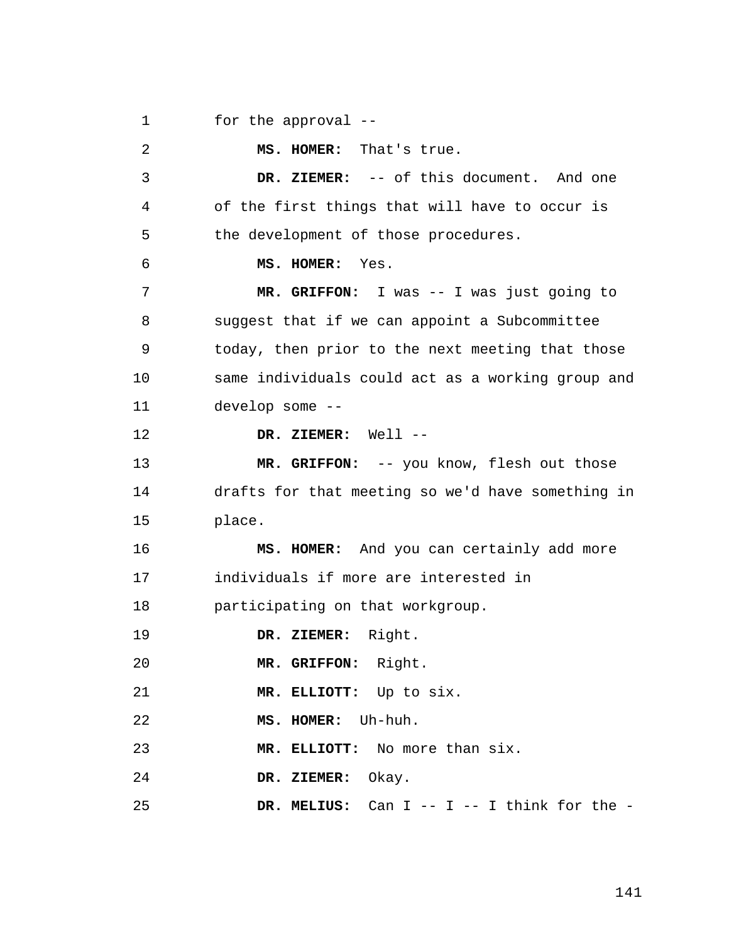1 for the approval --

2 3 4 5 6 7 8 9 10 11 12 13 14 15 16 17 18 19  $2.0$ 21 22 23 24 25 **MS. HOMER:** That's true. **DR. ZIEMER:** -- of this document. And one of the first things that will have to occur is the development of those procedures. **MS. HOMER:** Yes. **MR. GRIFFON:** I was -- I was just going to suggest that if we can appoint a Subcommittee today, then prior to the next meeting that those same individuals could act as a working group and develop some -- **DR. ZIEMER:** Well -- **MR. GRIFFON:** -- you know, flesh out those drafts for that meeting so we'd have something in place. **MS. HOMER:** And you can certainly add more individuals if more are interested in participating on that workgroup. **DR. ZIEMER:** Right. **MR. GRIFFON:** Right. **MR. ELLIOTT:** Up to six. **MS. HOMER:** Uh-huh. **MR. ELLIOTT:** No more than six. **DR. ZIEMER:** Okay. DR. MELIUS: Can I -- I -- I think for the -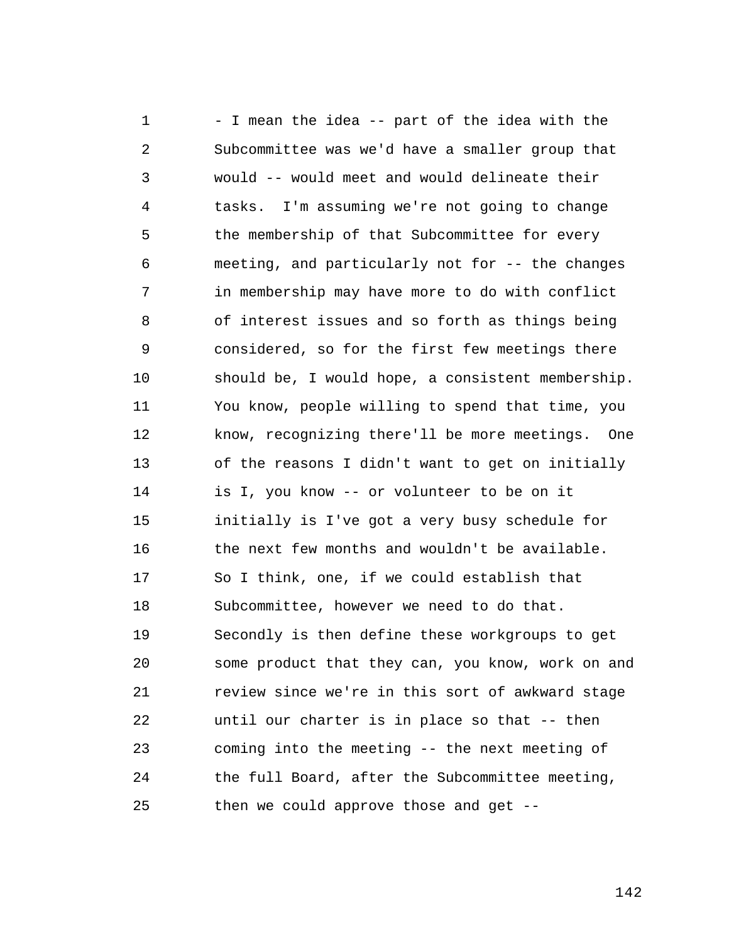1 2 3 4 5 6 7 8 9 10 11 12 13 14 15 16 17 18 19  $2.0$ 21 22 23 24 25 - I mean the idea -- part of the idea with the Subcommittee was we'd have a smaller group that would -- would meet and would delineate their tasks. I'm assuming we're not going to change the membership of that Subcommittee for every meeting, and particularly not for -- the changes in membership may have more to do with conflict of interest issues and so forth as things being considered, so for the first few meetings there should be, I would hope, a consistent membership. You know, people willing to spend that time, you know, recognizing there'll be more meetings. One of the reasons I didn't want to get on initially is I, you know -- or volunteer to be on it initially is I've got a very busy schedule for the next few months and wouldn't be available. So I think, one, if we could establish that Subcommittee, however we need to do that. Secondly is then define these workgroups to get some product that they can, you know, work on and review since we're in this sort of awkward stage until our charter is in place so that -- then coming into the meeting -- the next meeting of the full Board, after the Subcommittee meeting, then we could approve those and get --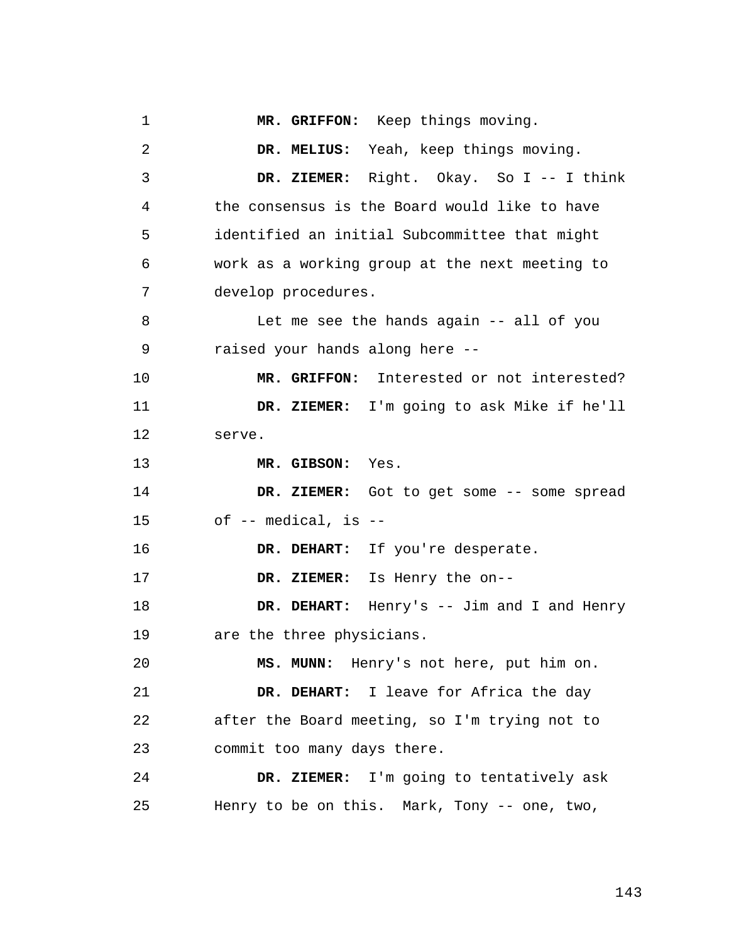1 2 3 4 5 6 7 8 9 10 11 12 13 14 15 16 17 18 19  $2.0$ 21 22 23 24 25 **MR. GRIFFON:** Keep things moving. **DR. MELIUS:** Yeah, keep things moving. **DR. ZIEMER:** Right. Okay. So I -- I think the consensus is the Board would like to have identified an initial Subcommittee that might work as a working group at the next meeting to develop procedures. Let me see the hands again -- all of you raised your hands along here -- **MR. GRIFFON:** Interested or not interested? **DR. ZIEMER:** I'm going to ask Mike if he'll serve. **MR. GIBSON:** Yes. DR. ZIEMER: Got to get some -- some spread of -- medical, is -- **DR. DEHART:** If you're desperate. **DR. ZIEMER:** Is Henry the on-- **DR. DEHART:** Henry's -- Jim and I and Henry are the three physicians. **MS. MUNN:** Henry's not here, put him on. **DR. DEHART:** I leave for Africa the day after the Board meeting, so I'm trying not to commit too many days there. **DR. ZIEMER:** I'm going to tentatively ask Henry to be on this. Mark, Tony -- one, two,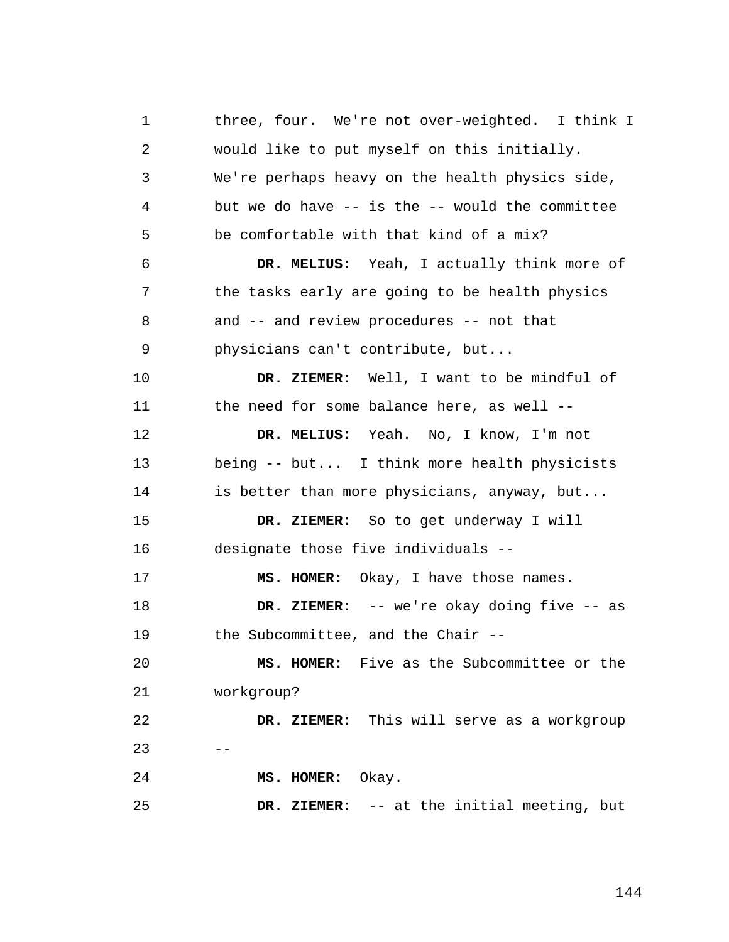1 2 3 4 5 6 7 8 9 10 11 12 13 14 15 16 17 18 19  $2.0$ 21 22  $23 - -$ 24 25 three, four. We're not over-weighted. I think I would like to put myself on this initially. We're perhaps heavy on the health physics side, but we do have -- is the -- would the committee be comfortable with that kind of a mix? **DR. MELIUS:** Yeah, I actually think more of the tasks early are going to be health physics and -- and review procedures -- not that physicians can't contribute, but... **DR. ZIEMER:** Well, I want to be mindful of the need for some balance here, as well -- **DR. MELIUS:** Yeah. No, I know, I'm not being -- but... I think more health physicists is better than more physicians, anyway, but... **DR. ZIEMER:** So to get underway I will designate those five individuals -- **MS. HOMER:** Okay, I have those names. **DR. ZIEMER:** -- we're okay doing five -- as the Subcommittee, and the Chair -- **MS. HOMER:** Five as the Subcommittee or the workgroup? **DR. ZIEMER:** This will serve as a workgroup **MS. HOMER:** Okay. **DR. ZIEMER:** -- at the initial meeting, but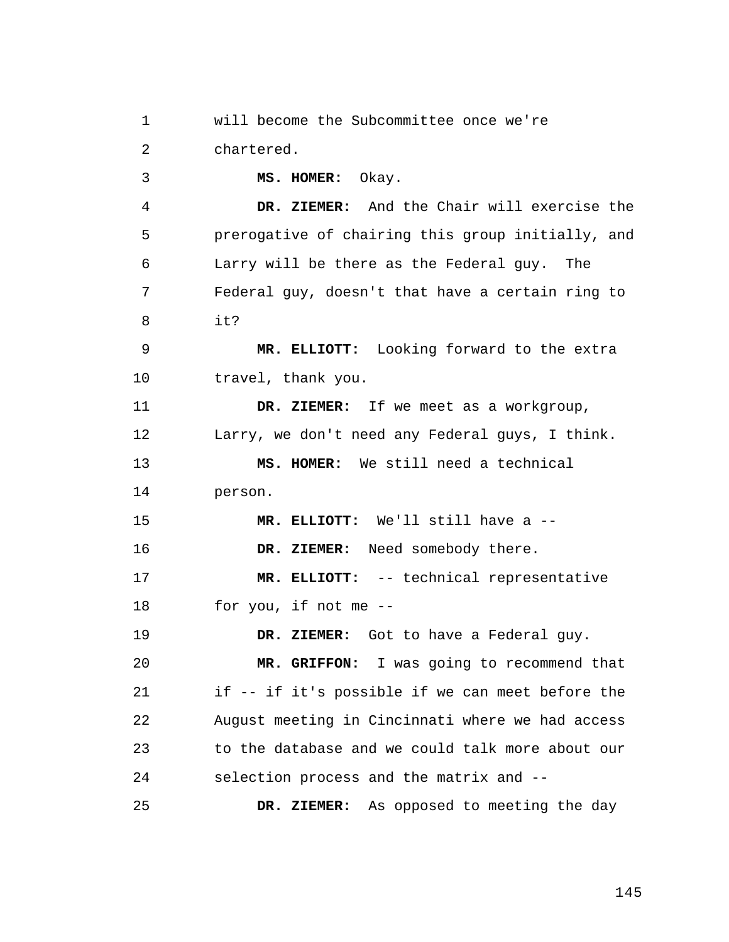1 2 will become the Subcommittee once we're chartered.

**MS. HOMER:** Okay.

3

25

4 5 6 7 8 **DR. ZIEMER:** And the Chair will exercise the prerogative of chairing this group initially, and Larry will be there as the Federal guy. The Federal guy, doesn't that have a certain ring to it?

9 10 **MR. ELLIOTT:** Looking forward to the extra travel, thank you.

11 12 13 **DR. ZIEMER:** If we meet as a workgroup, Larry, we don't need any Federal guys, I think. **MS. HOMER:** We still need a technical

14 person.

15 **MR. ELLIOTT:** We'll still have a --

16 **DR. ZIEMER:** Need somebody there.

17 18 **MR. ELLIOTT:** -- technical representative for you, if not me --

19 **DR. ZIEMER:** Got to have a Federal guy.

 $2.0$ 21 22 23 24 **MR. GRIFFON:** I was going to recommend that if -- if it's possible if we can meet before the August meeting in Cincinnati where we had access to the database and we could talk more about our selection process and the matrix and --

**DR. ZIEMER:** As opposed to meeting the day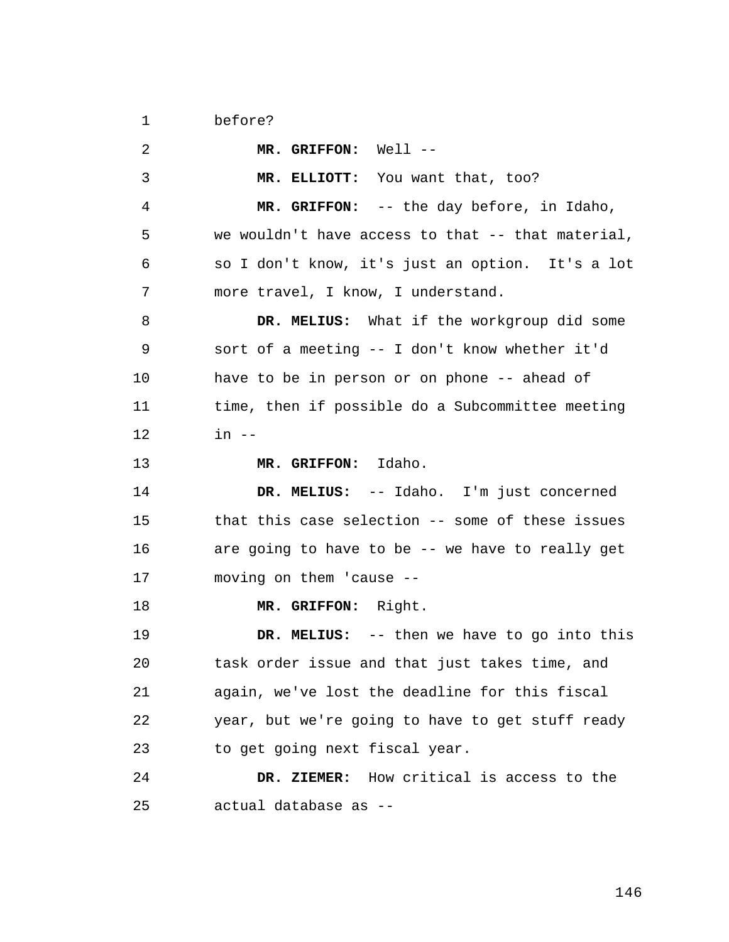1 before?

2 3 4 5 6 7 8 9 10 11 12 13 14 15 16 17 18 19  $20^{\circ}$ 21 22 23 24 25 **MR. GRIFFON:** Well -- **MR. ELLIOTT:** You want that, too? **MR. GRIFFON:** -- the day before, in Idaho, we wouldn't have access to that -- that material, so I don't know, it's just an option. It's a lot more travel, I know, I understand. **DR. MELIUS:** What if the workgroup did some sort of a meeting -- I don't know whether it'd have to be in person or on phone -- ahead of time, then if possible do a Subcommittee meeting in -- **MR. GRIFFON:** Idaho. **DR. MELIUS:** -- Idaho. I'm just concerned that this case selection -- some of these issues are going to have to be -- we have to really get moving on them 'cause -- **MR. GRIFFON:** Right. **DR. MELIUS:** -- then we have to go into this task order issue and that just takes time, and again, we've lost the deadline for this fiscal year, but we're going to have to get stuff ready to get going next fiscal year. **DR. ZIEMER:** How critical is access to the actual database as --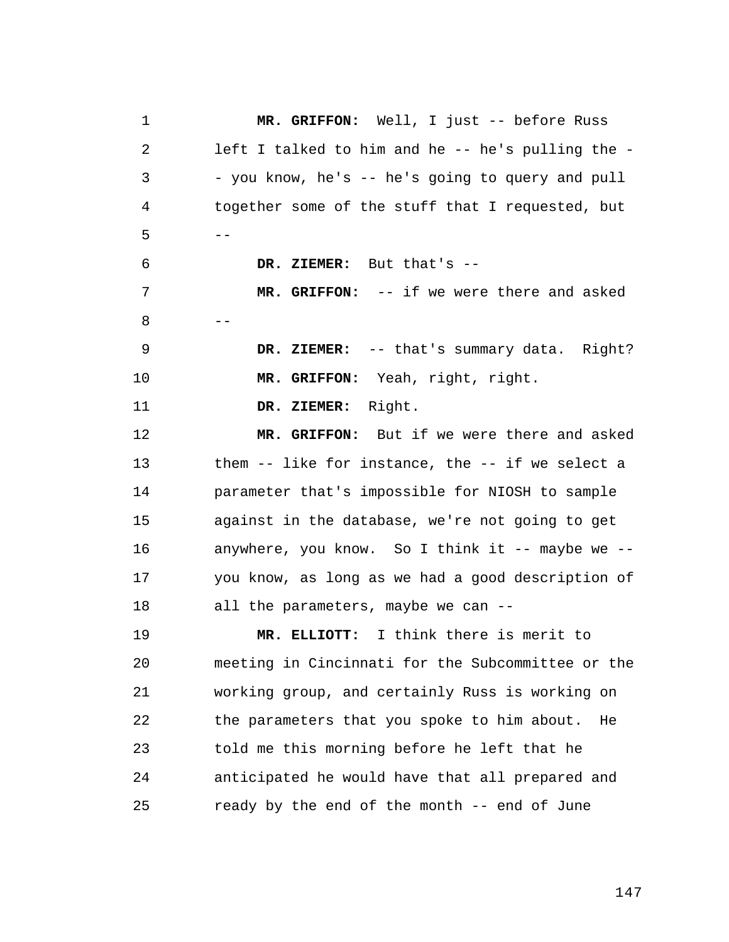1 2 3 4  $5 - -$ 6 7 8 -- 9 10 11 12 13 14 15 16 17 18 19  $2.0$ 21 22 23 24 25 **MR. GRIFFON:** Well, I just -- before Russ left I talked to him and he -- he's pulling the - - you know, he's -- he's going to query and pull together some of the stuff that I requested, but **DR. ZIEMER:** But that's -- **MR. GRIFFON:** -- if we were there and asked **DR. ZIEMER:** -- that's summary data. Right? **MR. GRIFFON:** Yeah, right, right. **DR. ZIEMER:** Right. **MR. GRIFFON:** But if we were there and asked them -- like for instance, the -- if we select a parameter that's impossible for NIOSH to sample against in the database, we're not going to get anywhere, you know. So I think it -- maybe we - you know, as long as we had a good description of all the parameters, maybe we can -- **MR. ELLIOTT:** I think there is merit to meeting in Cincinnati for the Subcommittee or the working group, and certainly Russ is working on the parameters that you spoke to him about. He told me this morning before he left that he anticipated he would have that all prepared and ready by the end of the month -- end of June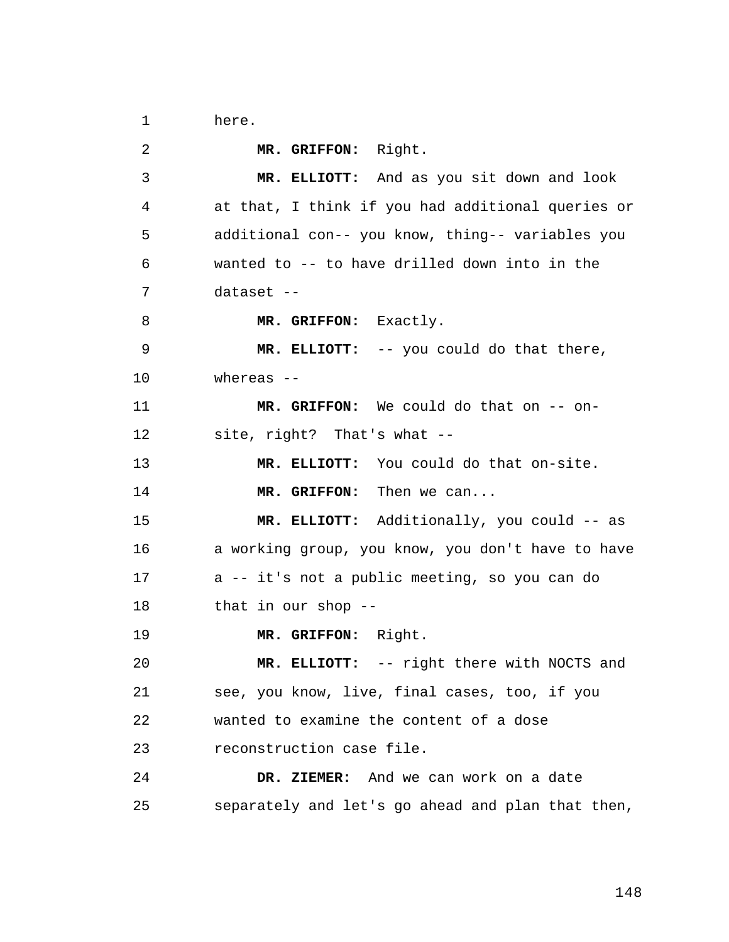1 here.

2 3 4 5 6 7 8 9 10 11 12 13 14 15 16 17 18 19  $2.0$ 21 22 23 24 25 **MR. GRIFFON:** Right. **MR. ELLIOTT:** And as you sit down and look at that, I think if you had additional queries or additional con-- you know, thing-- variables you wanted to -- to have drilled down into in the dataset -- **MR. GRIFFON:** Exactly. **MR. ELLIOTT:** -- you could do that there, whereas --**MR. GRIFFON:** We could do that on -- onsite, right? That's what -- **MR. ELLIOTT:** You could do that on-site. **MR. GRIFFON:** Then we can... **MR. ELLIOTT:** Additionally, you could -- as a working group, you know, you don't have to have a -- it's not a public meeting, so you can do that in our shop -- **MR. GRIFFON:** Right. **MR. ELLIOTT:** -- right there with NOCTS and see, you know, live, final cases, too, if you wanted to examine the content of a dose reconstruction case file. **DR. ZIEMER:** And we can work on a date separately and let's go ahead and plan that then,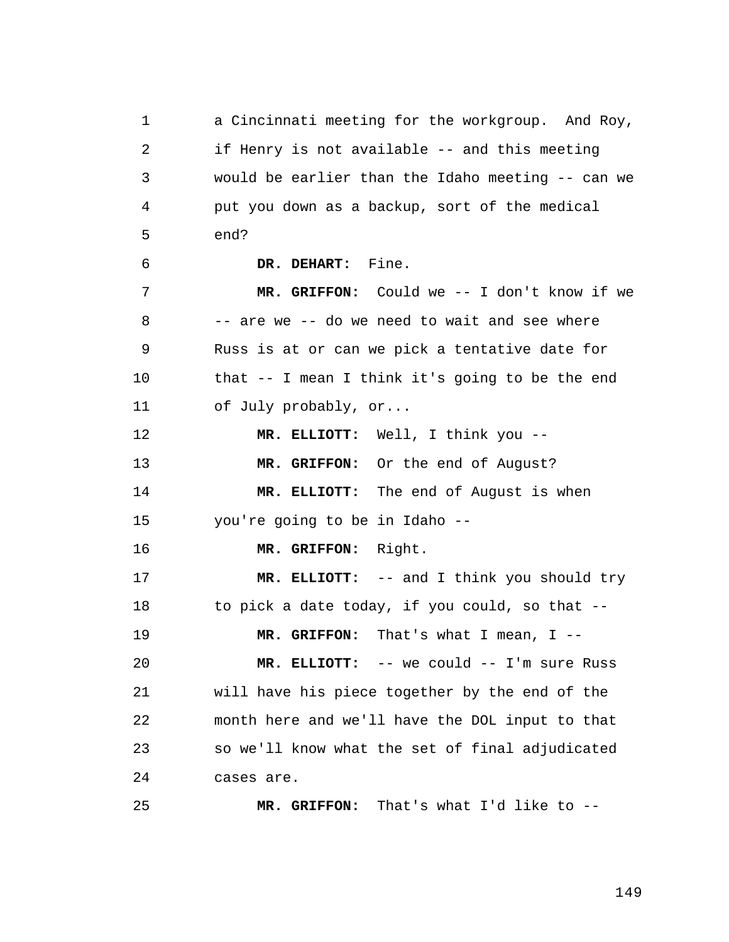1 2 3 4 5 6 7 8 9 10 11 12 13 14 15 16 17 18 19  $2.0$ 21 22 23 24 25 a Cincinnati meeting for the workgroup. And Roy, if Henry is not available -- and this meeting would be earlier than the Idaho meeting -- can we put you down as a backup, sort of the medical end? **DR. DEHART:** Fine. **MR. GRIFFON:** Could we -- I don't know if we -- are we -- do we need to wait and see where Russ is at or can we pick a tentative date for that -- I mean I think it's going to be the end of July probably, or... **MR. ELLIOTT:** Well, I think you -- **MR. GRIFFON:** Or the end of August? **MR. ELLIOTT:** The end of August is when you're going to be in Idaho -- **MR. GRIFFON:** Right. **MR. ELLIOTT:** -- and I think you should try to pick a date today, if you could, so that -- **MR. GRIFFON:** That's what I mean, I -- **MR. ELLIOTT:** -- we could -- I'm sure Russ will have his piece together by the end of the month here and we'll have the DOL input to that so we'll know what the set of final adjudicated cases are. **MR. GRIFFON:** That's what I'd like to --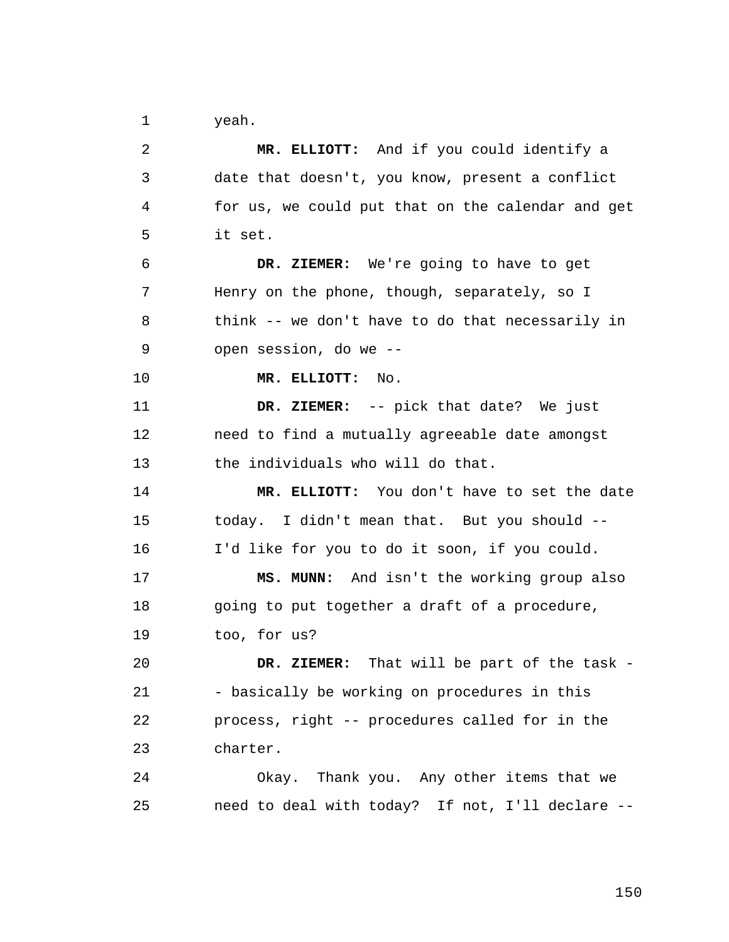1 yeah.

2 3 4 5 6 7 8 9 10 11 12 13 14 15 16 17 18 19  $2.0$ 21 22 23 24 25 **MR. ELLIOTT:** And if you could identify a date that doesn't, you know, present a conflict for us, we could put that on the calendar and get it set. **DR. ZIEMER:** We're going to have to get Henry on the phone, though, separately, so I think -- we don't have to do that necessarily in open session, do we -- **MR. ELLIOTT:** No. **DR. ZIEMER:** -- pick that date? We just need to find a mutually agreeable date amongst the individuals who will do that. **MR. ELLIOTT:** You don't have to set the date today. I didn't mean that. But you should -- I'd like for you to do it soon, if you could. **MS. MUNN:** And isn't the working group also going to put together a draft of a procedure, too, for us? **DR. ZIEMER:** That will be part of the task - - basically be working on procedures in this process, right -- procedures called for in the charter. Okay. Thank you. Any other items that we need to deal with today? If not, I'll declare --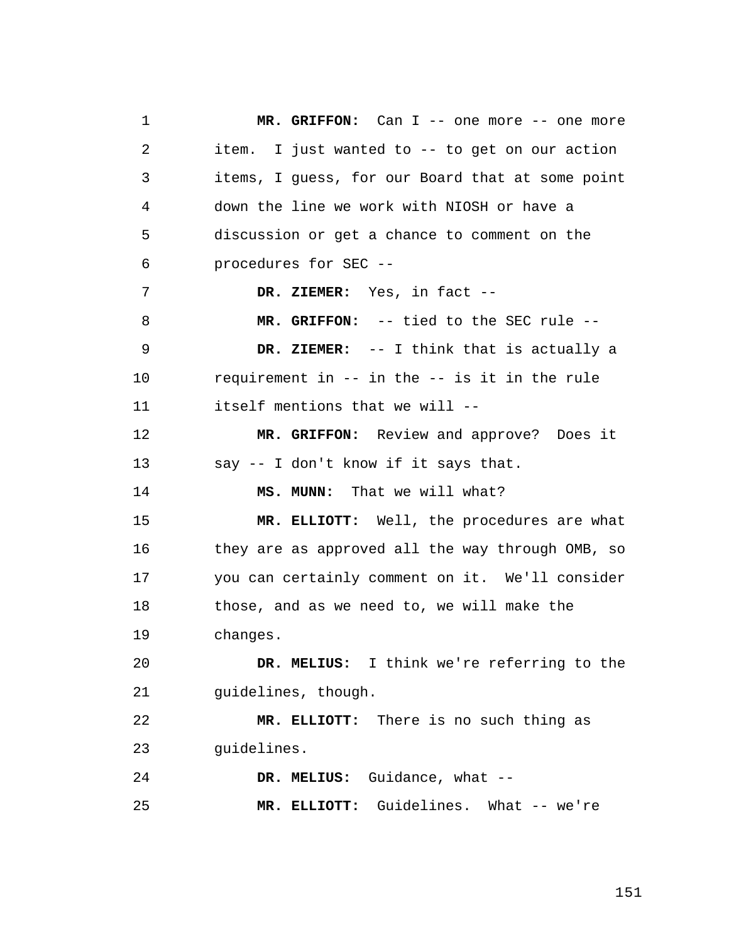1 2 3 4 5 6 7 8 9 10 11 12 13 14 15 16 17 18 19  $2.0$ 21 22 23 24 25 **MR. GRIFFON:** Can I -- one more -- one more item. I just wanted to -- to get on our action items, I guess, for our Board that at some point down the line we work with NIOSH or have a discussion or get a chance to comment on the procedures for SEC -- **DR. ZIEMER:** Yes, in fact -- **MR. GRIFFON:** -- tied to the SEC rule -- **DR. ZIEMER:** -- I think that is actually a requirement in -- in the -- is it in the rule itself mentions that we will -- **MR. GRIFFON:** Review and approve? Does it say -- I don't know if it says that. **MS. MUNN:** That we will what? **MR. ELLIOTT:** Well, the procedures are what they are as approved all the way through OMB, so you can certainly comment on it. We'll consider those, and as we need to, we will make the changes. **DR. MELIUS:** I think we're referring to the guidelines, though. **MR. ELLIOTT:** There is no such thing as guidelines. **DR. MELIUS:** Guidance, what -- **MR. ELLIOTT:** Guidelines. What -- we're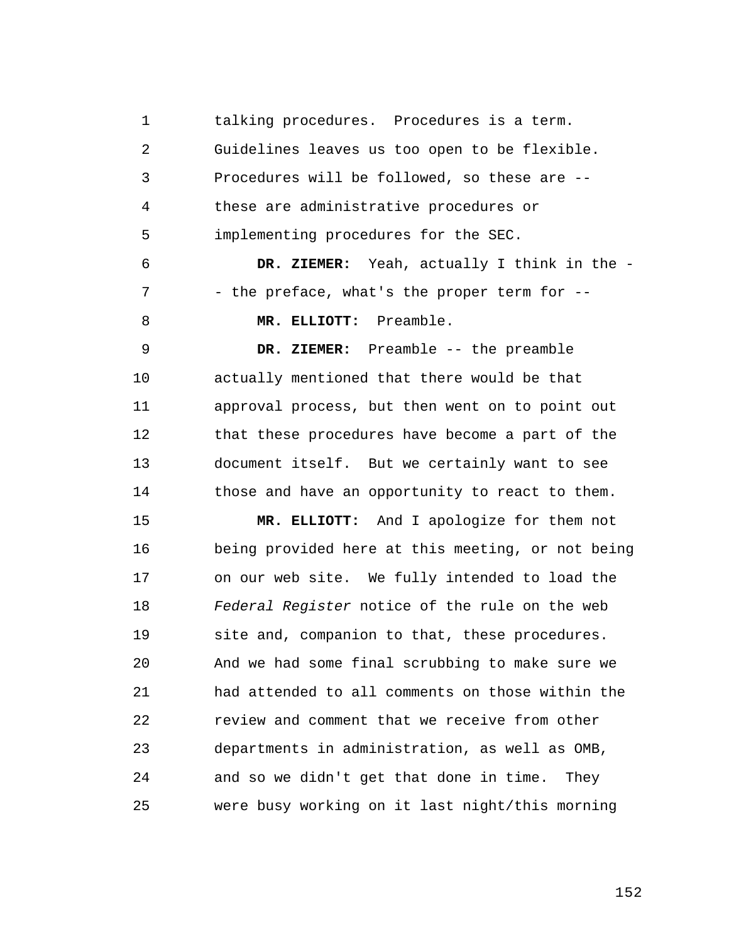1 2 3 4 5 6 7 8 9 10 11 12 13 14 15 16 17 18 19 20 21 22 23 24 25 talking procedures. Procedures is a term. Guidelines leaves us too open to be flexible. Procedures will be followed, so these are - these are administrative procedures or implementing procedures for the SEC. **DR. ZIEMER:** Yeah, actually I think in the - - the preface, what's the proper term for -- **MR. ELLIOTT:** Preamble. **DR. ZIEMER:** Preamble -- the preamble actually mentioned that there would be that approval process, but then went on to point out that these procedures have become a part of the document itself. But we certainly want to see those and have an opportunity to react to them. **MR. ELLIOTT:** And I apologize for them not being provided here at this meeting, or not being on our web site. We fully intended to load the *Federal Register* notice of the rule on the web site and, companion to that, these procedures. And we had some final scrubbing to make sure we had attended to all comments on those within the review and comment that we receive from other departments in administration, as well as OMB, and so we didn't get that done in time. They were busy working on it last night/this morning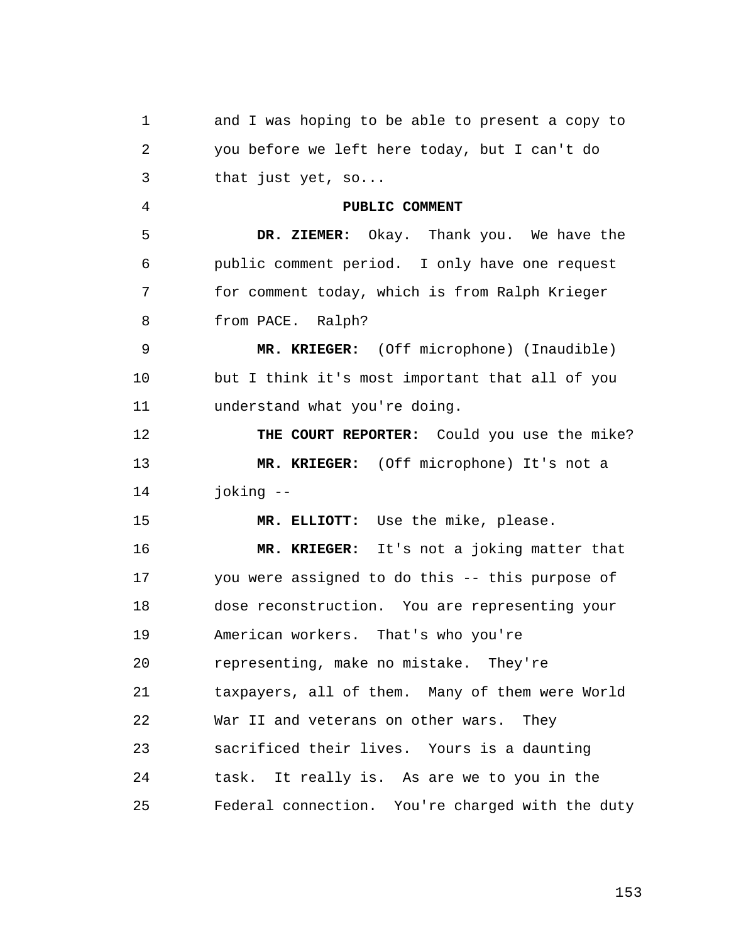| 1  | and I was hoping to be able to present a copy to |
|----|--------------------------------------------------|
| 2  | you before we left here today, but I can't do    |
| 3  | that just yet, $so$                              |
| 4  | PUBLIC COMMENT                                   |
| 5  | DR. ZIEMER: Okay. Thank you. We have the         |
| 6  | public comment period. I only have one request   |
| 7  | for comment today, which is from Ralph Krieger   |
| 8  | from PACE. Ralph?                                |
| 9  | MR. KRIEGER: (Off microphone) (Inaudible)        |
| 10 | but I think it's most important that all of you  |
| 11 | understand what you're doing.                    |
| 12 | THE COURT REPORTER: Could you use the mike?      |
| 13 | MR. KRIEGER: (Off microphone) It's not a         |
| 14 | joking --                                        |
| 15 | MR. ELLIOTT: Use the mike, please.               |
| 16 | MR. KRIEGER: It's not a joking matter that       |
| 17 | you were assigned to do this -- this purpose of  |
| 18 | dose reconstruction. You are representing your   |
| 19 | American workers. That's who you're              |
| 20 | representing, make no mistake. They're           |
| 21 | taxpayers, all of them. Many of them were World  |
| 22 | War II and veterans on other wars. They          |
| 23 | sacrificed their lives. Yours is a daunting      |
| 24 | task. It really is. As are we to you in the      |
| 25 | Federal connection. You're charged with the duty |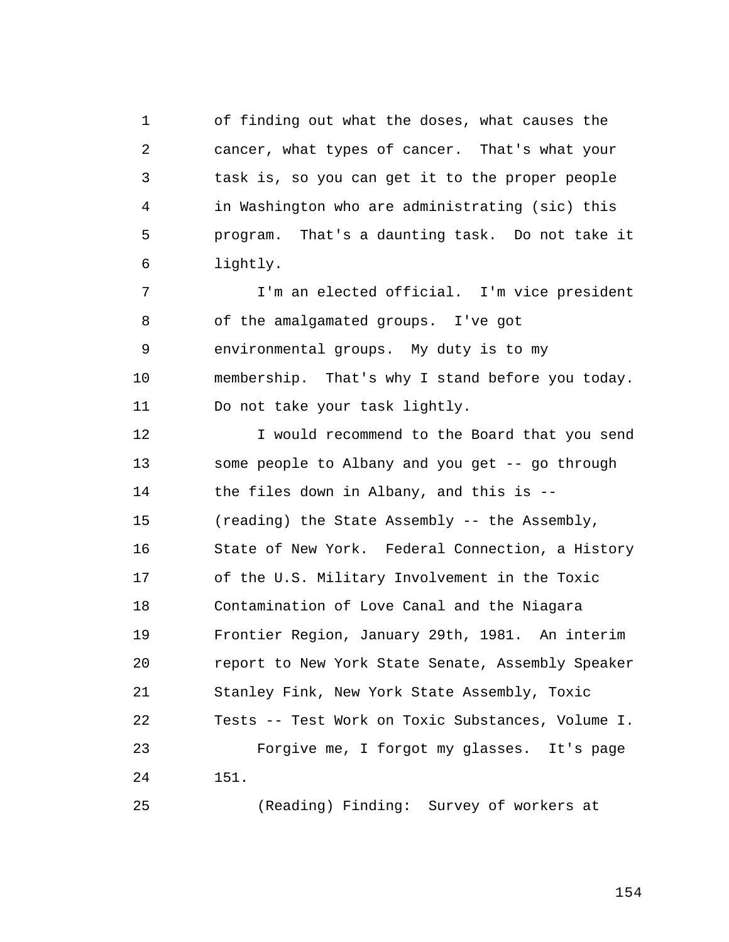1 2 3 4 5 6 of finding out what the doses, what causes the cancer, what types of cancer. That's what your task is, so you can get it to the proper people in Washington who are administrating (sic) this program. That's a daunting task. Do not take it lightly.

7 8 9 10 11 I'm an elected official. I'm vice president of the amalgamated groups. I've got environmental groups. My duty is to my membership. That's why I stand before you today. Do not take your task lightly.

12 13 14 15 16 17 18 19  $2.0$ 21 22 23 24 25 I would recommend to the Board that you send some people to Albany and you get -- go through the files down in Albany, and this is -- (reading) the State Assembly -- the Assembly, State of New York. Federal Connection, a History of the U.S. Military Involvement in the Toxic Contamination of Love Canal and the Niagara Frontier Region, January 29th, 1981. An interim report to New York State Senate, Assembly Speaker Stanley Fink, New York State Assembly, Toxic Tests -- Test Work on Toxic Substances, Volume I. Forgive me, I forgot my glasses. It's page 151. (Reading) Finding: Survey of workers at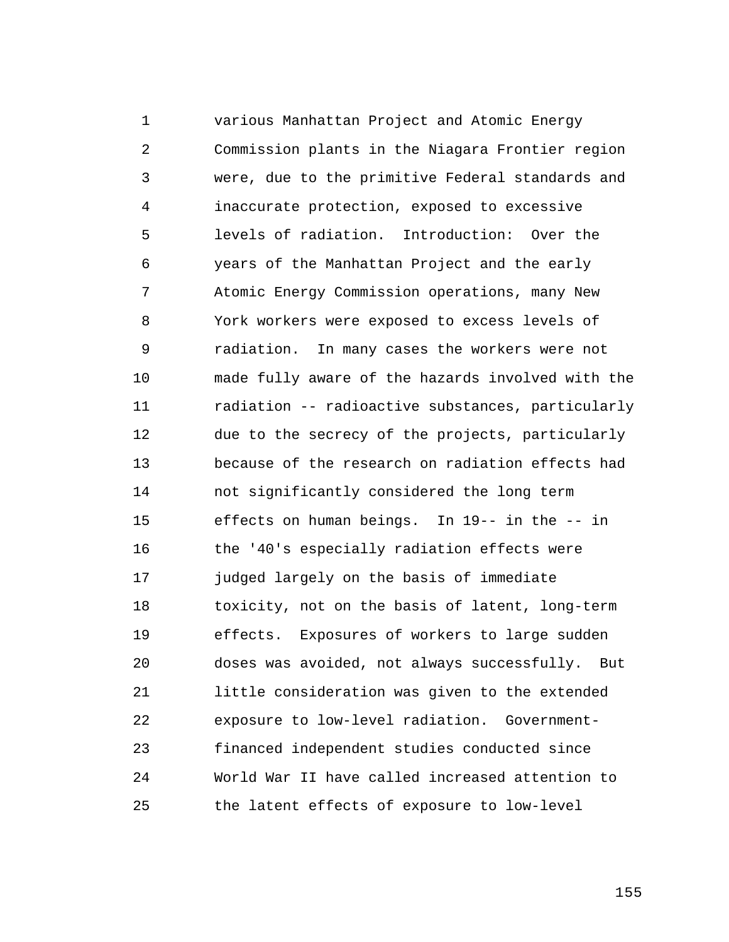1 2 3 4 5 6 7 8 9 10 11 12 13 14 15 16 17 18 19  $20^{\circ}$ 21 22 23 24 25 various Manhattan Project and Atomic Energy Commission plants in the Niagara Frontier region were, due to the primitive Federal standards and inaccurate protection, exposed to excessive levels of radiation. Introduction: Over the years of the Manhattan Project and the early Atomic Energy Commission operations, many New York workers were exposed to excess levels of radiation. In many cases the workers were not made fully aware of the hazards involved with the radiation -- radioactive substances, particularly due to the secrecy of the projects, particularly because of the research on radiation effects had not significantly considered the long term effects on human beings. In 19-- in the -- in the '40's especially radiation effects were judged largely on the basis of immediate toxicity, not on the basis of latent, long-term effects. Exposures of workers to large sudden doses was avoided, not always successfully. But little consideration was given to the extended exposure to low-level radiation. Governmentfinanced independent studies conducted since World War II have called increased attention to the latent effects of exposure to low-level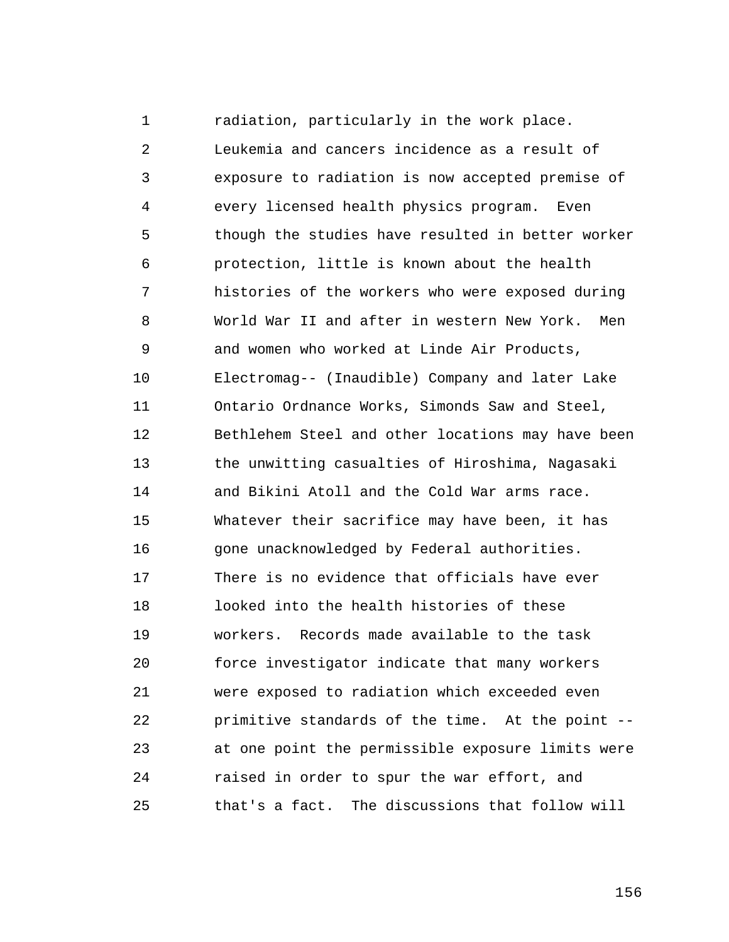1 2 3 4 5 6 7 8 9 10 11 12 13 14 15 16 17 18 19  $20^{\circ}$ 21 22 23 24 25 radiation, particularly in the work place. Leukemia and cancers incidence as a result of exposure to radiation is now accepted premise of every licensed health physics program. Even though the studies have resulted in better worker protection, little is known about the health histories of the workers who were exposed during World War II and after in western New York. Men and women who worked at Linde Air Products, Electromag-- (Inaudible) Company and later Lake Ontario Ordnance Works, Simonds Saw and Steel, Bethlehem Steel and other locations may have been the unwitting casualties of Hiroshima, Nagasaki and Bikini Atoll and the Cold War arms race. Whatever their sacrifice may have been, it has gone unacknowledged by Federal authorities. There is no evidence that officials have ever looked into the health histories of these workers. Records made available to the task force investigator indicate that many workers were exposed to radiation which exceeded even primitive standards of the time. At the point - at one point the permissible exposure limits were raised in order to spur the war effort, and that's a fact. The discussions that follow will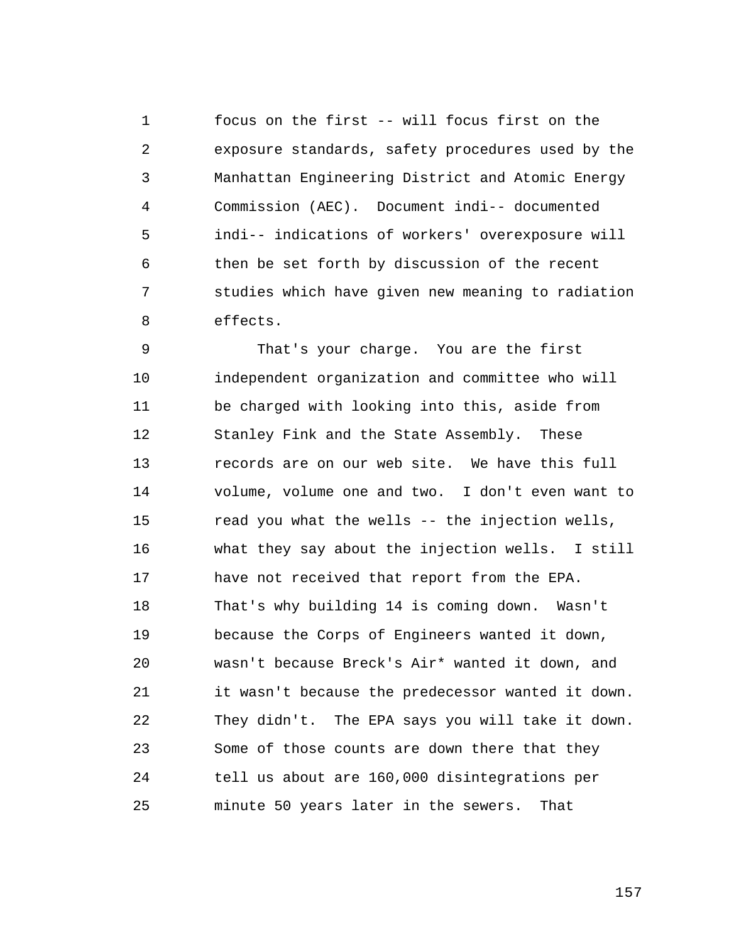1 2 3 4 5 6 7 8 focus on the first -- will focus first on the exposure standards, safety procedures used by the Manhattan Engineering District and Atomic Energy Commission (AEC). Document indi-- documented indi-- indications of workers' overexposure will then be set forth by discussion of the recent studies which have given new meaning to radiation effects.

9 10 11 12 13 14 15 16 17 18 19  $20^{\circ}$ 21 22 23 24 25 That's your charge. You are the first independent organization and committee who will be charged with looking into this, aside from Stanley Fink and the State Assembly. These records are on our web site. We have this full volume, volume one and two. I don't even want to read you what the wells -- the injection wells, what they say about the injection wells. I still have not received that report from the EPA. That's why building 14 is coming down. Wasn't because the Corps of Engineers wanted it down, wasn't because Breck's Air\* wanted it down, and it wasn't because the predecessor wanted it down. They didn't. The EPA says you will take it down. Some of those counts are down there that they tell us about are 160,000 disintegrations per minute 50 years later in the sewers. That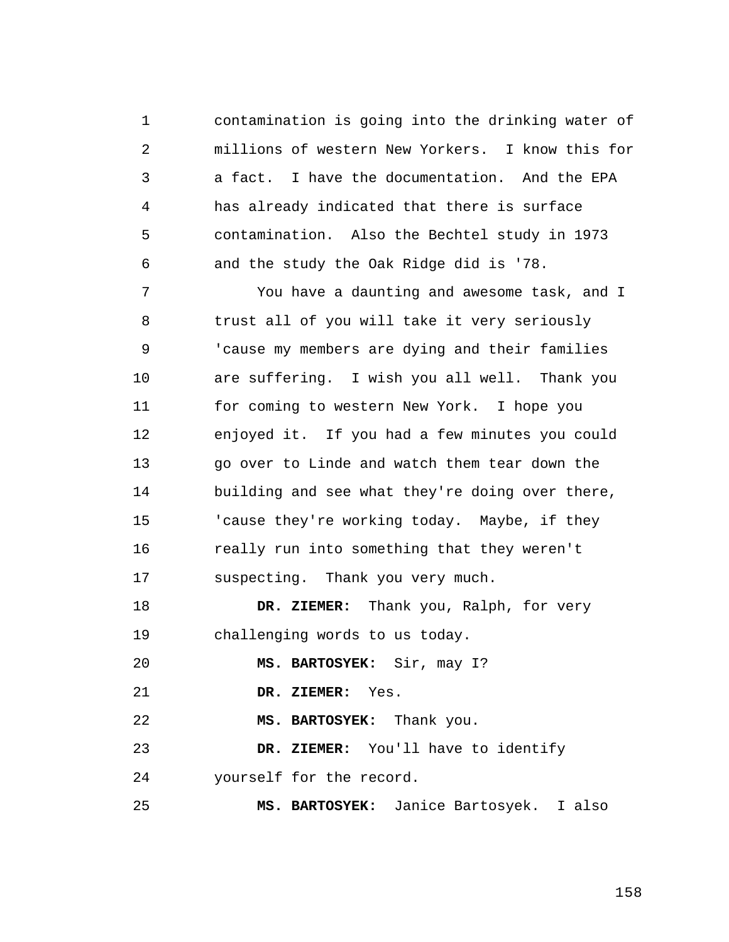1 2 3 4 5 6 contamination is going into the drinking water of millions of western New Yorkers. I know this for a fact. I have the documentation. And the EPA has already indicated that there is surface contamination. Also the Bechtel study in 1973 and the study the Oak Ridge did is '78.

7 8 9 10 11 12 13 14 15 16 17 You have a daunting and awesome task, and I trust all of you will take it very seriously 'cause my members are dying and their families are suffering. I wish you all well. Thank you for coming to western New York. I hope you enjoyed it. If you had a few minutes you could go over to Linde and watch them tear down the building and see what they're doing over there, 'cause they're working today. Maybe, if they really run into something that they weren't suspecting. Thank you very much.

18 19 **DR. ZIEMER:** Thank you, Ralph, for very challenging words to us today.

 $2.0$ **MS. BARTOSYEK:** Sir, may I?

21 **DR. ZIEMER:** Yes.

22 **MS. BARTOSYEK:** Thank you.

23 24 **DR. ZIEMER:** You'll have to identify yourself for the record.

25 **MS. BARTOSYEK:** Janice Bartosyek. I also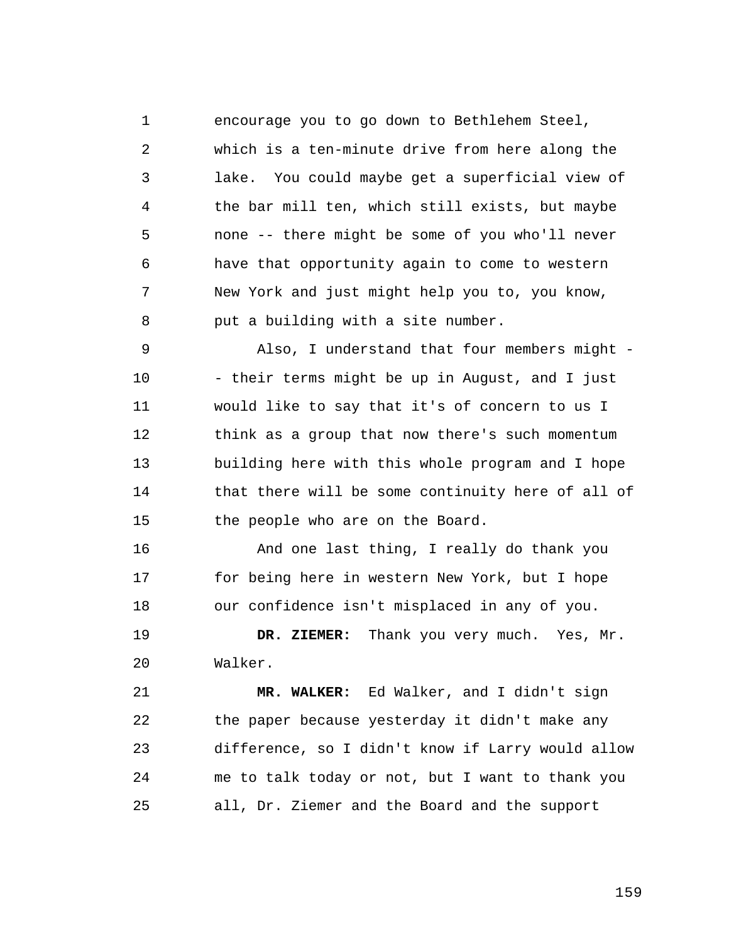1 2 3 4 5 6 7 8 encourage you to go down to Bethlehem Steel, which is a ten-minute drive from here along the lake. You could maybe get a superficial view of the bar mill ten, which still exists, but maybe none -- there might be some of you who'll never have that opportunity again to come to western New York and just might help you to, you know, put a building with a site number.

9 10 11 12 13 14 15 Also, I understand that four members might -- their terms might be up in August, and I just would like to say that it's of concern to us I think as a group that now there's such momentum building here with this whole program and I hope that there will be some continuity here of all of the people who are on the Board.

16 17 18 And one last thing, I really do thank you for being here in western New York, but I hope our confidence isn't misplaced in any of you.

19 20 **DR. ZIEMER:** Thank you very much. Yes, Mr. Walker.

21 22 23 24 25 **MR. WALKER:** Ed Walker, and I didn't sign the paper because yesterday it didn't make any difference, so I didn't know if Larry would allow me to talk today or not, but I want to thank you all, Dr. Ziemer and the Board and the support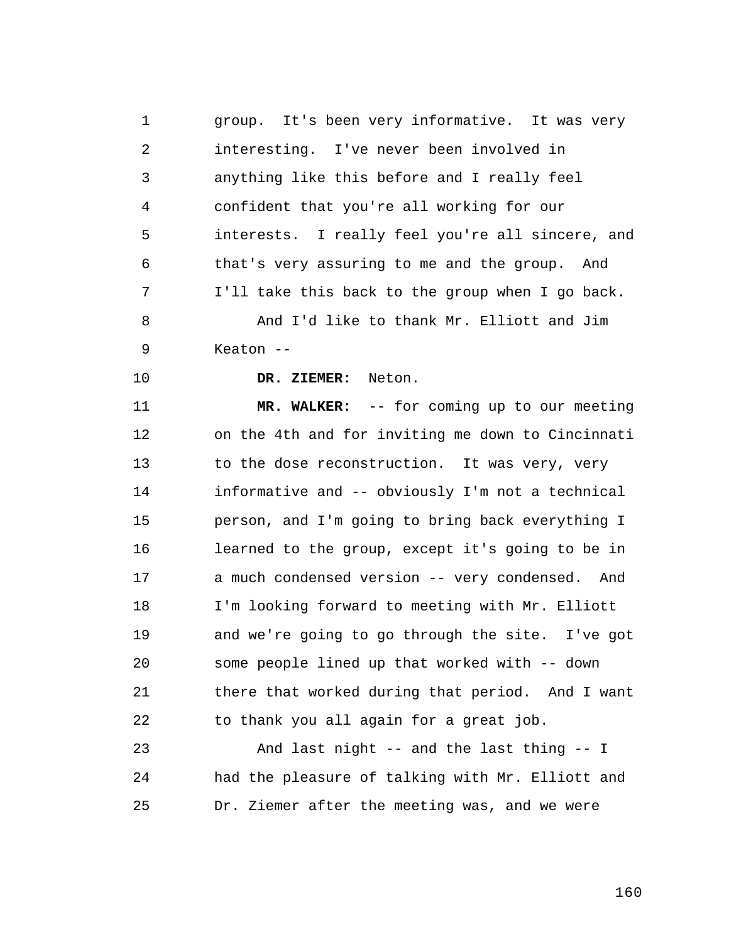1 2 3 4 5 6 7 8 9 group. It's been very informative. It was very interesting. I've never been involved in anything like this before and I really feel confident that you're all working for our interests. I really feel you're all sincere, and that's very assuring to me and the group. And I'll take this back to the group when I go back. And I'd like to thank Mr. Elliott and Jim  $K$ eaton  $--$ 

10

## **DR. ZIEMER:** Neton.

11 12 13 14 15 16 17 18 19  $2.0$ 21 22 **MR. WALKER:** -- for coming up to our meeting on the 4th and for inviting me down to Cincinnati to the dose reconstruction. It was very, very informative and -- obviously I'm not a technical person, and I'm going to bring back everything I learned to the group, except it's going to be in a much condensed version -- very condensed. And I'm looking forward to meeting with Mr. Elliott and we're going to go through the site. I've got some people lined up that worked with -- down there that worked during that period. And I want to thank you all again for a great job.

23 24 25 And last night -- and the last thing -- I had the pleasure of talking with Mr. Elliott and Dr. Ziemer after the meeting was, and we were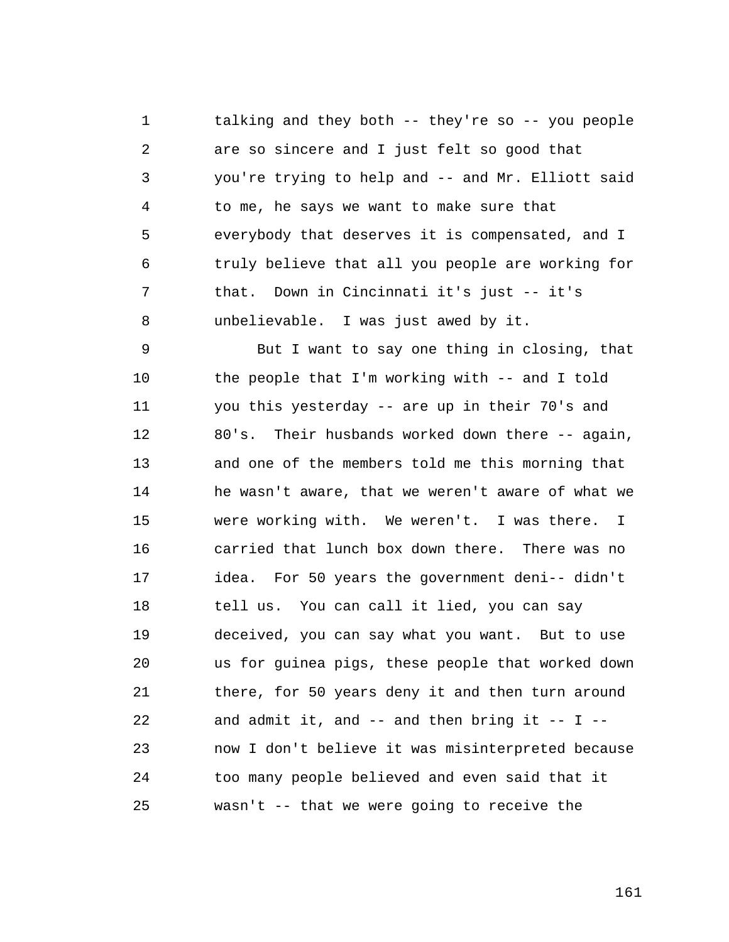1 2 3 4 5 6 7 8 talking and they both -- they're so -- you people are so sincere and I just felt so good that you're trying to help and -- and Mr. Elliott said to me, he says we want to make sure that everybody that deserves it is compensated, and I truly believe that all you people are working for that. Down in Cincinnati it's just -- it's unbelievable. I was just awed by it.

9 10 11 12 13 14 15 16 17 18 19  $2.0$ 21 22 23 24 25 But I want to say one thing in closing, that the people that I'm working with -- and I told you this yesterday -- are up in their 70's and 80's. Their husbands worked down there -- again, and one of the members told me this morning that he wasn't aware, that we weren't aware of what we were working with. We weren't. I was there. I carried that lunch box down there. There was no idea. For 50 years the government deni-- didn't tell us. You can call it lied, you can say deceived, you can say what you want. But to use us for guinea pigs, these people that worked down there, for 50 years deny it and then turn around and admit it, and  $--$  and then bring it  $--$  I  $-$ now I don't believe it was misinterpreted because too many people believed and even said that it wasn't -- that we were going to receive the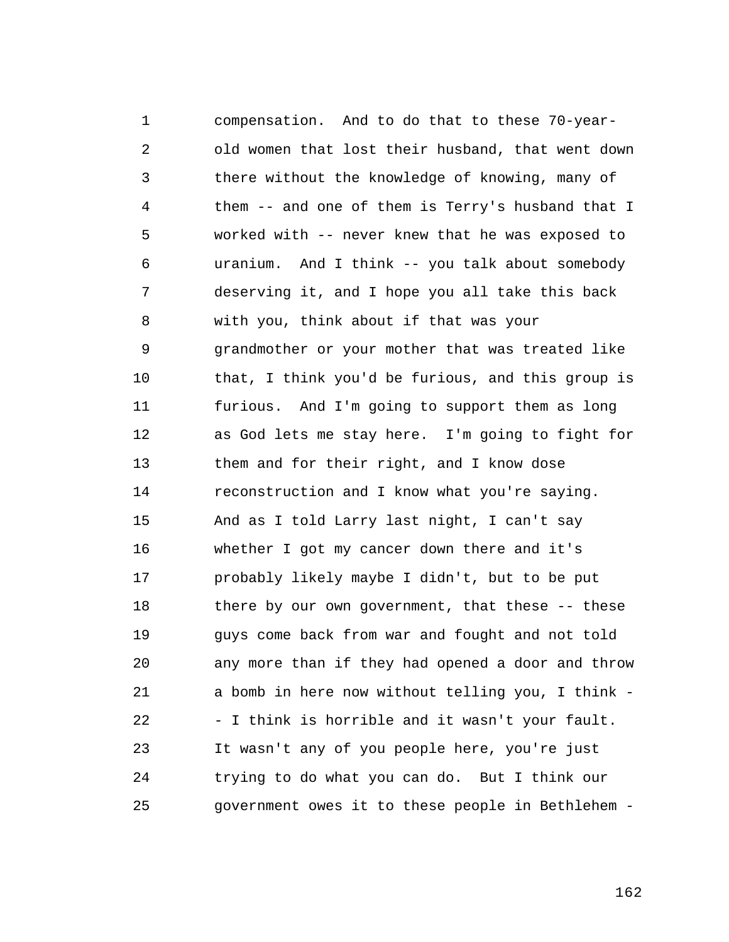1 2 3 4 5 6 7 8 9 10 11 12 13 14 15 16 17 18 19  $20$ 21 22 23 24 25 compensation. And to do that to these 70-yearold women that lost their husband, that went down there without the knowledge of knowing, many of them -- and one of them is Terry's husband that I worked with -- never knew that he was exposed to uranium. And I think -- you talk about somebody deserving it, and I hope you all take this back with you, think about if that was your grandmother or your mother that was treated like that, I think you'd be furious, and this group is furious. And I'm going to support them as long as God lets me stay here. I'm going to fight for them and for their right, and I know dose reconstruction and I know what you're saying. And as I told Larry last night, I can't say whether I got my cancer down there and it's probably likely maybe I didn't, but to be put there by our own government, that these -- these guys come back from war and fought and not told any more than if they had opened a door and throw a bomb in here now without telling you, I think - - I think is horrible and it wasn't your fault. It wasn't any of you people here, you're just trying to do what you can do. But I think our government owes it to these people in Bethlehem -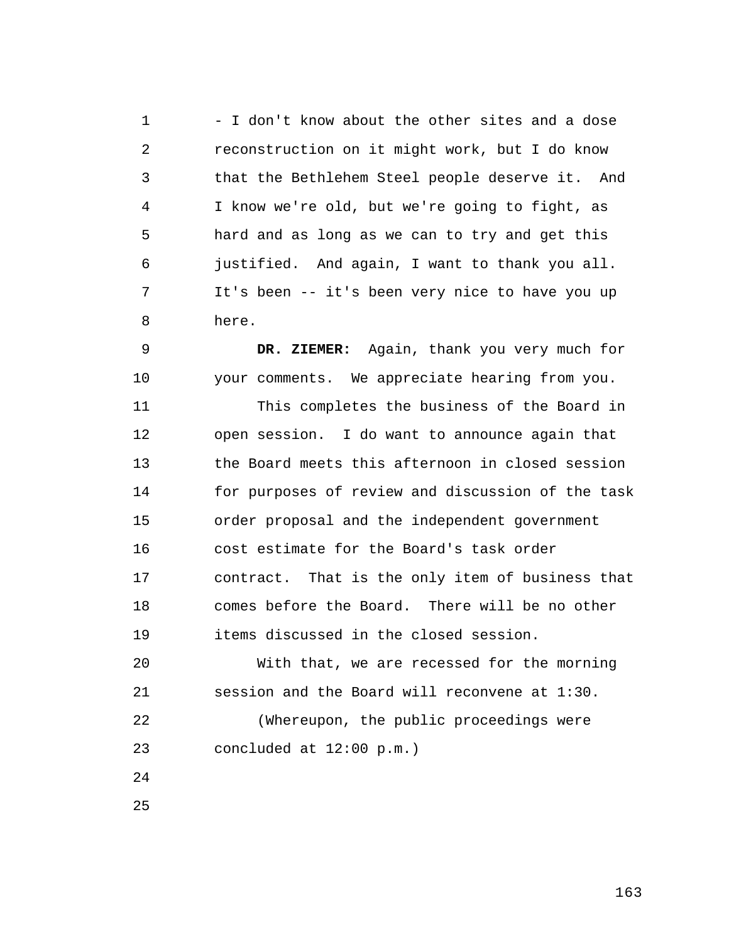1 2 3 4 5 6 7 8 - I don't know about the other sites and a dose reconstruction on it might work, but I do know that the Bethlehem Steel people deserve it. And I know we're old, but we're going to fight, as hard and as long as we can to try and get this justified. And again, I want to thank you all. It's been -- it's been very nice to have you up here.

9 10 11 12 13 14 15 16 17 18 19 **DR. ZIEMER:** Again, thank you very much for your comments. We appreciate hearing from you. This completes the business of the Board in open session. I do want to announce again that the Board meets this afternoon in closed session for purposes of review and discussion of the task order proposal and the independent government cost estimate for the Board's task order contract. That is the only item of business that comes before the Board. There will be no other items discussed in the closed session.

 $2.0$ 21 22 23 With that, we are recessed for the morning session and the Board will reconvene at 1:30. (Whereupon, the public proceedings were concluded at 12:00 p.m.)

24

25